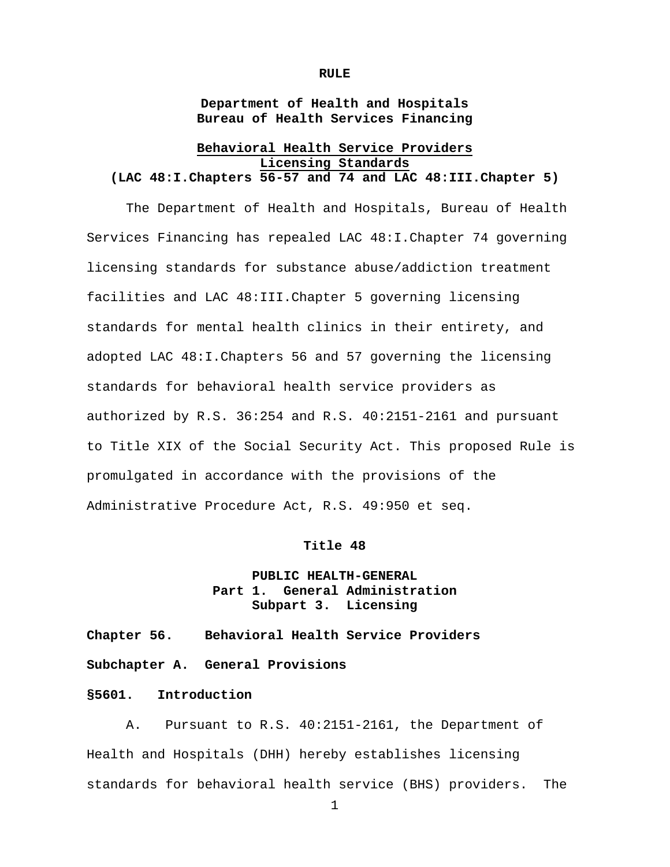**RULE**

**Department of Health and Hospitals Bureau of Health Services Financing**

## **Behavioral Health Service Providers Licensing Standards (LAC 48:I.Chapters 56-57 and 74 and LAC 48:III.Chapter 5)**

The Department of Health and Hospitals, Bureau of Health Services Financing has repealed LAC 48:I.Chapter 74 governing licensing standards for substance abuse/addiction treatment facilities and LAC 48:III.Chapter 5 governing licensing standards for mental health clinics in their entirety, and adopted LAC 48:I.Chapters 56 and 57 governing the licensing standards for behavioral health service providers as authorized by R.S. 36:254 and R.S. 40:2151-2161 and pursuant to Title XIX of the Social Security Act. This proposed Rule is promulgated in accordance with the provisions of the Administrative Procedure Act, R.S. 49:950 et seq.

#### **Title 48**

# **PUBLIC HEALTH-GENERAL Part 1. General Administration Subpart 3. Licensing**

**Chapter 56. Behavioral Health Service Providers**

**Subchapter A. General Provisions**

### **§5601. Introduction**

A. Pursuant to R.S. 40:2151-2161, the Department of Health and Hospitals (DHH) hereby establishes licensing standards for behavioral health service (BHS) providers. The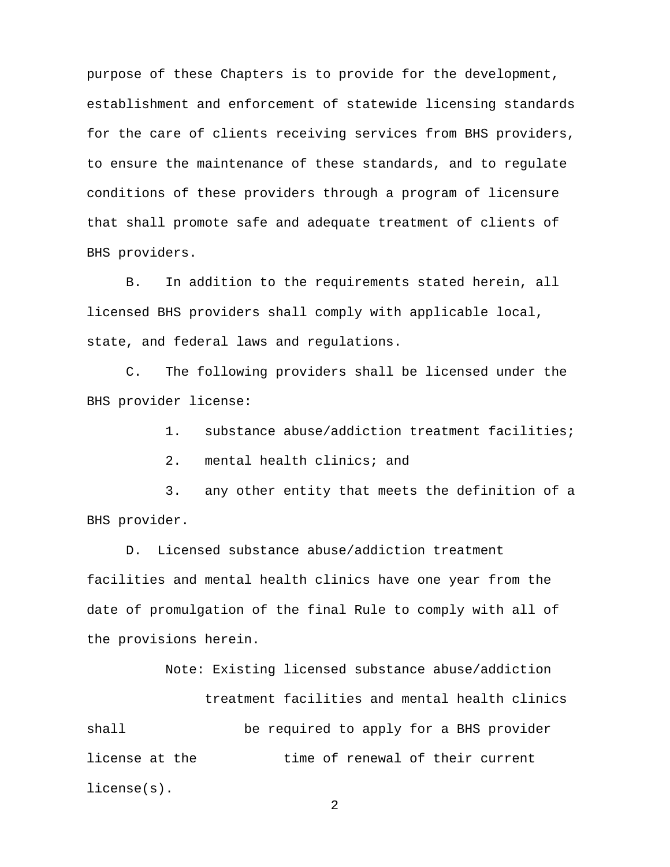purpose of these Chapters is to provide for the development, establishment and enforcement of statewide licensing standards for the care of clients receiving services from BHS providers, to ensure the maintenance of these standards, and to regulate conditions of these providers through a program of licensure that shall promote safe and adequate treatment of clients of BHS providers.

B. In addition to the requirements stated herein, all licensed BHS providers shall comply with applicable local, state, and federal laws and regulations.

C. The following providers shall be licensed under the BHS provider license:

1. substance abuse/addiction treatment facilities;

2. mental health clinics; and

3. any other entity that meets the definition of a BHS provider.

D. Licensed substance abuse/addiction treatment facilities and mental health clinics have one year from the date of promulgation of the final Rule to comply with all of the provisions herein.

Note: Existing licensed substance abuse/addiction treatment facilities and mental health clinics shall be required to apply for a BHS provider license at the time of renewal of their current license(s).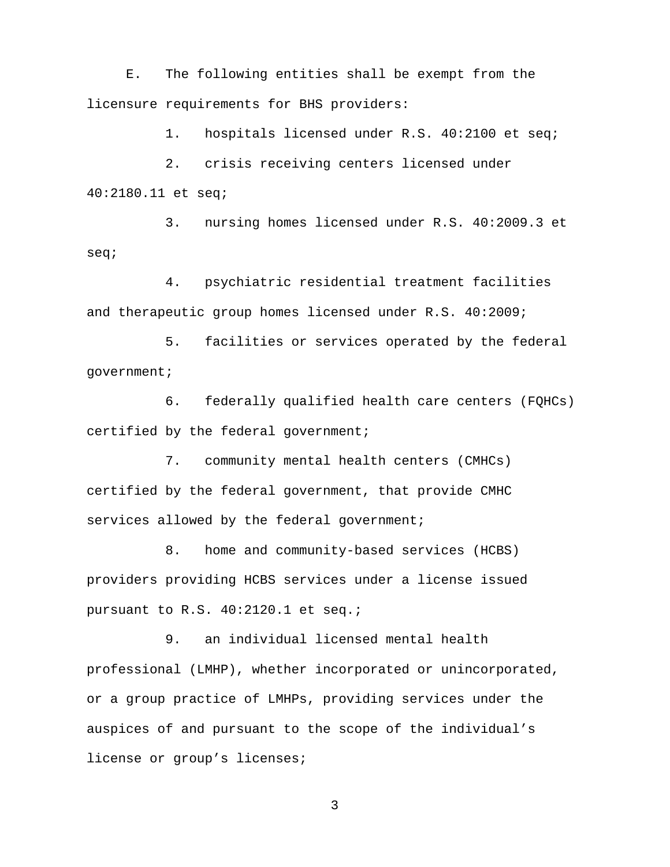E. The following entities shall be exempt from the licensure requirements for BHS providers:

1. hospitals licensed under R.S. 40:2100 et seq;

2. crisis receiving centers licensed under 40:2180.11 et seq;

3. nursing homes licensed under R.S. 40:2009.3 et seq;

4. psychiatric residential treatment facilities and therapeutic group homes licensed under R.S. 40:2009;

5. facilities or services operated by the federal government;

6. federally qualified health care centers (FQHCs) certified by the federal government;

7. community mental health centers (CMHCs) certified by the federal government, that provide CMHC services allowed by the federal government;

8. home and community-based services (HCBS) providers providing HCBS services under a license issued pursuant to R.S. 40:2120.1 et seq.;

9. an individual licensed mental health professional (LMHP), whether incorporated or unincorporated, or a group practice of LMHPs, providing services under the auspices of and pursuant to the scope of the individual's license or group's licenses;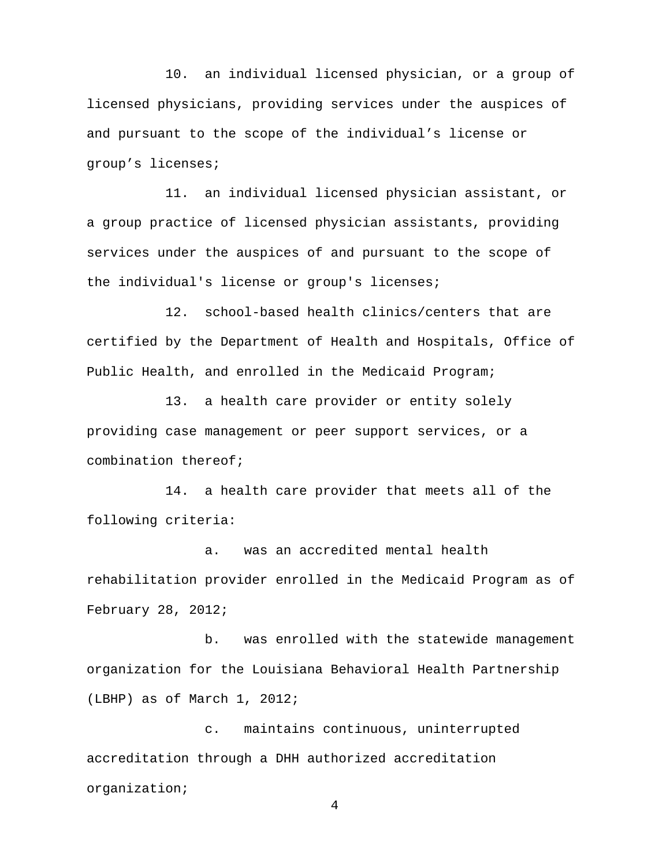10. an individual licensed physician, or a group of licensed physicians, providing services under the auspices of and pursuant to the scope of the individual's license or group's licenses;

11. an individual licensed physician assistant, or a group practice of licensed physician assistants, providing services under the auspices of and pursuant to the scope of the individual's license or group's licenses;

12. school-based health clinics/centers that are certified by the Department of Health and Hospitals, Office of Public Health, and enrolled in the Medicaid Program;

13. a health care provider or entity solely providing case management or peer support services, or a combination thereof;

14. a health care provider that meets all of the following criteria:

a. was an accredited mental health rehabilitation provider enrolled in the Medicaid Program as of February 28, 2012;

b. was enrolled with the statewide management organization for the Louisiana Behavioral Health Partnership (LBHP) as of March 1, 2012;

c. maintains continuous, uninterrupted accreditation through a DHH authorized accreditation organization;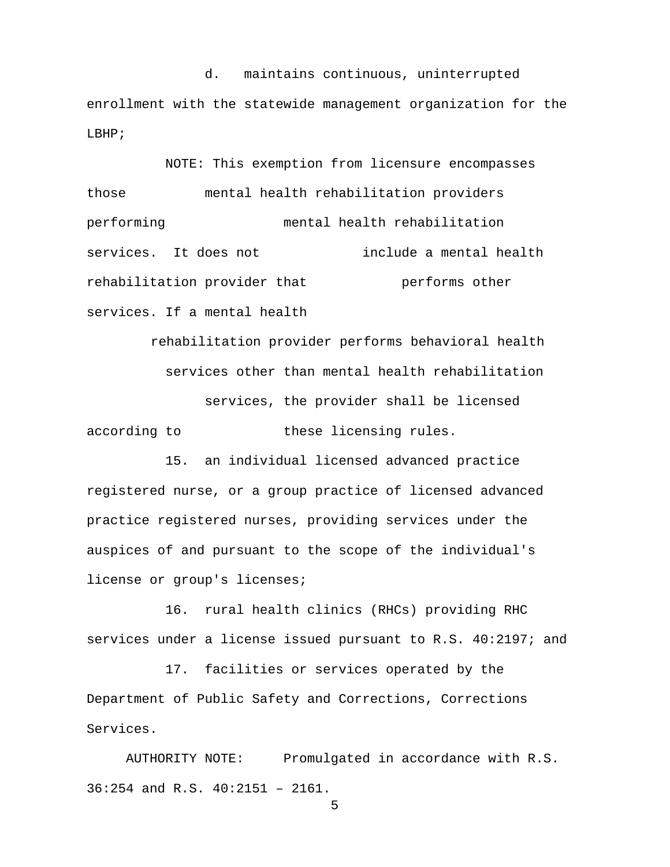d. maintains continuous, uninterrupted enrollment with the statewide management organization for the LBHP;

NOTE: This exemption from licensure encompasses those mental health rehabilitation providers performing mental health rehabilitation services. It does not include a mental health rehabilitation provider that **performs** other services. If a mental health

rehabilitation provider performs behavioral health services other than mental health rehabilitation services, the provider shall be licensed according to these licensing rules.

15. an individual licensed advanced practice registered nurse, or a group practice of licensed advanced practice registered nurses, providing services under the auspices of and pursuant to the scope of the individual's license or group's licenses;

16. rural health clinics (RHCs) providing RHC services under a license issued pursuant to R.S. 40:2197; and

17. facilities or services operated by the Department of Public Safety and Corrections, Corrections Services.

AUTHORITY NOTE: Promulgated in accordance with R.S. 36:254 and R.S. 40:2151 – 2161.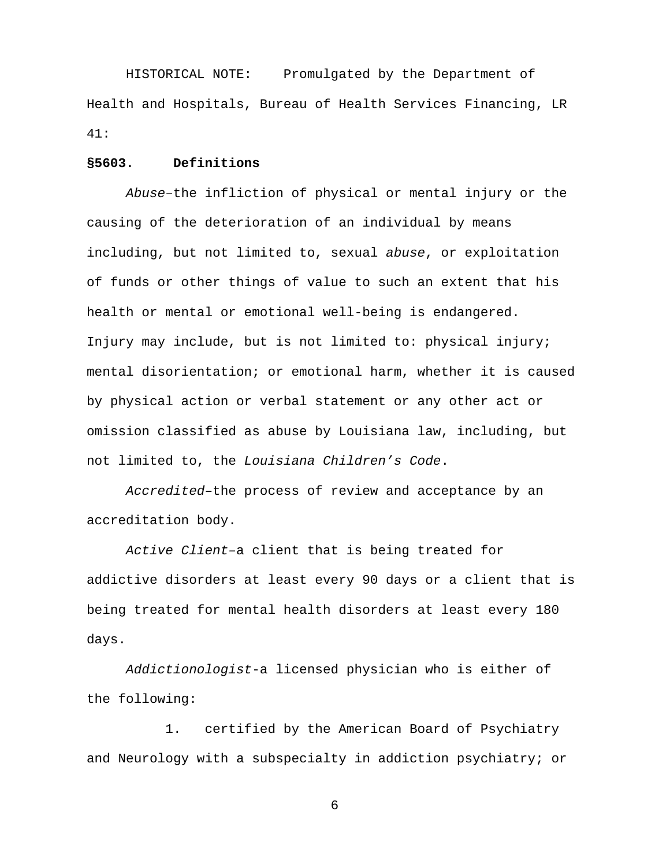HISTORICAL NOTE: Promulgated by the Department of Health and Hospitals, Bureau of Health Services Financing, LR 41:

### **§5603. Definitions**

*Abuse*–the infliction of physical or mental injury or the causing of the deterioration of an individual by means including, but not limited to, sexual *abuse*, or exploitation of funds or other things of value to such an extent that his health or mental or emotional well-being is endangered. Injury may include, but is not limited to: physical injury; mental disorientation; or emotional harm, whether it is caused by physical action or verbal statement or any other act or omission classified as abuse by Louisiana law, including, but not limited to, the *Louisiana Children's Code*.

*Accredited*–the process of review and acceptance by an accreditation body.

*Active Client–*a client that is being treated for addictive disorders at least every 90 days or a client that is being treated for mental health disorders at least every 180 days.

*Addictionologist*-a licensed physician who is either of the following:

 1. certified by the American Board of Psychiatry and Neurology with a subspecialty in addiction psychiatry; or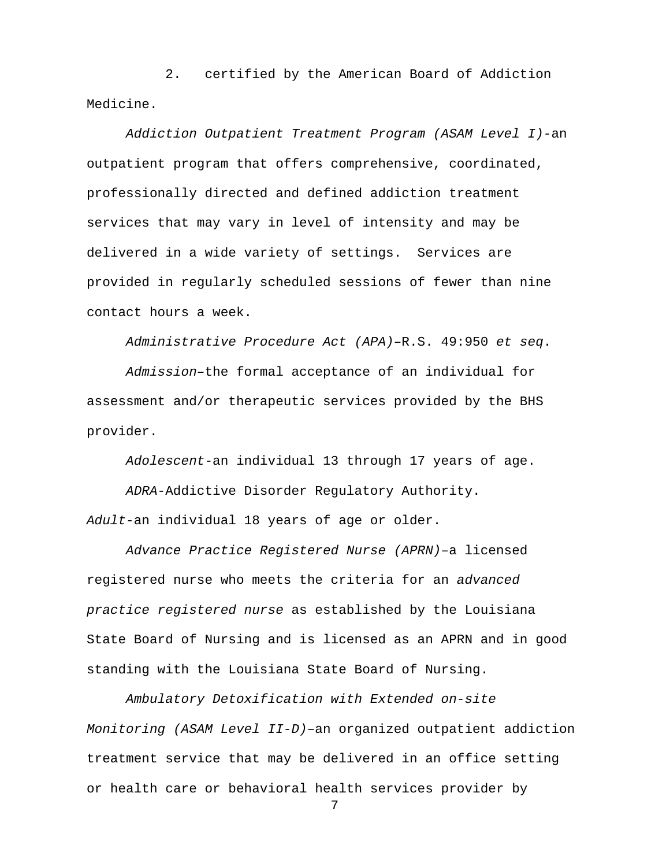2. certified by the American Board of Addiction Medicine.

*Addiction Outpatient Treatment Program (ASAM Level I)-*an outpatient program that offers comprehensive, coordinated, professionally directed and defined addiction treatment services that may vary in level of intensity and may be delivered in a wide variety of settings. Services are provided in regularly scheduled sessions of fewer than nine contact hours a week.

*Administrative Procedure Act (APA)–*R.S. 49:950 *et seq*.

*Admission–*the formal acceptance of an individual for assessment and/or therapeutic services provided by the BHS provider.

*Adolescent*-an individual 13 through 17 years of age.

*ADRA-*Addictive Disorder Regulatory Authority. *Adult*-an individual 18 years of age or older.

*Advance Practice Registered Nurse (APRN)–*a licensed registered nurse who meets the criteria for an *advanced practice registered nurse* as established by the Louisiana State Board of Nursing and is licensed as an APRN and in good standing with the Louisiana State Board of Nursing.

*Ambulatory Detoxification with Extended on-site Monitoring (ASAM Level II-D)–*an organized outpatient addiction treatment service that may be delivered in an office setting or health care or behavioral health services provider by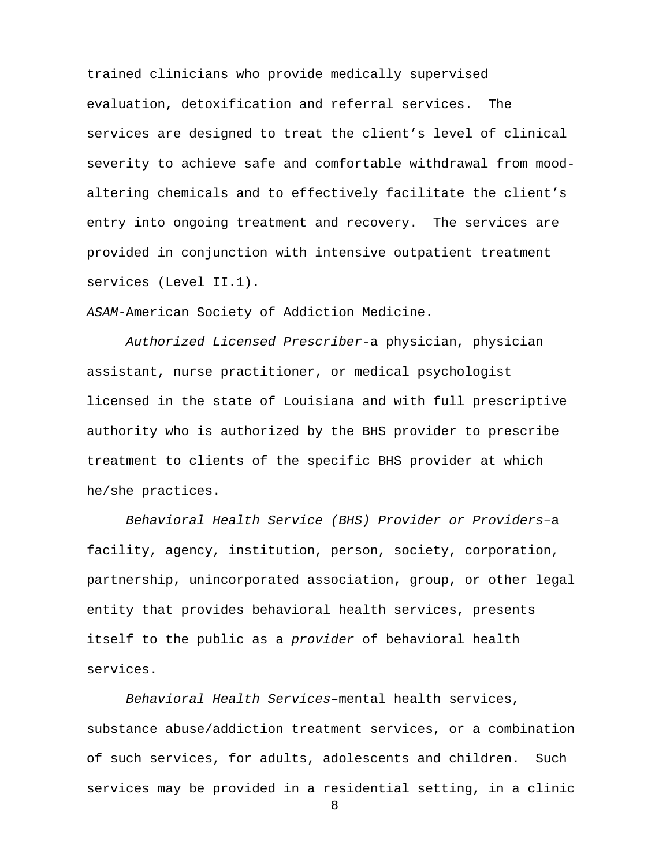trained clinicians who provide medically supervised evaluation, detoxification and referral services. The services are designed to treat the client's level of clinical severity to achieve safe and comfortable withdrawal from moodaltering chemicals and to effectively facilitate the client's entry into ongoing treatment and recovery. The services are provided in conjunction with intensive outpatient treatment services (Level II.1).

*ASAM-*American Society of Addiction Medicine.

*Authorized Licensed Prescriber*-a physician, physician assistant, nurse practitioner, or medical psychologist licensed in the state of Louisiana and with full prescriptive authority who is authorized by the BHS provider to prescribe treatment to clients of the specific BHS provider at which he/she practices.

*Behavioral Health Service (BHS) Provider or Providers*–a facility, agency, institution, person, society, corporation, partnership, unincorporated association, group, or other legal entity that provides behavioral health services, presents itself to the public as a *provider* of behavioral health services.

*Behavioral Health Services–*mental health services, substance abuse/addiction treatment services, or a combination of such services, for adults, adolescents and children. Such services may be provided in a residential setting, in a clinic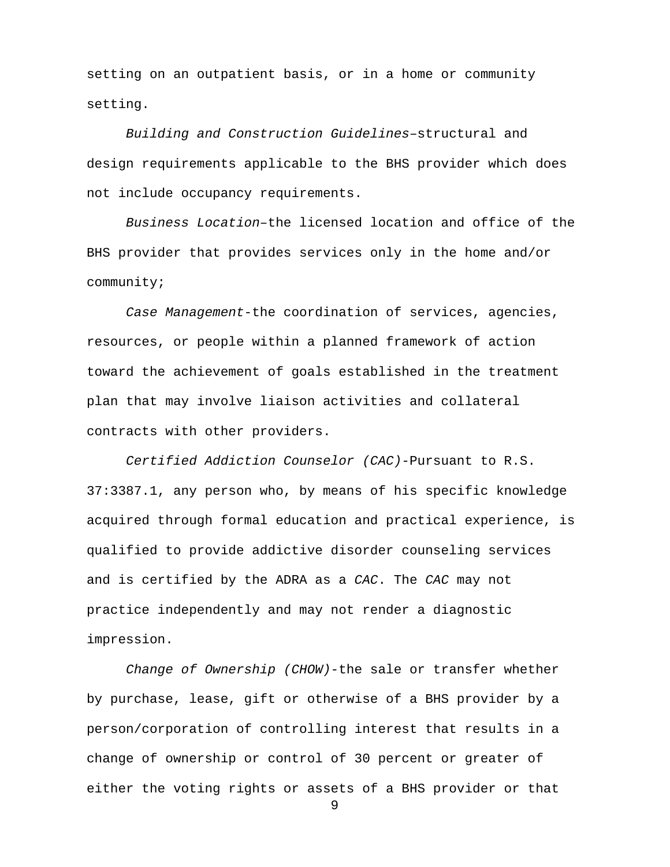setting on an outpatient basis, or in a home or community setting.

*Building and Construction Guidelines*–structural and design requirements applicable to the BHS provider which does not include occupancy requirements.

*Business Location–*the licensed location and office of the BHS provider that provides services only in the home and/or community;

*Case Management*-the coordination of services, agencies, resources, or people within a planned framework of action toward the achievement of goals established in the treatment plan that may involve liaison activities and collateral contracts with other providers.

*Certified Addiction Counselor (CAC)*-Pursuant to R.S. 37:3387.1, any person who, by means of his specific knowledge acquired through formal education and practical experience, is qualified to provide addictive disorder counseling services and is certified by the ADRA as a *CAC*. The *CAC* may not practice independently and may not render a diagnostic impression.

*Change of Ownership (CHOW)*-the sale or transfer whether by purchase, lease, gift or otherwise of a BHS provider by a person/corporation of controlling interest that results in a change of ownership or control of 30 percent or greater of either the voting rights or assets of a BHS provider or that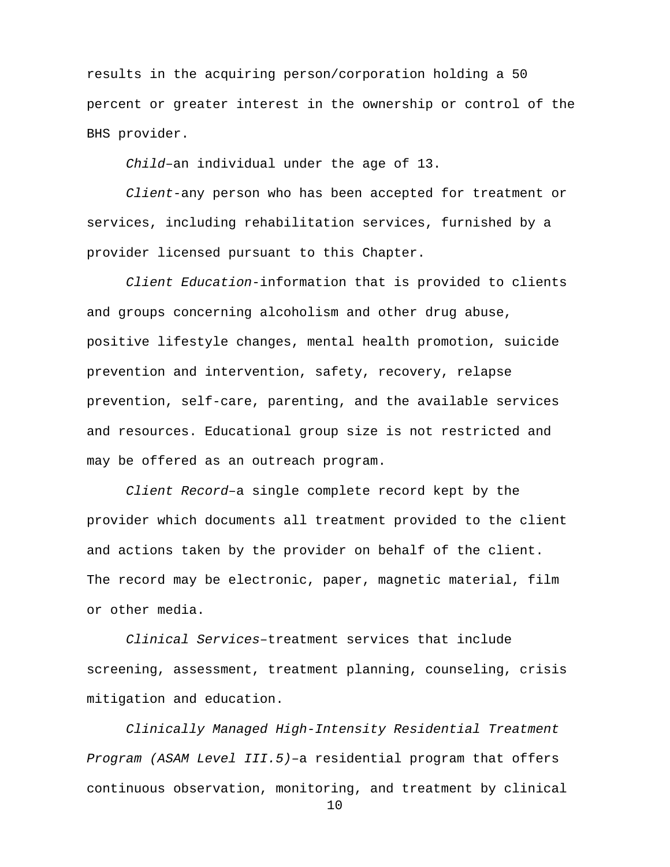results in the acquiring person/corporation holding a 50 percent or greater interest in the ownership or control of the BHS provider.

*Child*–an individual under the age of 13.

*Client*-any person who has been accepted for treatment or services, including rehabilitation services, furnished by a provider licensed pursuant to this Chapter.

*Client Education*-information that is provided to clients and groups concerning alcoholism and other drug abuse, positive lifestyle changes, mental health promotion, suicide prevention and intervention, safety, recovery, relapse prevention, self-care, parenting, and the available services and resources. Educational group size is not restricted and may be offered as an outreach program.

*Client Record*–a single complete record kept by the provider which documents all treatment provided to the client and actions taken by the provider on behalf of the client. The record may be electronic, paper, magnetic material, film or other media.

*Clinical Services*–treatment services that include screening, assessment, treatment planning, counseling, crisis mitigation and education.

*Clinically Managed High-Intensity Residential Treatment Program (ASAM Level III.5)–*a residential program that offers continuous observation, monitoring, and treatment by clinical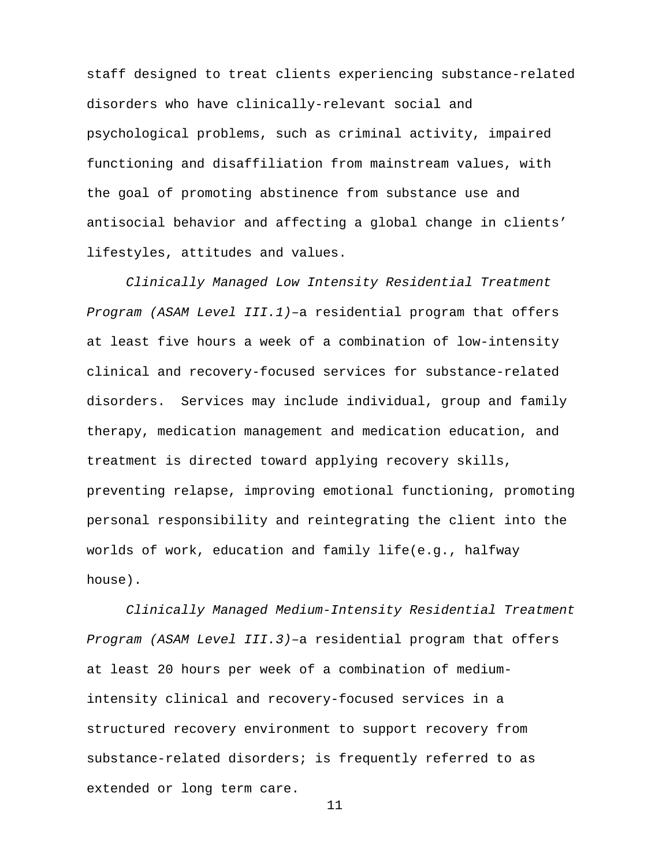staff designed to treat clients experiencing substance-related disorders who have clinically-relevant social and psychological problems, such as criminal activity, impaired functioning and disaffiliation from mainstream values, with the goal of promoting abstinence from substance use and antisocial behavior and affecting a global change in clients' lifestyles, attitudes and values.

*Clinically Managed Low Intensity Residential Treatment Program (ASAM Level III.1)*–a residential program that offers at least five hours a week of a combination of low-intensity clinical and recovery-focused services for substance-related disorders. Services may include individual, group and family therapy, medication management and medication education, and treatment is directed toward applying recovery skills, preventing relapse, improving emotional functioning, promoting personal responsibility and reintegrating the client into the worlds of work, education and family life(e.g., halfway house).

*Clinically Managed Medium-Intensity Residential Treatment Program (ASAM Level III.3)–*a residential program that offers at least 20 hours per week of a combination of mediumintensity clinical and recovery-focused services in a structured recovery environment to support recovery from substance-related disorders; is frequently referred to as extended or long term care.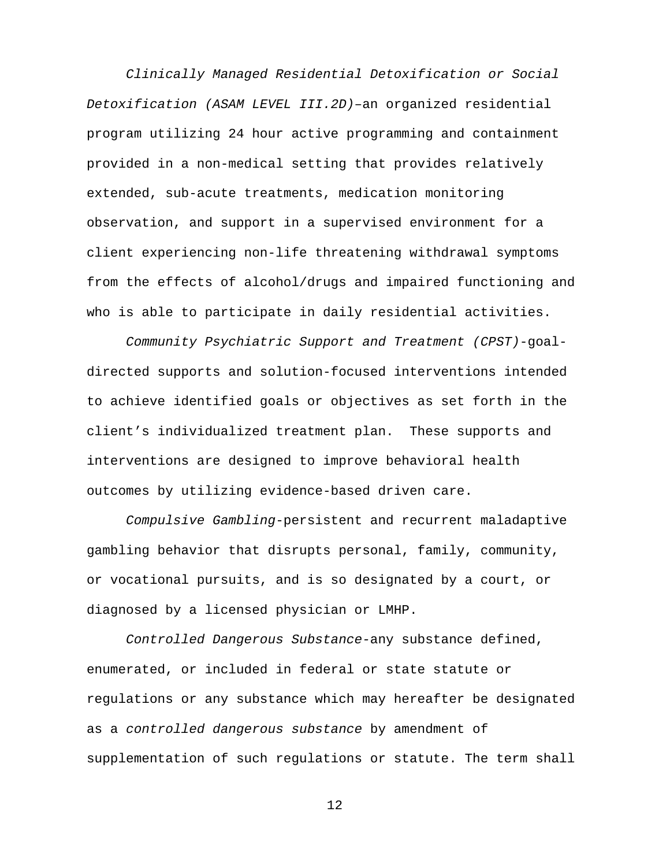*Clinically Managed Residential Detoxification or Social Detoxification (ASAM LEVEL III.2D)*–an organized residential program utilizing 24 hour active programming and containment provided in a non-medical setting that provides relatively extended, sub-acute treatments, medication monitoring observation, and support in a supervised environment for a client experiencing non-life threatening withdrawal symptoms from the effects of alcohol/drugs and impaired functioning and who is able to participate in daily residential activities.

*Community Psychiatric Support and Treatment (CPST)*-goaldirected supports and solution-focused interventions intended to achieve identified goals or objectives as set forth in the client's individualized treatment plan. These supports and interventions are designed to improve behavioral health outcomes by utilizing evidence-based driven care.

*Compulsive Gambling*-persistent and recurrent maladaptive gambling behavior that disrupts personal, family, community, or vocational pursuits, and is so designated by a court, or diagnosed by a licensed physician or LMHP.

*Controlled Dangerous Substance-*any substance defined, enumerated, or included in federal or state statute or regulations or any substance which may hereafter be designated as a *controlled dangerous substance* by amendment of supplementation of such regulations or statute. The term shall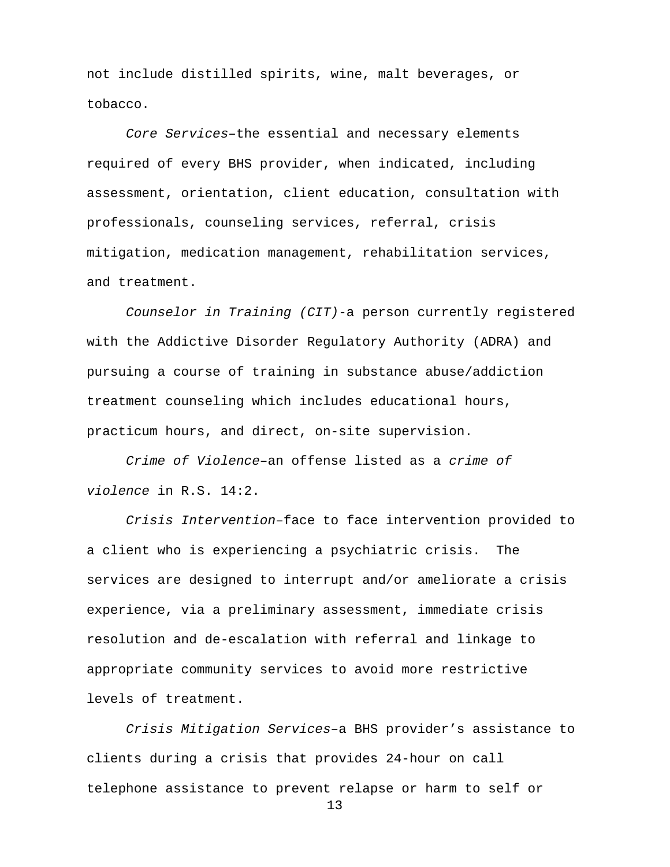not include distilled spirits, wine, malt beverages, or tobacco.

*Core Services–*the essential and necessary elements required of every BHS provider, when indicated, including assessment, orientation, client education, consultation with professionals, counseling services, referral, crisis mitigation, medication management, rehabilitation services, and treatment.

*Counselor in Training (CIT)*-a person currently registered with the Addictive Disorder Regulatory Authority (ADRA) and pursuing a course of training in substance abuse/addiction treatment counseling which includes educational hours, practicum hours, and direct, on-site supervision.

*Crime of Violence*–an offense listed as a *crime of violence* in R.S. 14:2.

*Crisis Intervention*–face to face intervention provided to a client who is experiencing a psychiatric crisis. The services are designed to interrupt and/or ameliorate a crisis experience, via a preliminary assessment, immediate crisis resolution and de-escalation with referral and linkage to appropriate community services to avoid more restrictive levels of treatment.

*Crisis Mitigation Services–*a BHS provider's assistance to clients during a crisis that provides 24-hour on call telephone assistance to prevent relapse or harm to self or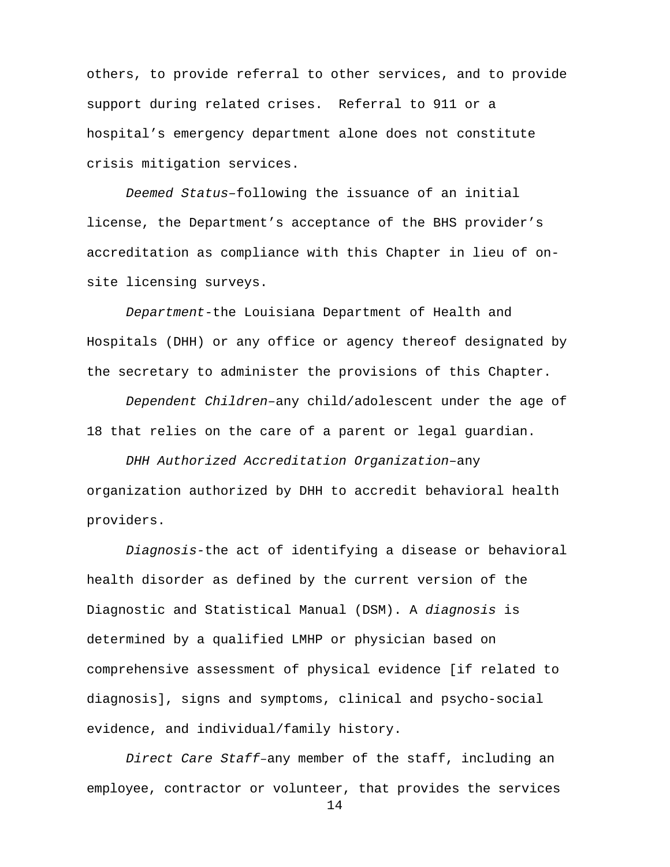others, to provide referral to other services, and to provide support during related crises. Referral to 911 or a hospital's emergency department alone does not constitute crisis mitigation services.

*Deemed Status–*following the issuance of an initial license, the Department's acceptance of the BHS provider's accreditation as compliance with this Chapter in lieu of onsite licensing surveys.

*Department*-the Louisiana Department of Health and Hospitals (DHH) or any office or agency thereof designated by the secretary to administer the provisions of this Chapter.

*Dependent Children–*any child/adolescent under the age of 18 that relies on the care of a parent or legal guardian.

*DHH Authorized Accreditation Organization–*any organization authorized by DHH to accredit behavioral health providers.

*Diagnosis-*the act of identifying a disease or behavioral health disorder as defined by the current version of the Diagnostic and Statistical Manual (DSM). A *diagnosis* is determined by a qualified LMHP or physician based on comprehensive assessment of physical evidence [if related to diagnosis], signs and symptoms, clinical and psycho-social evidence, and individual/family history.

*Direct Care Staff*–any member of the staff, including an employee, contractor or volunteer, that provides the services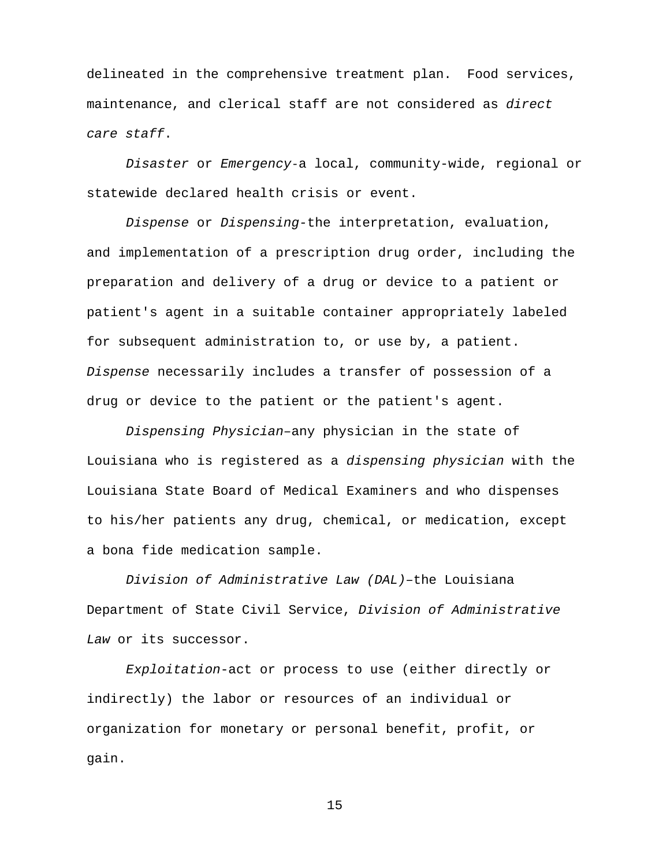delineated in the comprehensive treatment plan. Food services, maintenance, and clerical staff are not considered as *direct care staff*.

*Disaster* or *Emergency*-a local, community-wide, regional or statewide declared health crisis or event.

*Dispense* or *Dispensing-*the interpretation, evaluation, and implementation of a prescription drug order, including the preparation and delivery of a drug or device to a patient or patient's agent in a suitable container appropriately labeled for subsequent administration to, or use by, a patient. *Dispense* necessarily includes a transfer of possession of a drug or device to the patient or the patient's agent.

*Dispensing Physician–*any physician in the state of Louisiana who is registered as a *dispensing physician* with the Louisiana State Board of Medical Examiners and who dispenses to his/her patients any drug, chemical, or medication, except a bona fide medication sample.

*Division of Administrative Law (DAL)–*the Louisiana Department of State Civil Service, *Division of Administrative Law* or its successor.

*Exploitation*-act or process to use (either directly or indirectly) the labor or resources of an individual or organization for monetary or personal benefit, profit, or gain.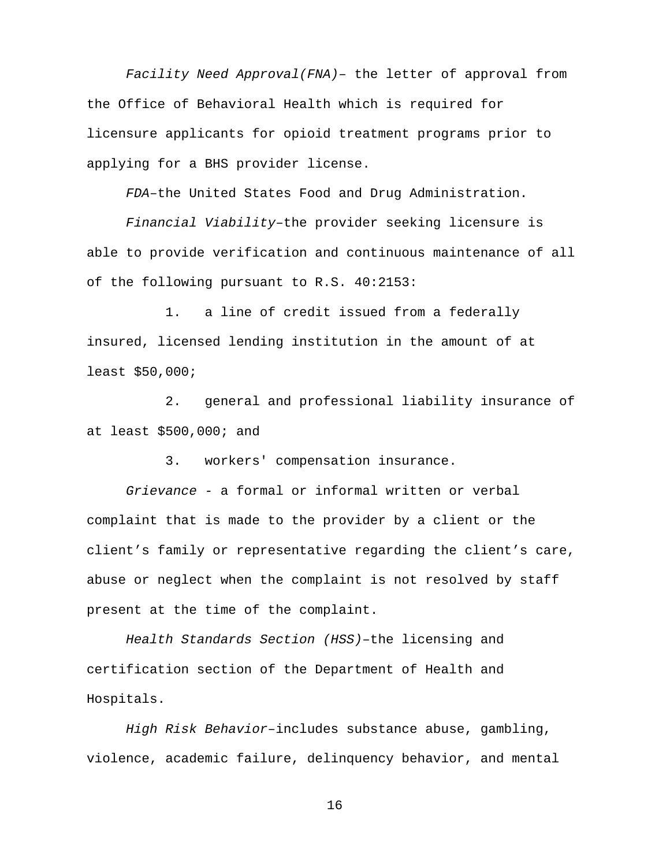*Facility Need Approval(FNA)–* the letter of approval from the Office of Behavioral Health which is required for licensure applicants for opioid treatment programs prior to applying for a BHS provider license.

*FDA*–the United States Food and Drug Administration.

*Financial Viability*–the provider seeking licensure is able to provide verification and continuous maintenance of all of the following pursuant to R.S. 40:2153:

1. a line of credit issued from a federally insured, licensed lending institution in the amount of at least \$50,000;

2. general and professional liability insurance of at least \$500,000; and

3. workers' compensation insurance.

*Grievance -* a formal or informal written or verbal complaint that is made to the provider by a client or the client's family or representative regarding the client's care, abuse or neglect when the complaint is not resolved by staff present at the time of the complaint.

*Health Standards Section (HSS)*–the licensing and certification section of the Department of Health and Hospitals.

*High Risk Behavior*–includes substance abuse, gambling, violence, academic failure, delinquency behavior, and mental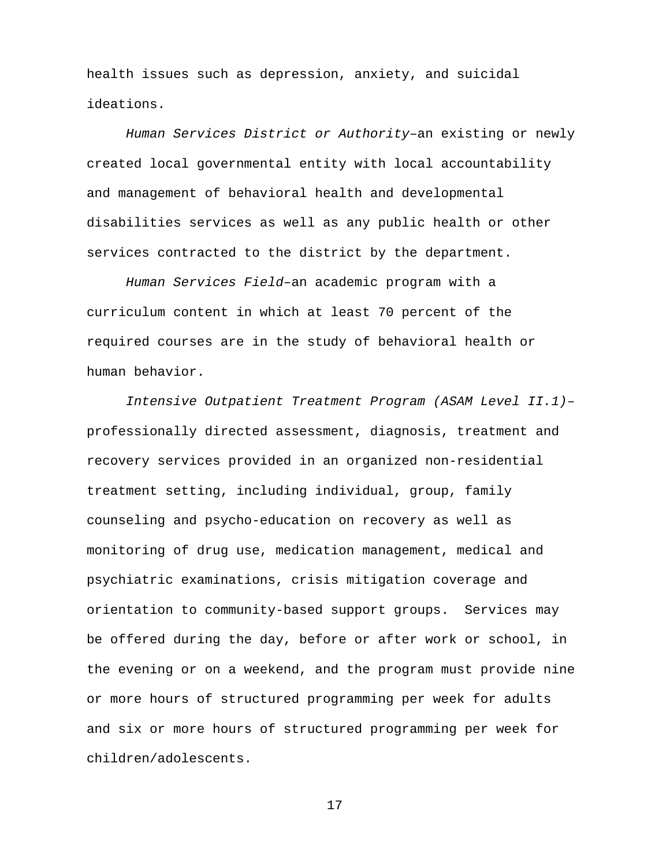health issues such as depression, anxiety, and suicidal ideations.

*Human Services District or Authority*–an existing or newly created local governmental entity with local accountability and management of behavioral health and developmental disabilities services as well as any public health or other services contracted to the district by the department.

*Human Services Field–*an academic program with a curriculum content in which at least 70 percent of the required courses are in the study of behavioral health or human behavior.

*Intensive Outpatient Treatment Program (ASAM Level II.1)*– professionally directed assessment, diagnosis, treatment and recovery services provided in an organized non-residential treatment setting, including individual, group, family counseling and psycho-education on recovery as well as monitoring of drug use, medication management, medical and psychiatric examinations, crisis mitigation coverage and orientation to community-based support groups. Services may be offered during the day, before or after work or school, in the evening or on a weekend, and the program must provide nine or more hours of structured programming per week for adults and six or more hours of structured programming per week for children/adolescents.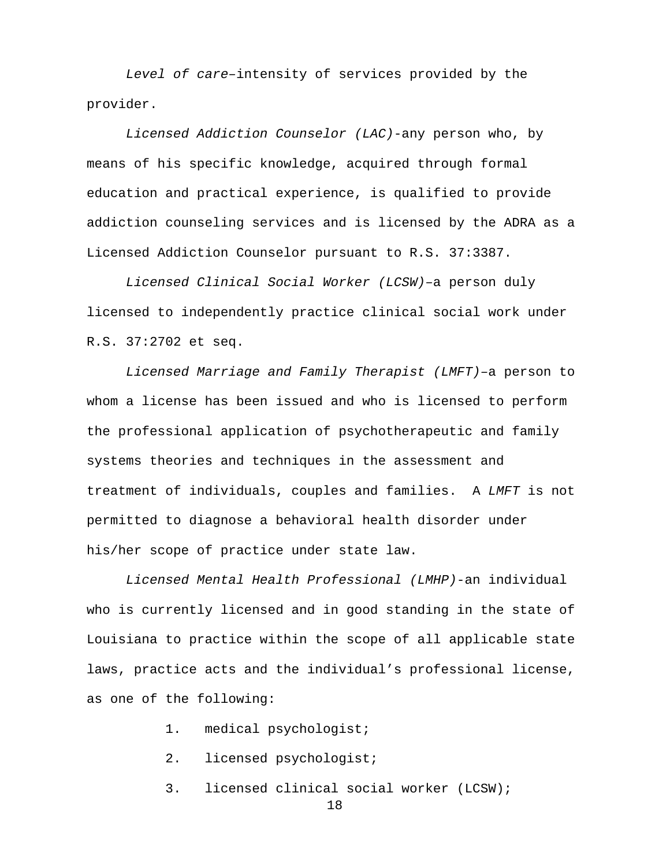*Level of care–*intensity of services provided by the provider.

*Licensed Addiction Counselor (LAC)*-any person who, by means of his specific knowledge, acquired through formal education and practical experience, is qualified to provide addiction counseling services and is licensed by the ADRA as a Licensed Addiction Counselor pursuant to R.S. 37:3387.

*Licensed Clinical Social Worker (LCSW)–*a person duly licensed to independently practice clinical social work under R.S. 37:2702 et seq.

*Licensed Marriage and Family Therapist (LMFT)–*a person to whom a license has been issued and who is licensed to perform the professional application of psychotherapeutic and family systems theories and techniques in the assessment and treatment of individuals, couples and families. A *LMFT* is not permitted to diagnose a behavioral health disorder under his/her scope of practice under state law.

*Licensed Mental Health Professional (LMHP)*-an individual who is currently licensed and in good standing in the state of Louisiana to practice within the scope of all applicable state laws, practice acts and the individual's professional license, as one of the following:

1. medical psychologist;

- 2. licensed psychologist;
- 3. licensed clinical social worker (LCSW);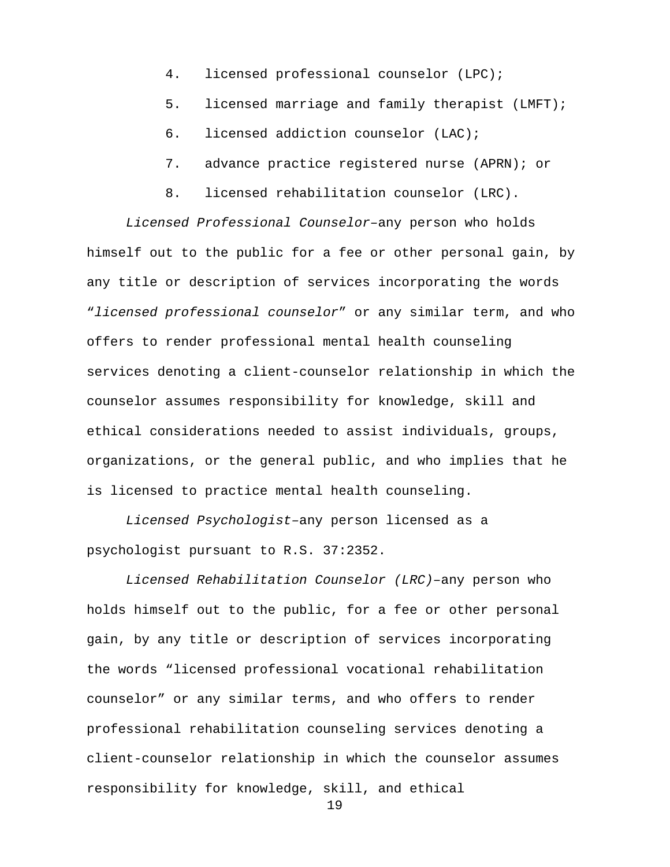- 4. licensed professional counselor (LPC);
- 5. licensed marriage and family therapist (LMFT);
- 6. licensed addiction counselor (LAC);
- 7. advance practice registered nurse (APRN); or
- 8. licensed rehabilitation counselor (LRC).

*Licensed Professional Counselor–*any person who holds himself out to the public for a fee or other personal gain, by any title or description of services incorporating the words "*licensed professional counselor*" or any similar term, and who offers to render professional mental health counseling services denoting a client-counselor relationship in which the counselor assumes responsibility for knowledge, skill and ethical considerations needed to assist individuals, groups, organizations, or the general public, and who implies that he is licensed to practice mental health counseling.

*Licensed Psychologist–*any person licensed as a psychologist pursuant to R.S. 37:2352.

*Licensed Rehabilitation Counselor (LRC)–*any person who holds himself out to the public, for a fee or other personal gain, by any title or description of services incorporating the words "licensed professional vocational rehabilitation counselor" or any similar terms, and who offers to render professional rehabilitation counseling services denoting a client-counselor relationship in which the counselor assumes responsibility for knowledge, skill, and ethical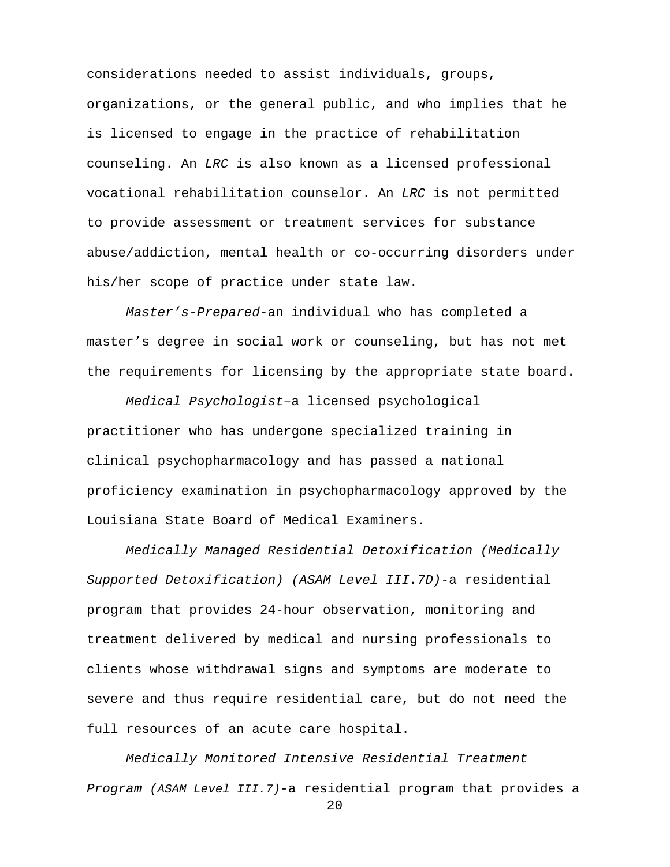considerations needed to assist individuals, groups, organizations, or the general public, and who implies that he is licensed to engage in the practice of rehabilitation counseling. An *LRC* is also known as a licensed professional vocational rehabilitation counselor. An *LRC* is not permitted to provide assessment or treatment services for substance abuse/addiction, mental health or co-occurring disorders under his/her scope of practice under state law.

*Master's-Prepared*-an individual who has completed a master's degree in social work or counseling, but has not met the requirements for licensing by the appropriate state board.

*Medical Psychologist*–a licensed psychological practitioner who has undergone specialized training in clinical psychopharmacology and has passed a national proficiency examination in psychopharmacology approved by the Louisiana State Board of Medical Examiners.

*Medically Managed Residential Detoxification (Medically Supported Detoxification) (ASAM Level III.7D)-*a residential program that provides 24-hour observation, monitoring and treatment delivered by medical and nursing professionals to clients whose withdrawal signs and symptoms are moderate to severe and thus require residential care, but do not need the full resources of an acute care hospital.

*Medically Monitored Intensive Residential Treatment Program (ASAM Level III.7)-*a residential program that provides a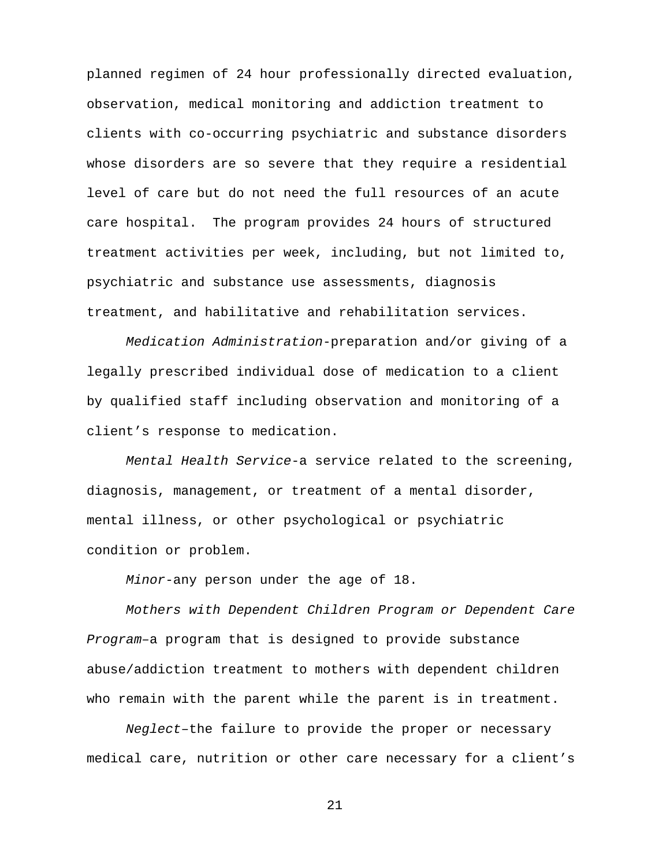planned regimen of 24 hour professionally directed evaluation, observation, medical monitoring and addiction treatment to clients with co-occurring psychiatric and substance disorders whose disorders are so severe that they require a residential level of care but do not need the full resources of an acute care hospital. The program provides 24 hours of structured treatment activities per week, including, but not limited to, psychiatric and substance use assessments, diagnosis treatment, and habilitative and rehabilitation services.

*Medication Administration*-preparation and/or giving of a legally prescribed individual dose of medication to a client by qualified staff including observation and monitoring of a client's response to medication.

*Mental Health Service*-a service related to the screening, diagnosis, management, or treatment of a mental disorder, mental illness, or other psychological or psychiatric condition or problem.

*Minor*-any person under the age of 18.

*Mothers with Dependent Children Program or Dependent Care Program–*a program that is designed to provide substance abuse/addiction treatment to mothers with dependent children who remain with the parent while the parent is in treatment.

*Neglect*–the failure to provide the proper or necessary medical care, nutrition or other care necessary for a client's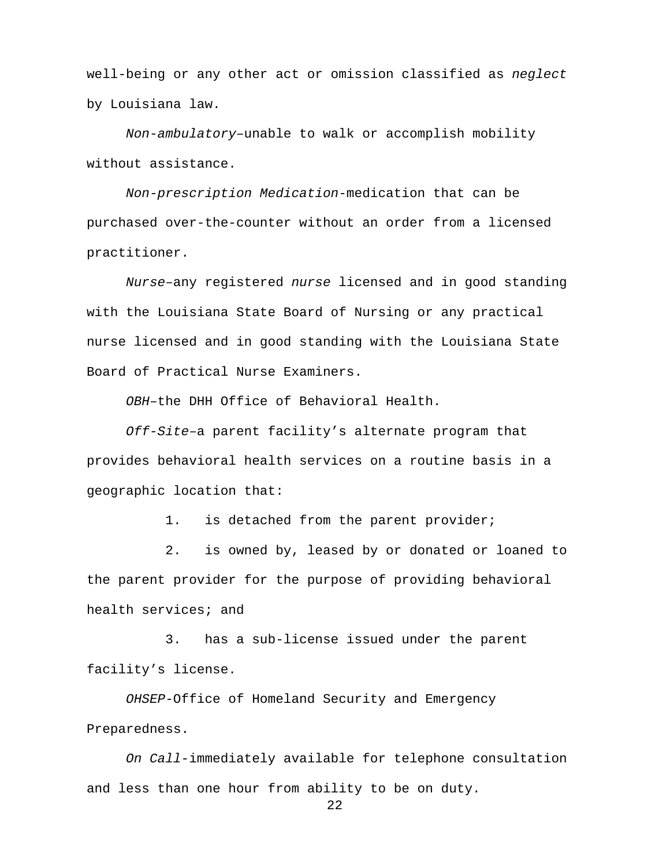well-being or any other act or omission classified as *neglect*  by Louisiana law.

*Non-ambulatory–*unable to walk or accomplish mobility without assistance.

*Non-prescription Medication*-medication that can be purchased over-the-counter without an order from a licensed practitioner.

*Nurse*–any registered *nurse* licensed and in good standing with the Louisiana State Board of Nursing or any practical nurse licensed and in good standing with the Louisiana State Board of Practical Nurse Examiners.

*OBH*–the DHH Office of Behavioral Health.

*Off-Site*–a parent facility's alternate program that provides behavioral health services on a routine basis in a geographic location that:

1. is detached from the parent provider;

 2. is owned by, leased by or donated or loaned to the parent provider for the purpose of providing behavioral health services; and

 3. has a sub-license issued under the parent facility's license.

*OHSEP*-Office of Homeland Security and Emergency Preparedness.

*On Call*-immediately available for telephone consultation and less than one hour from ability to be on duty.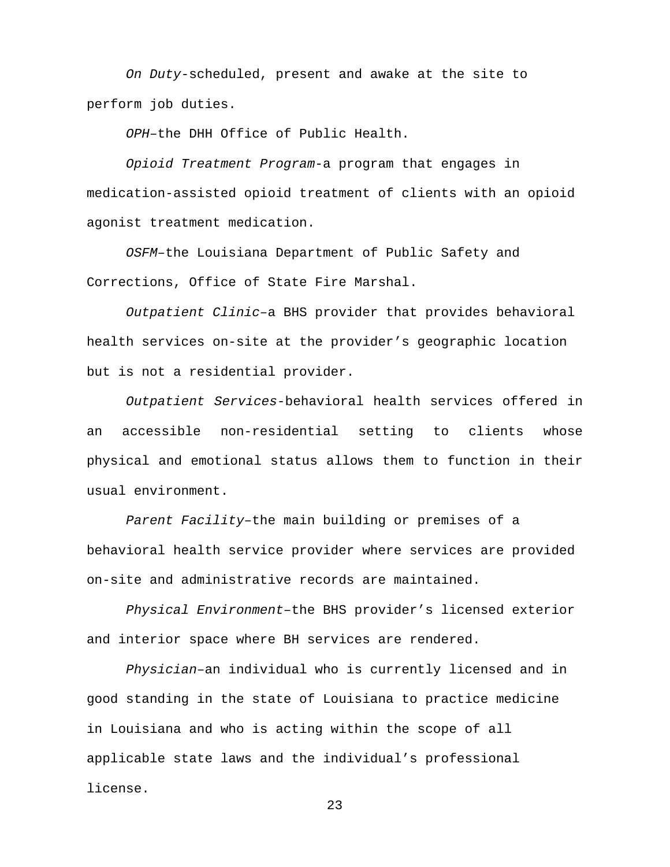*On Duty*-scheduled, present and awake at the site to perform job duties.

*OPH*–the DHH Office of Public Health.

*Opioid Treatment Program*-a program that engages in medication-assisted opioid treatment of clients with an opioid agonist treatment medication.

*OSFM–*the Louisiana Department of Public Safety and Corrections, Office of State Fire Marshal.

*Outpatient Clinic–*a BHS provider that provides behavioral health services on-site at the provider's geographic location but is not a residential provider.

*Outpatient Services*-behavioral health services offered in an accessible non-residential setting to clients whose physical and emotional status allows them to function in their usual environment.

*Parent Facility*–the main building or premises of a behavioral health service provider where services are provided on-site and administrative records are maintained.

*Physical Environment*–the BHS provider's licensed exterior and interior space where BH services are rendered.

*Physician*–an individual who is currently licensed and in good standing in the state of Louisiana to practice medicine in Louisiana and who is acting within the scope of all applicable state laws and the individual's professional license.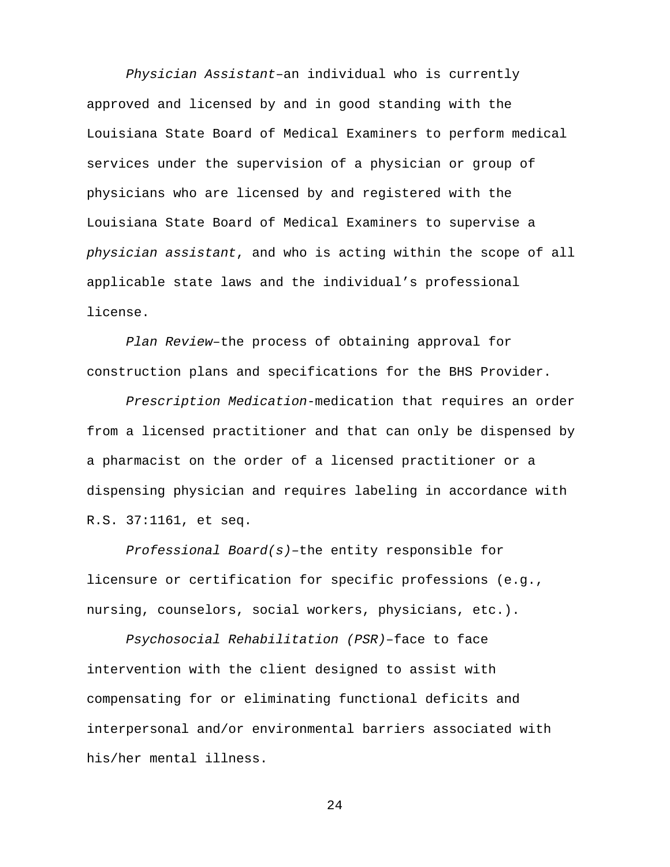*Physician Assistant*–an individual who is currently approved and licensed by and in good standing with the Louisiana State Board of Medical Examiners to perform medical services under the supervision of a physician or group of physicians who are licensed by and registered with the Louisiana State Board of Medical Examiners to supervise a *physician assistant*, and who is acting within the scope of all applicable state laws and the individual's professional license.

*Plan Review*–the process of obtaining approval for construction plans and specifications for the BHS Provider.

*Prescription Medication*-medication that requires an order from a licensed practitioner and that can only be dispensed by a pharmacist on the order of a licensed practitioner or a dispensing physician and requires labeling in accordance with R.S. 37:1161, et seq.

*Professional Board(s)–*the entity responsible for licensure or certification for specific professions (e.g., nursing, counselors, social workers, physicians, etc.).

*Psychosocial Rehabilitation (PSR)*–face to face intervention with the client designed to assist with compensating for or eliminating functional deficits and interpersonal and/or environmental barriers associated with his/her mental illness.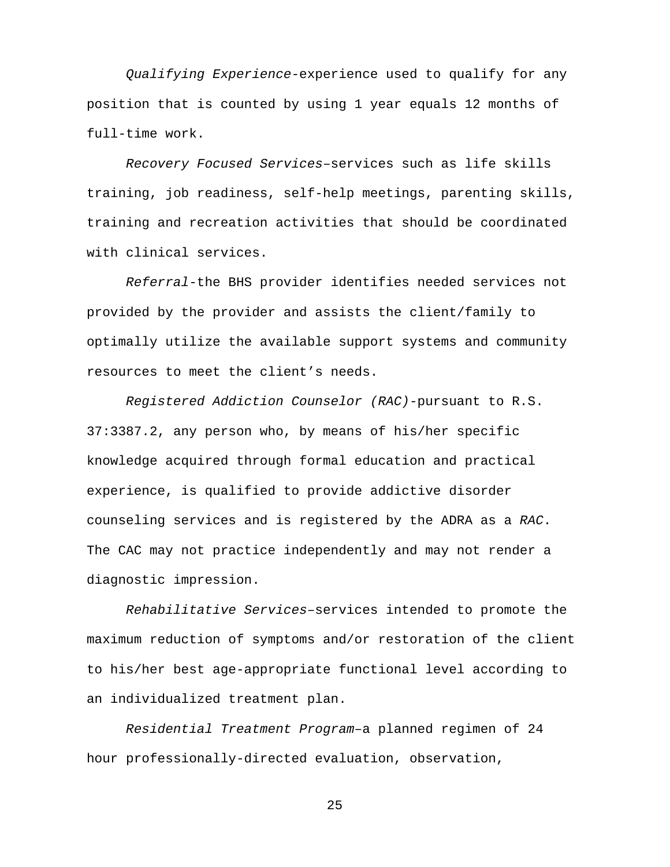*Qualifying Experience-*experience used to qualify for any position that is counted by using 1 year equals 12 months of full-time work.

*Recovery Focused Services–*services such as life skills training, job readiness, self-help meetings, parenting skills, training and recreation activities that should be coordinated with clinical services.

*Referral-*the BHS provider identifies needed services not provided by the provider and assists the client/family to optimally utilize the available support systems and community resources to meet the client's needs.

*Registered Addiction Counselor (RAC)*-pursuant to R.S. 37:3387.2, any person who, by means of his/her specific knowledge acquired through formal education and practical experience, is qualified to provide addictive disorder counseling services and is registered by the ADRA as a *RAC*. The CAC may not practice independently and may not render a diagnostic impression.

*Rehabilitative Services–*services intended to promote the maximum reduction of symptoms and/or restoration of the client to his/her best age-appropriate functional level according to an individualized treatment plan.

*Residential Treatment Program*–a planned regimen of 24 hour professionally-directed evaluation, observation,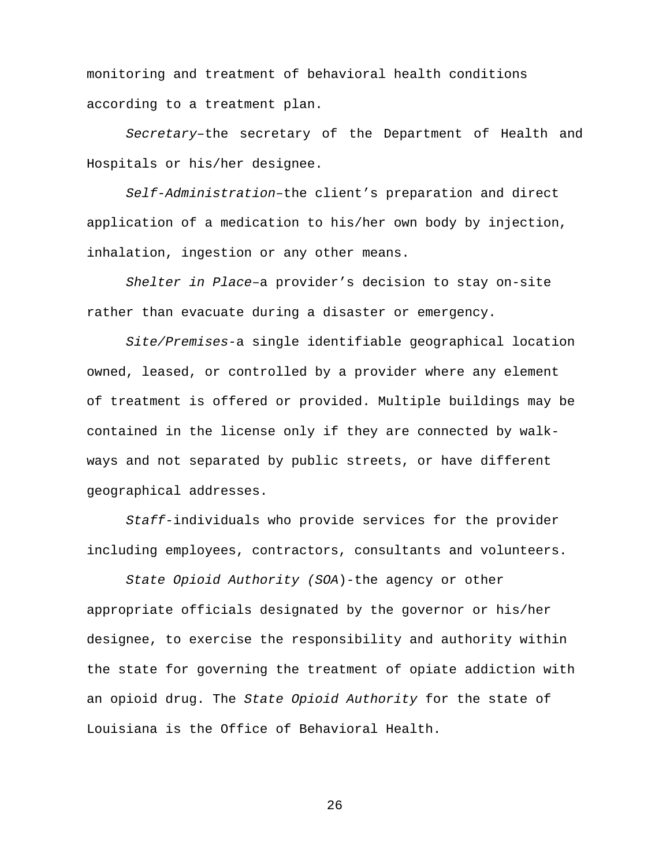monitoring and treatment of behavioral health conditions according to a treatment plan.

*Secretary–*the secretary of the Department of Health and Hospitals or his/her designee.

*Self-Administration*–the client's preparation and direct application of a medication to his/her own body by injection, inhalation, ingestion or any other means.

*Shelter in Place*–a provider's decision to stay on-site rather than evacuate during a disaster or emergency.

*Site/Premises*-a single identifiable geographical location owned, leased, or controlled by a provider where any element of treatment is offered or provided. Multiple buildings may be contained in the license only if they are connected by walkways and not separated by public streets, or have different geographical addresses.

*Staff*-individuals who provide services for the provider including employees, contractors, consultants and volunteers.

*State Opioid Authority (SOA*)-the agency or other appropriate officials designated by the governor or his/her designee, to exercise the responsibility and authority within the state for governing the treatment of opiate addiction with an opioid drug. The *State Opioid Authority* for the state of Louisiana is the Office of Behavioral Health.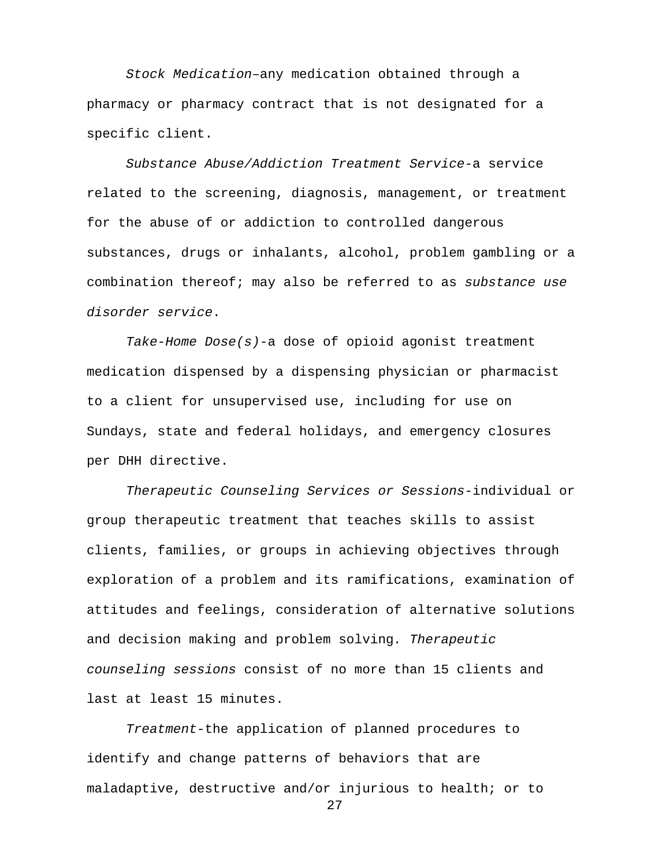*Stock Medication–*any medication obtained through a pharmacy or pharmacy contract that is not designated for a specific client.

*Substance Abuse/Addiction Treatment Service*-a service related to the screening, diagnosis, management, or treatment for the abuse of or addiction to controlled dangerous substances, drugs or inhalants, alcohol, problem gambling or a combination thereof; may also be referred to as *substance use disorder service*.

*Take-Home Dose(s)-*a dose of opioid agonist treatment medication dispensed by a dispensing physician or pharmacist to a client for unsupervised use, including for use on Sundays, state and federal holidays, and emergency closures per DHH directive.

*Therapeutic Counseling Services or Sessions*-individual or group therapeutic treatment that teaches skills to assist clients, families, or groups in achieving objectives through exploration of a problem and its ramifications, examination of attitudes and feelings, consideration of alternative solutions and decision making and problem solving*. Therapeutic counseling sessions* consist of no more than 15 clients and last at least 15 minutes.

*Treatment-*the application of planned procedures to identify and change patterns of behaviors that are maladaptive, destructive and/or injurious to health; or to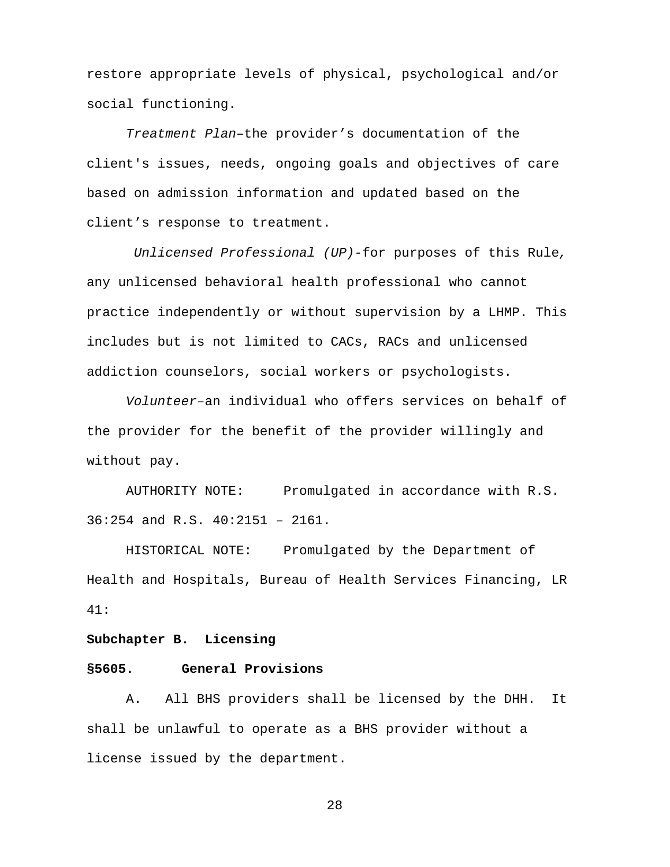restore appropriate levels of physical, psychological and/or social functioning.

*Treatment Plan*–the provider's documentation of the client's issues, needs, ongoing goals and objectives of care based on admission information and updated based on the client's response to treatment.

*Unlicensed Professional (UP)-*for purposes of this Rule*,*  any unlicensed behavioral health professional who cannot practice independently or without supervision by a LHMP. This includes but is not limited to CACs, RACs and unlicensed addiction counselors, social workers or psychologists.

*Volunteer*–an individual who offers services on behalf of the provider for the benefit of the provider willingly and without pay.

AUTHORITY NOTE: Promulgated in accordance with R.S. 36:254 and R.S. 40:2151 – 2161.

HISTORICAL NOTE: Promulgated by the Department of Health and Hospitals, Bureau of Health Services Financing, LR 41:

#### **Subchapter B. Licensing**

#### **§5605. General Provisions**

A. All BHS providers shall be licensed by the DHH. It shall be unlawful to operate as a BHS provider without a license issued by the department.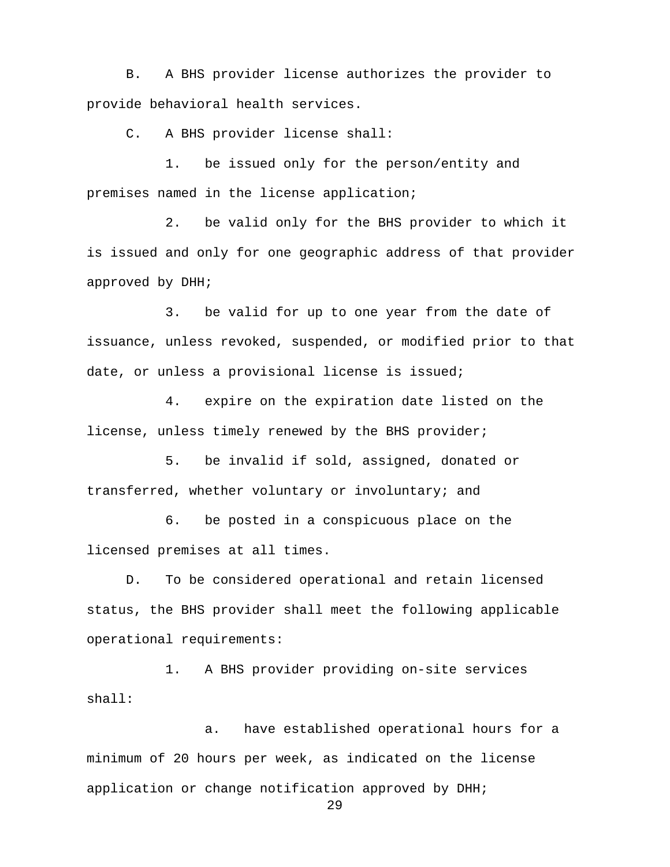B. A BHS provider license authorizes the provider to provide behavioral health services.

C. A BHS provider license shall:

1. be issued only for the person/entity and premises named in the license application;

2. be valid only for the BHS provider to which it is issued and only for one geographic address of that provider approved by DHH;

3. be valid for up to one year from the date of issuance, unless revoked, suspended, or modified prior to that date, or unless a provisional license is issued;

4. expire on the expiration date listed on the license, unless timely renewed by the BHS provider;

5. be invalid if sold, assigned, donated or transferred, whether voluntary or involuntary; and

6. be posted in a conspicuous place on the licensed premises at all times.

D. To be considered operational and retain licensed status, the BHS provider shall meet the following applicable operational requirements:

1. A BHS provider providing on-site services shall:

a. have established operational hours for a minimum of 20 hours per week, as indicated on the license application or change notification approved by DHH;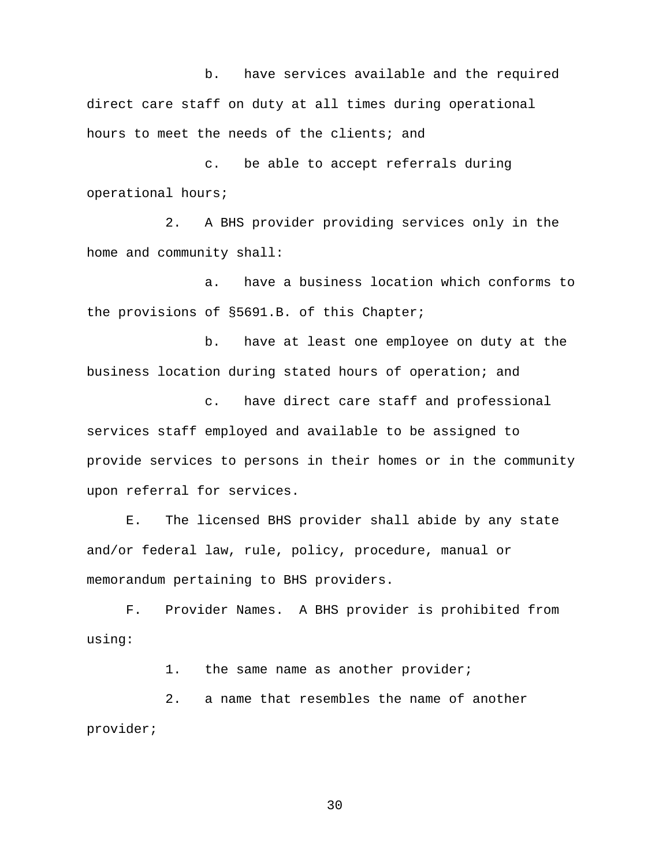b. have services available and the required direct care staff on duty at all times during operational hours to meet the needs of the clients; and

c. be able to accept referrals during operational hours;

2. A BHS provider providing services only in the home and community shall:

a. have a business location which conforms to the provisions of §5691.B. of this Chapter;

b. have at least one employee on duty at the business location during stated hours of operation; and

c. have direct care staff and professional services staff employed and available to be assigned to provide services to persons in their homes or in the community upon referral for services.

E. The licensed BHS provider shall abide by any state and/or federal law, rule, policy, procedure, manual or memorandum pertaining to BHS providers.

F. Provider Names. A BHS provider is prohibited from using:

1. the same name as another provider;

2. a name that resembles the name of another provider;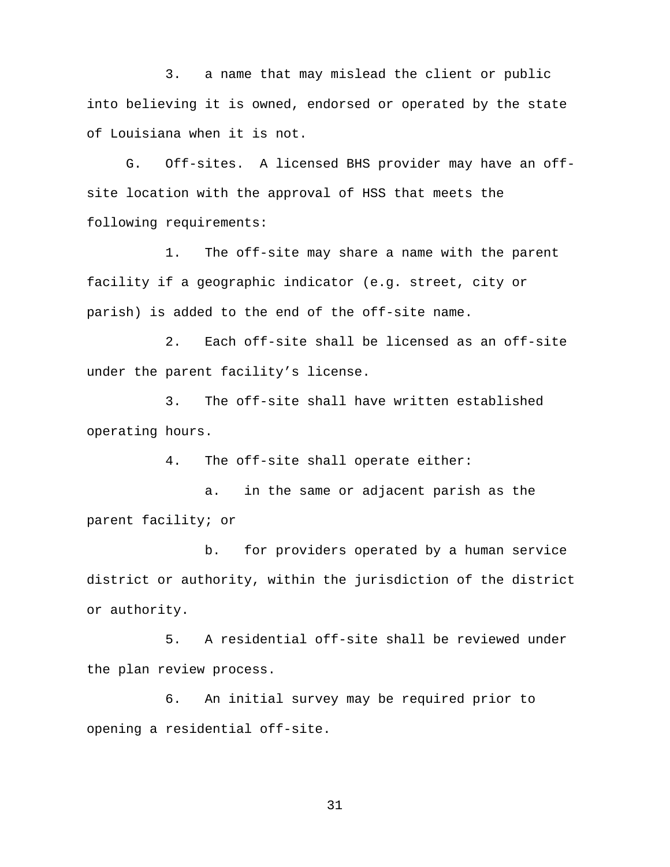3. a name that may mislead the client or public into believing it is owned, endorsed or operated by the state of Louisiana when it is not.

G. Off-sites. A licensed BHS provider may have an offsite location with the approval of HSS that meets the following requirements:

1. The off-site may share a name with the parent facility if a geographic indicator (e.g. street, city or parish) is added to the end of the off-site name.

2. Each off-site shall be licensed as an off-site under the parent facility's license.

3. The off-site shall have written established operating hours.

4. The off-site shall operate either:

 a. in the same or adjacent parish as the parent facility; or

b. for providers operated by a human service district or authority, within the jurisdiction of the district or authority.

5. A residential off-site shall be reviewed under the plan review process.

6. An initial survey may be required prior to opening a residential off-site.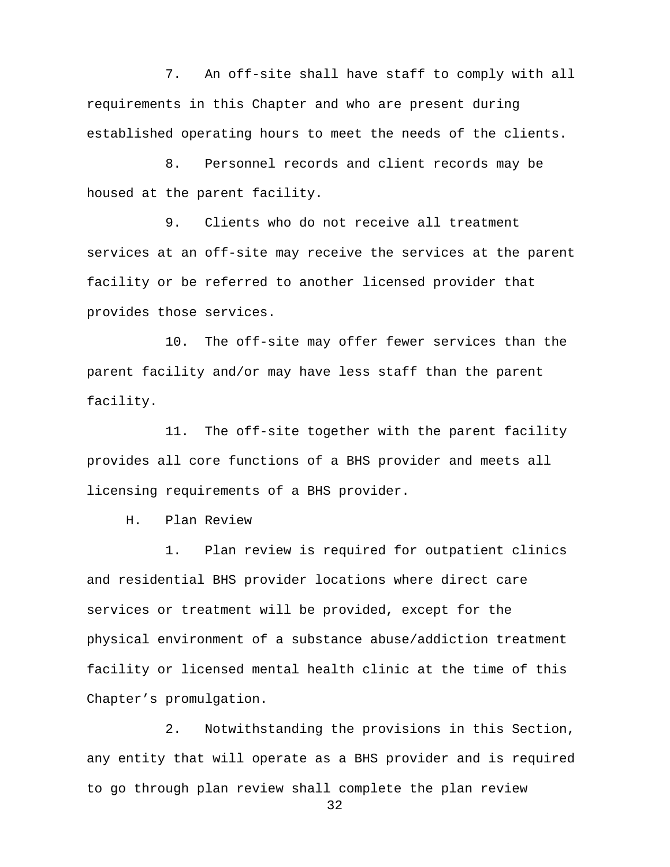7. An off-site shall have staff to comply with all requirements in this Chapter and who are present during established operating hours to meet the needs of the clients.

 8. Personnel records and client records may be housed at the parent facility.

9. Clients who do not receive all treatment services at an off-site may receive the services at the parent facility or be referred to another licensed provider that provides those services.

10. The off-site may offer fewer services than the parent facility and/or may have less staff than the parent facility.

11. The off-site together with the parent facility provides all core functions of a BHS provider and meets all licensing requirements of a BHS provider.

H. Plan Review

1. Plan review is required for outpatient clinics and residential BHS provider locations where direct care services or treatment will be provided, except for the physical environment of a substance abuse/addiction treatment facility or licensed mental health clinic at the time of this Chapter's promulgation.

2. Notwithstanding the provisions in this Section, any entity that will operate as a BHS provider and is required to go through plan review shall complete the plan review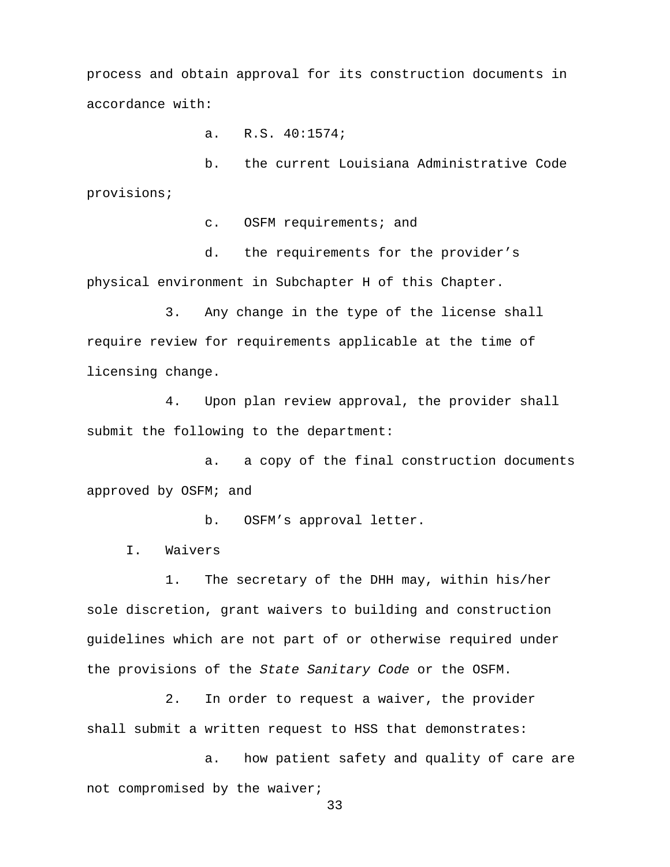process and obtain approval for its construction documents in accordance with:

a. R.S. 40:1574;

b. the current Louisiana Administrative Code provisions;

c. OSFM requirements; and

d. the requirements for the provider's physical environment in Subchapter H of this Chapter.

3. Any change in the type of the license shall require review for requirements applicable at the time of licensing change.

4. Upon plan review approval, the provider shall submit the following to the department:

a. a copy of the final construction documents approved by OSFM; and

b. OSFM's approval letter.

I. Waivers

1. The secretary of the DHH may, within his/her sole discretion, grant waivers to building and construction guidelines which are not part of or otherwise required under the provisions of the *State Sanitary Code* or the OSFM.

2. In order to request a waiver, the provider shall submit a written request to HSS that demonstrates:

a. how patient safety and quality of care are not compromised by the waiver;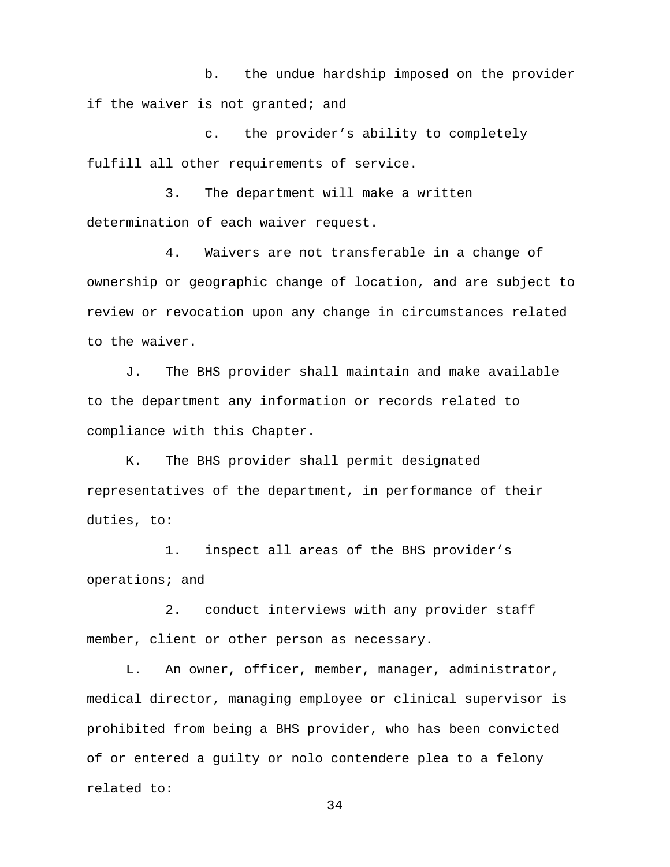b. the undue hardship imposed on the provider if the waiver is not granted; and

c. the provider's ability to completely fulfill all other requirements of service.

3. The department will make a written determination of each waiver request.

4. Waivers are not transferable in a change of ownership or geographic change of location, and are subject to review or revocation upon any change in circumstances related to the waiver.

 J. The BHS provider shall maintain and make available to the department any information or records related to compliance with this Chapter.

K. The BHS provider shall permit designated representatives of the department, in performance of their duties, to:

1. inspect all areas of the BHS provider's operations; and

2. conduct interviews with any provider staff member, client or other person as necessary.

L. An owner, officer, member, manager, administrator, medical director, managing employee or clinical supervisor is prohibited from being a BHS provider, who has been convicted of or entered a guilty or nolo contendere plea to a felony related to: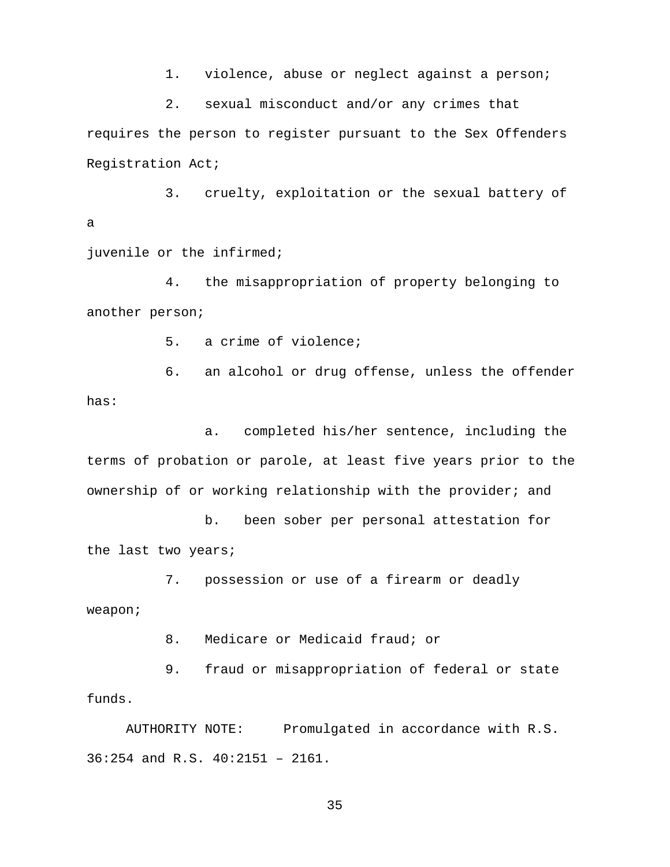1. violence, abuse or neglect against a person;

2. sexual misconduct and/or any crimes that

requires the person to register pursuant to the Sex Offenders Registration Act;

 3. cruelty, exploitation or the sexual battery of a

juvenile or the infirmed;

4. the misappropriation of property belonging to another person;

5. a crime of violence;

6. an alcohol or drug offense, unless the offender has:

a. completed his/her sentence, including the terms of probation or parole, at least five years prior to the ownership of or working relationship with the provider; and

 b. been sober per personal attestation for the last two years;

7. possession or use of a firearm or deadly weapon;

8. Medicare or Medicaid fraud; or

9. fraud or misappropriation of federal or state funds.

AUTHORITY NOTE: Promulgated in accordance with R.S. 36:254 and R.S. 40:2151 – 2161.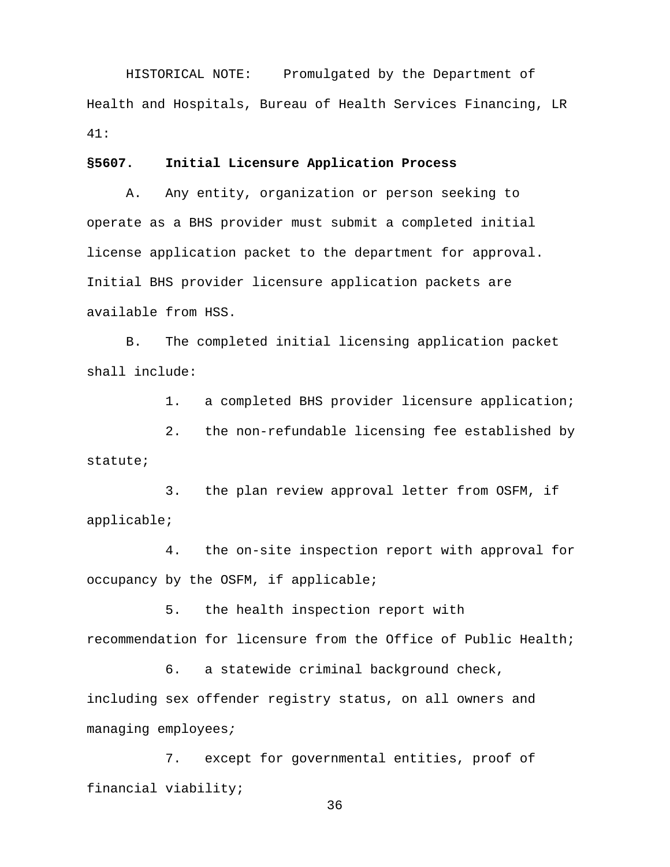HISTORICAL NOTE: Promulgated by the Department of Health and Hospitals, Bureau of Health Services Financing, LR 41:

### **§5607. Initial Licensure Application Process**

A. Any entity, organization or person seeking to operate as a BHS provider must submit a completed initial license application packet to the department for approval. Initial BHS provider licensure application packets are available from HSS.

B. The completed initial licensing application packet shall include:

1. a completed BHS provider licensure application;

2. the non-refundable licensing fee established by statute;

3. the plan review approval letter from OSFM, if applicable;

4. the on-site inspection report with approval for occupancy by the OSFM, if applicable;

5. the health inspection report with recommendation for licensure from the Office of Public Health;

6. a statewide criminal background check, including sex offender registry status, on all owners and managing employees*;*

7. except for governmental entities, proof of financial viability;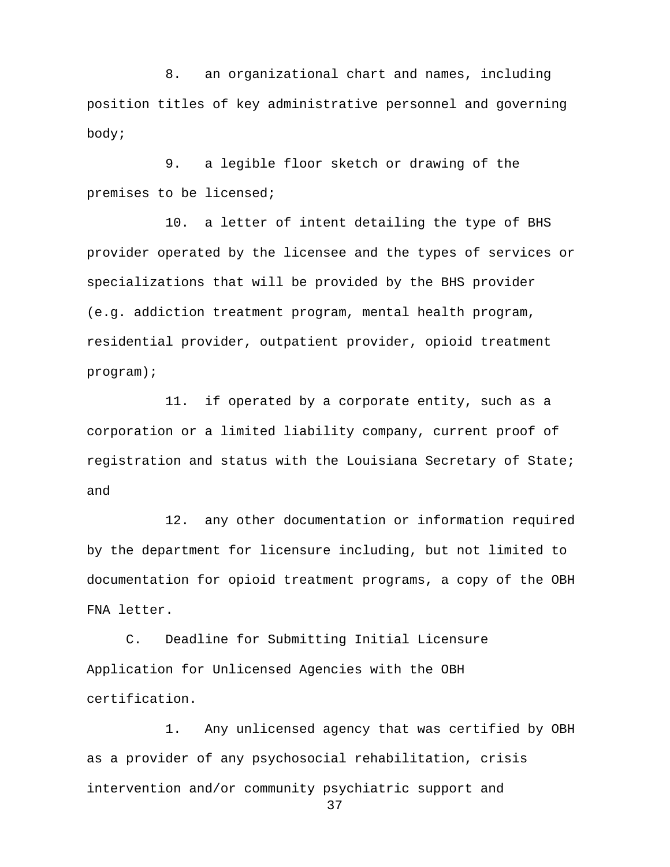8. an organizational chart and names, including position titles of key administrative personnel and governing body;

9. a legible floor sketch or drawing of the premises to be licensed;

10. a letter of intent detailing the type of BHS provider operated by the licensee and the types of services or specializations that will be provided by the BHS provider (e.g. addiction treatment program, mental health program, residential provider, outpatient provider, opioid treatment program);

11. if operated by a corporate entity, such as a corporation or a limited liability company, current proof of registration and status with the Louisiana Secretary of State; and

12. any other documentation or information required by the department for licensure including, but not limited to documentation for opioid treatment programs, a copy of the OBH FNA letter.

C. Deadline for Submitting Initial Licensure Application for Unlicensed Agencies with the OBH certification.

1. Any unlicensed agency that was certified by OBH as a provider of any psychosocial rehabilitation, crisis intervention and/or community psychiatric support and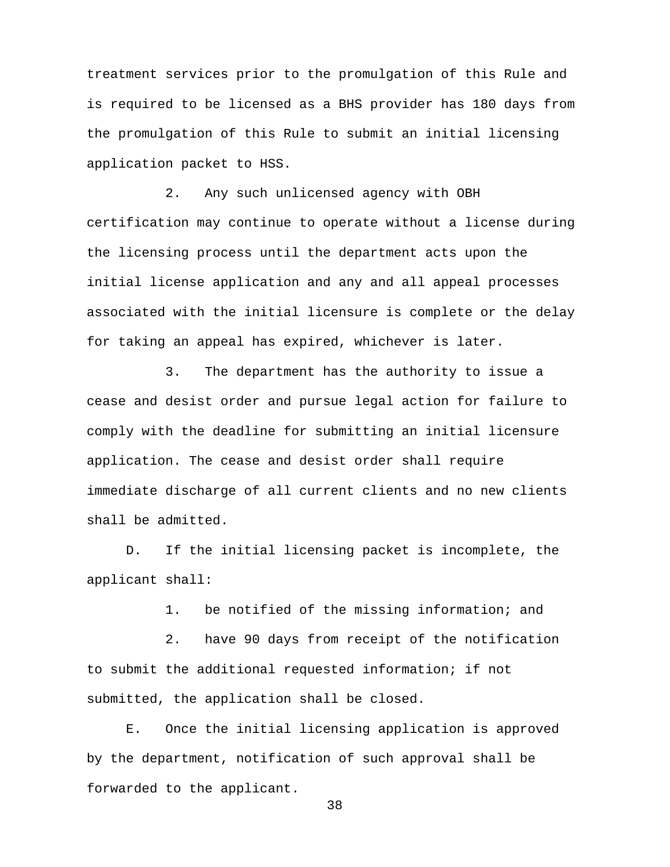treatment services prior to the promulgation of this Rule and is required to be licensed as a BHS provider has 180 days from the promulgation of this Rule to submit an initial licensing application packet to HSS.

2. Any such unlicensed agency with OBH certification may continue to operate without a license during the licensing process until the department acts upon the initial license application and any and all appeal processes associated with the initial licensure is complete or the delay for taking an appeal has expired, whichever is later.

3. The department has the authority to issue a cease and desist order and pursue legal action for failure to comply with the deadline for submitting an initial licensure application. The cease and desist order shall require immediate discharge of all current clients and no new clients shall be admitted.

D. If the initial licensing packet is incomplete, the applicant shall:

1. be notified of the missing information; and

2. have 90 days from receipt of the notification to submit the additional requested information; if not submitted, the application shall be closed.

E. Once the initial licensing application is approved by the department, notification of such approval shall be forwarded to the applicant.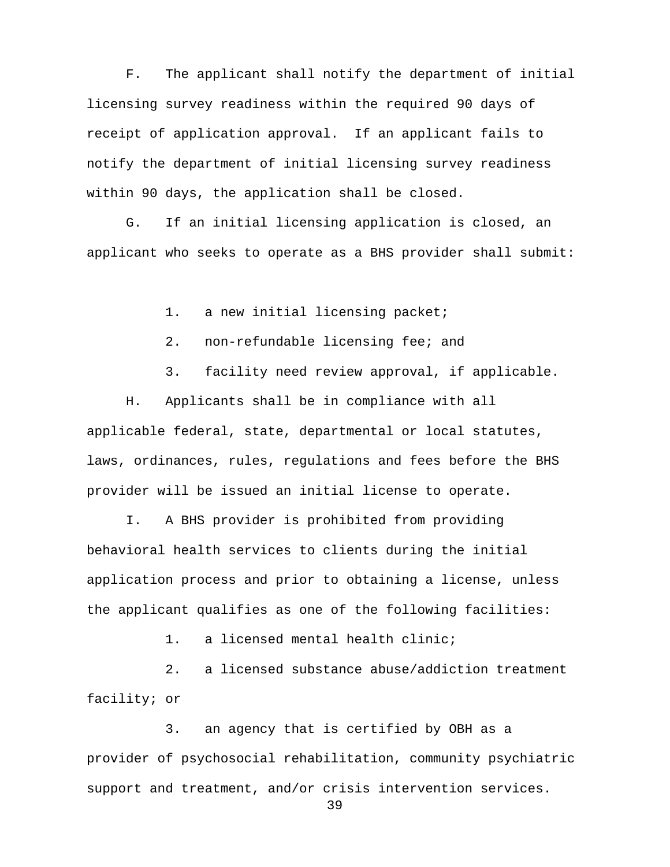F. The applicant shall notify the department of initial licensing survey readiness within the required 90 days of receipt of application approval. If an applicant fails to notify the department of initial licensing survey readiness within 90 days, the application shall be closed.

G. If an initial licensing application is closed, an applicant who seeks to operate as a BHS provider shall submit:

1. a new initial licensing packet;

- 2. non-refundable licensing fee; and
- 3. facility need review approval, if applicable.

H. Applicants shall be in compliance with all applicable federal, state, departmental or local statutes, laws, ordinances, rules, regulations and fees before the BHS provider will be issued an initial license to operate.

I. A BHS provider is prohibited from providing behavioral health services to clients during the initial application process and prior to obtaining a license, unless the applicant qualifies as one of the following facilities:

1. a licensed mental health clinic;

2. a licensed substance abuse/addiction treatment facility; or

3. an agency that is certified by OBH as a provider of psychosocial rehabilitation, community psychiatric support and treatment, and/or crisis intervention services.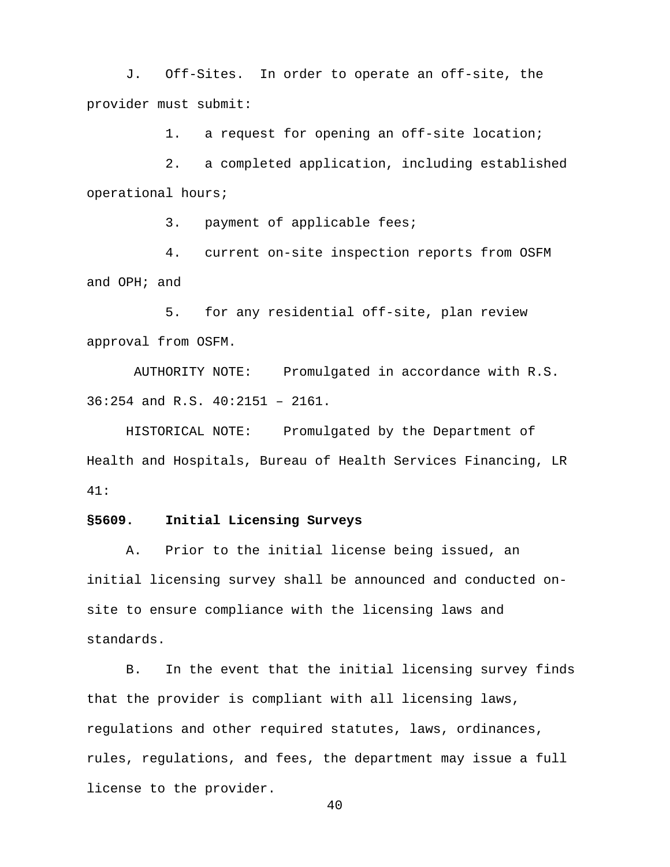J. Off-Sites. In order to operate an off-site, the provider must submit:

1. a request for opening an off-site location;

 2. a completed application, including established operational hours;

3. payment of applicable fees;

4. current on-site inspection reports from OSFM and OPH; and

5. for any residential off-site, plan review approval from OSFM.

AUTHORITY NOTE: Promulgated in accordance with R.S. 36:254 and R.S. 40:2151 – 2161.

HISTORICAL NOTE: Promulgated by the Department of Health and Hospitals, Bureau of Health Services Financing, LR 41:

#### **§5609. Initial Licensing Surveys**

A. Prior to the initial license being issued, an initial licensing survey shall be announced and conducted onsite to ensure compliance with the licensing laws and standards.

B. In the event that the initial licensing survey finds that the provider is compliant with all licensing laws, regulations and other required statutes, laws, ordinances, rules, regulations, and fees, the department may issue a full license to the provider.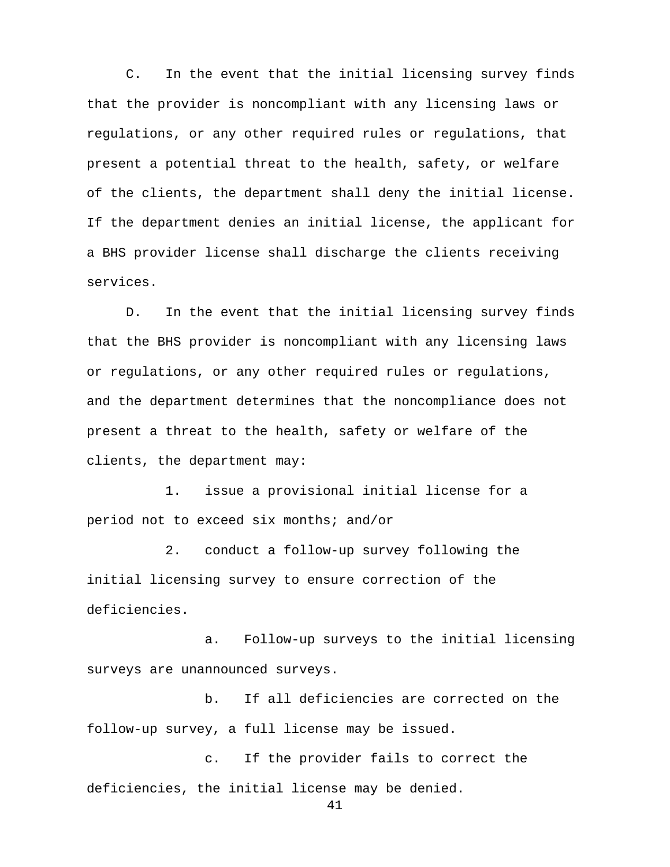C. In the event that the initial licensing survey finds that the provider is noncompliant with any licensing laws or regulations, or any other required rules or regulations, that present a potential threat to the health, safety, or welfare of the clients, the department shall deny the initial license. If the department denies an initial license, the applicant for a BHS provider license shall discharge the clients receiving services.

D. In the event that the initial licensing survey finds that the BHS provider is noncompliant with any licensing laws or regulations, or any other required rules or regulations, and the department determines that the noncompliance does not present a threat to the health, safety or welfare of the clients, the department may:

1. issue a provisional initial license for a period not to exceed six months; and/or

2. conduct a follow-up survey following the initial licensing survey to ensure correction of the deficiencies.

a. Follow-up surveys to the initial licensing surveys are unannounced surveys.

b. If all deficiencies are corrected on the follow-up survey, a full license may be issued.

c. If the provider fails to correct the deficiencies, the initial license may be denied.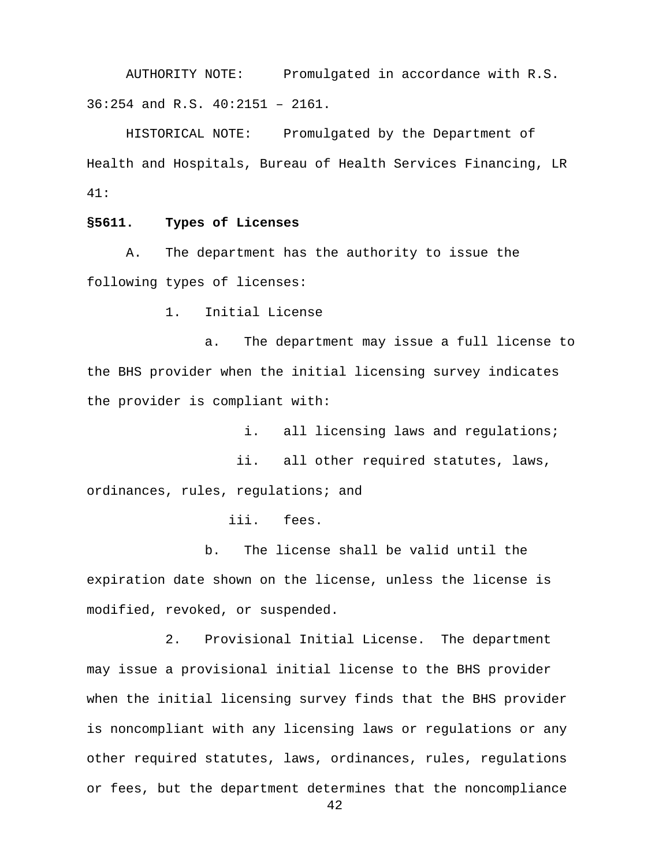AUTHORITY NOTE: Promulgated in accordance with R.S. 36:254 and R.S. 40:2151 – 2161.

HISTORICAL NOTE: Promulgated by the Department of Health and Hospitals, Bureau of Health Services Financing, LR 41:

# **§5611. Types of Licenses**

A. The department has the authority to issue the following types of licenses:

1. Initial License

a. The department may issue a full license to the BHS provider when the initial licensing survey indicates the provider is compliant with:

i. all licensing laws and regulations;

 ii. all other required statutes, laws, ordinances, rules, regulations; and

iii. fees.

b. The license shall be valid until the expiration date shown on the license, unless the license is modified, revoked, or suspended.

2. Provisional Initial License. The department may issue a provisional initial license to the BHS provider when the initial licensing survey finds that the BHS provider is noncompliant with any licensing laws or regulations or any other required statutes, laws, ordinances, rules, regulations or fees, but the department determines that the noncompliance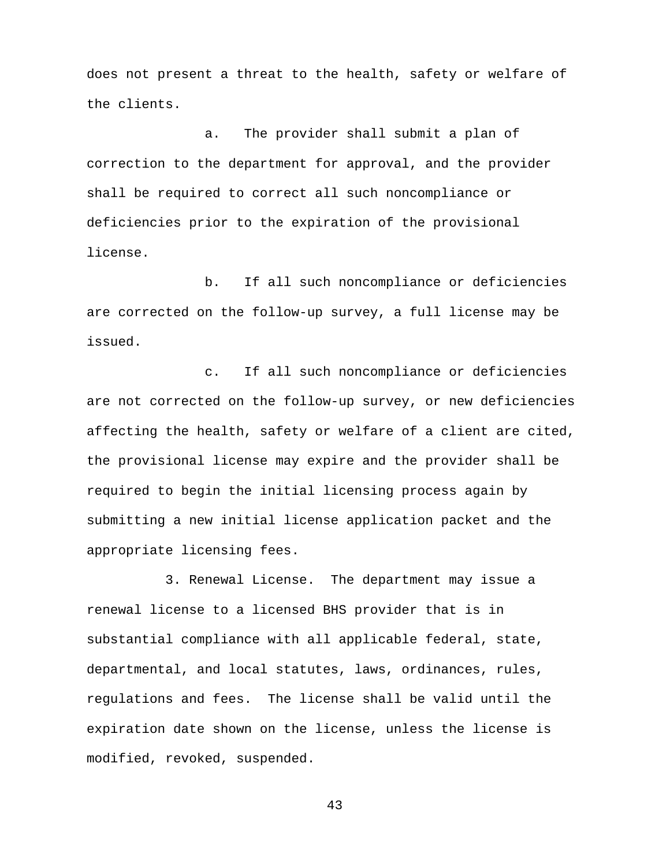does not present a threat to the health, safety or welfare of the clients.

a. The provider shall submit a plan of correction to the department for approval, and the provider shall be required to correct all such noncompliance or deficiencies prior to the expiration of the provisional license.

b. If all such noncompliance or deficiencies are corrected on the follow-up survey, a full license may be issued.

c. If all such noncompliance or deficiencies are not corrected on the follow-up survey, or new deficiencies affecting the health, safety or welfare of a client are cited, the provisional license may expire and the provider shall be required to begin the initial licensing process again by submitting a new initial license application packet and the appropriate licensing fees.

3. Renewal License. The department may issue a renewal license to a licensed BHS provider that is in substantial compliance with all applicable federal, state, departmental, and local statutes, laws, ordinances, rules, regulations and fees. The license shall be valid until the expiration date shown on the license, unless the license is modified, revoked, suspended.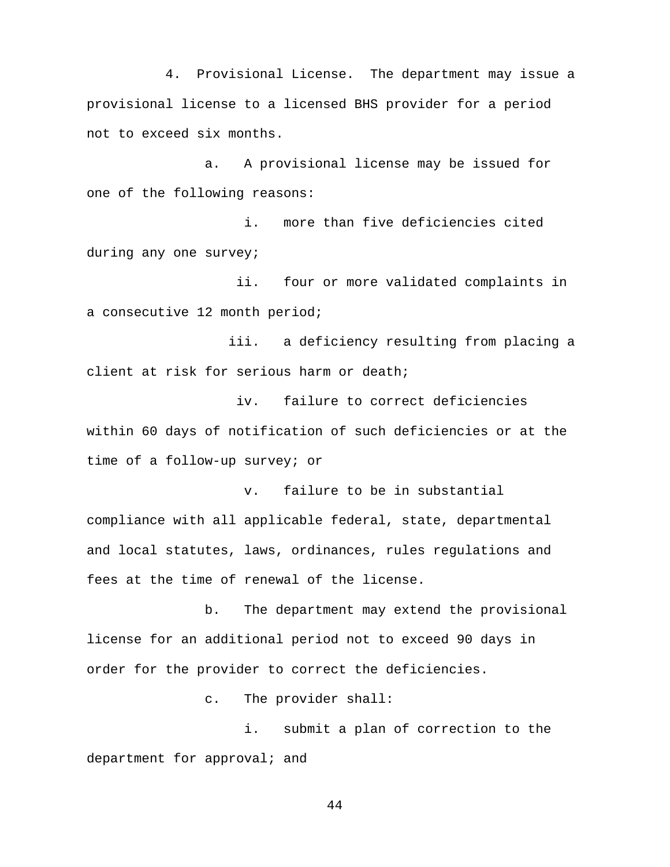4. Provisional License. The department may issue a provisional license to a licensed BHS provider for a period not to exceed six months.

a. A provisional license may be issued for one of the following reasons:

i. more than five deficiencies cited during any one survey;

 ii. four or more validated complaints in a consecutive 12 month period;

 iii. a deficiency resulting from placing a client at risk for serious harm or death;

 iv. failure to correct deficiencies within 60 days of notification of such deficiencies or at the time of a follow-up survey; or

 v. failure to be in substantial compliance with all applicable federal, state, departmental and local statutes, laws, ordinances, rules regulations and fees at the time of renewal of the license.

b. The department may extend the provisional license for an additional period not to exceed 90 days in order for the provider to correct the deficiencies.

c. The provider shall:

i. submit a plan of correction to the department for approval; and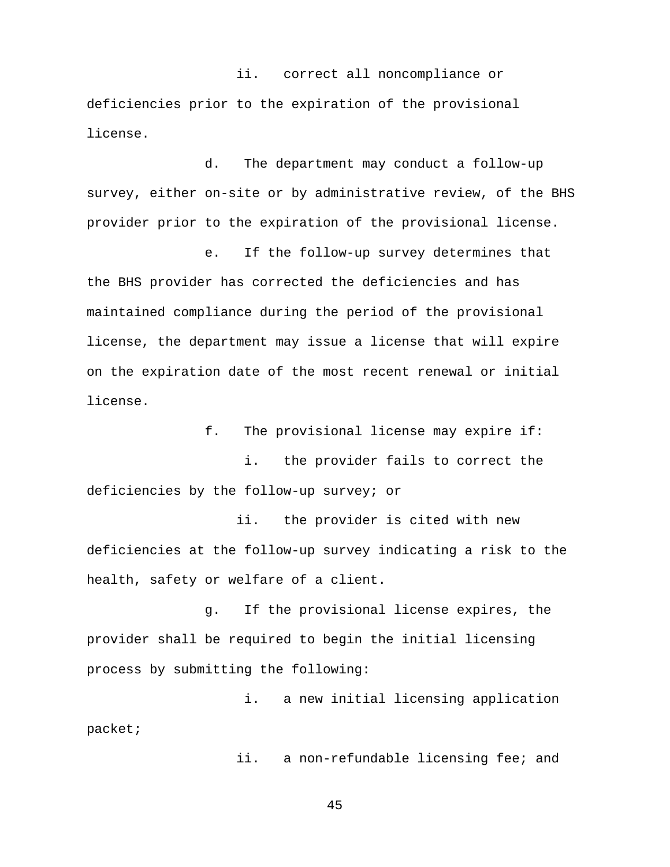ii. correct all noncompliance or deficiencies prior to the expiration of the provisional license.

d. The department may conduct a follow-up survey, either on-site or by administrative review, of the BHS provider prior to the expiration of the provisional license.

e. If the follow-up survey determines that the BHS provider has corrected the deficiencies and has maintained compliance during the period of the provisional license, the department may issue a license that will expire on the expiration date of the most recent renewal or initial license.

f. The provisional license may expire if:

i. the provider fails to correct the deficiencies by the follow-up survey; or

 ii. the provider is cited with new deficiencies at the follow-up survey indicating a risk to the health, safety or welfare of a client.

g. If the provisional license expires, the provider shall be required to begin the initial licensing process by submitting the following:

i. a new initial licensing application packet;

ii. a non-refundable licensing fee; and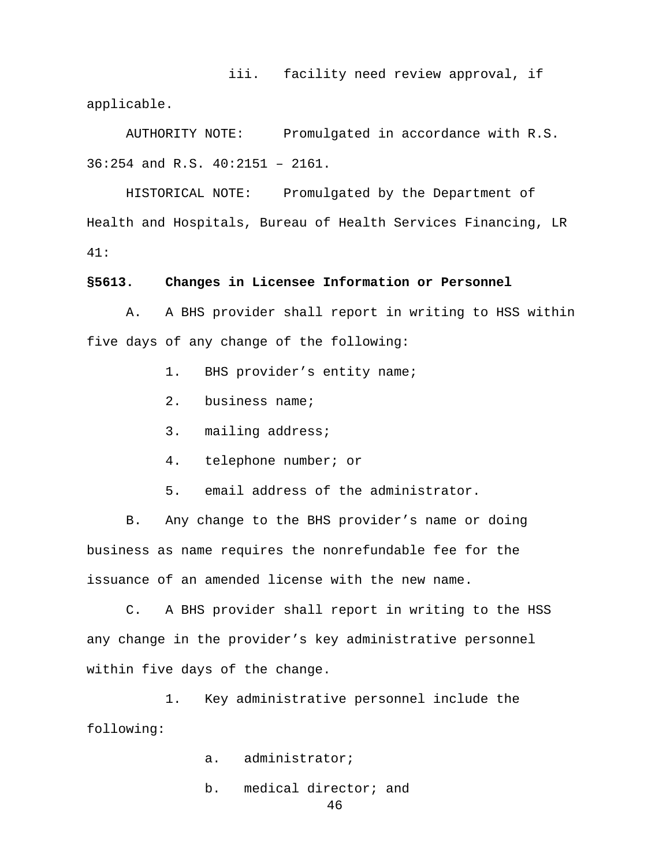iii. facility need review approval, if applicable.

AUTHORITY NOTE: Promulgated in accordance with R.S. 36:254 and R.S. 40:2151 – 2161.

HISTORICAL NOTE: Promulgated by the Department of Health and Hospitals, Bureau of Health Services Financing, LR 41:

### **§5613. Changes in Licensee Information or Personnel**

A. A BHS provider shall report in writing to HSS within five days of any change of the following:

- 1. BHS provider's entity name;
- 2. business name;
- 3. mailing address;
- 4. telephone number; or
- 5. email address of the administrator.

B. Any change to the BHS provider's name or doing business as name requires the nonrefundable fee for the issuance of an amended license with the new name.

C. A BHS provider shall report in writing to the HSS any change in the provider's key administrative personnel within five days of the change.

1. Key administrative personnel include the following:

- a. administrator;
- b. medical director; and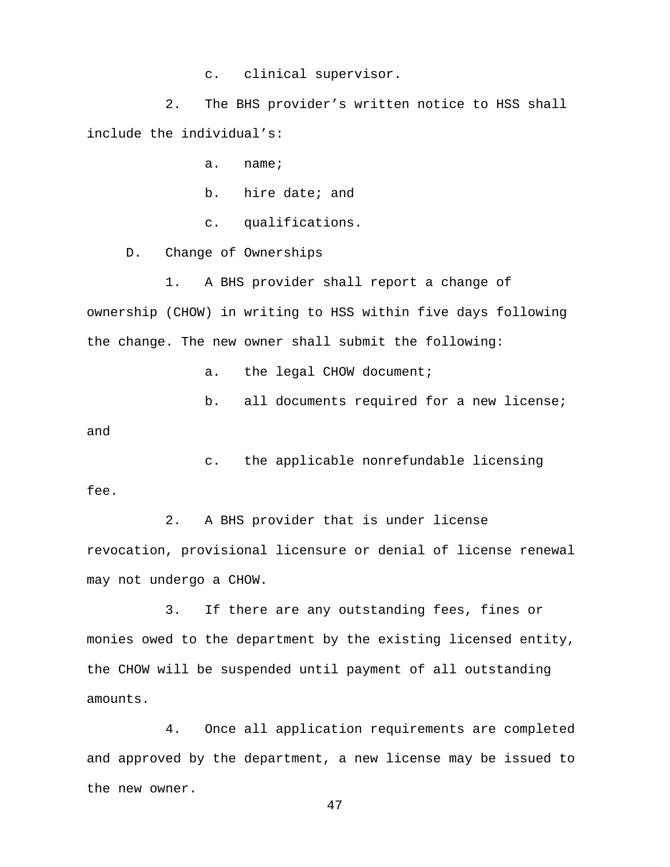c. clinical supervisor.

2. The BHS provider's written notice to HSS shall include the individual's:

a. name;

b. hire date; and

c. qualifications.

D. Change of Ownerships

1. A BHS provider shall report a change of ownership (CHOW) in writing to HSS within five days following the change. The new owner shall submit the following:

a. the legal CHOW document;

b. all documents required for a new license;

and

c. the applicable nonrefundable licensing fee.

2. A BHS provider that is under license revocation, provisional licensure or denial of license renewal may not undergo a CHOW.

3. If there are any outstanding fees, fines or monies owed to the department by the existing licensed entity, the CHOW will be suspended until payment of all outstanding amounts.

4. Once all application requirements are completed and approved by the department, a new license may be issued to the new owner.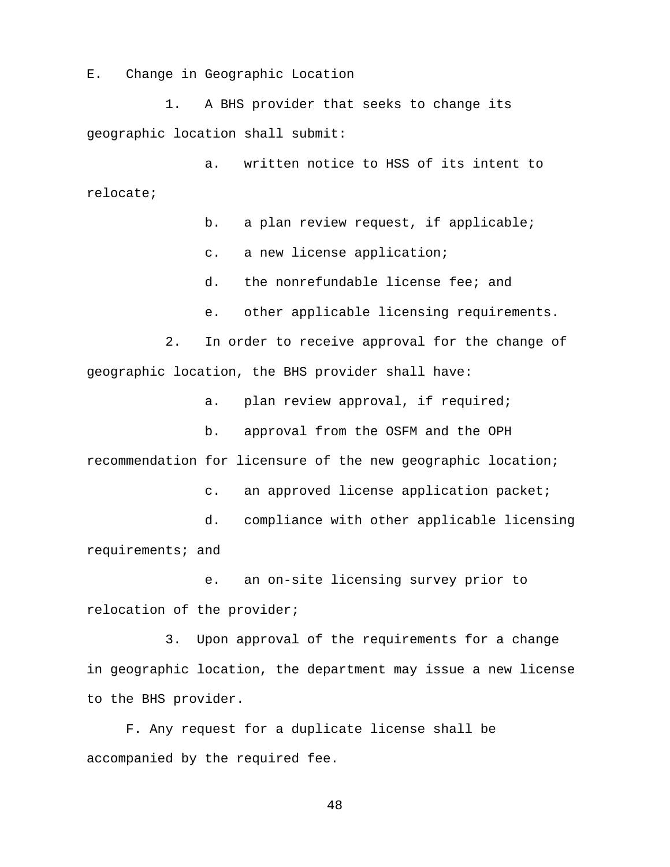E. Change in Geographic Location

1. A BHS provider that seeks to change its geographic location shall submit:

a. written notice to HSS of its intent to relocate;

b. a plan review request, if applicable;

c. a new license application;

d. the nonrefundable license fee; and

e. other applicable licensing requirements.

2. In order to receive approval for the change of geographic location, the BHS provider shall have:

a. plan review approval, if required;

b. approval from the OSFM and the OPH recommendation for licensure of the new geographic location;

c. an approved license application packet;

d. compliance with other applicable licensing requirements; and

e. an on-site licensing survey prior to relocation of the provider;

3. Upon approval of the requirements for a change in geographic location, the department may issue a new license to the BHS provider.

F. Any request for a duplicate license shall be accompanied by the required fee.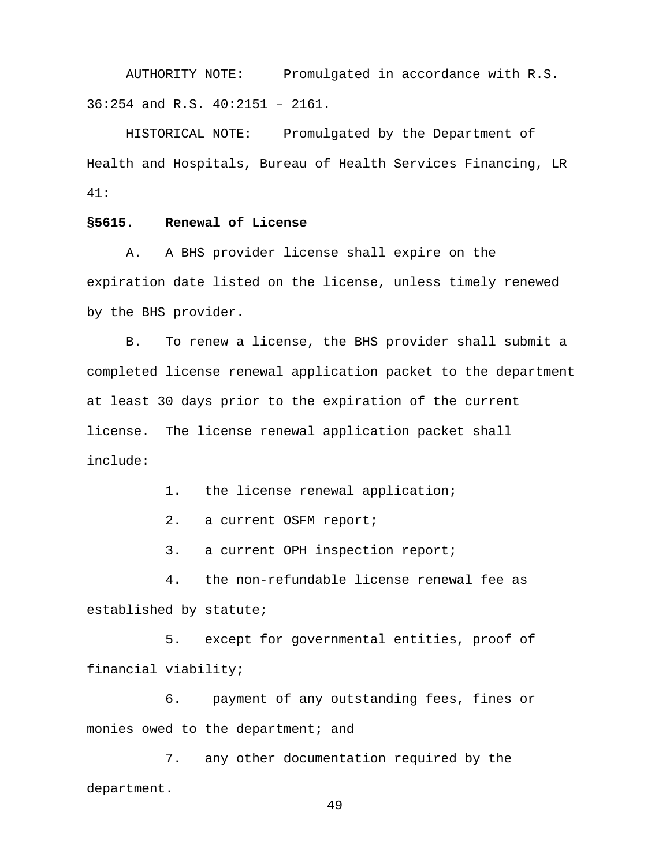AUTHORITY NOTE: Promulgated in accordance with R.S. 36:254 and R.S. 40:2151 – 2161.

HISTORICAL NOTE: Promulgated by the Department of Health and Hospitals, Bureau of Health Services Financing, LR 41:

### **§5615. Renewal of License**

A. A BHS provider license shall expire on the expiration date listed on the license, unless timely renewed by the BHS provider.

B. To renew a license, the BHS provider shall submit a completed license renewal application packet to the department at least 30 days prior to the expiration of the current license. The license renewal application packet shall include:

1. the license renewal application;

2. a current OSFM report;

3. a current OPH inspection report;

4. the non-refundable license renewal fee as established by statute;

5. except for governmental entities, proof of financial viability;

6. payment of any outstanding fees, fines or monies owed to the department; and

7. any other documentation required by the department.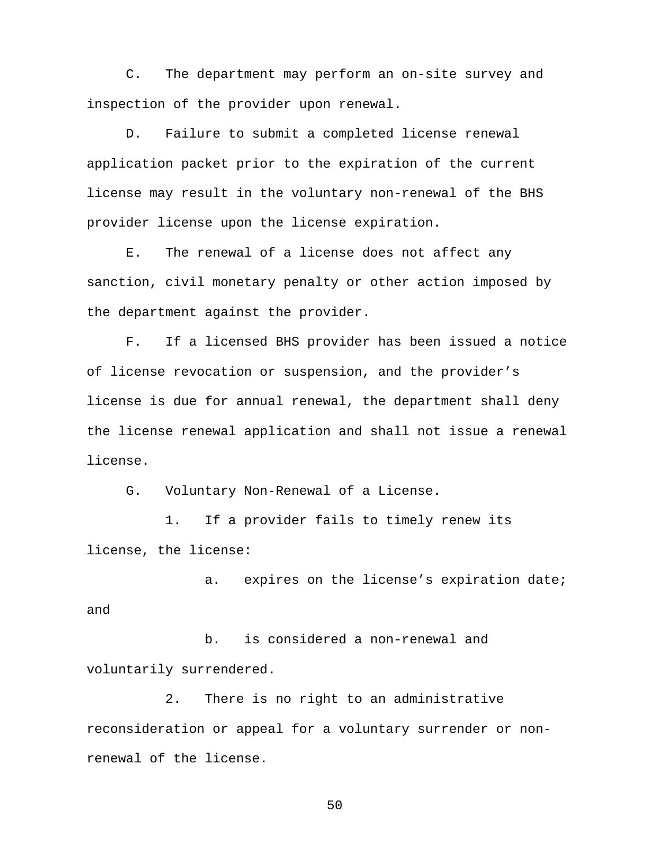C. The department may perform an on-site survey and inspection of the provider upon renewal.

D. Failure to submit a completed license renewal application packet prior to the expiration of the current license may result in the voluntary non-renewal of the BHS provider license upon the license expiration.

E. The renewal of a license does not affect any sanction, civil monetary penalty or other action imposed by the department against the provider.

F. If a licensed BHS provider has been issued a notice of license revocation or suspension, and the provider's license is due for annual renewal, the department shall deny the license renewal application and shall not issue a renewal license.

G. Voluntary Non-Renewal of a License.

1. If a provider fails to timely renew its license, the license:

a. expires on the license's expiration date; and

b. is considered a non-renewal and voluntarily surrendered.

2. There is no right to an administrative reconsideration or appeal for a voluntary surrender or nonrenewal of the license.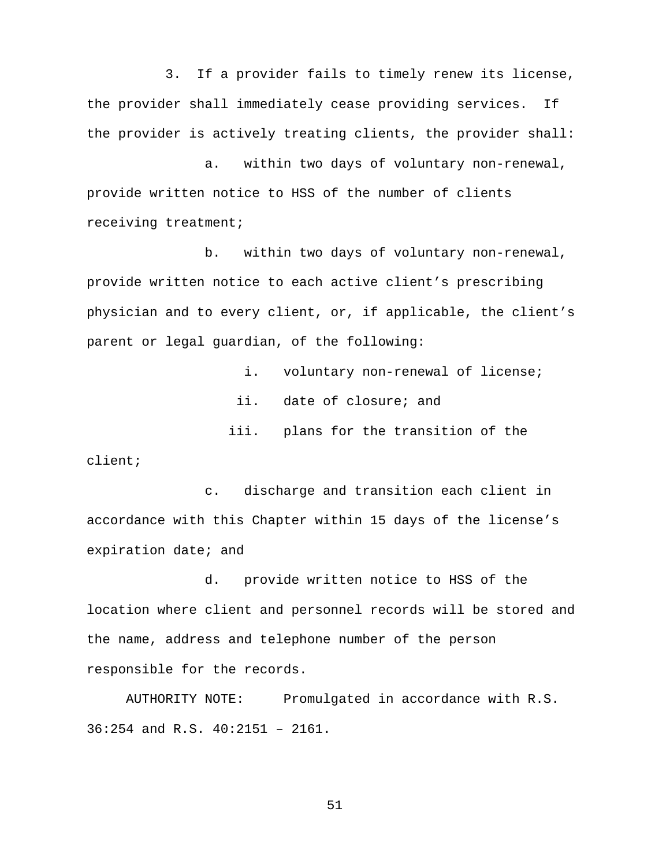3. If a provider fails to timely renew its license, the provider shall immediately cease providing services. If the provider is actively treating clients, the provider shall:

a. within two days of voluntary non-renewal, provide written notice to HSS of the number of clients receiving treatment;

b. within two days of voluntary non-renewal, provide written notice to each active client's prescribing physician and to every client, or, if applicable, the client's parent or legal guardian, of the following:

> i. voluntary non-renewal of license; ii. date of closure; and iii. plans for the transition of the

client;

c. discharge and transition each client in accordance with this Chapter within 15 days of the license's expiration date; and

d. provide written notice to HSS of the location where client and personnel records will be stored and the name, address and telephone number of the person responsible for the records.

AUTHORITY NOTE: Promulgated in accordance with R.S. 36:254 and R.S. 40:2151 – 2161.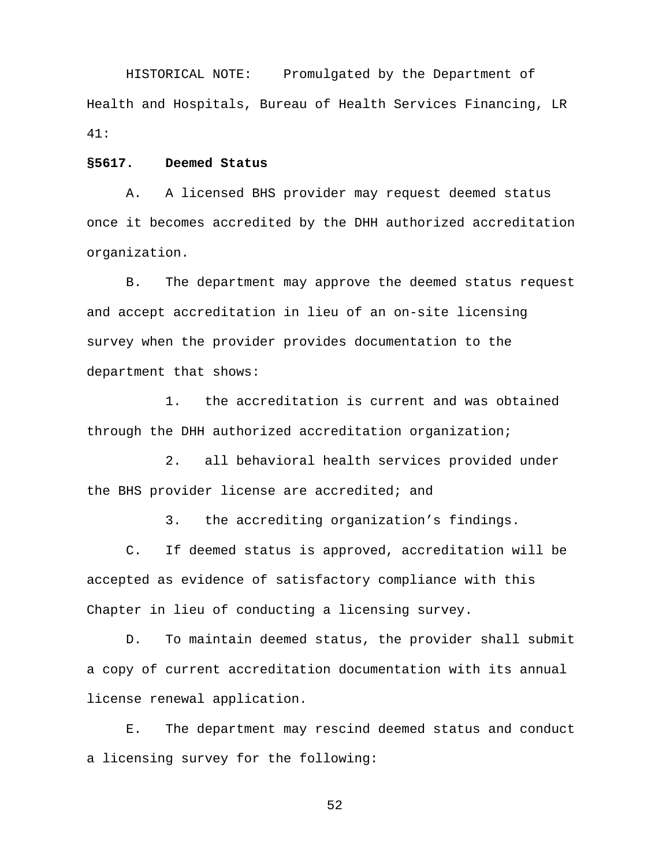HISTORICAL NOTE: Promulgated by the Department of Health and Hospitals, Bureau of Health Services Financing, LR 41:

### **§5617. Deemed Status**

A. A licensed BHS provider may request deemed status once it becomes accredited by the DHH authorized accreditation organization.

B. The department may approve the deemed status request and accept accreditation in lieu of an on-site licensing survey when the provider provides documentation to the department that shows:

1. the accreditation is current and was obtained through the DHH authorized accreditation organization;

2. all behavioral health services provided under the BHS provider license are accredited; and

3. the accrediting organization's findings.

C. If deemed status is approved, accreditation will be accepted as evidence of satisfactory compliance with this Chapter in lieu of conducting a licensing survey.

D. To maintain deemed status, the provider shall submit a copy of current accreditation documentation with its annual license renewal application.

E. The department may rescind deemed status and conduct a licensing survey for the following: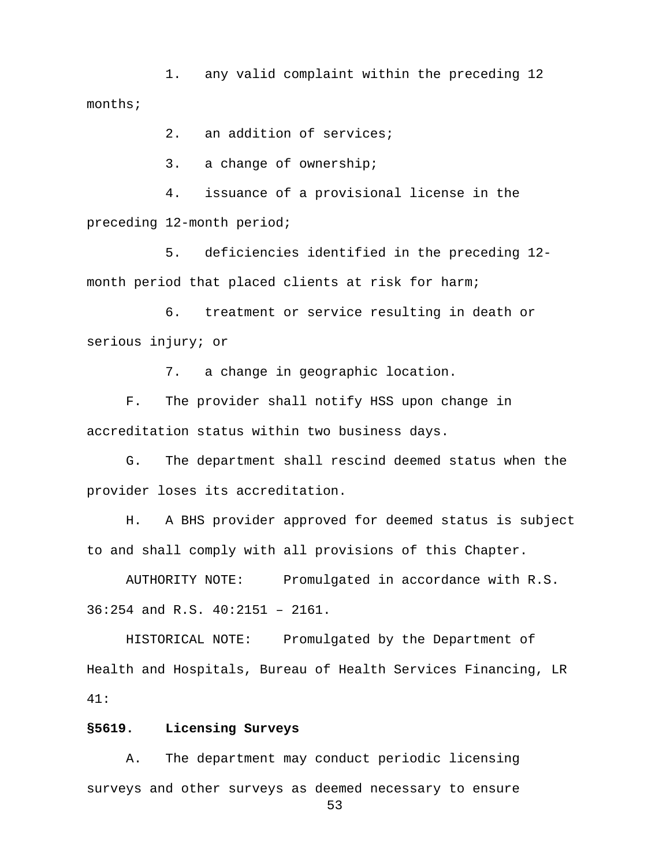1. any valid complaint within the preceding 12 months;

2. an addition of services;

3. a change of ownership;

4. issuance of a provisional license in the preceding 12-month period;

5. deficiencies identified in the preceding 12 month period that placed clients at risk for harm;

6. treatment or service resulting in death or serious injury; or

7. a change in geographic location.

F. The provider shall notify HSS upon change in accreditation status within two business days.

G. The department shall rescind deemed status when the provider loses its accreditation.

H. A BHS provider approved for deemed status is subject to and shall comply with all provisions of this Chapter.

AUTHORITY NOTE: Promulgated in accordance with R.S. 36:254 and R.S. 40:2151 – 2161.

HISTORICAL NOTE: Promulgated by the Department of Health and Hospitals, Bureau of Health Services Financing, LR 41:

# **§5619. Licensing Surveys**

A. The department may conduct periodic licensing surveys and other surveys as deemed necessary to ensure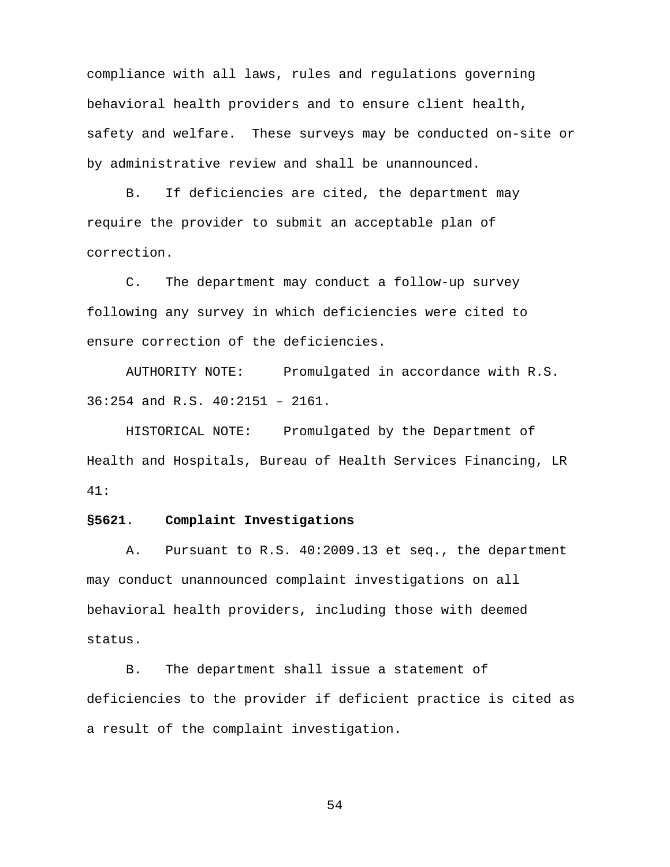compliance with all laws, rules and regulations governing behavioral health providers and to ensure client health, safety and welfare. These surveys may be conducted on-site or by administrative review and shall be unannounced.

B. If deficiencies are cited, the department may require the provider to submit an acceptable plan of correction.

C. The department may conduct a follow-up survey following any survey in which deficiencies were cited to ensure correction of the deficiencies.

AUTHORITY NOTE: Promulgated in accordance with R.S. 36:254 and R.S. 40:2151 – 2161.

HISTORICAL NOTE: Promulgated by the Department of Health and Hospitals, Bureau of Health Services Financing, LR 41:

## **§5621. Complaint Investigations**

A. Pursuant to R.S. 40:2009.13 et seq., the department may conduct unannounced complaint investigations on all behavioral health providers, including those with deemed status.

B. The department shall issue a statement of deficiencies to the provider if deficient practice is cited as a result of the complaint investigation.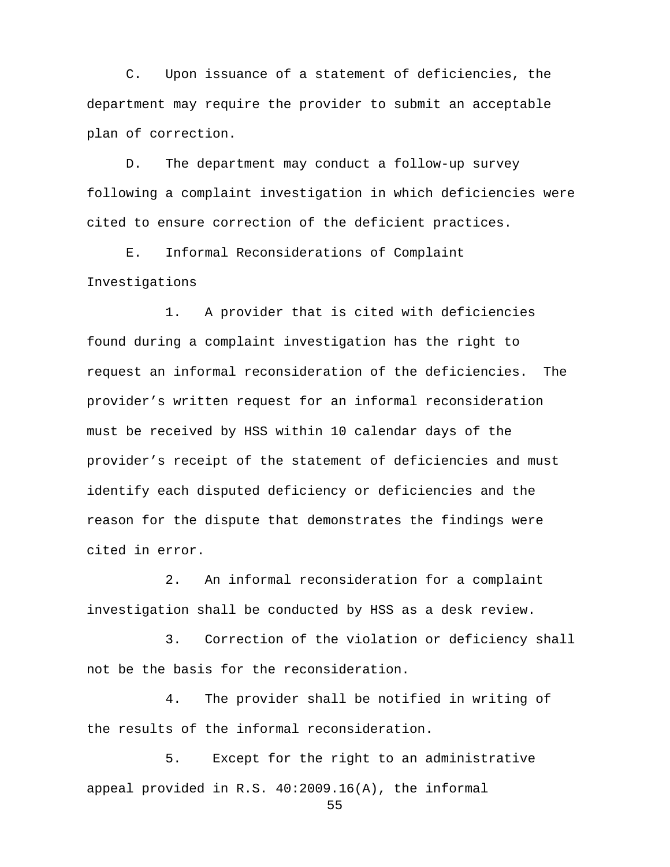C. Upon issuance of a statement of deficiencies, the department may require the provider to submit an acceptable plan of correction.

 D. The department may conduct a follow-up survey following a complaint investigation in which deficiencies were cited to ensure correction of the deficient practices.

 E. Informal Reconsiderations of Complaint Investigations

1. A provider that is cited with deficiencies found during a complaint investigation has the right to request an informal reconsideration of the deficiencies. The provider's written request for an informal reconsideration must be received by HSS within 10 calendar days of the provider's receipt of the statement of deficiencies and must identify each disputed deficiency or deficiencies and the reason for the dispute that demonstrates the findings were cited in error.

2. An informal reconsideration for a complaint investigation shall be conducted by HSS as a desk review.

3. Correction of the violation or deficiency shall not be the basis for the reconsideration.

4. The provider shall be notified in writing of the results of the informal reconsideration.

5. Except for the right to an administrative appeal provided in R.S. 40:2009.16(A), the informal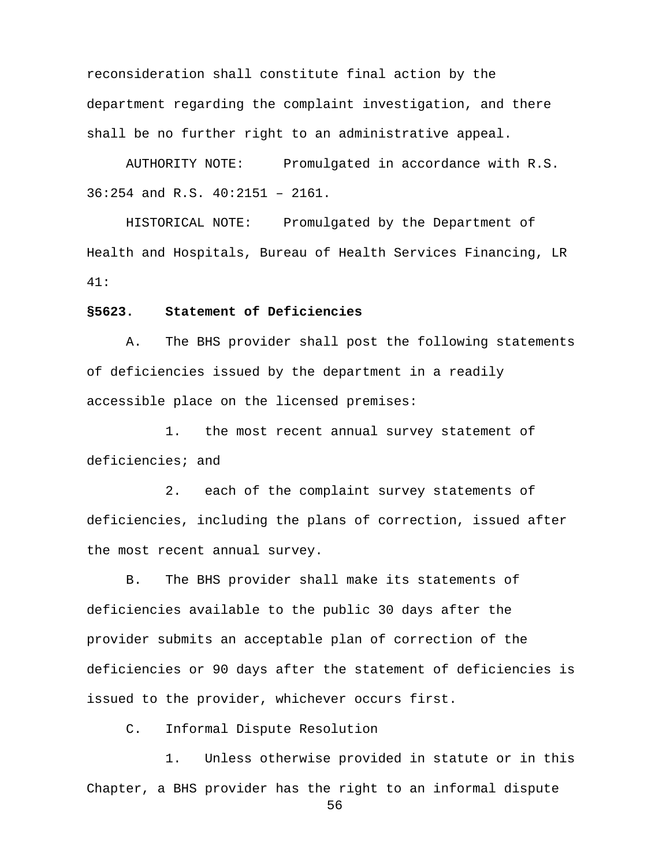reconsideration shall constitute final action by the department regarding the complaint investigation, and there shall be no further right to an administrative appeal.

AUTHORITY NOTE: Promulgated in accordance with R.S. 36:254 and R.S. 40:2151 – 2161.

HISTORICAL NOTE: Promulgated by the Department of Health and Hospitals, Bureau of Health Services Financing, LR 41:

### **§5623. Statement of Deficiencies**

A. The BHS provider shall post the following statements of deficiencies issued by the department in a readily accessible place on the licensed premises:

1. the most recent annual survey statement of deficiencies; and

2. each of the complaint survey statements of deficiencies, including the plans of correction, issued after the most recent annual survey.

B. The BHS provider shall make its statements of deficiencies available to the public 30 days after the provider submits an acceptable plan of correction of the deficiencies or 90 days after the statement of deficiencies is issued to the provider, whichever occurs first.

C. Informal Dispute Resolution

1. Unless otherwise provided in statute or in this Chapter, a BHS provider has the right to an informal dispute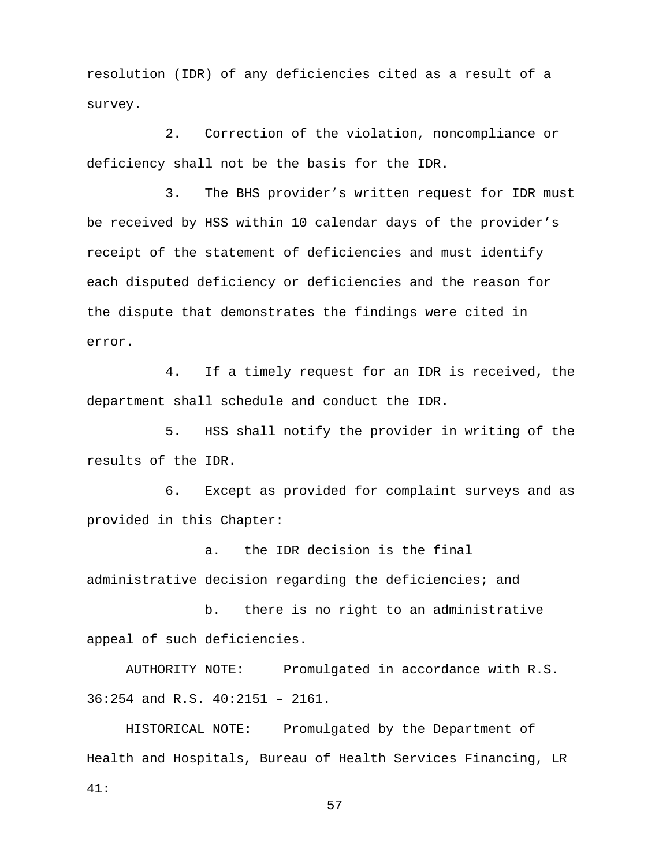resolution (IDR) of any deficiencies cited as a result of a survey.

2. Correction of the violation, noncompliance or deficiency shall not be the basis for the IDR.

3. The BHS provider's written request for IDR must be received by HSS within 10 calendar days of the provider's receipt of the statement of deficiencies and must identify each disputed deficiency or deficiencies and the reason for the dispute that demonstrates the findings were cited in error.

4. If a timely request for an IDR is received, the department shall schedule and conduct the IDR.

5. HSS shall notify the provider in writing of the results of the IDR.

6. Except as provided for complaint surveys and as provided in this Chapter:

a. the IDR decision is the final administrative decision regarding the deficiencies; and

b. there is no right to an administrative appeal of such deficiencies.

AUTHORITY NOTE: Promulgated in accordance with R.S. 36:254 and R.S. 40:2151 – 2161.

HISTORICAL NOTE: Promulgated by the Department of Health and Hospitals, Bureau of Health Services Financing, LR 41: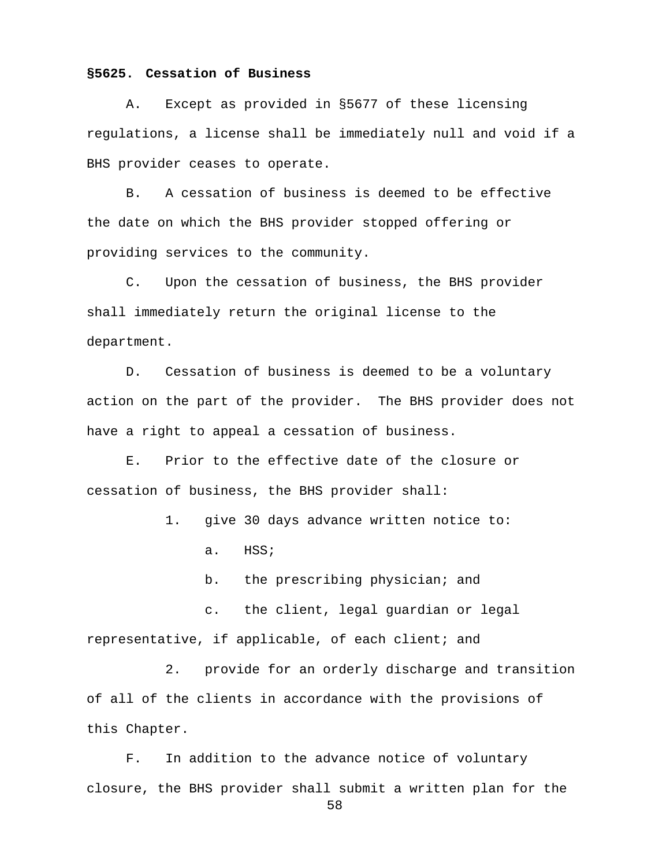### **§5625. Cessation of Business**

A. Except as provided in §5677 of these licensing regulations, a license shall be immediately null and void if a BHS provider ceases to operate.

B. A cessation of business is deemed to be effective the date on which the BHS provider stopped offering or providing services to the community.

C. Upon the cessation of business, the BHS provider shall immediately return the original license to the department.

D. Cessation of business is deemed to be a voluntary action on the part of the provider. The BHS provider does not have a right to appeal a cessation of business.

E. Prior to the effective date of the closure or cessation of business, the BHS provider shall:

1. give 30 days advance written notice to:

a. HSS;

b. the prescribing physician; and

c. the client, legal guardian or legal

representative, if applicable, of each client; and

2. provide for an orderly discharge and transition of all of the clients in accordance with the provisions of

this Chapter.

F. In addition to the advance notice of voluntary closure, the BHS provider shall submit a written plan for the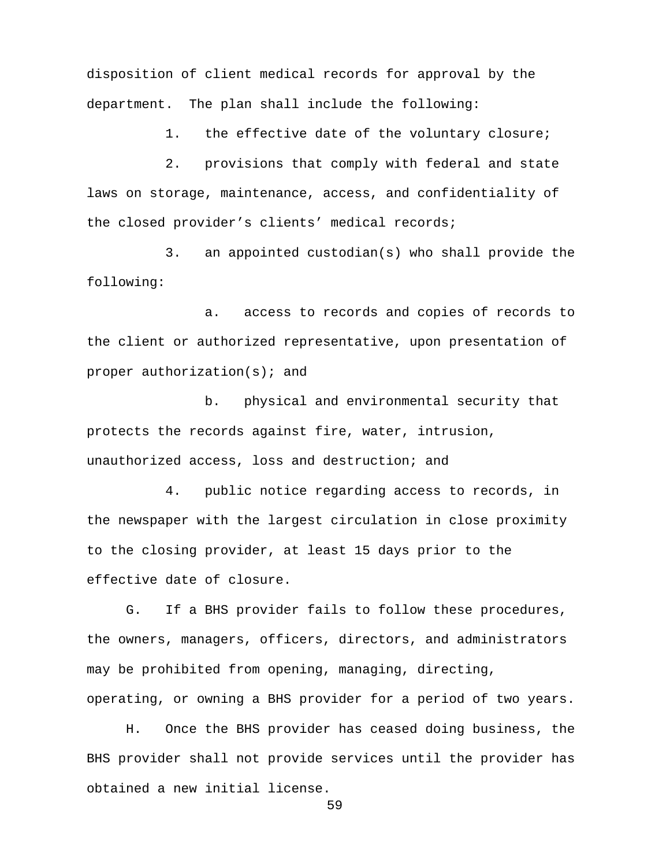disposition of client medical records for approval by the department. The plan shall include the following:

1. the effective date of the voluntary closure;

2. provisions that comply with federal and state laws on storage, maintenance, access, and confidentiality of the closed provider's clients' medical records;

3. an appointed custodian(s) who shall provide the following:

a. access to records and copies of records to the client or authorized representative, upon presentation of proper authorization(s); and

b. physical and environmental security that protects the records against fire, water, intrusion, unauthorized access, loss and destruction; and

4. public notice regarding access to records, in the newspaper with the largest circulation in close proximity to the closing provider, at least 15 days prior to the effective date of closure.

G. If a BHS provider fails to follow these procedures, the owners, managers, officers, directors, and administrators may be prohibited from opening, managing, directing, operating, or owning a BHS provider for a period of two years.

H. Once the BHS provider has ceased doing business, the BHS provider shall not provide services until the provider has obtained a new initial license.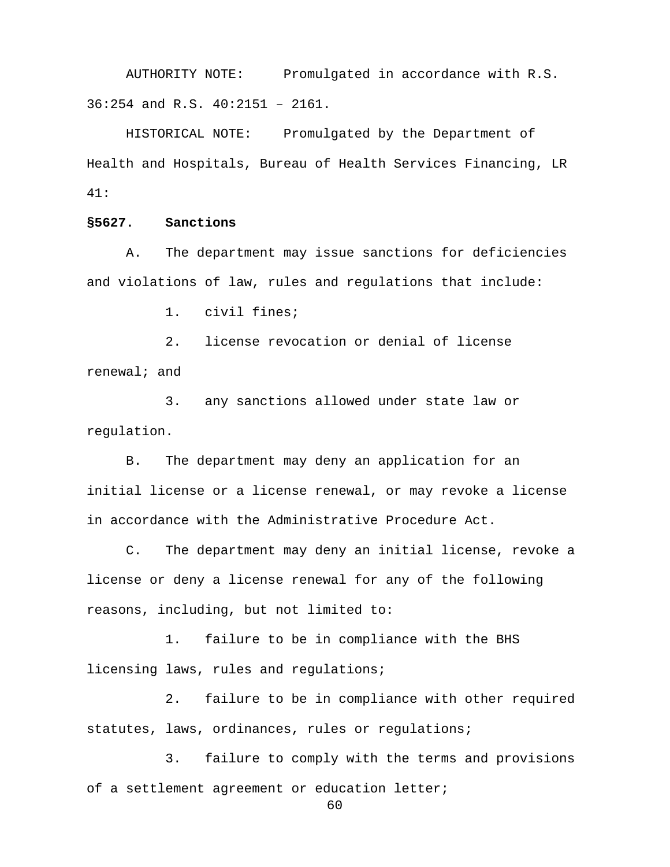AUTHORITY NOTE: Promulgated in accordance with R.S. 36:254 and R.S. 40:2151 – 2161.

HISTORICAL NOTE: Promulgated by the Department of Health and Hospitals, Bureau of Health Services Financing, LR 41:

### **§5627. Sanctions**

A. The department may issue sanctions for deficiencies and violations of law, rules and regulations that include:

1. civil fines;

2. license revocation or denial of license renewal; and

3. any sanctions allowed under state law or regulation.

B. The department may deny an application for an initial license or a license renewal, or may revoke a license in accordance with the Administrative Procedure Act.

C. The department may deny an initial license, revoke a license or deny a license renewal for any of the following reasons, including, but not limited to:

1. failure to be in compliance with the BHS licensing laws, rules and regulations;

2. failure to be in compliance with other required statutes, laws, ordinances, rules or requlations;

3. failure to comply with the terms and provisions of a settlement agreement or education letter;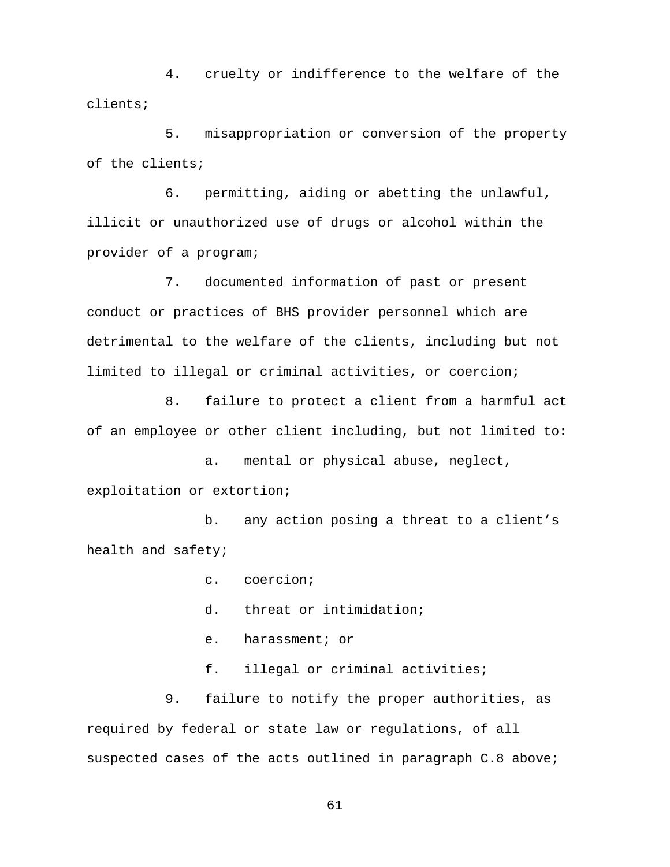4. cruelty or indifference to the welfare of the clients;

5. misappropriation or conversion of the property of the clients;

6. permitting, aiding or abetting the unlawful, illicit or unauthorized use of drugs or alcohol within the provider of a program;

7. documented information of past or present conduct or practices of BHS provider personnel which are detrimental to the welfare of the clients, including but not limited to illegal or criminal activities, or coercion;

8. failure to protect a client from a harmful act of an employee or other client including, but not limited to:

a. mental or physical abuse, neglect,

exploitation or extortion;

b. any action posing a threat to a client's health and safety;

c. coercion;

- d. threat or intimidation;
- e. harassment; or
- f. illegal or criminal activities;

9. failure to notify the proper authorities, as required by federal or state law or regulations, of all suspected cases of the acts outlined in paragraph C.8 above;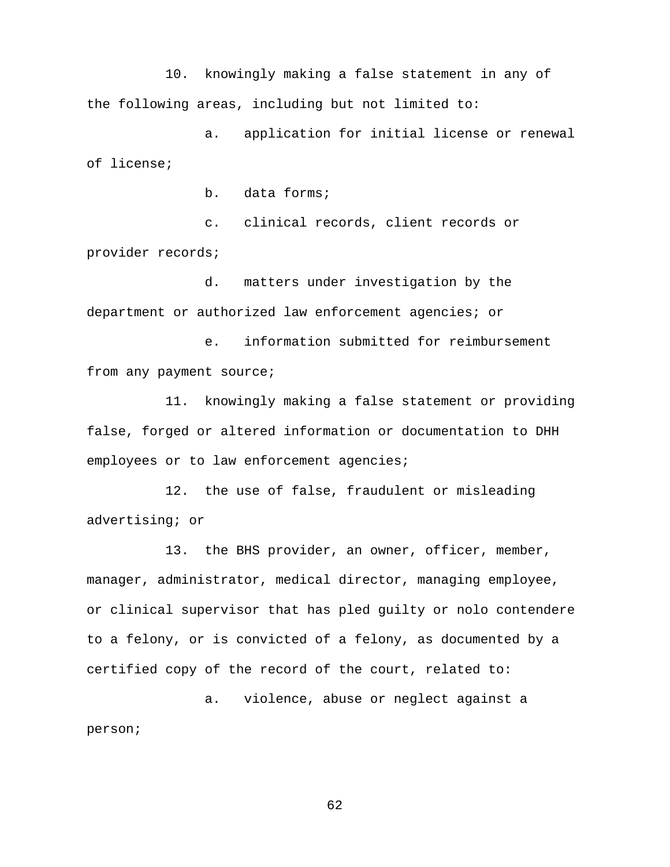10. knowingly making a false statement in any of the following areas, including but not limited to:

a. application for initial license or renewal of license;

b. data forms;

c. clinical records, client records or provider records;

d. matters under investigation by the department or authorized law enforcement agencies; or

e. information submitted for reimbursement from any payment source;

11. knowingly making a false statement or providing false, forged or altered information or documentation to DHH employees or to law enforcement agencies;

12. the use of false, fraudulent or misleading advertising; or

13. the BHS provider, an owner, officer, member, manager, administrator, medical director, managing employee, or clinical supervisor that has pled guilty or nolo contendere to a felony, or is convicted of a felony, as documented by a certified copy of the record of the court, related to:

a. violence, abuse or neglect against a person;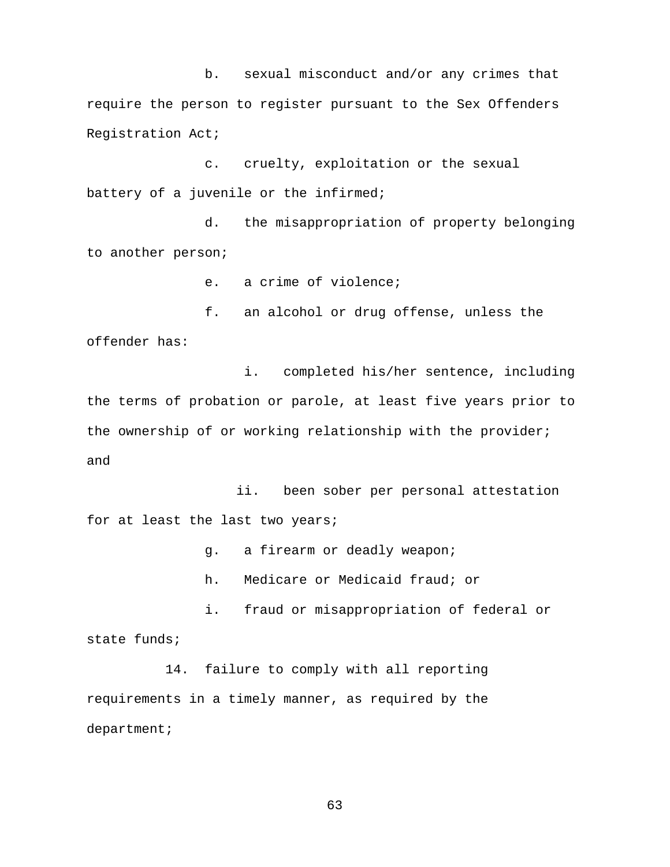b. sexual misconduct and/or any crimes that require the person to register pursuant to the Sex Offenders Registration Act;

c. cruelty, exploitation or the sexual battery of a juvenile or the infirmed;

d. the misappropriation of property belonging to another person;

e. a crime of violence;

 f. an alcohol or drug offense, unless the offender has:

 i. completed his/her sentence, including the terms of probation or parole, at least five years prior to the ownership of or working relationship with the provider; and

 ii. been sober per personal attestation for at least the last two years;

g. a firearm or deadly weapon;

h. Medicare or Medicaid fraud; or

i. fraud or misappropriation of federal or state funds;

14. failure to comply with all reporting requirements in a timely manner, as required by the department;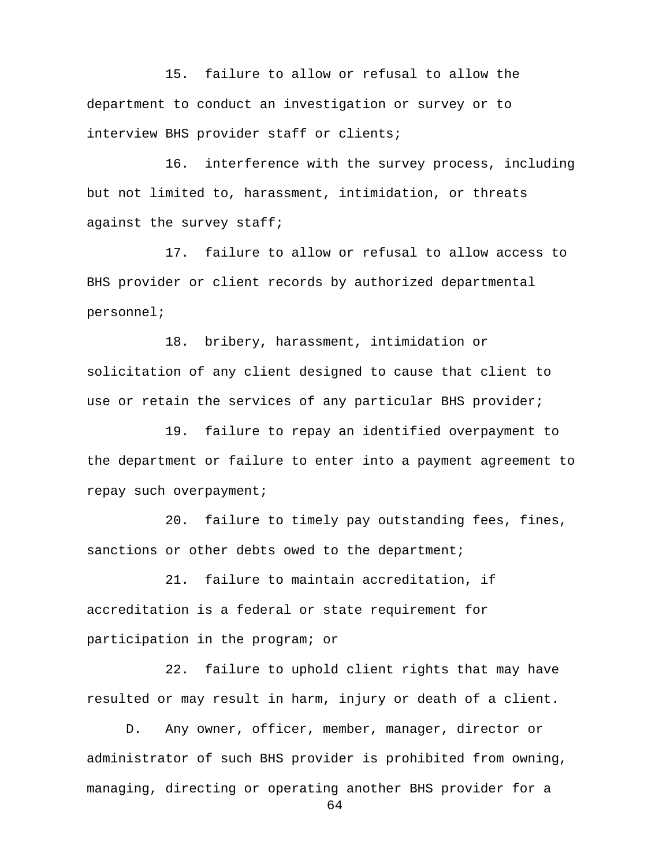15. failure to allow or refusal to allow the department to conduct an investigation or survey or to interview BHS provider staff or clients;

16. interference with the survey process, including but not limited to, harassment, intimidation, or threats against the survey staff;

17. failure to allow or refusal to allow access to BHS provider or client records by authorized departmental personnel;

18. bribery, harassment, intimidation or solicitation of any client designed to cause that client to use or retain the services of any particular BHS provider;

19. failure to repay an identified overpayment to the department or failure to enter into a payment agreement to repay such overpayment;

20. failure to timely pay outstanding fees, fines, sanctions or other debts owed to the department;

21. failure to maintain accreditation, if accreditation is a federal or state requirement for participation in the program; or

22. failure to uphold client rights that may have resulted or may result in harm, injury or death of a client.

D. Any owner, officer, member, manager, director or administrator of such BHS provider is prohibited from owning, managing, directing or operating another BHS provider for a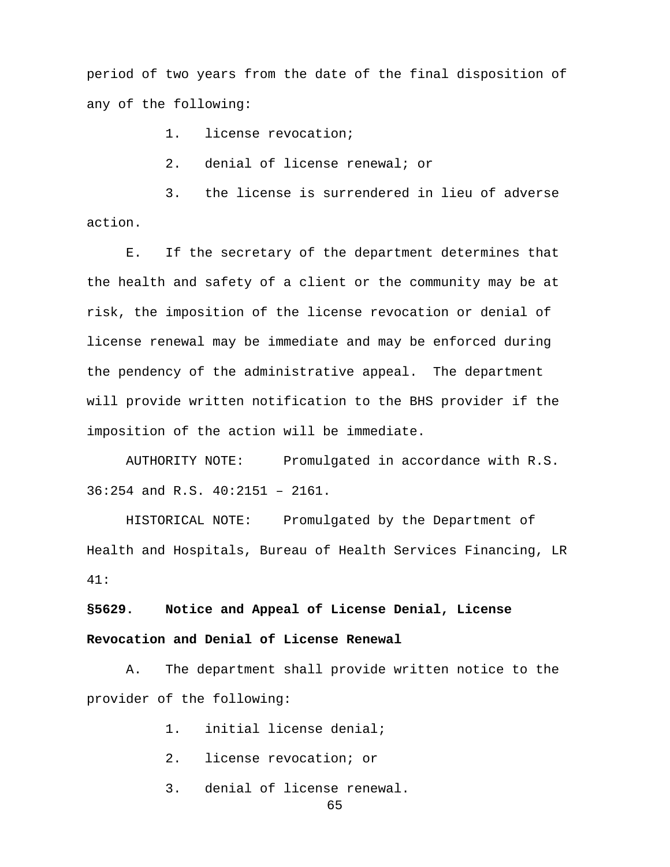period of two years from the date of the final disposition of any of the following:

1. license revocation;

2. denial of license renewal; or

3. the license is surrendered in lieu of adverse action.

E. If the secretary of the department determines that the health and safety of a client or the community may be at risk, the imposition of the license revocation or denial of license renewal may be immediate and may be enforced during the pendency of the administrative appeal. The department will provide written notification to the BHS provider if the imposition of the action will be immediate.

AUTHORITY NOTE: Promulgated in accordance with R.S. 36:254 and R.S. 40:2151 – 2161.

HISTORICAL NOTE: Promulgated by the Department of Health and Hospitals, Bureau of Health Services Financing, LR 41:

**§5629. Notice and Appeal of License Denial, License Revocation and Denial of License Renewal**

A. The department shall provide written notice to the provider of the following:

1. initial license denial;

- 2. license revocation; or
- 3. denial of license renewal.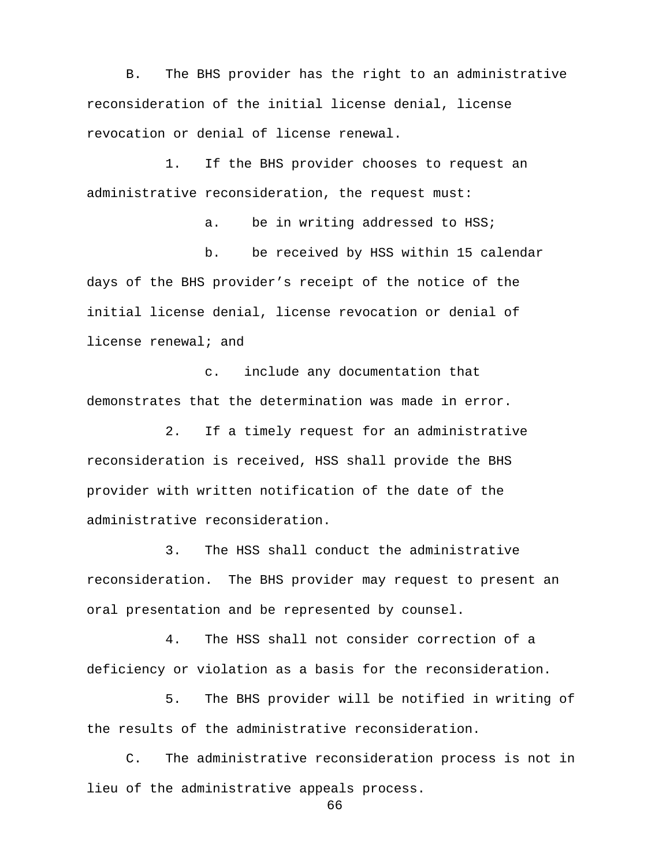B. The BHS provider has the right to an administrative reconsideration of the initial license denial, license revocation or denial of license renewal.

1. If the BHS provider chooses to request an administrative reconsideration, the request must:

a. be in writing addressed to HSS; b. be received by HSS within 15 calendar days of the BHS provider's receipt of the notice of the initial license denial, license revocation or denial of license renewal; and

c. include any documentation that demonstrates that the determination was made in error.

2. If a timely request for an administrative reconsideration is received, HSS shall provide the BHS provider with written notification of the date of the administrative reconsideration.

3. The HSS shall conduct the administrative reconsideration. The BHS provider may request to present an oral presentation and be represented by counsel.

4. The HSS shall not consider correction of a deficiency or violation as a basis for the reconsideration.

5. The BHS provider will be notified in writing of the results of the administrative reconsideration.

C. The administrative reconsideration process is not in lieu of the administrative appeals process.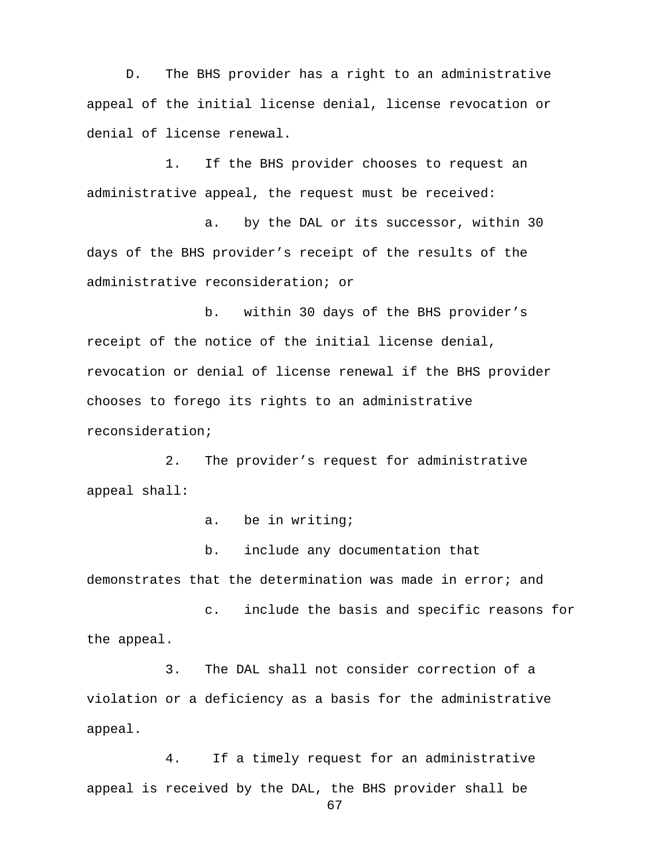D. The BHS provider has a right to an administrative appeal of the initial license denial, license revocation or denial of license renewal.

1. If the BHS provider chooses to request an administrative appeal, the request must be received:

a. by the DAL or its successor, within 30 days of the BHS provider's receipt of the results of the administrative reconsideration; or

b. within 30 days of the BHS provider's receipt of the notice of the initial license denial, revocation or denial of license renewal if the BHS provider chooses to forego its rights to an administrative reconsideration;

2. The provider's request for administrative appeal shall:

a. be in writing;

b. include any documentation that demonstrates that the determination was made in error; and

c. include the basis and specific reasons for the appeal.

3. The DAL shall not consider correction of a violation or a deficiency as a basis for the administrative appeal.

4. If a timely request for an administrative appeal is received by the DAL, the BHS provider shall be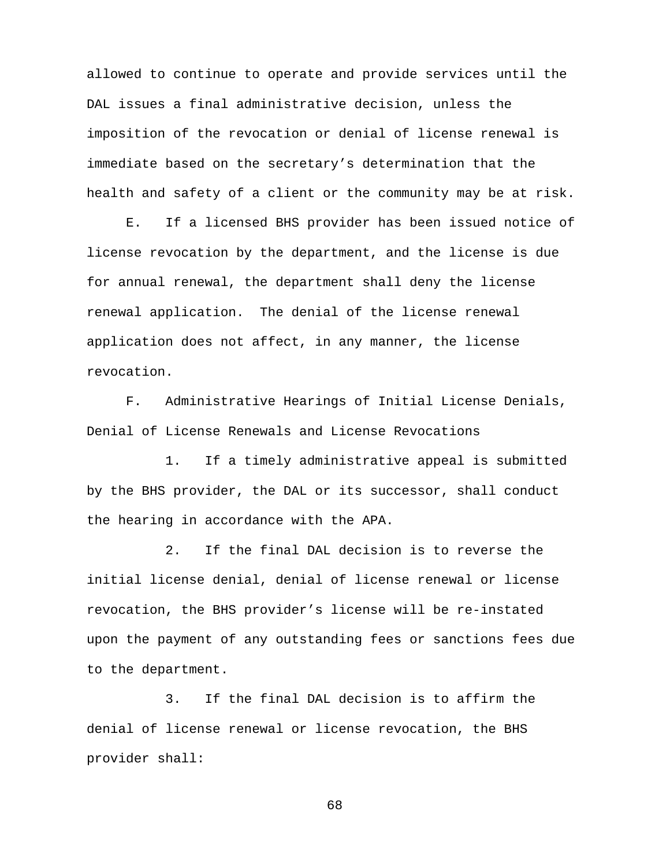allowed to continue to operate and provide services until the DAL issues a final administrative decision, unless the imposition of the revocation or denial of license renewal is immediate based on the secretary's determination that the health and safety of a client or the community may be at risk.

E. If a licensed BHS provider has been issued notice of license revocation by the department, and the license is due for annual renewal, the department shall deny the license renewal application. The denial of the license renewal application does not affect, in any manner, the license revocation.

F. Administrative Hearings of Initial License Denials, Denial of License Renewals and License Revocations

1. If a timely administrative appeal is submitted by the BHS provider, the DAL or its successor, shall conduct the hearing in accordance with the APA.

2. If the final DAL decision is to reverse the initial license denial, denial of license renewal or license revocation, the BHS provider's license will be re-instated upon the payment of any outstanding fees or sanctions fees due to the department.

3. If the final DAL decision is to affirm the denial of license renewal or license revocation, the BHS provider shall: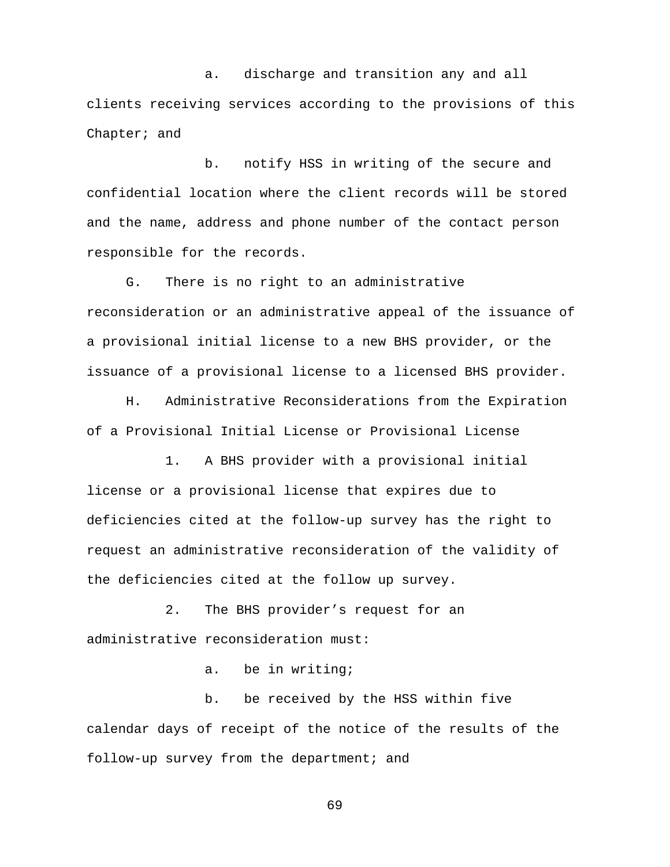a. discharge and transition any and all clients receiving services according to the provisions of this Chapter; and

b. notify HSS in writing of the secure and confidential location where the client records will be stored and the name, address and phone number of the contact person responsible for the records.

G. There is no right to an administrative reconsideration or an administrative appeal of the issuance of a provisional initial license to a new BHS provider, or the issuance of a provisional license to a licensed BHS provider.

H. Administrative Reconsiderations from the Expiration of a Provisional Initial License or Provisional License

1. A BHS provider with a provisional initial license or a provisional license that expires due to deficiencies cited at the follow-up survey has the right to request an administrative reconsideration of the validity of the deficiencies cited at the follow up survey.

2. The BHS provider's request for an administrative reconsideration must:

a. be in writing;

b. be received by the HSS within five calendar days of receipt of the notice of the results of the follow-up survey from the department; and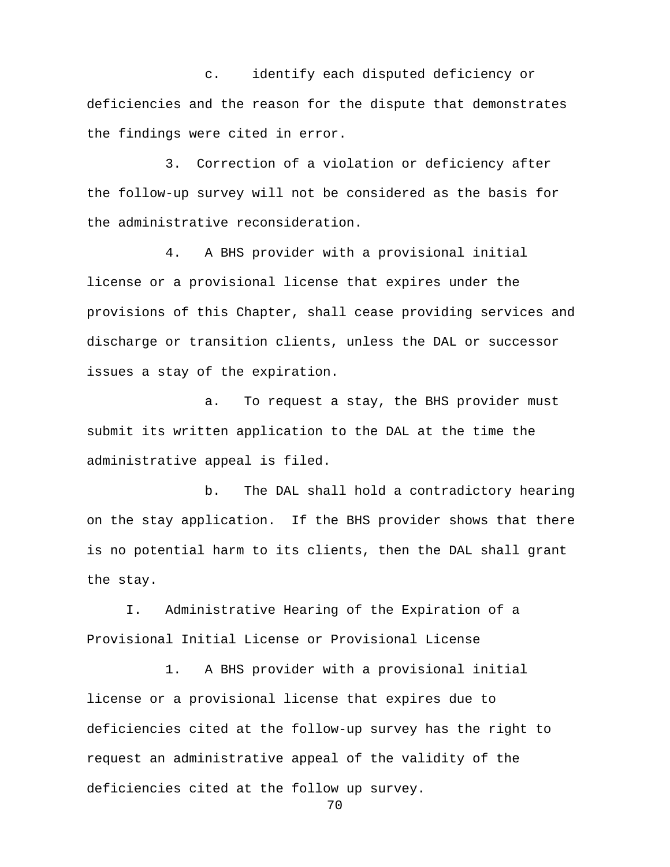c. identify each disputed deficiency or deficiencies and the reason for the dispute that demonstrates the findings were cited in error.

3. Correction of a violation or deficiency after the follow-up survey will not be considered as the basis for the administrative reconsideration.

4. A BHS provider with a provisional initial license or a provisional license that expires under the provisions of this Chapter, shall cease providing services and discharge or transition clients, unless the DAL or successor issues a stay of the expiration.

a. To request a stay, the BHS provider must submit its written application to the DAL at the time the administrative appeal is filed.

b. The DAL shall hold a contradictory hearing on the stay application. If the BHS provider shows that there is no potential harm to its clients, then the DAL shall grant the stay.

I. Administrative Hearing of the Expiration of a Provisional Initial License or Provisional License

1. A BHS provider with a provisional initial license or a provisional license that expires due to deficiencies cited at the follow-up survey has the right to request an administrative appeal of the validity of the deficiencies cited at the follow up survey.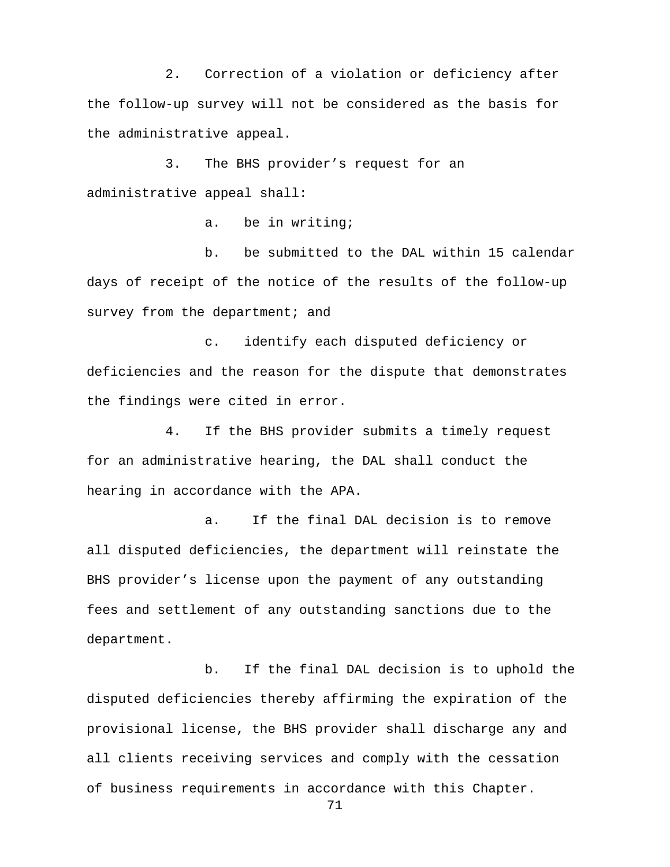2. Correction of a violation or deficiency after the follow-up survey will not be considered as the basis for the administrative appeal.

3. The BHS provider's request for an administrative appeal shall:

a. be in writing;

b. be submitted to the DAL within 15 calendar days of receipt of the notice of the results of the follow-up survey from the department; and

c. identify each disputed deficiency or deficiencies and the reason for the dispute that demonstrates the findings were cited in error.

4. If the BHS provider submits a timely request for an administrative hearing, the DAL shall conduct the hearing in accordance with the APA.

a. If the final DAL decision is to remove all disputed deficiencies, the department will reinstate the BHS provider's license upon the payment of any outstanding fees and settlement of any outstanding sanctions due to the department.

b. If the final DAL decision is to uphold the disputed deficiencies thereby affirming the expiration of the provisional license, the BHS provider shall discharge any and all clients receiving services and comply with the cessation of business requirements in accordance with this Chapter.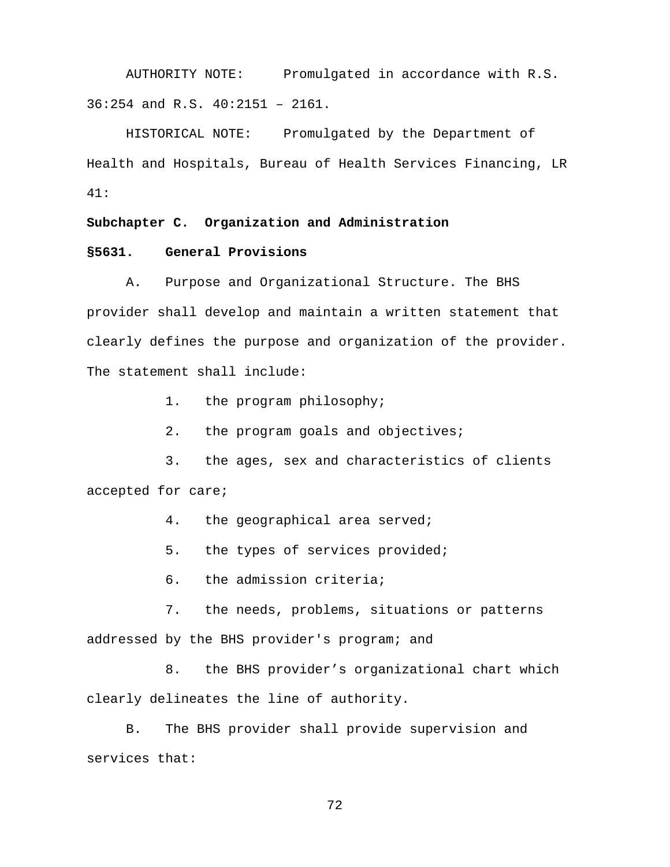AUTHORITY NOTE: Promulgated in accordance with R.S. 36:254 and R.S. 40:2151 – 2161.

HISTORICAL NOTE: Promulgated by the Department of Health and Hospitals, Bureau of Health Services Financing, LR 41:

### **Subchapter C. Organization and Administration**

## **§5631. General Provisions**

A. Purpose and Organizational Structure. The BHS provider shall develop and maintain a written statement that clearly defines the purpose and organization of the provider. The statement shall include:

1. the program philosophy;

2. the program goals and objectives;

3. the ages, sex and characteristics of clients accepted for care;

4. the geographical area served;

5. the types of services provided;

6. the admission criteria;

7. the needs, problems, situations or patterns addressed by the BHS provider's program; and

8. the BHS provider's organizational chart which clearly delineates the line of authority.

B. The BHS provider shall provide supervision and services that: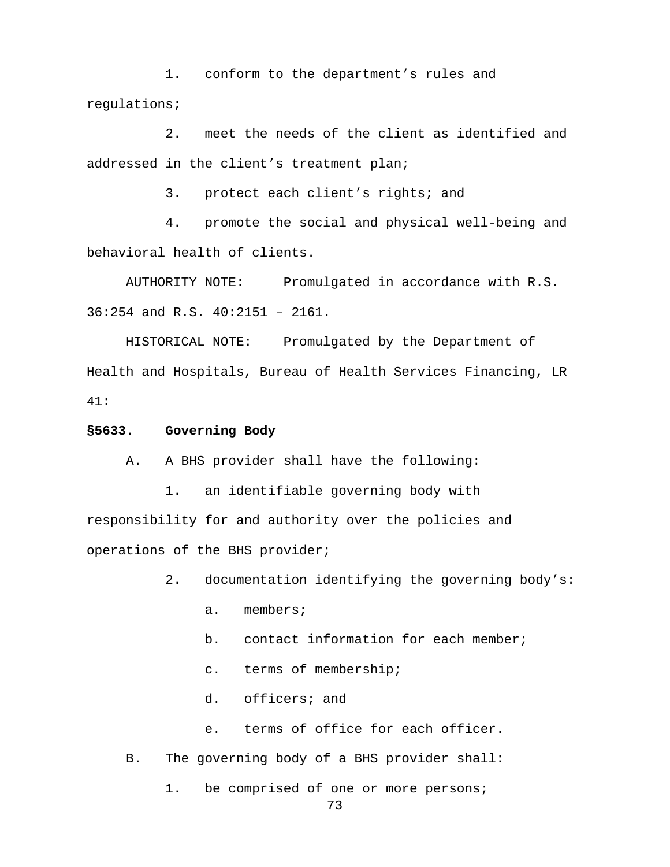1. conform to the department's rules and regulations;

2. meet the needs of the client as identified and addressed in the client's treatment plan;

3. protect each client's rights; and

4. promote the social and physical well-being and behavioral health of clients.

 AUTHORITY NOTE: Promulgated in accordance with R.S. 36:254 and R.S. 40:2151 – 2161.

HISTORICAL NOTE: Promulgated by the Department of Health and Hospitals, Bureau of Health Services Financing, LR 41:

#### **§5633. Governing Body**

A. A BHS provider shall have the following:

1. an identifiable governing body with responsibility for and authority over the policies and operations of the BHS provider;

- 2. documentation identifying the governing body's:
	- a. members;
	- b. contact information for each member;
	- c. terms of membership;
	- d. officers; and
	- e. terms of office for each officer.
- B. The governing body of a BHS provider shall:

1. be comprised of one or more persons;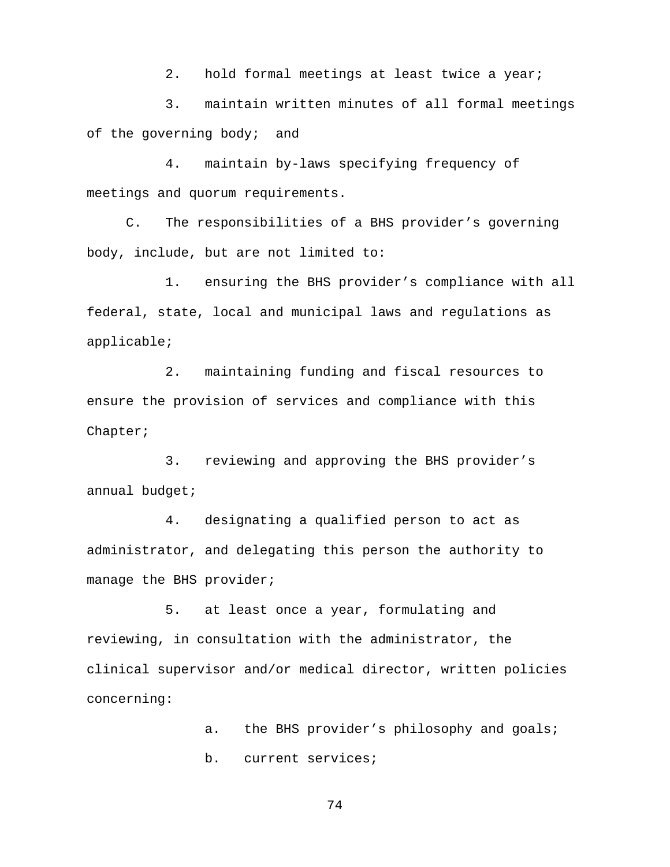2. hold formal meetings at least twice a year;

3. maintain written minutes of all formal meetings of the governing body; and

4. maintain by-laws specifying frequency of meetings and quorum requirements.

C. The responsibilities of a BHS provider's governing body, include, but are not limited to:

1. ensuring the BHS provider's compliance with all federal, state, local and municipal laws and regulations as applicable;

2. maintaining funding and fiscal resources to ensure the provision of services and compliance with this Chapter;

3. reviewing and approving the BHS provider's annual budget;

4. designating a qualified person to act as administrator, and delegating this person the authority to manage the BHS provider;

5. at least once a year, formulating and reviewing, in consultation with the administrator, the clinical supervisor and/or medical director, written policies concerning:

> a. the BHS provider's philosophy and goals; b. current services;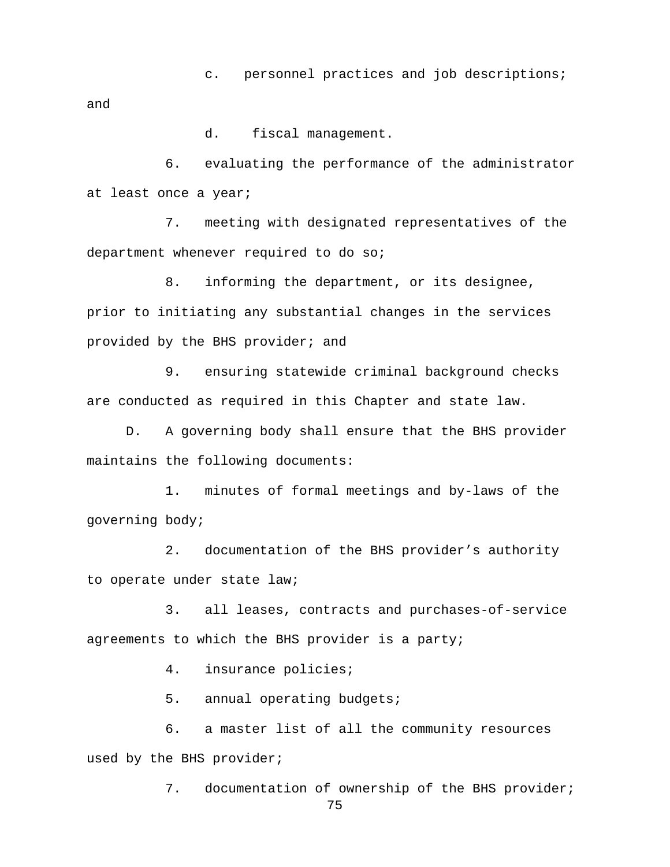c. personnel practices and job descriptions;

and

d. fiscal management.

6. evaluating the performance of the administrator at least once a year;

7. meeting with designated representatives of the department whenever required to do so;

8. informing the department, or its designee, prior to initiating any substantial changes in the services provided by the BHS provider; and

9. ensuring statewide criminal background checks are conducted as required in this Chapter and state law.

D. A governing body shall ensure that the BHS provider maintains the following documents:

1. minutes of formal meetings and by-laws of the governing body;

2. documentation of the BHS provider's authority to operate under state law;

3. all leases, contracts and purchases-of-service agreements to which the BHS provider is a party;

4. insurance policies;

5. annual operating budgets;

6. a master list of all the community resources used by the BHS provider;

7. documentation of ownership of the BHS provider;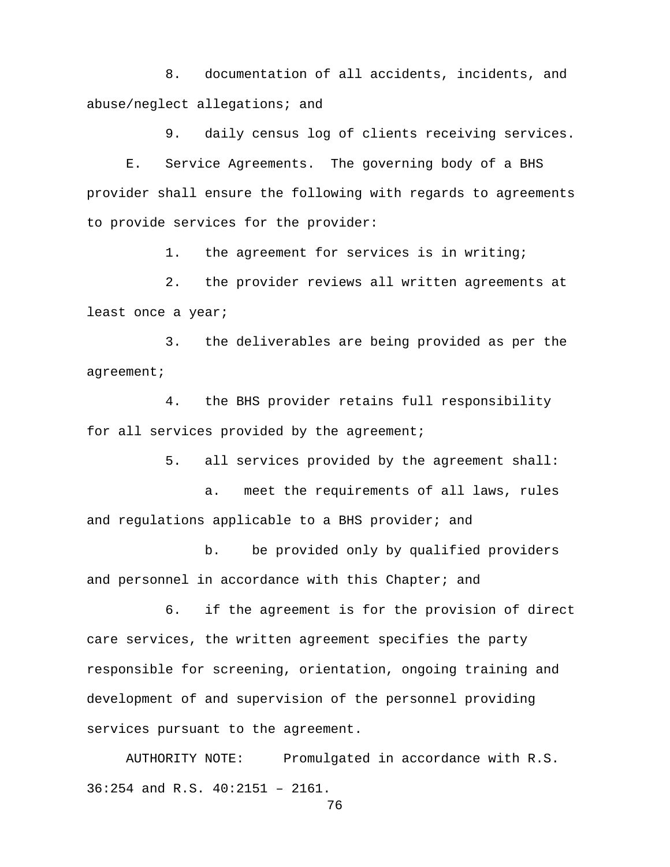8. documentation of all accidents, incidents, and abuse/neglect allegations; and

9. daily census log of clients receiving services.

E. Service Agreements. The governing body of a BHS provider shall ensure the following with regards to agreements to provide services for the provider:

1. the agreement for services is in writing;

2. the provider reviews all written agreements at least once a year;

3. the deliverables are being provided as per the agreement;

4. the BHS provider retains full responsibility for all services provided by the agreement;

5. all services provided by the agreement shall:

a. meet the requirements of all laws, rules and regulations applicable to a BHS provider; and

b. be provided only by qualified providers and personnel in accordance with this Chapter; and

6. if the agreement is for the provision of direct care services, the written agreement specifies the party responsible for screening, orientation, ongoing training and development of and supervision of the personnel providing services pursuant to the agreement.

AUTHORITY NOTE: Promulgated in accordance with R.S. 36:254 and R.S. 40:2151 – 2161.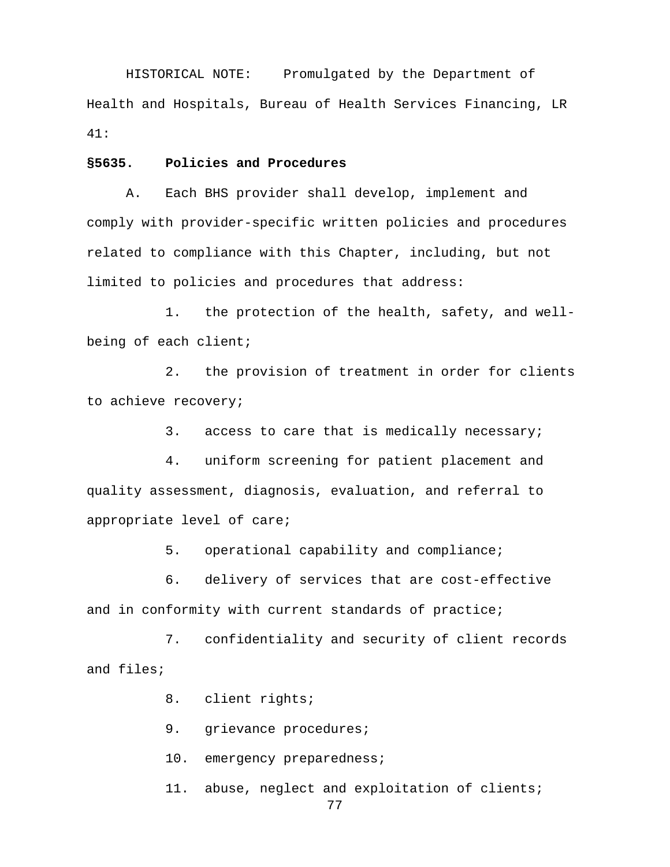HISTORICAL NOTE: Promulgated by the Department of Health and Hospitals, Bureau of Health Services Financing, LR 41:

### **§5635. Policies and Procedures**

A. Each BHS provider shall develop, implement and comply with provider-specific written policies and procedures related to compliance with this Chapter, including, but not limited to policies and procedures that address:

1. the protection of the health, safety, and wellbeing of each client;

2. the provision of treatment in order for clients to achieve recovery;

3. access to care that is medically necessary;

4. uniform screening for patient placement and quality assessment, diagnosis, evaluation, and referral to appropriate level of care;

5. operational capability and compliance;

6. delivery of services that are cost-effective and in conformity with current standards of practice;

7. confidentiality and security of client records and files;

8. client rights;

9. grievance procedures;

10. emergency preparedness;

11. abuse, neglect and exploitation of clients;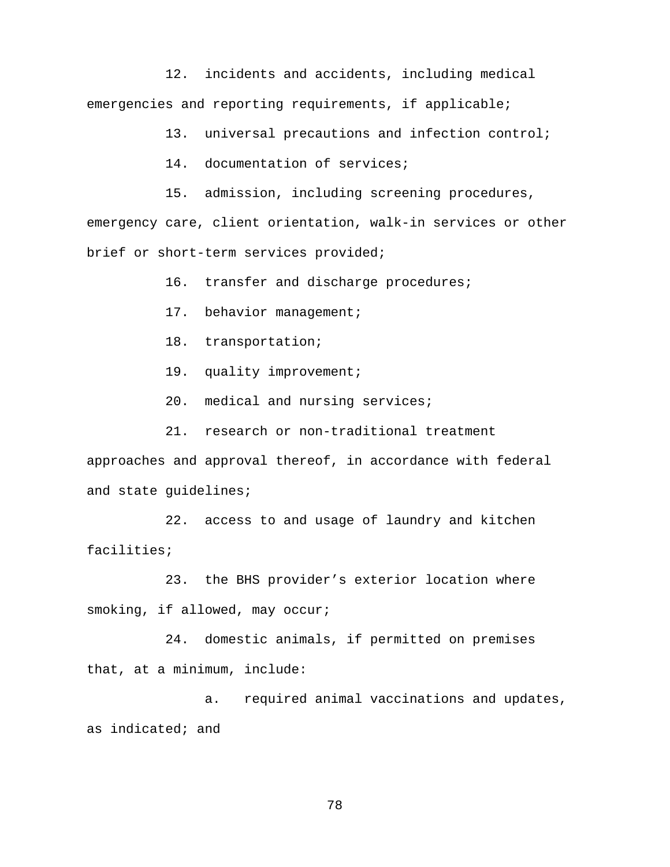12. incidents and accidents, including medical emergencies and reporting requirements, if applicable;

13. universal precautions and infection control;

14. documentation of services;

15. admission, including screening procedures, emergency care, client orientation, walk-in services or other brief or short-term services provided;

16. transfer and discharge procedures;

17. behavior management;

18. transportation;

19. quality improvement;

20. medical and nursing services;

21. research or non-traditional treatment

approaches and approval thereof, in accordance with federal and state guidelines;

22. access to and usage of laundry and kitchen facilities;

23. the BHS provider's exterior location where smoking, if allowed, may occur;

24. domestic animals, if permitted on premises that, at a minimum, include:

a. required animal vaccinations and updates, as indicated; and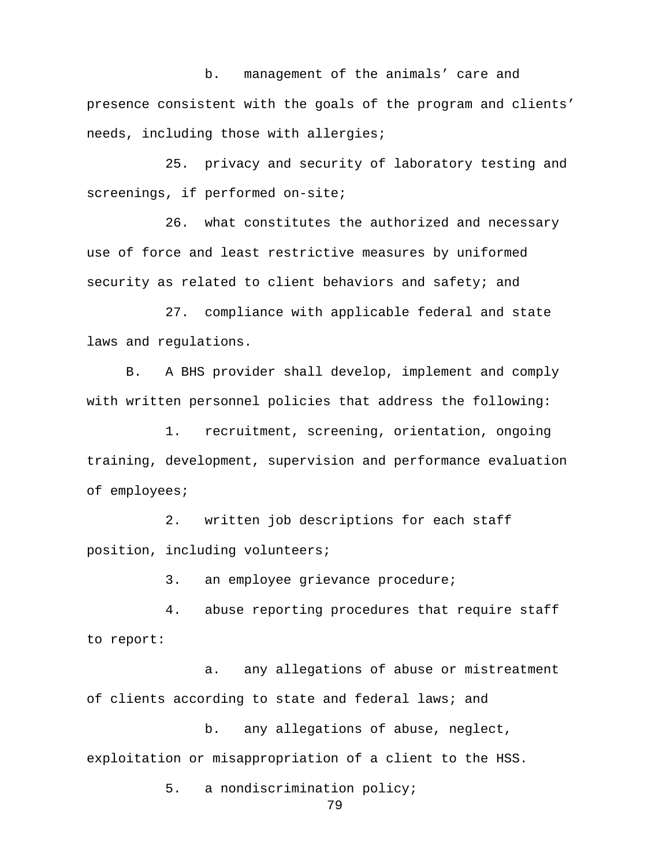b. management of the animals' care and presence consistent with the goals of the program and clients' needs, including those with allergies;

25. privacy and security of laboratory testing and screenings, if performed on-site;

26. what constitutes the authorized and necessary use of force and least restrictive measures by uniformed security as related to client behaviors and safety; and

27. compliance with applicable federal and state laws and regulations.

B. A BHS provider shall develop, implement and comply with written personnel policies that address the following:

1. recruitment, screening, orientation, ongoing training, development, supervision and performance evaluation of employees;

2. written job descriptions for each staff position, including volunteers;

3. an employee grievance procedure;

4. abuse reporting procedures that require staff to report:

a. any allegations of abuse or mistreatment of clients according to state and federal laws; and

b. any allegations of abuse, neglect, exploitation or misappropriation of a client to the HSS.

5. a nondiscrimination policy;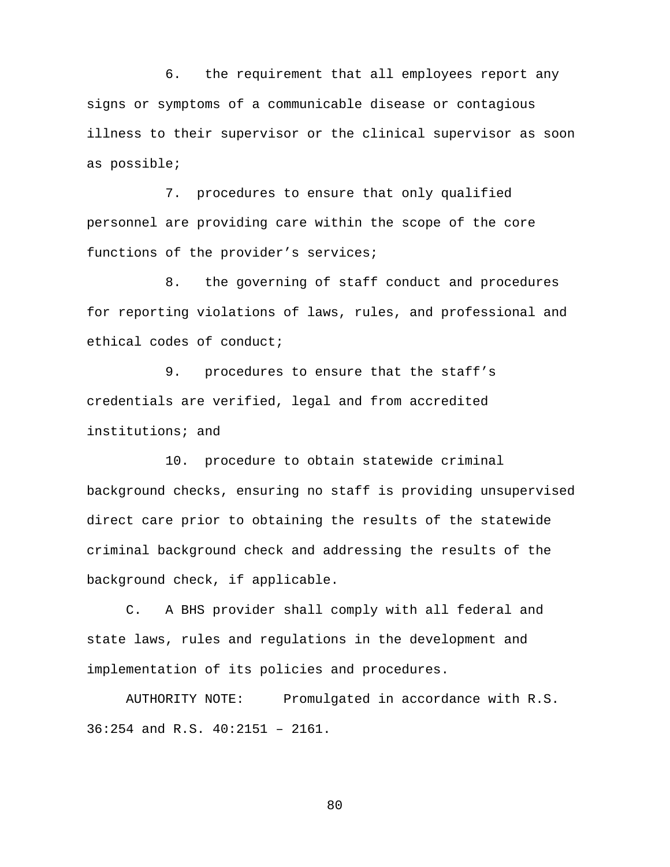6. the requirement that all employees report any signs or symptoms of a communicable disease or contagious illness to their supervisor or the clinical supervisor as soon as possible;

7. procedures to ensure that only qualified personnel are providing care within the scope of the core functions of the provider's services;

8. the governing of staff conduct and procedures for reporting violations of laws, rules, and professional and ethical codes of conduct;

9. procedures to ensure that the staff's credentials are verified, legal and from accredited institutions; and

10. procedure to obtain statewide criminal background checks, ensuring no staff is providing unsupervised direct care prior to obtaining the results of the statewide criminal background check and addressing the results of the background check, if applicable.

C. A BHS provider shall comply with all federal and state laws, rules and regulations in the development and implementation of its policies and procedures.

AUTHORITY NOTE: Promulgated in accordance with R.S. 36:254 and R.S. 40:2151 – 2161.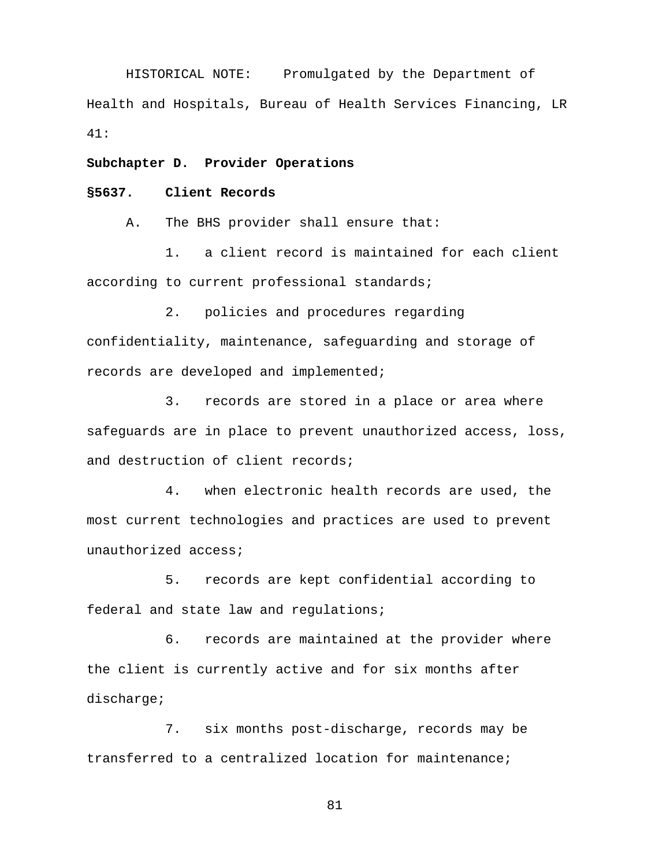HISTORICAL NOTE: Promulgated by the Department of Health and Hospitals, Bureau of Health Services Financing, LR 41:

**Subchapter D. Provider Operations**

## **§5637. Client Records**

A. The BHS provider shall ensure that:

1. a client record is maintained for each client according to current professional standards;

2. policies and procedures regarding confidentiality, maintenance, safeguarding and storage of records are developed and implemented;

3. records are stored in a place or area where safeguards are in place to prevent unauthorized access, loss, and destruction of client records;

4. when electronic health records are used, the most current technologies and practices are used to prevent unauthorized access;

5. records are kept confidential according to federal and state law and regulations;

6. records are maintained at the provider where the client is currently active and for six months after discharge;

7. six months post-discharge, records may be transferred to a centralized location for maintenance;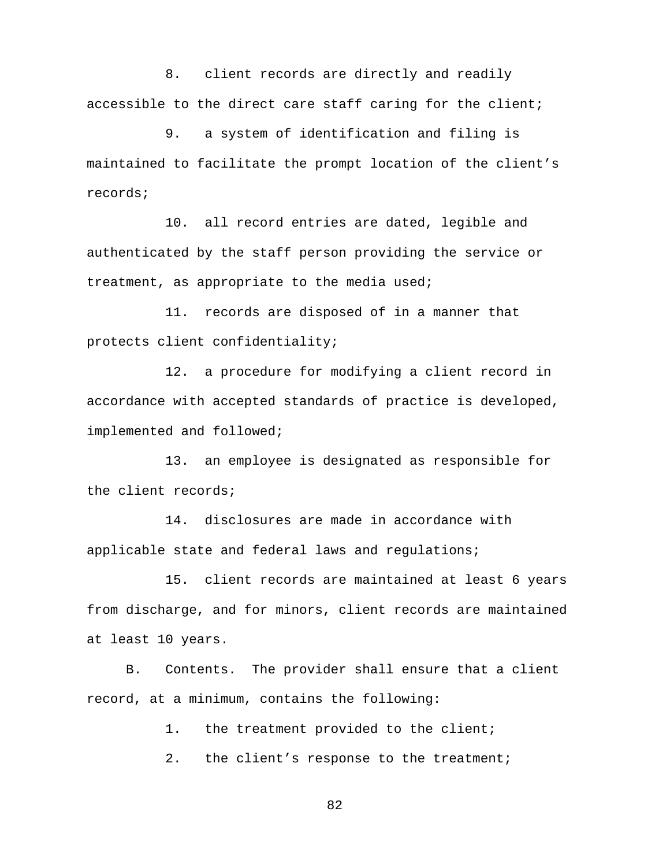8. client records are directly and readily accessible to the direct care staff caring for the client;

9. a system of identification and filing is maintained to facilitate the prompt location of the client's records;

10. all record entries are dated, legible and authenticated by the staff person providing the service or treatment, as appropriate to the media used;

11. records are disposed of in a manner that protects client confidentiality;

12. a procedure for modifying a client record in accordance with accepted standards of practice is developed, implemented and followed;

13. an employee is designated as responsible for the client records;

 14. disclosures are made in accordance with applicable state and federal laws and regulations;

15. client records are maintained at least 6 years from discharge, and for minors, client records are maintained at least 10 years.

B. Contents.The provider shall ensure that a client record, at a minimum, contains the following:

1. the treatment provided to the client;

2. the client's response to the treatment;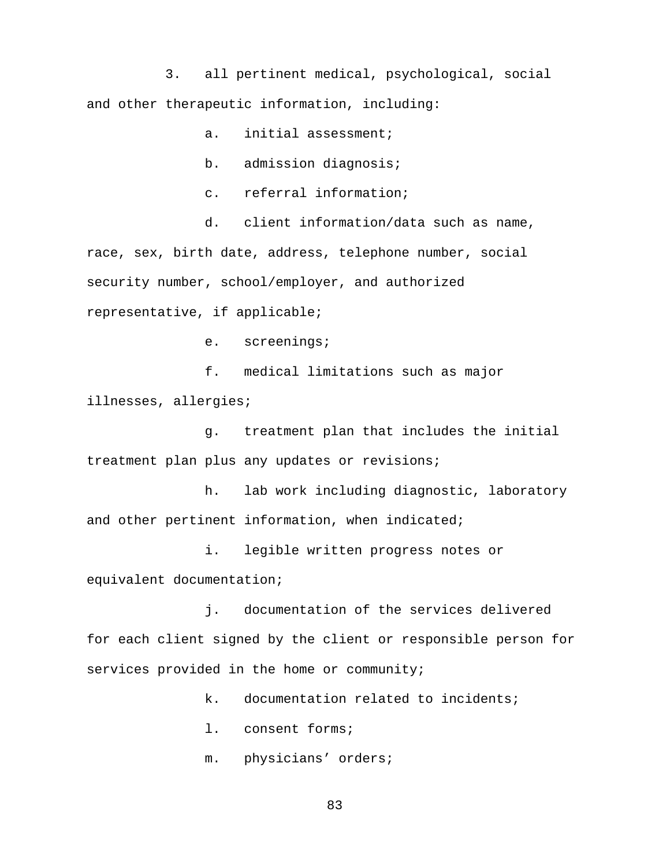3. all pertinent medical, psychological, social and other therapeutic information, including:

a. initial assessment;

b. admission diagnosis;

c. referral information;

d. client information/data such as name, race, sex, birth date, address, telephone number, social security number, school/employer, and authorized representative, if applicable;

e. screenings;

f. medical limitations such as major

illnesses, allergies;

g. treatment plan that includes the initial treatment plan plus any updates or revisions;

h. lab work including diagnostic, laboratory and other pertinent information, when indicated;

 i. legible written progress notes or equivalent documentation;

j. documentation of the services delivered for each client signed by the client or responsible person for services provided in the home or community;

k. documentation related to incidents;

l. consent forms;

m. physicians' orders;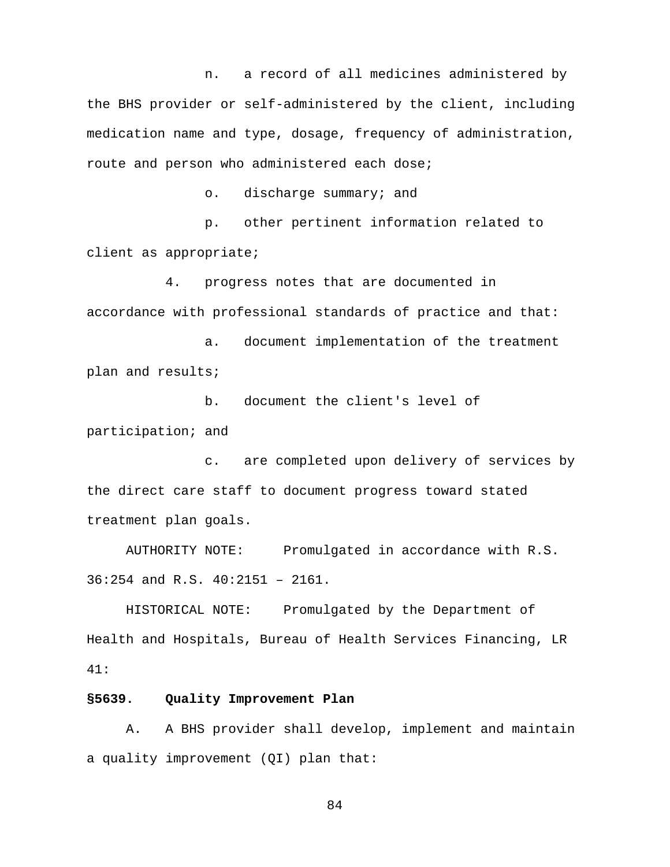n. a record of all medicines administered by the BHS provider or self-administered by the client, including medication name and type, dosage, frequency of administration, route and person who administered each dose;

o. discharge summary; and

p. other pertinent information related to client as appropriate;

4. progress notes that are documented in accordance with professional standards of practice and that:

a. document implementation of the treatment plan and results;

b. document the client's level of participation; and

c. are completed upon delivery of services by the direct care staff to document progress toward stated treatment plan goals.

AUTHORITY NOTE: Promulgated in accordance with R.S. 36:254 and R.S. 40:2151 – 2161.

HISTORICAL NOTE: Promulgated by the Department of Health and Hospitals, Bureau of Health Services Financing, LR 41:

#### **§5639. Quality Improvement Plan**

 A. A BHS provider shall develop, implement and maintain a quality improvement (QI) plan that: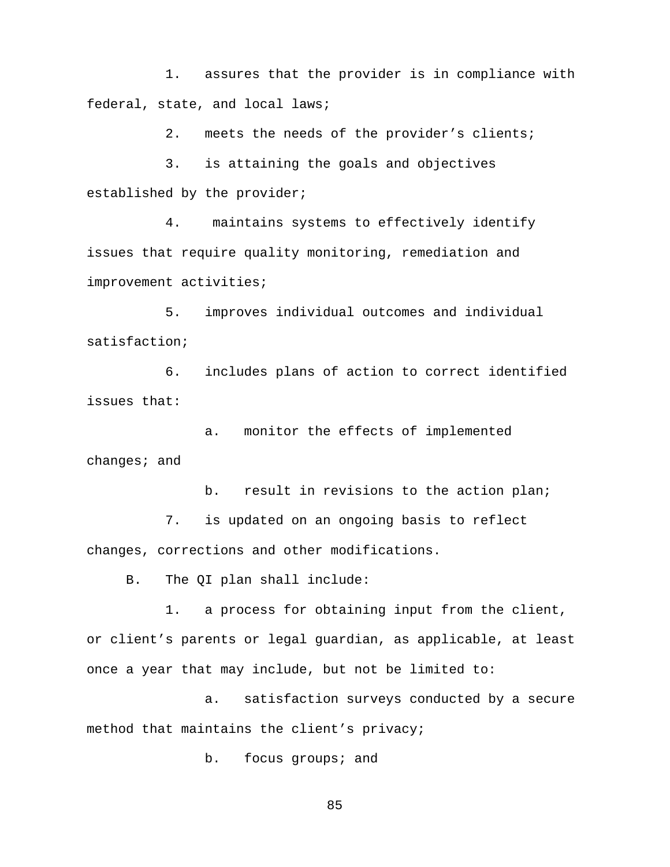1. assures that the provider is in compliance with federal, state, and local laws;

2. meets the needs of the provider's clients;

3. is attaining the goals and objectives established by the provider;

4. maintains systems to effectively identify issues that require quality monitoring, remediation and improvement activities;

5. improves individual outcomes and individual satisfaction;

6. includes plans of action to correct identified issues that:

a. monitor the effects of implemented changes; and

b. result in revisions to the action plan; 7. is updated on an ongoing basis to reflect changes, corrections and other modifications.

B. The QI plan shall include:

1. a process for obtaining input from the client, or client's parents or legal guardian, as applicable, at least once a year that may include, but not be limited to:

a. satisfaction surveys conducted by a secure method that maintains the client's privacy;

b. focus groups; and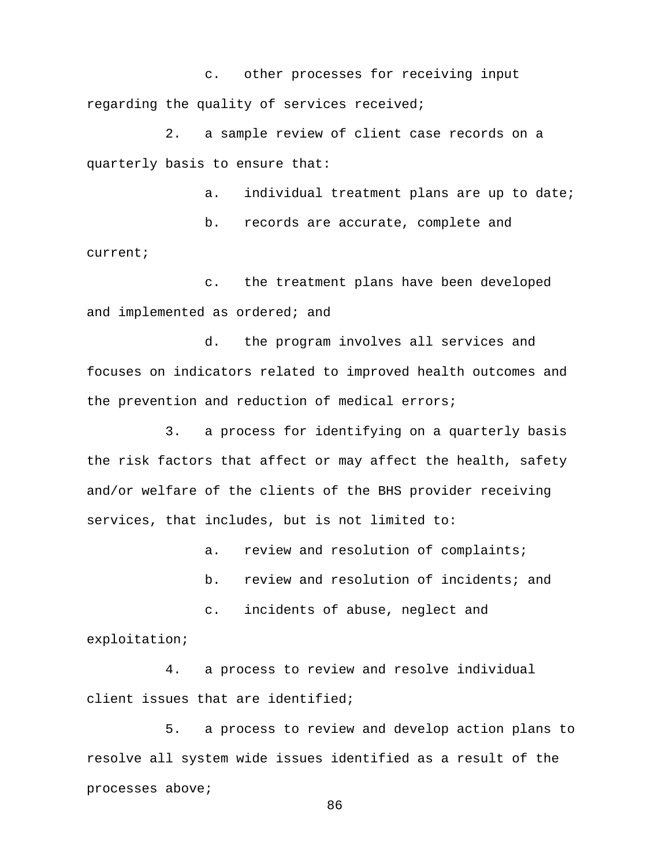c. other processes for receiving input regarding the quality of services received;

2. a sample review of client case records on a quarterly basis to ensure that:

a. individual treatment plans are up to date;

b. records are accurate, complete and current;

c. the treatment plans have been developed and implemented as ordered; and

d. the program involves all services and focuses on indicators related to improved health outcomes and the prevention and reduction of medical errors;

3. a process for identifying on a quarterly basis the risk factors that affect or may affect the health, safety and/or welfare of the clients of the BHS provider receiving services, that includes, but is not limited to:

a. review and resolution of complaints;

b. review and resolution of incidents; and

c. incidents of abuse, neglect and

exploitation;

4. a process to review and resolve individual client issues that are identified;

5. a process to review and develop action plans to resolve all system wide issues identified as a result of the processes above;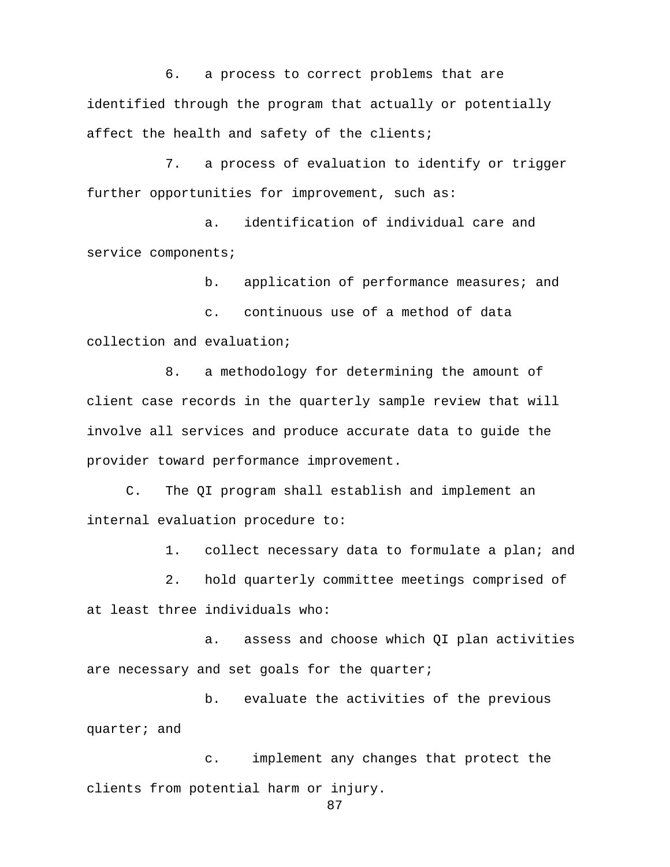6. a process to correct problems that are identified through the program that actually or potentially affect the health and safety of the clients;

7. a process of evaluation to identify or trigger further opportunities for improvement, such as:

a. identification of individual care and service components;

b. application of performance measures; and

c. continuous use of a method of data collection and evaluation;

8. a methodology for determining the amount of client case records in the quarterly sample review that will involve all services and produce accurate data to guide the provider toward performance improvement.

 C. The QI program shall establish and implement an internal evaluation procedure to:

1. collect necessary data to formulate a plan; and

2. hold quarterly committee meetings comprised of at least three individuals who:

a. assess and choose which QI plan activities are necessary and set goals for the quarter;

 b. evaluate the activities of the previous quarter; and

c. implement any changes that protect the clients from potential harm or injury.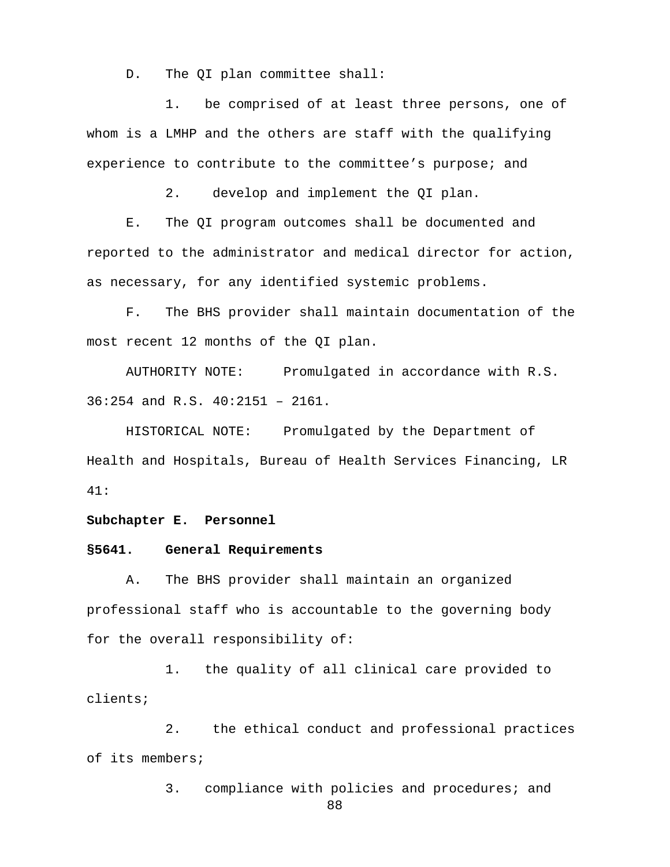D. The OI plan committee shall:

1. be comprised of at least three persons, one of whom is a LMHP and the others are staff with the qualifying experience to contribute to the committee's purpose; and

2. develop and implement the QI plan.

E. The QI program outcomes shall be documented and reported to the administrator and medical director for action, as necessary, for any identified systemic problems.

F. The BHS provider shall maintain documentation of the most recent 12 months of the QI plan.

AUTHORITY NOTE: Promulgated in accordance with R.S. 36:254 and R.S. 40:2151 – 2161.

HISTORICAL NOTE: Promulgated by the Department of Health and Hospitals, Bureau of Health Services Financing, LR 41:

**Subchapter E. Personnel**

## **§5641. General Requirements**

A. The BHS provider shall maintain an organized professional staff who is accountable to the governing body for the overall responsibility of:

1. the quality of all clinical care provided to clients;

2. the ethical conduct and professional practices of its members;

3. compliance with policies and procedures; and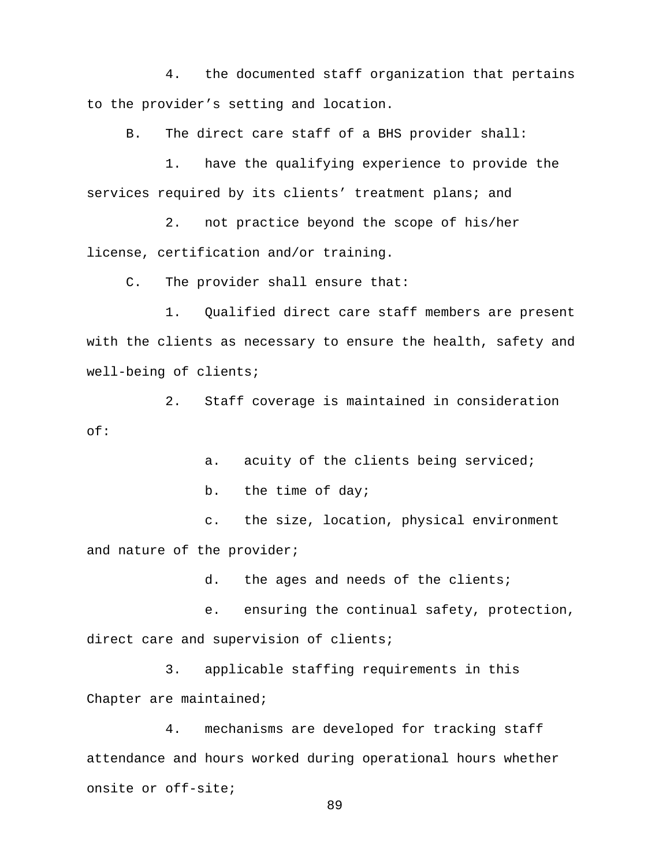4. the documented staff organization that pertains to the provider's setting and location.

B. The direct care staff of a BHS provider shall:

1. have the qualifying experience to provide the services required by its clients' treatment plans; and

2. not practice beyond the scope of his/her license, certification and/or training.

C. The provider shall ensure that:

1. Qualified direct care staff members are present with the clients as necessary to ensure the health, safety and well-being of clients;

2. Staff coverage is maintained in consideration of:

a. acuity of the clients being serviced;

b. the time of day;

c. the size, location, physical environment and nature of the provider;

d. the ages and needs of the clients;

e. ensuring the continual safety, protection, direct care and supervision of clients;

3. applicable staffing requirements in this Chapter are maintained;

4. mechanisms are developed for tracking staff attendance and hours worked during operational hours whether onsite or off-site;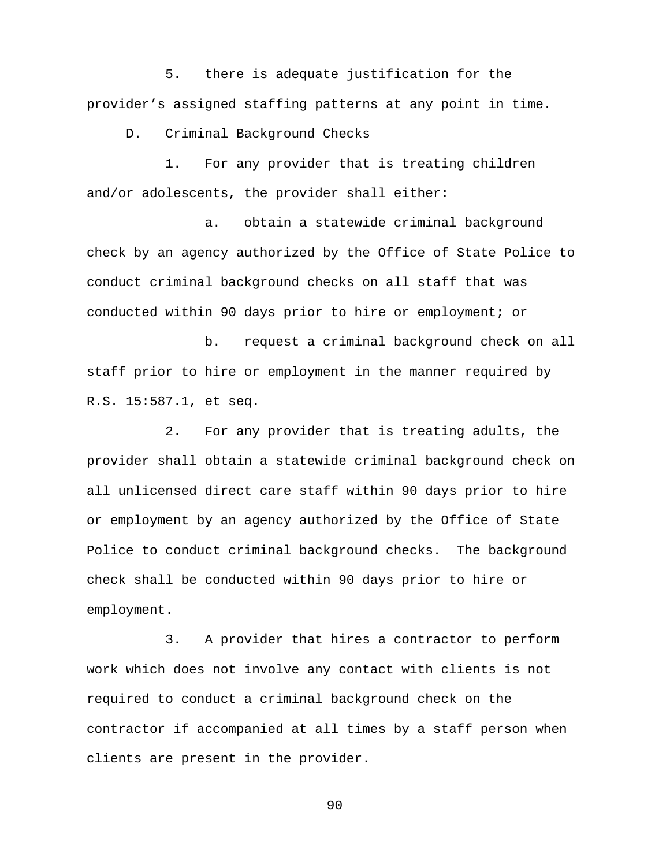5. there is adequate justification for the provider's assigned staffing patterns at any point in time.

D. Criminal Background Checks

1. For any provider that is treating children and/or adolescents, the provider shall either:

a. obtain a statewide criminal background check by an agency authorized by the Office of State Police to conduct criminal background checks on all staff that was conducted within 90 days prior to hire or employment; or

b. request a criminal background check on all staff prior to hire or employment in the manner required by R.S. 15:587.1, et seq.

2. For any provider that is treating adults, the provider shall obtain a statewide criminal background check on all unlicensed direct care staff within 90 days prior to hire or employment by an agency authorized by the Office of State Police to conduct criminal background checks. The background check shall be conducted within 90 days prior to hire or employment.

3. A provider that hires a contractor to perform work which does not involve any contact with clients is not required to conduct a criminal background check on the contractor if accompanied at all times by a staff person when clients are present in the provider.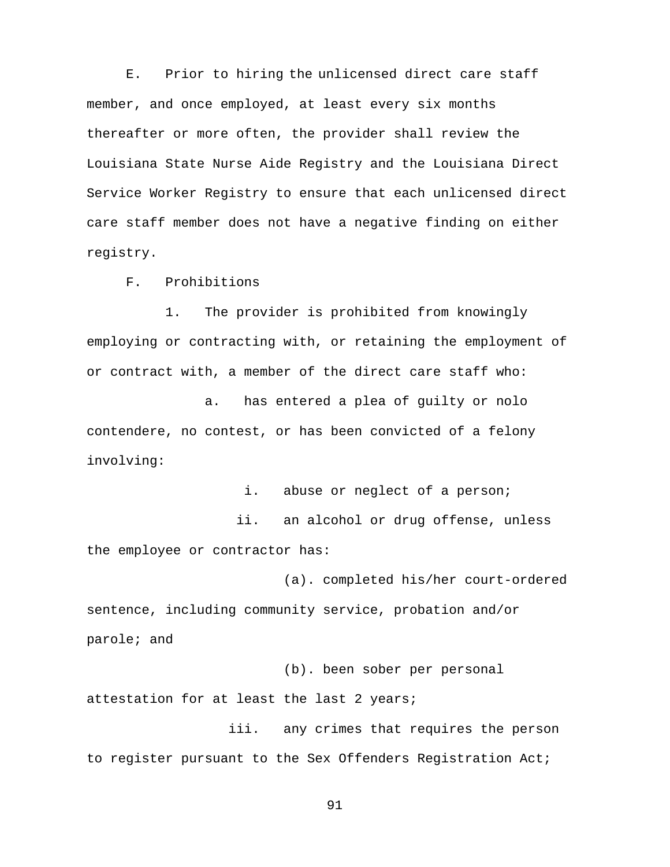E. Prior to hiring the unlicensed direct care staff member, and once employed, at least every six months thereafter or more often, the provider shall review the Louisiana State Nurse Aide Registry and the Louisiana Direct Service Worker Registry to ensure that each unlicensed direct care staff member does not have a negative finding on either registry.

F. Prohibitions

1. The provider is prohibited from knowingly employing or contracting with, or retaining the employment of or contract with, a member of the direct care staff who:

a. has entered a plea of guilty or nolo contendere, no contest, or has been convicted of a felony involving:

i. abuse or neglect of a person; ii. an alcohol or drug offense, unless the employee or contractor has:

(a). completed his/her court-ordered sentence, including community service, probation and/or parole; and

(b). been sober per personal

attestation for at least the last 2 years;

 iii. any crimes that requires the person to register pursuant to the Sex Offenders Registration Act;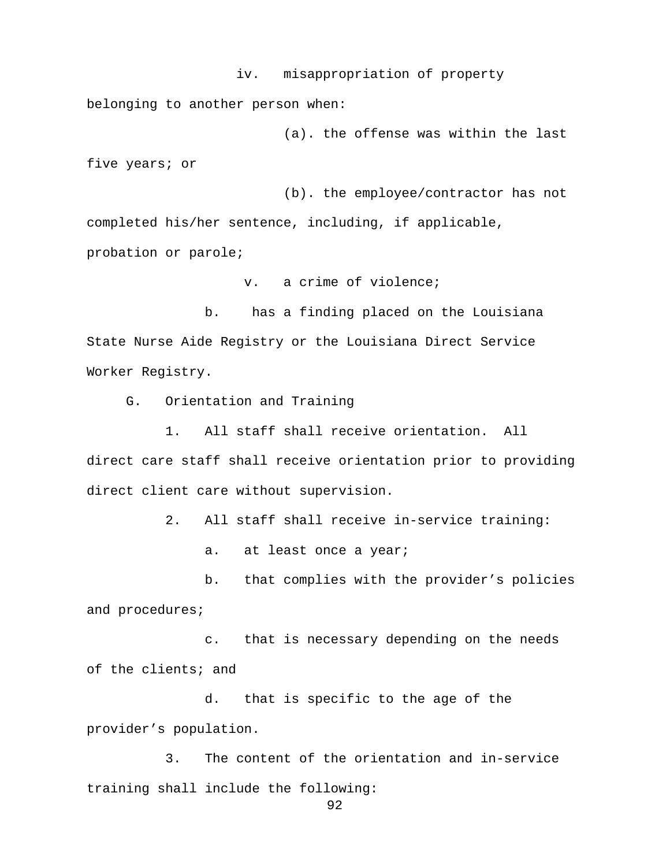iv. misappropriation of property belonging to another person when:

 (a). the offense was within the last five years; or

(b). the employee/contractor has not completed his/her sentence, including, if applicable, probation or parole;

v. a crime of violence;

 b. has a finding placed on the Louisiana State Nurse Aide Registry or the Louisiana Direct Service Worker Registry.

G. Orientation and Training

1. All staff shall receive orientation. All direct care staff shall receive orientation prior to providing direct client care without supervision.

2. All staff shall receive in-service training:

a. at least once a year;

b. that complies with the provider's policies and procedures;

 c. that is necessary depending on the needs of the clients; and

 d. that is specific to the age of the provider's population.

3. The content of the orientation and in-service training shall include the following: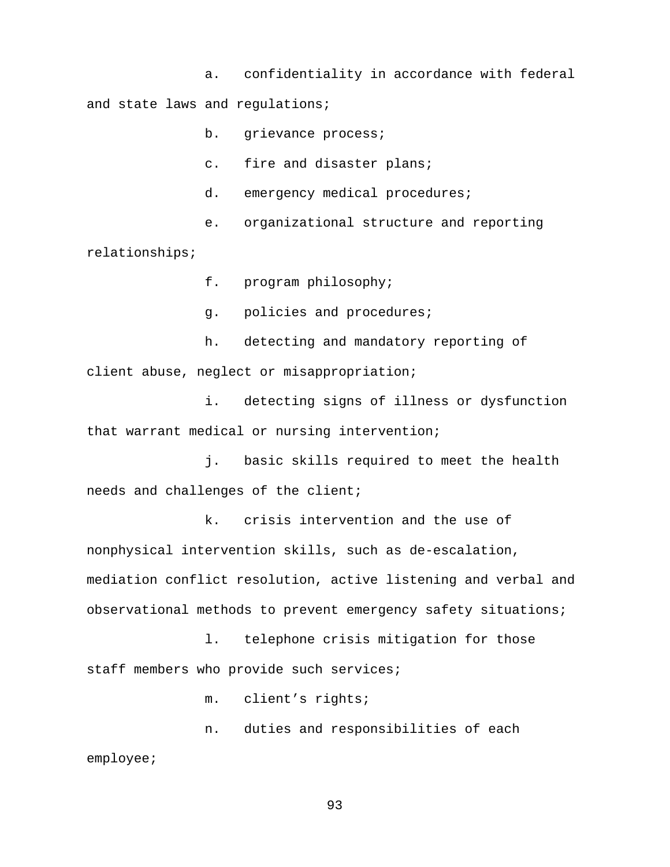a. confidentiality in accordance with federal and state laws and regulations;

b. grievance process;

c. fire and disaster plans;

d. emergency medical procedures;

e. organizational structure and reporting

relationships;

f. program philosophy;

g. policies and procedures;

h. detecting and mandatory reporting of client abuse, neglect or misappropriation;

i. detecting signs of illness or dysfunction that warrant medical or nursing intervention;

j. basic skills required to meet the health needs and challenges of the client;

k. crisis intervention and the use of nonphysical intervention skills, such as de-escalation, mediation conflict resolution, active listening and verbal and observational methods to prevent emergency safety situations;

l. telephone crisis mitigation for those staff members who provide such services;

m. client's rights;

n. duties and responsibilities of each employee;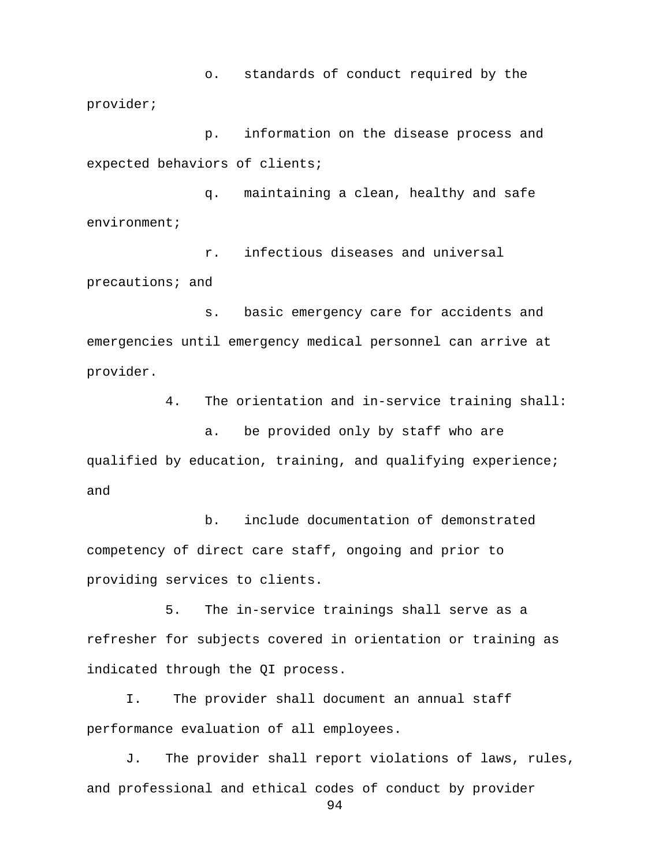o. standards of conduct required by the provider;

p. information on the disease process and expected behaviors of clients;

q. maintaining a clean, healthy and safe environment;

r. infectious diseases and universal precautions; and

s. basic emergency care for accidents and emergencies until emergency medical personnel can arrive at provider.

4. The orientation and in-service training shall:

a. be provided only by staff who are qualified by education, training, and qualifying experience; and

b. include documentation of demonstrated competency of direct care staff, ongoing and prior to providing services to clients.

5. The in-service trainings shall serve as a refresher for subjects covered in orientation or training as indicated through the QI process.

 I. The provider shall document an annual staff performance evaluation of all employees.

J. The provider shall report violations of laws, rules, and professional and ethical codes of conduct by provider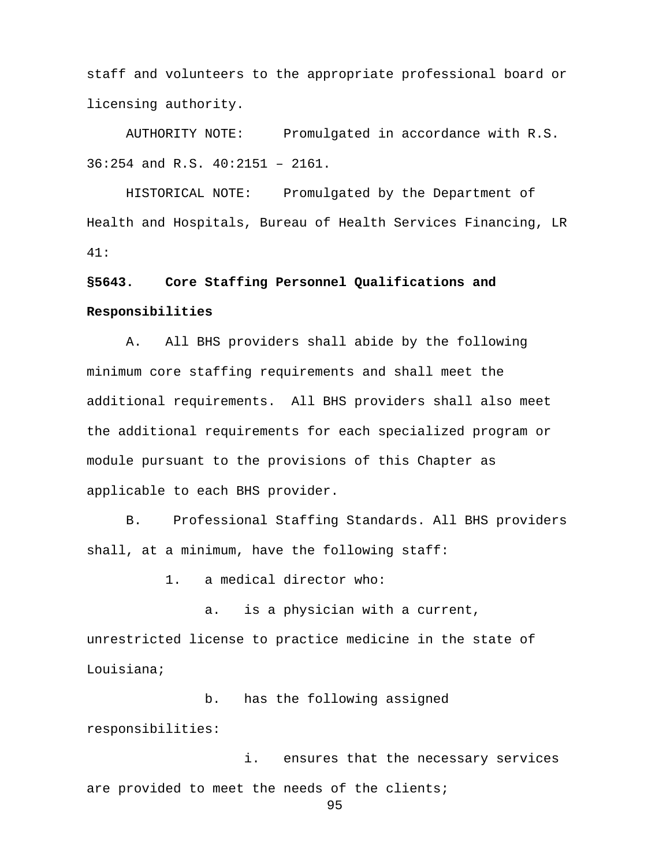staff and volunteers to the appropriate professional board or licensing authority.

AUTHORITY NOTE: Promulgated in accordance with R.S. 36:254 and R.S. 40:2151 – 2161.

HISTORICAL NOTE: Promulgated by the Department of Health and Hospitals, Bureau of Health Services Financing, LR 41:

# **§5643. Core Staffing Personnel Qualifications and Responsibilities**

A. All BHS providers shall abide by the following minimum core staffing requirements and shall meet the additional requirements. All BHS providers shall also meet the additional requirements for each specialized program or module pursuant to the provisions of this Chapter as applicable to each BHS provider.

B. Professional Staffing Standards. All BHS providers shall, at a minimum, have the following staff:

1. a medical director who:

 a. is a physician with a current, unrestricted license to practice medicine in the state of Louisiana;

b. has the following assigned responsibilities:

i. ensures that the necessary services are provided to meet the needs of the clients;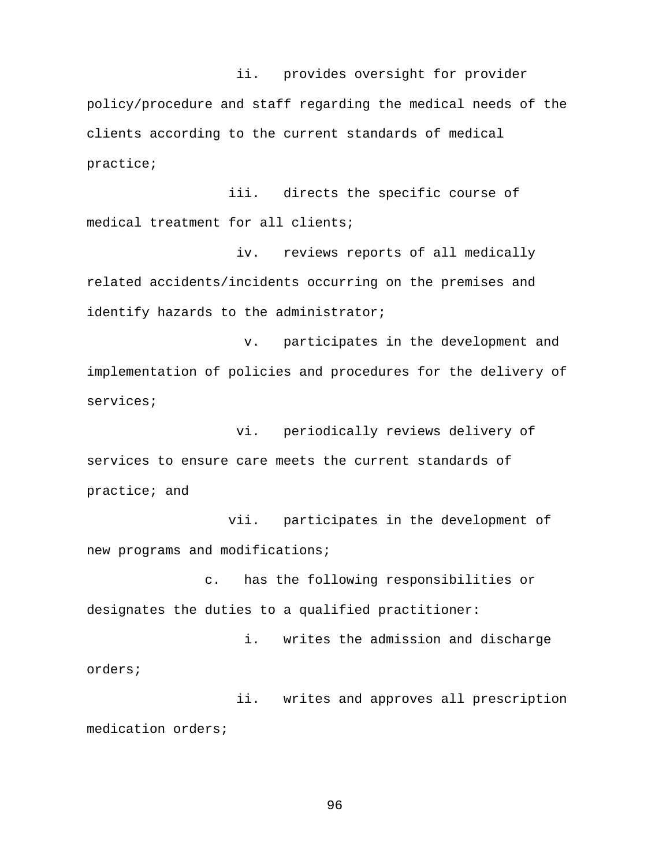ii. provides oversight for provider policy/procedure and staff regarding the medical needs of the clients according to the current standards of medical practice;

 iii. directs the specific course of medical treatment for all clients;

 iv. reviews reports of all medically related accidents/incidents occurring on the premises and identify hazards to the administrator;

v. participates in the development and implementation of policies and procedures for the delivery of services;

 vi. periodically reviews delivery of services to ensure care meets the current standards of practice; and

 vii. participates in the development of new programs and modifications;

c. has the following responsibilities or designates the duties to a qualified practitioner:

i. writes the admission and discharge orders;

 ii. writes and approves all prescription medication orders;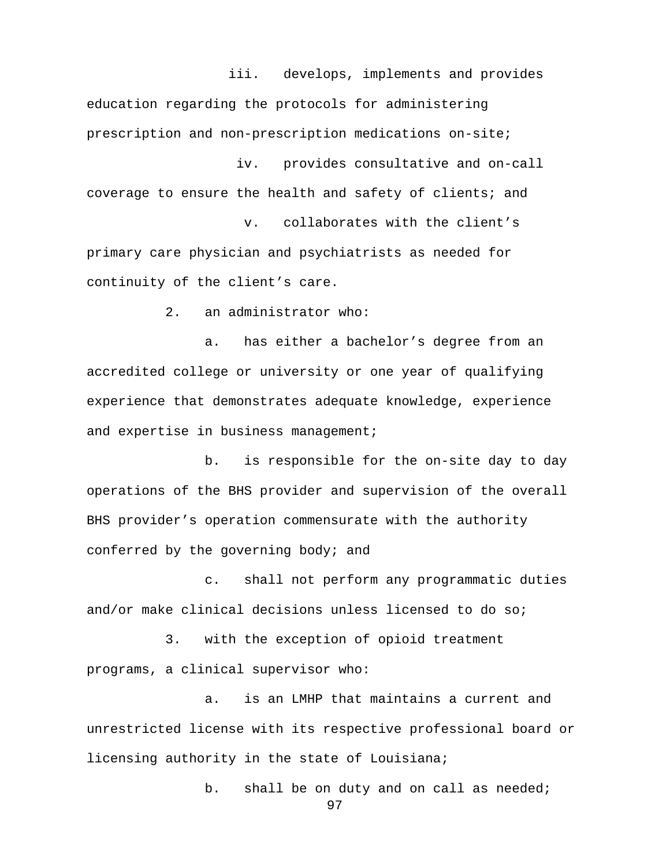iii. develops, implements and provides

education regarding the protocols for administering prescription and non-prescription medications on-site; iv. provides consultative and on-call

coverage to ensure the health and safety of clients; and

v. collaborates with the client's primary care physician and psychiatrists as needed for continuity of the client's care.

2. an administrator who:

 a. has either a bachelor's degree from an accredited college or university or one year of qualifying experience that demonstrates adequate knowledge, experience and expertise in business management;

 b. is responsible for the on-site day to day operations of the BHS provider and supervision of the overall BHS provider's operation commensurate with the authority conferred by the governing body; and

c. shall not perform any programmatic duties and/or make clinical decisions unless licensed to do so;

3. with the exception of opioid treatment programs, a clinical supervisor who:

a. is an LMHP that maintains a current and unrestricted license with its respective professional board or licensing authority in the state of Louisiana;

b. shall be on duty and on call as needed;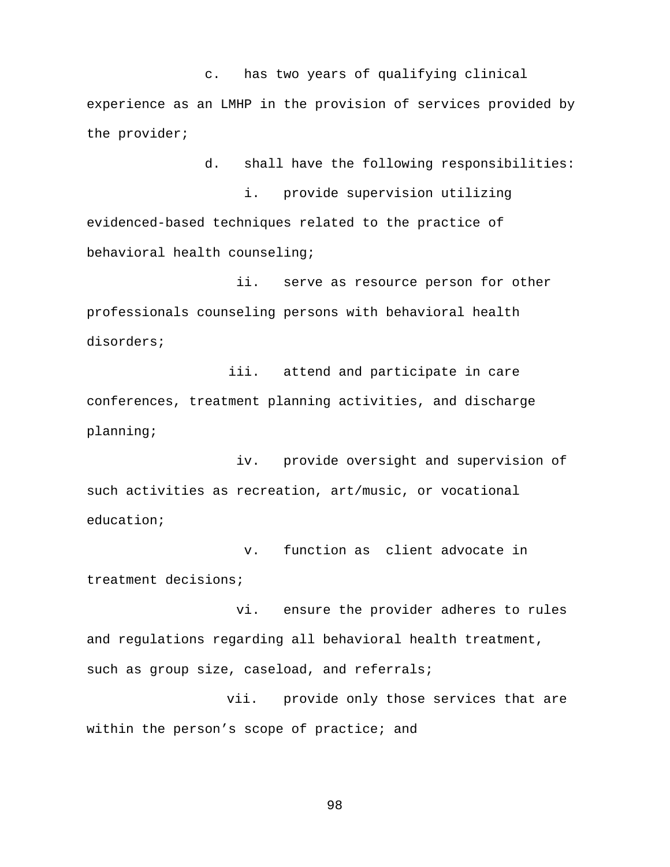c. has two years of qualifying clinical experience as an LMHP in the provision of services provided by the provider;

d. shall have the following responsibilities: i. provide supervision utilizing evidenced-based techniques related to the practice of behavioral health counseling;

 ii. serve as resource person for other professionals counseling persons with behavioral health disorders;

 iii. attend and participate in care conferences, treatment planning activities, and discharge planning;

 iv. provide oversight and supervision of such activities as recreation, art/music, or vocational education;

 v. function as client advocate in treatment decisions;

 vi. ensure the provider adheres to rules and regulations regarding all behavioral health treatment, such as group size, caseload, and referrals;

 vii. provide only those services that are within the person's scope of practice; and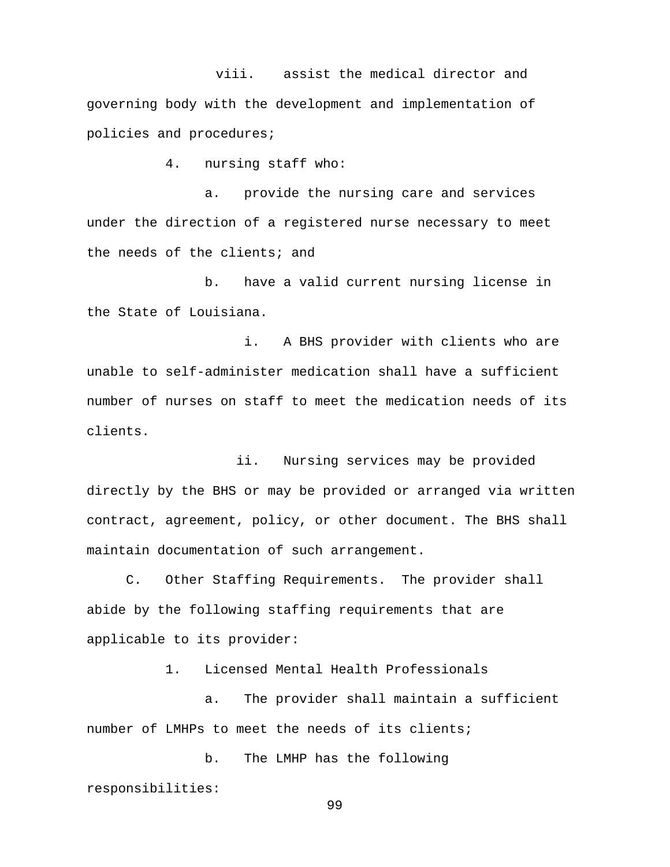viii. assist the medical director and governing body with the development and implementation of policies and procedures;

4. nursing staff who:

a. provide the nursing care and services under the direction of a registered nurse necessary to meet the needs of the clients; and

b. have a valid current nursing license in the State of Louisiana.

i. A BHS provider with clients who are unable to self-administer medication shall have a sufficient number of nurses on staff to meet the medication needs of its clients.

 ii. Nursing services may be provided directly by the BHS or may be provided or arranged via written contract, agreement, policy, or other document. The BHS shall maintain documentation of such arrangement.

C. Other Staffing Requirements. The provider shall abide by the following staffing requirements that are applicable to its provider:

1. Licensed Mental Health Professionals

a. The provider shall maintain a sufficient number of LMHPs to meet the needs of its clients;

b. The LMHP has the following responsibilities: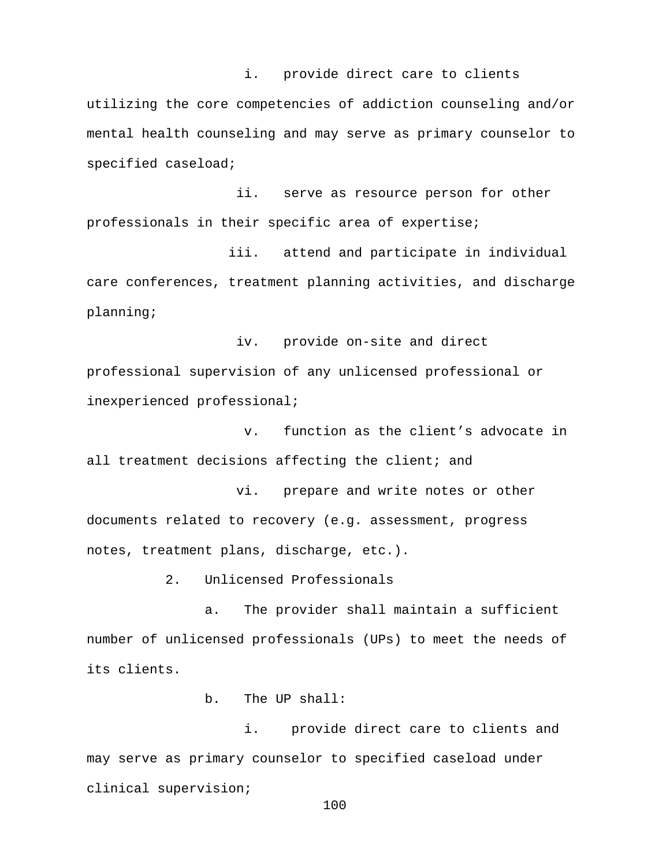i. provide direct care to clients utilizing the core competencies of addiction counseling and/or mental health counseling and may serve as primary counselor to specified caseload;

 ii. serve as resource person for other professionals in their specific area of expertise;

 iii. attend and participate in individual care conferences, treatment planning activities, and discharge planning;

 iv. provide on-site and direct professional supervision of any unlicensed professional or inexperienced professional;

v. function as the client's advocate in all treatment decisions affecting the client; and

 vi. prepare and write notes or other documents related to recovery (e.g. assessment, progress notes, treatment plans, discharge, etc.).

2. Unlicensed Professionals

a. The provider shall maintain a sufficient number of unlicensed professionals (UPs) to meet the needs of its clients.

b. The UP shall:

i. provide direct care to clients and may serve as primary counselor to specified caseload under clinical supervision;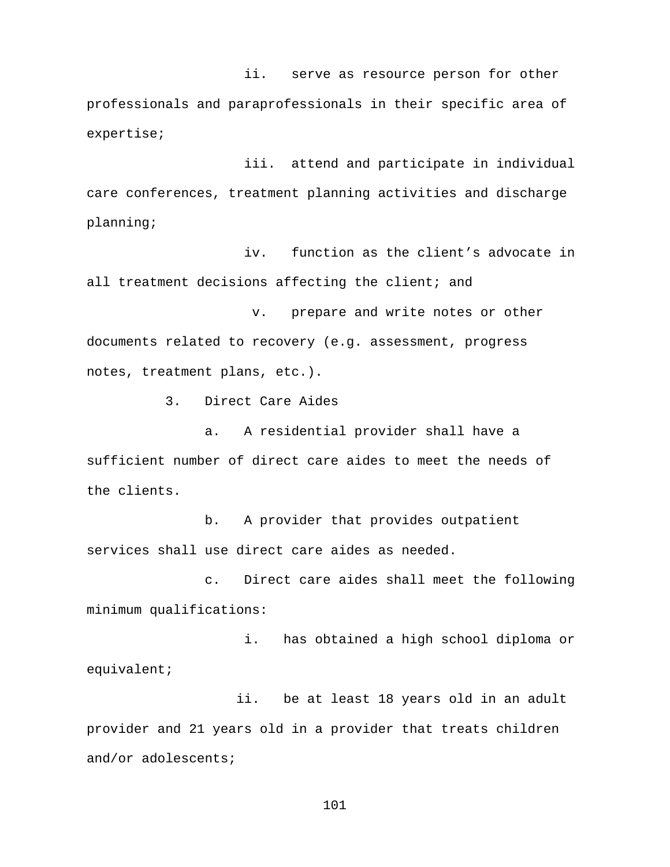ii. serve as resource person for other professionals and paraprofessionals in their specific area of expertise;

iii. attend and participate in individual care conferences, treatment planning activities and discharge planning;

iv. function as the client's advocate in all treatment decisions affecting the client; and

v. prepare and write notes or other documents related to recovery (e.g. assessment, progress notes, treatment plans, etc.).

3. Direct Care Aides

a. A residential provider shall have a sufficient number of direct care aides to meet the needs of the clients.

b. A provider that provides outpatient services shall use direct care aides as needed.

c. Direct care aides shall meet the following minimum qualifications:

i. has obtained a high school diploma or equivalent;

 ii. be at least 18 years old in an adult provider and 21 years old in a provider that treats children and/or adolescents;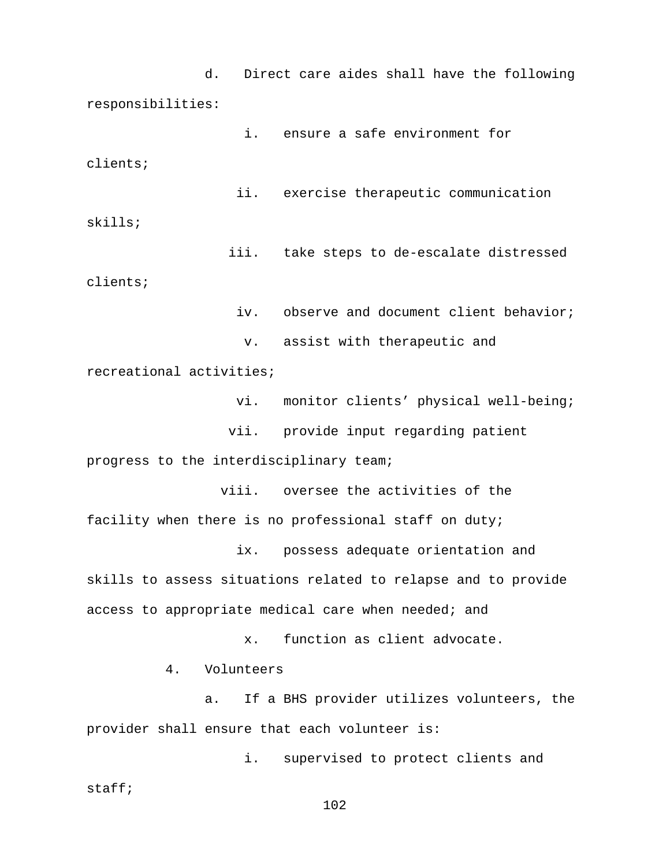d. Direct care aides shall have the following responsibilities:

i. ensure a safe environment for clients;

 ii. exercise therapeutic communication skills;

 iii. take steps to de-escalate distressed clients;

iv. observe and document client behavior;

v. assist with therapeutic and

recreational activities;

vi. monitor clients' physical well-being;

vii. provide input regarding patient

progress to the interdisciplinary team;

 viii. oversee the activities of the facility when there is no professional staff on duty;

ix. possess adequate orientation and

skills to assess situations related to relapse and to provide access to appropriate medical care when needed; and

x. function as client advocate.

4. Volunteers

a. If a BHS provider utilizes volunteers, the provider shall ensure that each volunteer is:

i. supervised to protect clients and staff;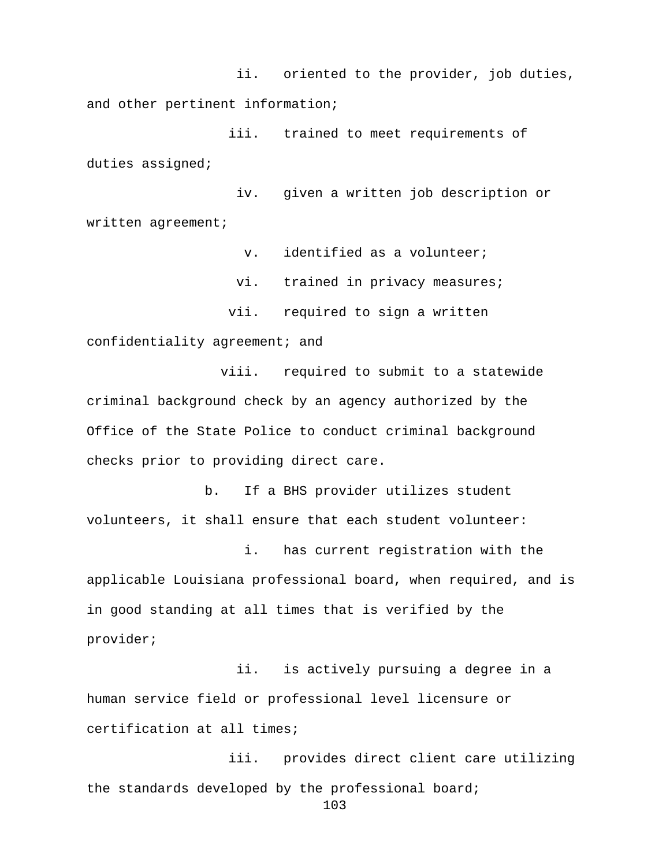ii. oriented to the provider, job duties, and other pertinent information;

 iii. trained to meet requirements of duties assigned;

 iv. given a written job description or written agreement;

v. identified as a volunteer;

vi. trained in privacy measures;

vii. required to sign a written

confidentiality agreement; and

viii. required to submit to a statewide criminal background check by an agency authorized by the Office of the State Police to conduct criminal background checks prior to providing direct care.

b. If a BHS provider utilizes student volunteers, it shall ensure that each student volunteer:

i. has current registration with the applicable Louisiana professional board, when required, and is in good standing at all times that is verified by the provider;

 ii. is actively pursuing a degree in a human service field or professional level licensure or certification at all times;

 iii. provides direct client care utilizing the standards developed by the professional board; 103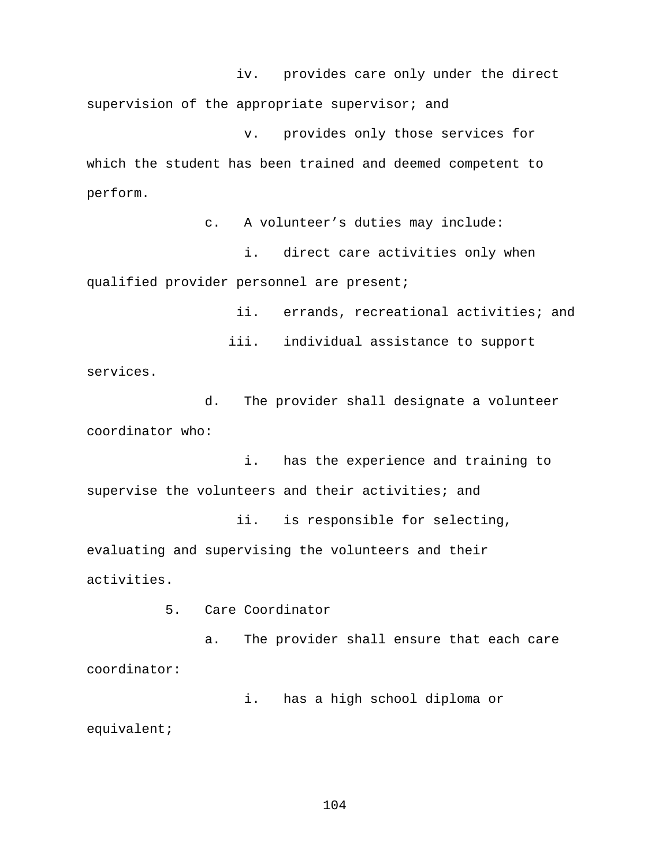iv. provides care only under the direct supervision of the appropriate supervisor; and

v. provides only those services for which the student has been trained and deemed competent to perform.

c. A volunteer's duties may include:

i. direct care activities only when qualified provider personnel are present;

ii. errands, recreational activities; and

 iii. individual assistance to support services.

d. The provider shall designate a volunteer coordinator who:

i. has the experience and training to supervise the volunteers and their activities; and

 ii. is responsible for selecting, evaluating and supervising the volunteers and their activities.

5. Care Coordinator

a. The provider shall ensure that each care coordinator:

i. has a high school diploma or

equivalent;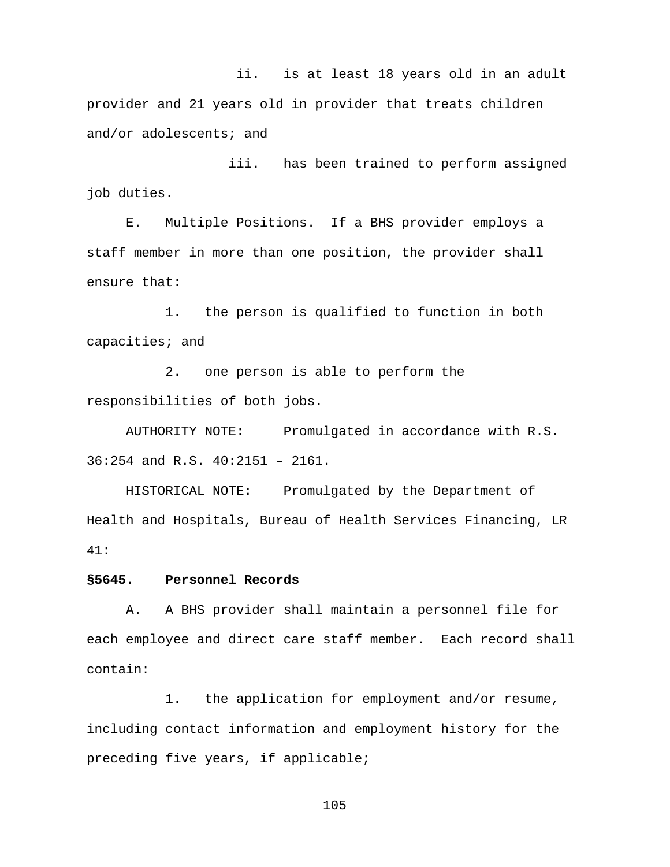ii. is at least 18 years old in an adult provider and 21 years old in provider that treats children and/or adolescents; and

 iii. has been trained to perform assigned job duties.

E. Multiple Positions. If a BHS provider employs a staff member in more than one position, the provider shall ensure that:

1. the person is qualified to function in both capacities; and

2. one person is able to perform the responsibilities of both jobs.

AUTHORITY NOTE: Promulgated in accordance with R.S. 36:254 and R.S. 40:2151 – 2161.

HISTORICAL NOTE: Promulgated by the Department of Health and Hospitals, Bureau of Health Services Financing, LR 41:

## **§5645. Personnel Records**

A. A BHS provider shall maintain a personnel file for each employee and direct care staff member. Each record shall contain:

1. the application for employment and/or resume, including contact information and employment history for the preceding five years, if applicable;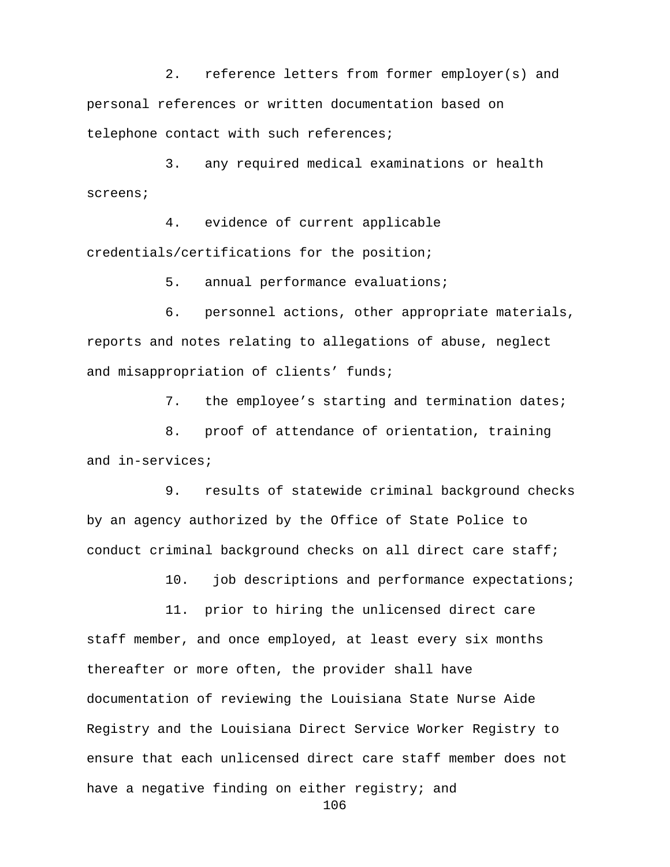2. reference letters from former employer(s) and personal references or written documentation based on telephone contact with such references;

3. any required medical examinations or health screens;

4. evidence of current applicable credentials/certifications for the position;

5. annual performance evaluations;

6. personnel actions, other appropriate materials, reports and notes relating to allegations of abuse, neglect and misappropriation of clients' funds;

7. the employee's starting and termination dates;

8. proof of attendance of orientation, training and in-services;

9. results of statewide criminal background checks by an agency authorized by the Office of State Police to conduct criminal background checks on all direct care staff;

10. job descriptions and performance expectations;

11. prior to hiring the unlicensed direct care staff member, and once employed, at least every six months thereafter or more often, the provider shall have documentation of reviewing the Louisiana State Nurse Aide Registry and the Louisiana Direct Service Worker Registry to ensure that each unlicensed direct care staff member does not have a negative finding on either registry; and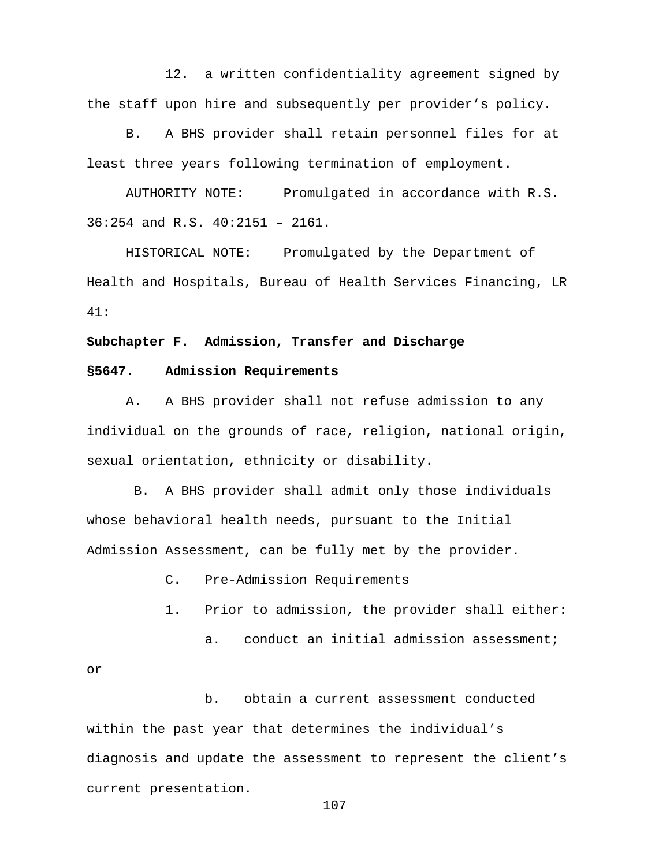12. a written confidentiality agreement signed by the staff upon hire and subsequently per provider's policy.

B. A BHS provider shall retain personnel files for at least three years following termination of employment.

AUTHORITY NOTE: Promulgated in accordance with R.S. 36:254 and R.S. 40:2151 – 2161.

HISTORICAL NOTE: Promulgated by the Department of Health and Hospitals, Bureau of Health Services Financing, LR 41:

#### **Subchapter F. Admission, Transfer and Discharge**

#### **§5647. Admission Requirements**

A. A BHS provider shall not refuse admission to any individual on the grounds of race, religion, national origin, sexual orientation, ethnicity or disability.

B. A BHS provider shall admit only those individuals whose behavioral health needs, pursuant to the Initial Admission Assessment, can be fully met by the provider.

- C. Pre-Admission Requirements
- 1. Prior to admission, the provider shall either:
	- a. conduct an initial admission assessment;

or

b. obtain a current assessment conducted within the past year that determines the individual's diagnosis and update the assessment to represent the client's current presentation.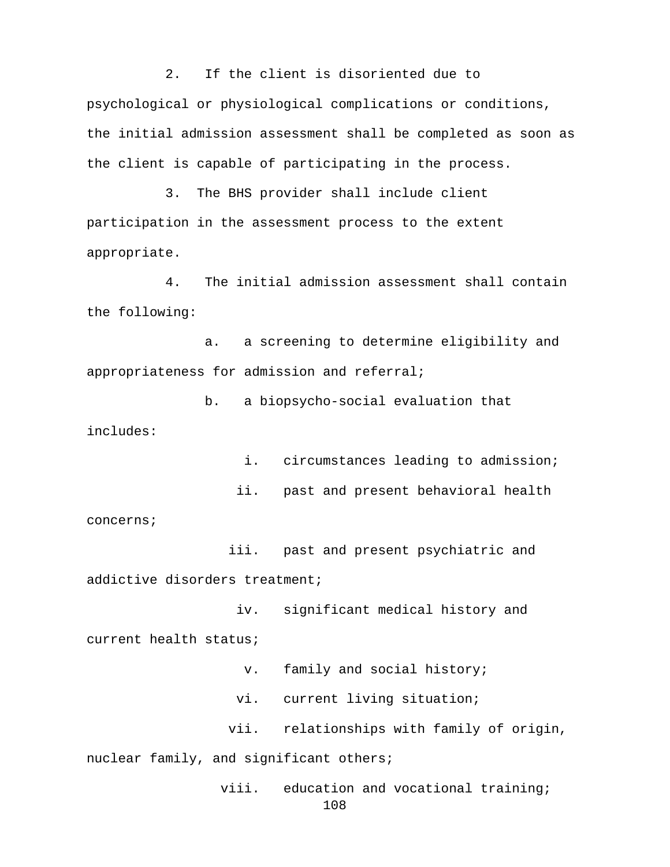2. If the client is disoriented due to psychological or physiological complications or conditions, the initial admission assessment shall be completed as soon as the client is capable of participating in the process.

3. The BHS provider shall include client participation in the assessment process to the extent appropriate.

4. The initial admission assessment shall contain the following:

a. a screening to determine eligibility and appropriateness for admission and referral;

b. a biopsycho-social evaluation that includes:

i. circumstances leading to admission;

ii. past and present behavioral health

concerns;

 iii. past and present psychiatric and addictive disorders treatment;

 iv. significant medical history and current health status;

v. family and social history;

vi. current living situation;

vii. relationships with family of origin,

nuclear family, and significant others;

viii. education and vocational training; 108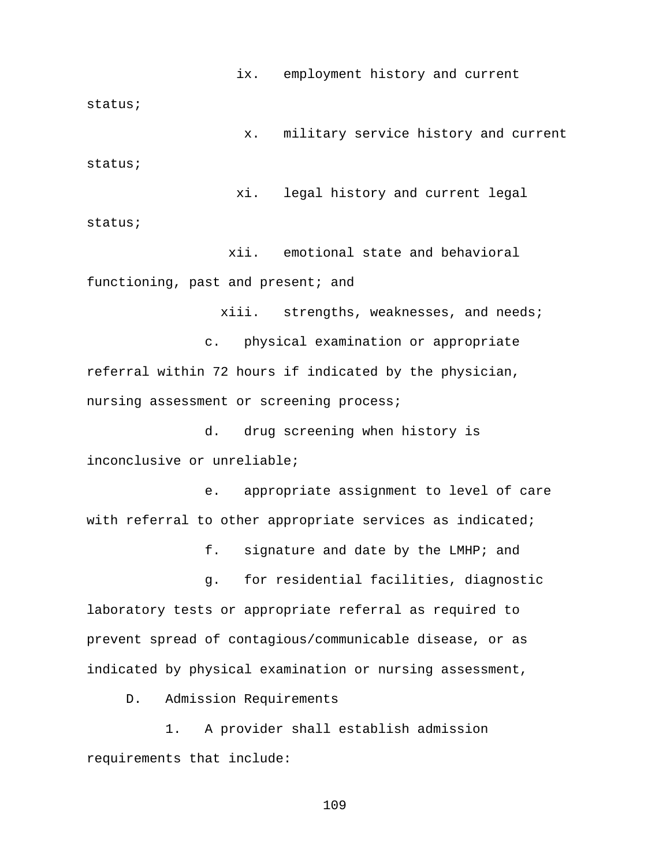ix. employment history and current

status;

x. military service history and current status;

 xi. legal history and current legal status;

 xii. emotional state and behavioral functioning, past and present; and

xiii. strengths, weaknesses, and needs;

c. physical examination or appropriate referral within 72 hours if indicated by the physician, nursing assessment or screening process;

d. drug screening when history is inconclusive or unreliable;

e. appropriate assignment to level of care with referral to other appropriate services as indicated;

f. signature and date by the LMHP; and

g. for residential facilities, diagnostic laboratory tests or appropriate referral as required to prevent spread of contagious/communicable disease, or as indicated by physical examination or nursing assessment,

D. Admission Requirements

1. A provider shall establish admission requirements that include: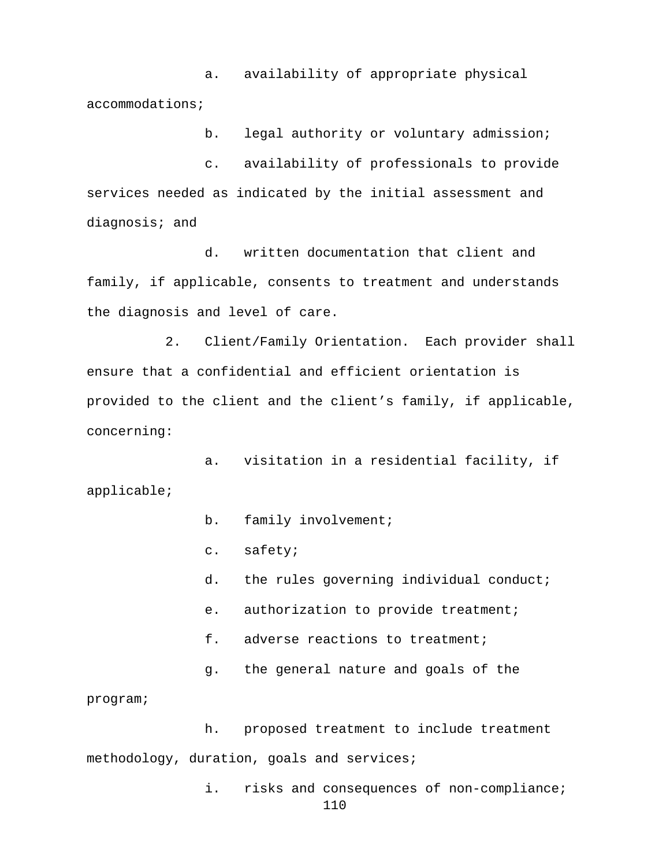a. availability of appropriate physical accommodations;

b. legal authority or voluntary admission;

c. availability of professionals to provide services needed as indicated by the initial assessment and diagnosis; and

d. written documentation that client and family, if applicable, consents to treatment and understands the diagnosis and level of care.

2. Client/Family Orientation. Each provider shall ensure that a confidential and efficient orientation is provided to the client and the client's family, if applicable, concerning:

a. visitation in a residential facility, if applicable;

b. family involvement;

c. safety;

- d. the rules governing individual conduct;
- e. authorization to provide treatment;
- f. adverse reactions to treatment;
- g. the general nature and goals of the

program;

h. proposed treatment to include treatment methodology, duration, goals and services;

> i. risks and consequences of non-compliance; 110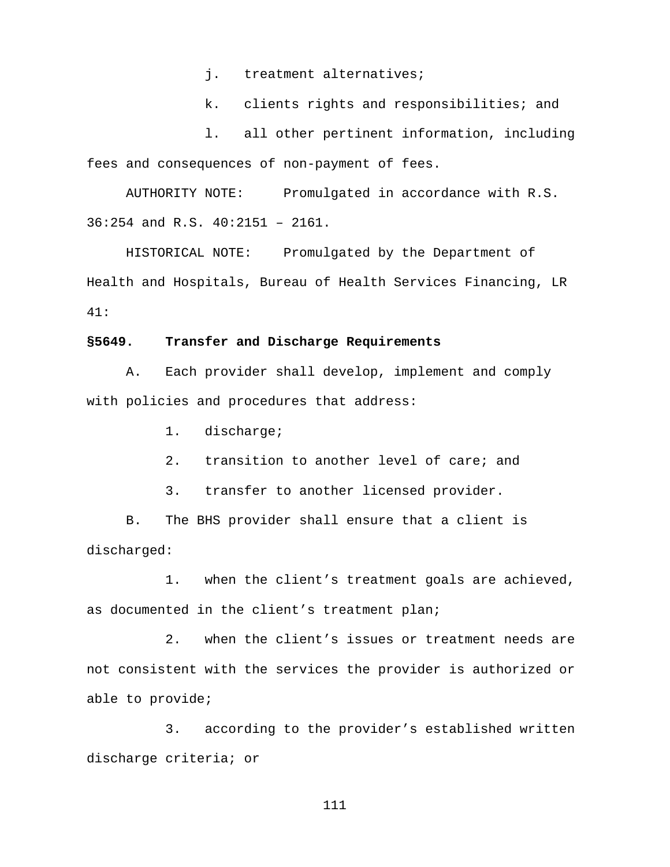j. treatment alternatives;

k. clients rights and responsibilities; and

l. all other pertinent information, including fees and consequences of non-payment of fees.

AUTHORITY NOTE: Promulgated in accordance with R.S. 36:254 and R.S. 40:2151 – 2161.

HISTORICAL NOTE: Promulgated by the Department of Health and Hospitals, Bureau of Health Services Financing, LR 41:

### **§5649. Transfer and Discharge Requirements**

A. Each provider shall develop, implement and comply with policies and procedures that address:

1. discharge;

2. transition to another level of care; and

3. transfer to another licensed provider.

B. The BHS provider shall ensure that a client is discharged:

1. when the client's treatment goals are achieved, as documented in the client's treatment plan;

2. when the client's issues or treatment needs are not consistent with the services the provider is authorized or able to provide;

3. according to the provider's established written discharge criteria; or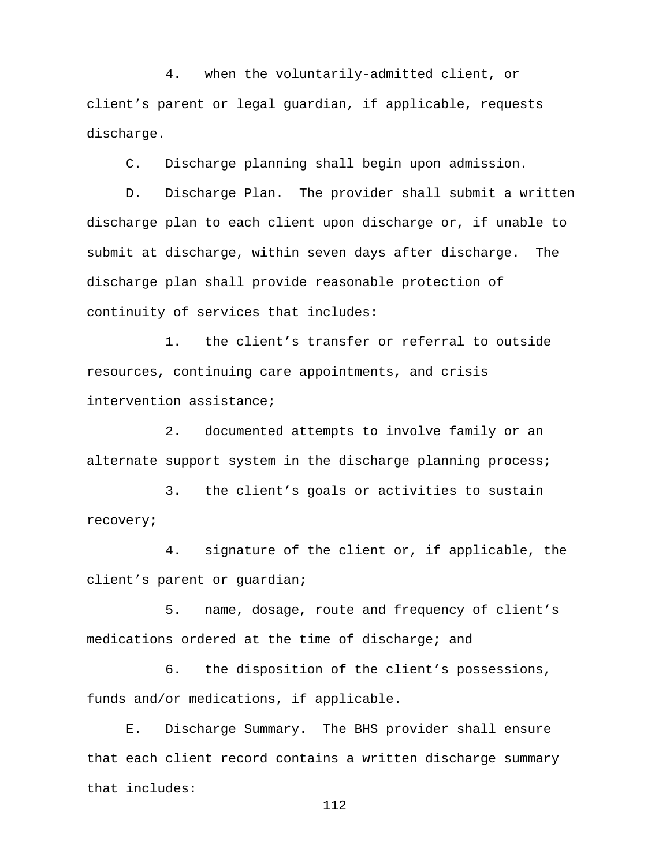4. when the voluntarily-admitted client, or client's parent or legal guardian, if applicable, requests discharge.

C. Discharge planning shall begin upon admission.

D. Discharge Plan.The provider shall submit a written discharge plan to each client upon discharge or, if unable to submit at discharge, within seven days after discharge. The discharge plan shall provide reasonable protection of continuity of services that includes:

1. the client's transfer or referral to outside resources, continuing care appointments, and crisis intervention assistance;

2. documented attempts to involve family or an alternate support system in the discharge planning process;

3. the client's goals or activities to sustain recovery;

4. signature of the client or, if applicable, the client's parent or guardian;

5. name, dosage, route and frequency of client's medications ordered at the time of discharge; and

6. the disposition of the client's possessions, funds and/or medications, if applicable.

E. Discharge Summary. The BHS provider shall ensure that each client record contains a written discharge summary that includes: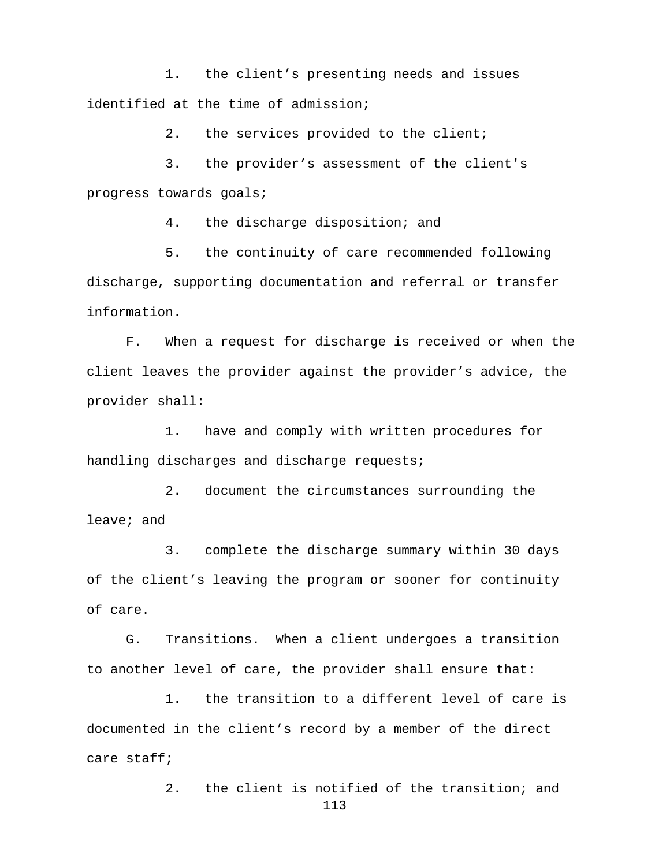1. the client's presenting needs and issues identified at the time of admission;

2. the services provided to the client;

3. the provider's assessment of the client's progress towards goals;

4. the discharge disposition; and

5. the continuity of care recommended following discharge, supporting documentation and referral or transfer information.

F. When a request for discharge is received or when the client leaves the provider against the provider's advice, the provider shall:

1. have and comply with written procedures for handling discharges and discharge requests;

2. document the circumstances surrounding the leave; and

3. complete the discharge summary within 30 days of the client's leaving the program or sooner for continuity of care.

G. Transitions. When a client undergoes a transition to another level of care, the provider shall ensure that:

1. the transition to a different level of care is documented in the client's record by a member of the direct care staff;

> 2. the client is notified of the transition; and 113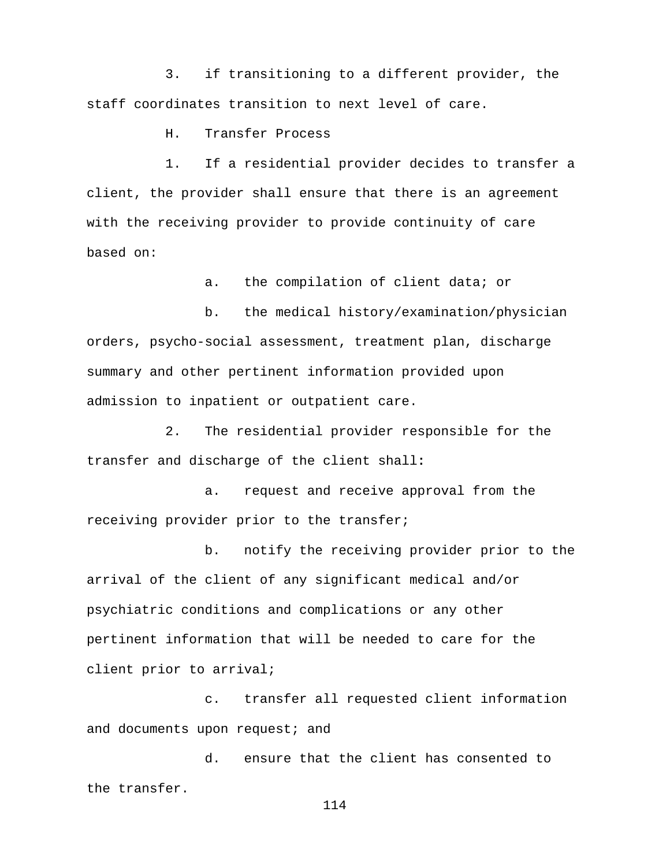3. if transitioning to a different provider, the staff coordinates transition to next level of care.

H. Transfer Process

1. If a residential provider decides to transfer a client, the provider shall ensure that there is an agreement with the receiving provider to provide continuity of care based on:

a. the compilation of client data; or

b. the medical history/examination/physician orders, psycho-social assessment, treatment plan, discharge summary and other pertinent information provided upon admission to inpatient or outpatient care.

2. The residential provider responsible for the transfer and discharge of the client shall**:**

a. request and receive approval from the receiving provider prior to the transfer;

b. notify the receiving provider prior to the arrival of the client of any significant medical and/or psychiatric conditions and complications or any other pertinent information that will be needed to care for the client prior to arrival;

c. transfer all requested client information and documents upon request; and

d. ensure that the client has consented to the transfer.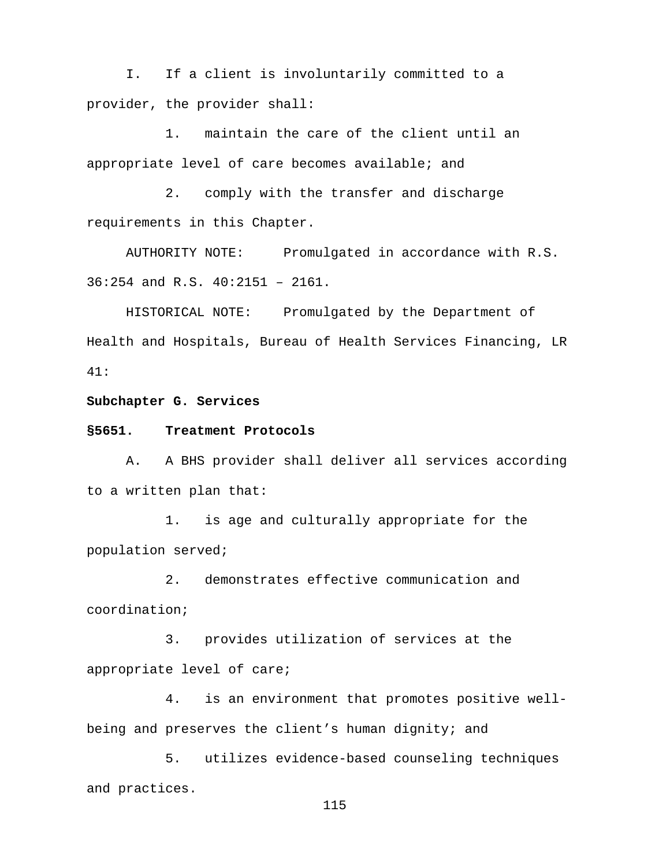I. If a client is involuntarily committed to a provider, the provider shall:

1. maintain the care of the client until an appropriate level of care becomes available; and

2. comply with the transfer and discharge requirements in this Chapter.

AUTHORITY NOTE: Promulgated in accordance with R.S. 36:254 and R.S. 40:2151 – 2161.

HISTORICAL NOTE: Promulgated by the Department of Health and Hospitals, Bureau of Health Services Financing, LR 41:

## **Subchapter G. Services**

#### **§5651. Treatment Protocols**

A. A BHS provider shall deliver all services according to a written plan that:

1. is age and culturally appropriate for the population served;

2. demonstrates effective communication and coordination;

3. provides utilization of services at the appropriate level of care;

4. is an environment that promotes positive wellbeing and preserves the client's human dignity; and

5. utilizes evidence-based counseling techniques and practices.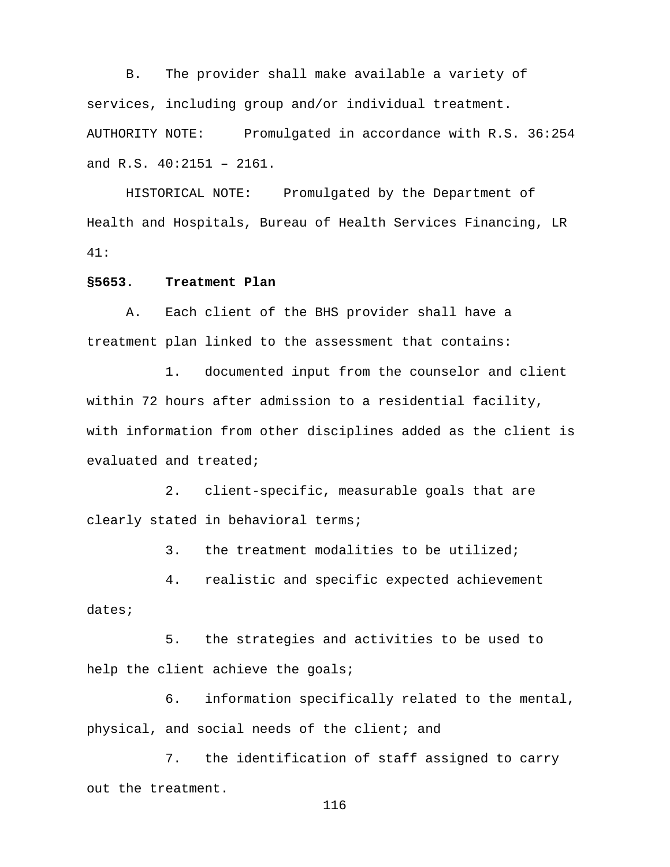B. The provider shall make available a variety of services, including group and/or individual treatment. AUTHORITY NOTE: Promulgated in accordance with R.S. 36:254 and R.S. 40:2151 – 2161.

HISTORICAL NOTE: Promulgated by the Department of Health and Hospitals, Bureau of Health Services Financing, LR 41:

## **§5653. Treatment Plan**

A. Each client of the BHS provider shall have a treatment plan linked to the assessment that contains:

1. documented input from the counselor and client within 72 hours after admission to a residential facility, with information from other disciplines added as the client is evaluated and treated;

2. client-specific, measurable goals that are clearly stated in behavioral terms;

3. the treatment modalities to be utilized;

4. realistic and specific expected achievement dates;

5. the strategies and activities to be used to help the client achieve the goals;

6. information specifically related to the mental, physical, and social needs of the client; and

7. the identification of staff assigned to carry out the treatment.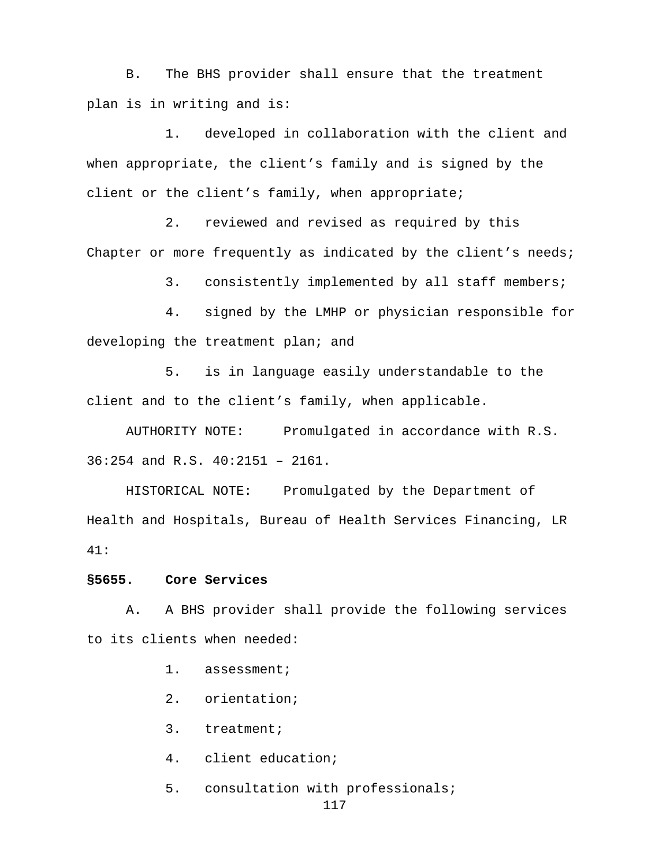B. The BHS provider shall ensure that the treatment plan is in writing and is:

1. developed in collaboration with the client and when appropriate, the client's family and is signed by the client or the client's family, when appropriate;

2. reviewed and revised as required by this Chapter or more frequently as indicated by the client's needs;

3. consistently implemented by all staff members;

4. signed by the LMHP or physician responsible for developing the treatment plan; and

5. is in language easily understandable to the client and to the client's family, when applicable.

AUTHORITY NOTE: Promulgated in accordance with R.S. 36:254 and R.S. 40:2151 – 2161.

HISTORICAL NOTE: Promulgated by the Department of Health and Hospitals, Bureau of Health Services Financing, LR 41:

**§5655. Core Services** 

A. A BHS provider shall provide the following services to its clients when needed:

1. assessment;

2. orientation;

3. treatment;

4. client education;

5. consultation with professionals;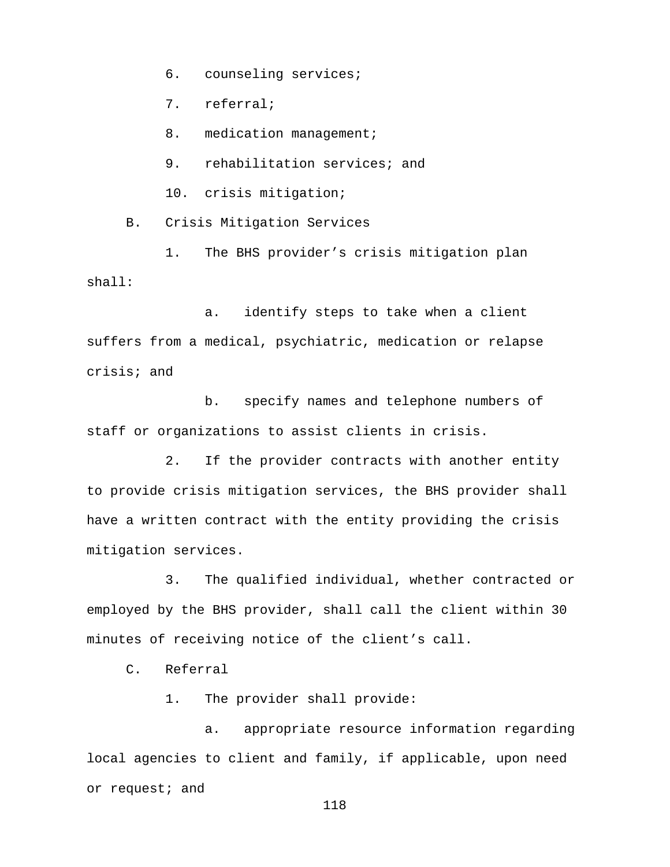6. counseling services;

7. referral;

8. medication management;

9. rehabilitation services; and

10. crisis mitigation;

B. Crisis Mitigation Services

1. The BHS provider's crisis mitigation plan shall:

a. identify steps to take when a client suffers from a medical, psychiatric, medication or relapse crisis; and

b. specify names and telephone numbers of staff or organizations to assist clients in crisis.

2. If the provider contracts with another entity to provide crisis mitigation services, the BHS provider shall have a written contract with the entity providing the crisis mitigation services.

3. The qualified individual, whether contracted or employed by the BHS provider, shall call the client within 30 minutes of receiving notice of the client's call.

C. Referral

1. The provider shall provide:

a. appropriate resource information regarding local agencies to client and family, if applicable, upon need or request; and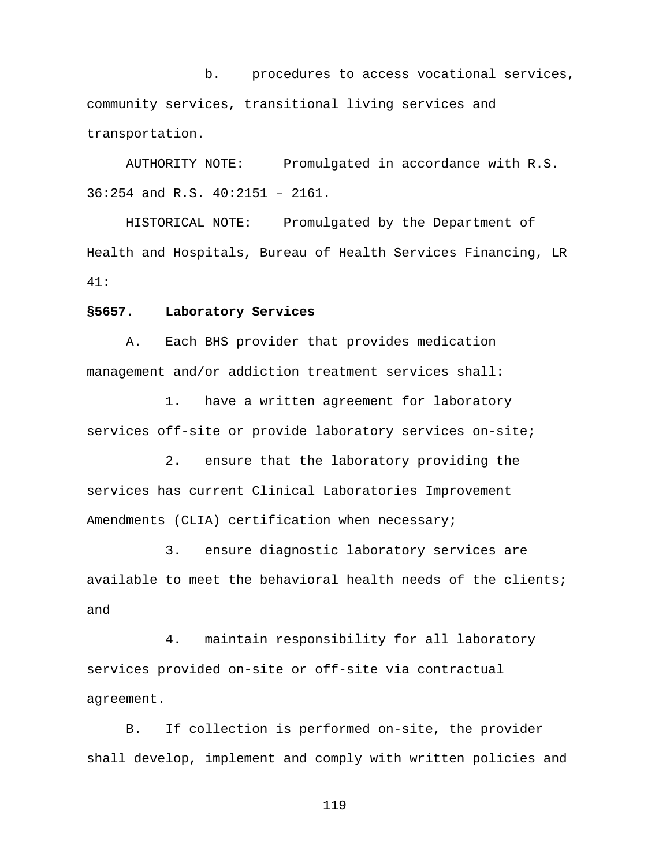b. procedures to access vocational services, community services, transitional living services and transportation.

AUTHORITY NOTE: Promulgated in accordance with R.S. 36:254 and R.S. 40:2151 – 2161.

HISTORICAL NOTE: Promulgated by the Department of Health and Hospitals, Bureau of Health Services Financing, LR 41:

### **§5657. Laboratory Services**

A. Each BHS provider that provides medication management and/or addiction treatment services shall:

1. have a written agreement for laboratory services off-site or provide laboratory services on-site;

2. ensure that the laboratory providing the services has current Clinical Laboratories Improvement Amendments (CLIA) certification when necessary;

3. ensure diagnostic laboratory services are available to meet the behavioral health needs of the clients; and

4. maintain responsibility for all laboratory services provided on-site or off-site via contractual agreement.

B. If collection is performed on-site, the provider shall develop, implement and comply with written policies and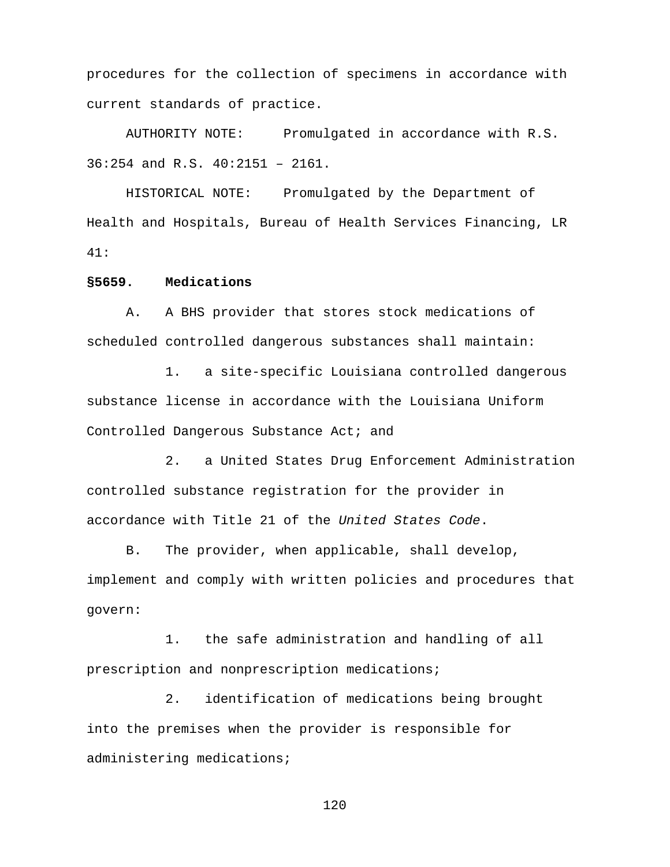procedures for the collection of specimens in accordance with current standards of practice.

AUTHORITY NOTE: Promulgated in accordance with R.S. 36:254 and R.S. 40:2151 – 2161.

HISTORICAL NOTE: Promulgated by the Department of Health and Hospitals, Bureau of Health Services Financing, LR 41:

## **§5659. Medications**

A. A BHS provider that stores stock medications of scheduled controlled dangerous substances shall maintain:

1. a site-specific Louisiana controlled dangerous substance license in accordance with the Louisiana Uniform Controlled Dangerous Substance Act; and

2. a United States Drug Enforcement Administration controlled substance registration for the provider in accordance with Title 21 of the *United States Code*.

B. The provider, when applicable, shall develop, implement and comply with written policies and procedures that govern:

1. the safe administration and handling of all prescription and nonprescription medications;

2. identification of medications being brought into the premises when the provider is responsible for administering medications;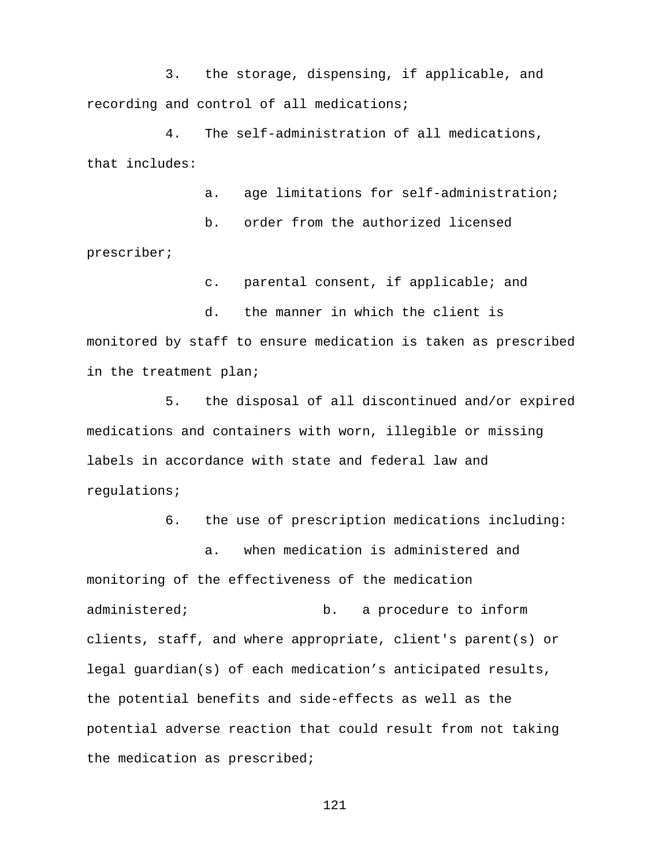3. the storage, dispensing, if applicable, and recording and control of all medications;

4. The self-administration of all medications, that includes:

a. age limitations for self-administration;

b. order from the authorized licensed prescriber;

c. parental consent, if applicable; and

d. the manner in which the client is monitored by staff to ensure medication is taken as prescribed in the treatment plan;

5. the disposal of all discontinued and/or expired medications and containers with worn, illegible or missing labels in accordance with state and federal law and regulations;

6. the use of prescription medications including:

a. when medication is administered and monitoring of the effectiveness of the medication administered; b. a procedure to inform clients, staff, and where appropriate, client's parent(s) or legal guardian(s) of each medication's anticipated results, the potential benefits and side-effects as well as the potential adverse reaction that could result from not taking the medication as prescribed;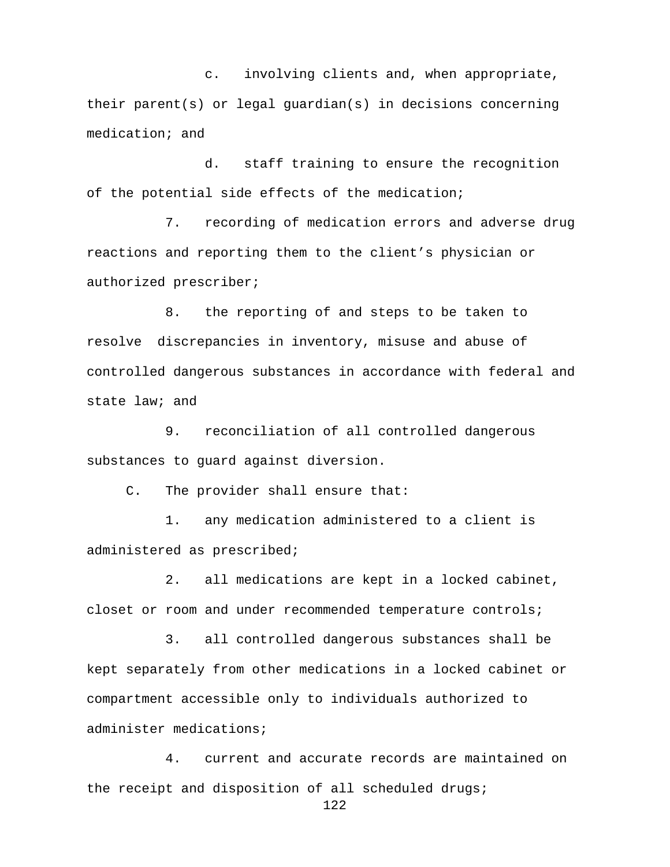c. involving clients and, when appropriate, their parent(s) or legal guardian(s) in decisions concerning medication; and

d. staff training to ensure the recognition of the potential side effects of the medication;

7. recording of medication errors and adverse drug reactions and reporting them to the client's physician or authorized prescriber;

8. the reporting of and steps to be taken to resolve discrepancies in inventory, misuse and abuse of controlled dangerous substances in accordance with federal and state law; and

9. reconciliation of all controlled dangerous substances to guard against diversion.

C. The provider shall ensure that:

1. any medication administered to a client is administered as prescribed;

2. all medications are kept in a locked cabinet, closet or room and under recommended temperature controls;

3. all controlled dangerous substances shall be kept separately from other medications in a locked cabinet or compartment accessible only to individuals authorized to administer medications;

4. current and accurate records are maintained on the receipt and disposition of all scheduled drugs;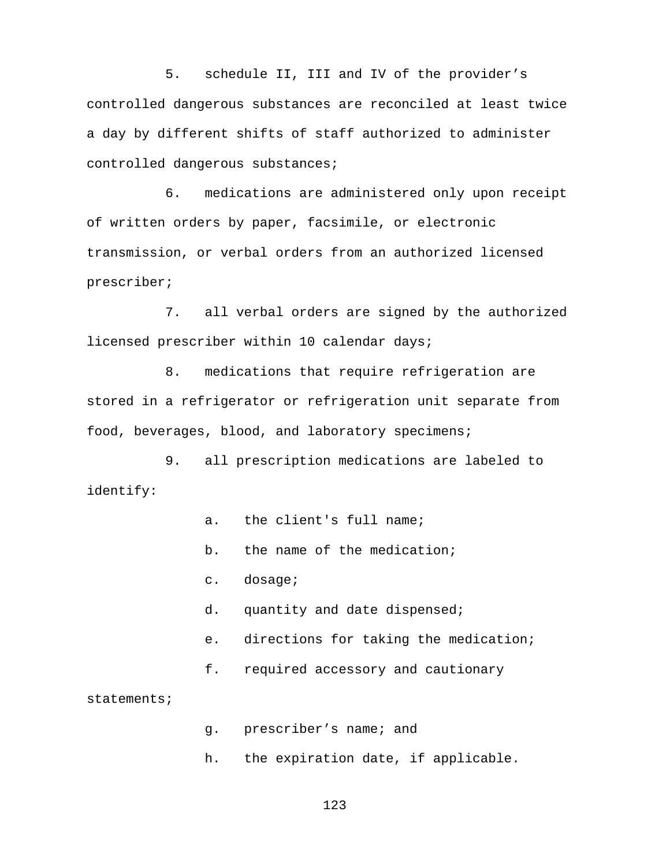5. schedule II, III and IV of the provider's controlled dangerous substances are reconciled at least twice a day by different shifts of staff authorized to administer controlled dangerous substances;

6. medications are administered only upon receipt of written orders by paper, facsimile, or electronic transmission, or verbal orders from an authorized licensed prescriber;

7. all verbal orders are signed by the authorized licensed prescriber within 10 calendar days;

8. medications that require refrigeration are stored in a refrigerator or refrigeration unit separate from food, beverages, blood, and laboratory specimens;

9. all prescription medications are labeled to identify:

- a. the client's full name;
- b. the name of the medication;
- c. dosage;
- d. quantity and date dispensed;
- e. directions for taking the medication;
- f. required accessory and cautionary

statements;

- g. prescriber's name; and
- h. the expiration date, if applicable.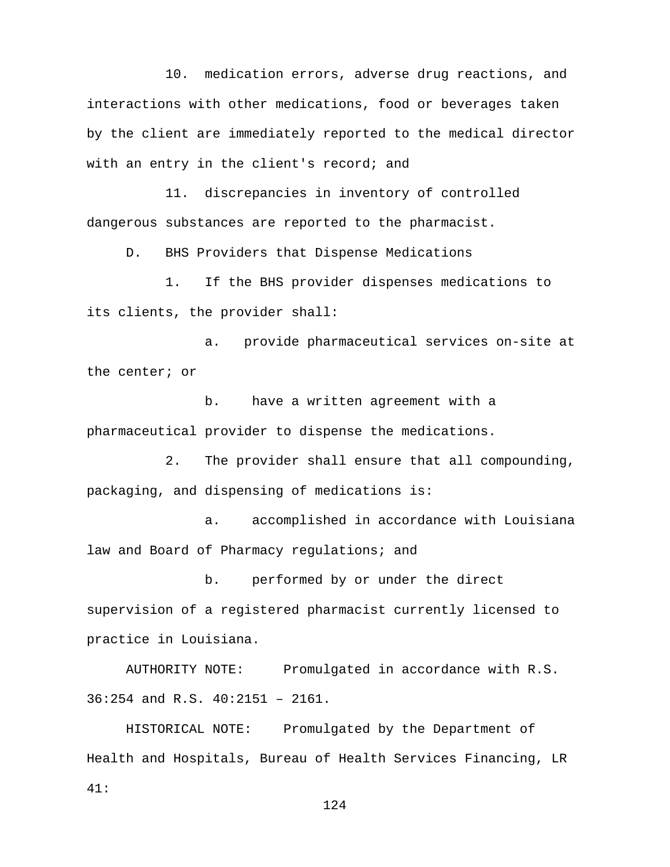10. medication errors, adverse drug reactions, and interactions with other medications, food or beverages taken by the client are immediately reported to the medical director with an entry in the client's record; and

11. discrepancies in inventory of controlled dangerous substances are reported to the pharmacist.

D. BHS Providers that Dispense Medications

1. If the BHS provider dispenses medications to its clients, the provider shall:

a. provide pharmaceutical services on-site at the center; or

b. have a written agreement with a pharmaceutical provider to dispense the medications.

2. The provider shall ensure that all compounding, packaging, and dispensing of medications is:

a. accomplished in accordance with Louisiana law and Board of Pharmacy regulations; and

b. performed by or under the direct supervision of a registered pharmacist currently licensed to practice in Louisiana.

AUTHORITY NOTE: Promulgated in accordance with R.S. 36:254 and R.S. 40:2151 – 2161.

HISTORICAL NOTE: Promulgated by the Department of Health and Hospitals, Bureau of Health Services Financing, LR 41: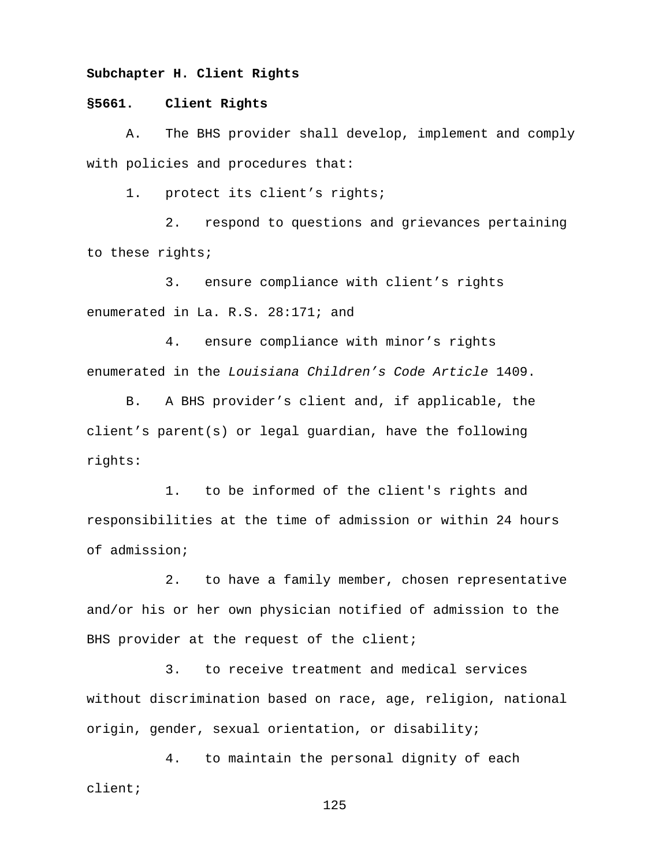## **Subchapter H. Client Rights**

## **§5661. Client Rights**

A. The BHS provider shall develop, implement and comply with policies and procedures that:

1. protect its client's rights;

2. respond to questions and grievances pertaining to these rights;

3. ensure compliance with client's rights enumerated in La. R.S. 28:171; and

4. ensure compliance with minor's rights enumerated in the *Louisiana Children's Code Article* 1409.

B. A BHS provider's client and, if applicable, the client's parent(s) or legal guardian, have the following rights:

1. to be informed of the client's rights and responsibilities at the time of admission or within 24 hours of admission;

2. to have a family member, chosen representative and/or his or her own physician notified of admission to the BHS provider at the request of the client;

3. to receive treatment and medical services without discrimination based on race, age, religion, national origin, gender, sexual orientation, or disability;

4. to maintain the personal dignity of each client;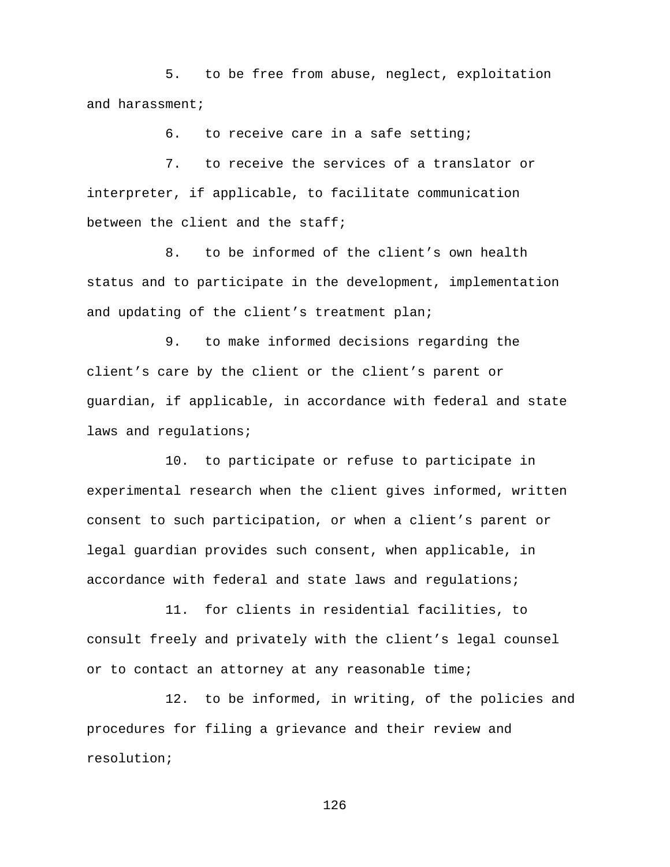5. to be free from abuse, neglect, exploitation and harassment;

6. to receive care in a safe setting;

7. to receive the services of a translator or interpreter, if applicable, to facilitate communication between the client and the staff;

8. to be informed of the client's own health status and to participate in the development, implementation and updating of the client's treatment plan;

9. to make informed decisions regarding the client's care by the client or the client's parent or guardian, if applicable, in accordance with federal and state laws and requlations;

10. to participate or refuse to participate in experimental research when the client gives informed, written consent to such participation, or when a client's parent or legal guardian provides such consent, when applicable, in accordance with federal and state laws and regulations;

11. for clients in residential facilities, to consult freely and privately with the client's legal counsel or to contact an attorney at any reasonable time;

12. to be informed, in writing, of the policies and procedures for filing a grievance and their review and resolution;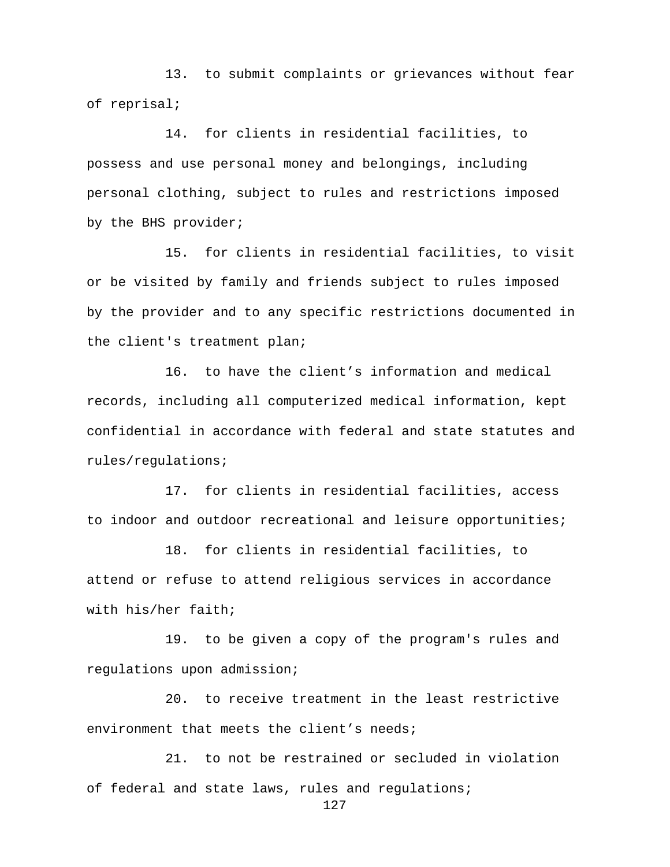13. to submit complaints or grievances without fear of reprisal;

14. for clients in residential facilities, to possess and use personal money and belongings, including personal clothing, subject to rules and restrictions imposed by the BHS provider;

15. for clients in residential facilities, to visit or be visited by family and friends subject to rules imposed by the provider and to any specific restrictions documented in the client's treatment plan;

16. to have the client's information and medical records, including all computerized medical information, kept confidential in accordance with federal and state statutes and rules/regulations;

17. for clients in residential facilities, access to indoor and outdoor recreational and leisure opportunities;

18. for clients in residential facilities, to attend or refuse to attend religious services in accordance with his/her faith;

19. to be given a copy of the program's rules and regulations upon admission;

20. to receive treatment in the least restrictive environment that meets the client's needs;

21. to not be restrained or secluded in violation of federal and state laws, rules and regulations;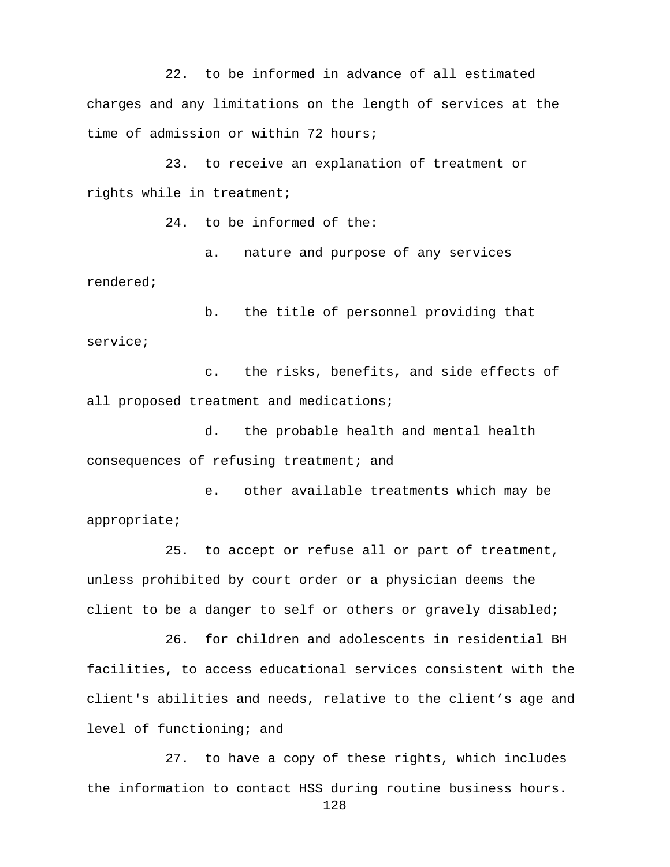22. to be informed in advance of all estimated charges and any limitations on the length of services at the time of admission or within 72 hours;

23. to receive an explanation of treatment or rights while in treatment;

24. to be informed of the:

a. nature and purpose of any services rendered;

b. the title of personnel providing that service;

c. the risks, benefits, and side effects of all proposed treatment and medications;

d. the probable health and mental health consequences of refusing treatment; and

e. other available treatments which may be appropriate;

25. to accept or refuse all or part of treatment, unless prohibited by court order or a physician deems the client to be a danger to self or others or gravely disabled;

26. for children and adolescents in residential BH facilities, to access educational services consistent with the client's abilities and needs, relative to the client's age and level of functioning; and

27. to have a copy of these rights, which includes the information to contact HSS during routine business hours.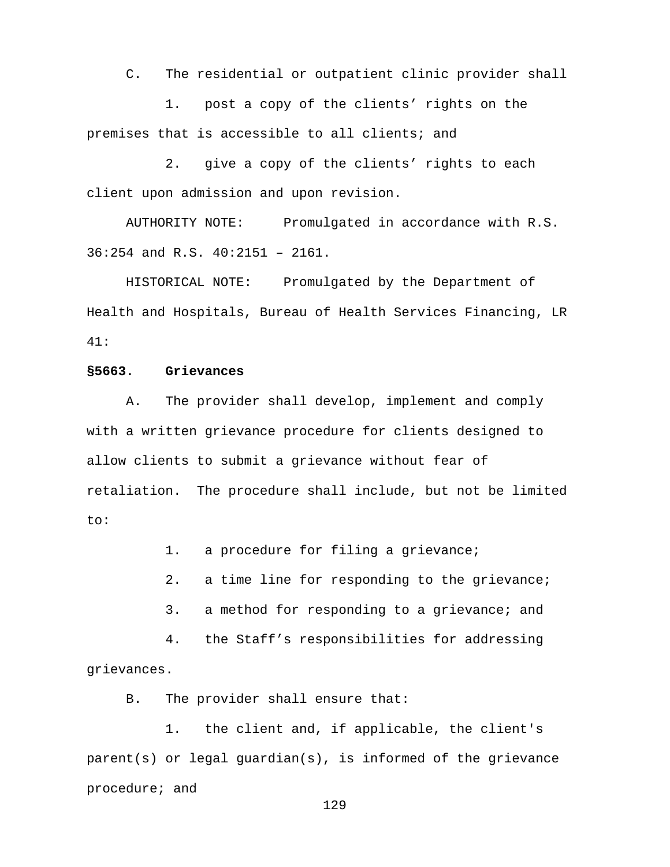C. The residential or outpatient clinic provider shall

1. post a copy of the clients' rights on the premises that is accessible to all clients; and

2. give a copy of the clients' rights to each client upon admission and upon revision.

AUTHORITY NOTE: Promulgated in accordance with R.S. 36:254 and R.S. 40:2151 – 2161.

HISTORICAL NOTE: Promulgated by the Department of Health and Hospitals, Bureau of Health Services Financing, LR 41:

#### **§5663. Grievances**

A. The provider shall develop, implement and comply with a written grievance procedure for clients designed to allow clients to submit a grievance without fear of retaliation. The procedure shall include, but not be limited to:

1. a procedure for filing a grievance;

2. a time line for responding to the grievance;

3. a method for responding to a grievance; and

4. the Staff's responsibilities for addressing grievances.

B. The provider shall ensure that:

1. the client and, if applicable, the client's parent(s) or legal guardian(s), is informed of the grievance procedure; and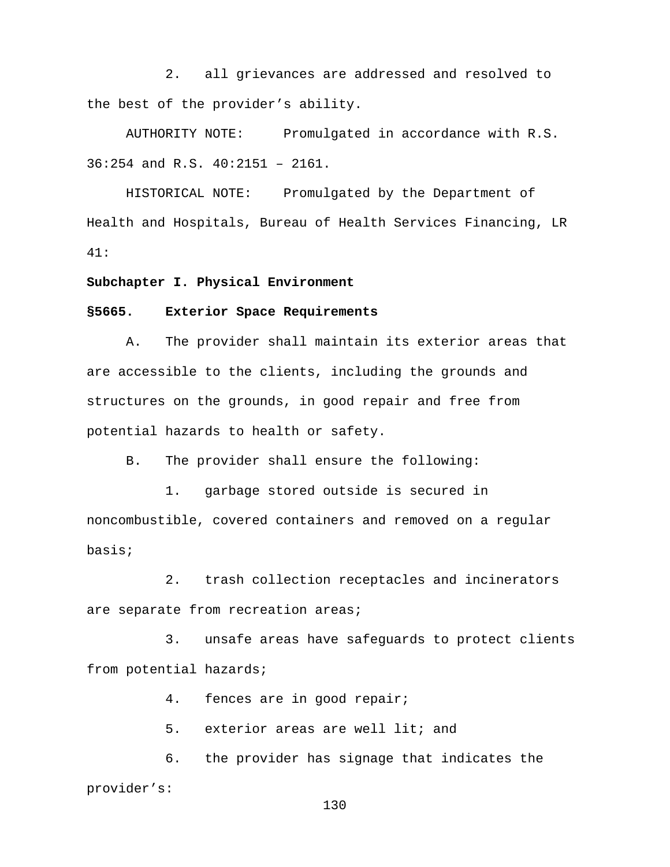2. all grievances are addressed and resolved to the best of the provider's ability.

AUTHORITY NOTE: Promulgated in accordance with R.S. 36:254 and R.S. 40:2151 – 2161.

HISTORICAL NOTE: Promulgated by the Department of Health and Hospitals, Bureau of Health Services Financing, LR 41:

**Subchapter I. Physical Environment**

#### **§5665. Exterior Space Requirements**

A. The provider shall maintain its exterior areas that are accessible to the clients, including the grounds and structures on the grounds, in good repair and free from potential hazards to health or safety.

B. The provider shall ensure the following:

1. garbage stored outside is secured in noncombustible, covered containers and removed on a regular basis;

2. trash collection receptacles and incinerators are separate from recreation areas;

3. unsafe areas have safeguards to protect clients from potential hazards;

4. fences are in good repair;

5. exterior areas are well lit; and

6. the provider has signage that indicates the provider's: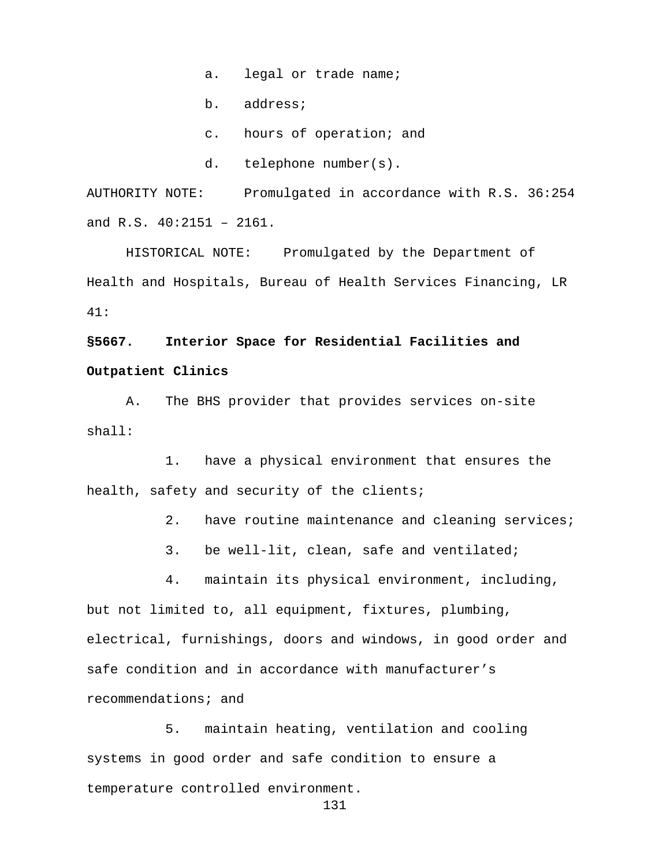- a. legal or trade name;
- b. address;
- c. hours of operation; and
- d. telephone number(s).

AUTHORITY NOTE: Promulgated in accordance with R.S. 36:254 and R.S. 40:2151 – 2161.

HISTORICAL NOTE: Promulgated by the Department of Health and Hospitals, Bureau of Health Services Financing, LR 41:

# **§5667. Interior Space for Residential Facilities and Outpatient Clinics**

A. The BHS provider that provides services on-site shall:

1. have a physical environment that ensures the health, safety and security of the clients;

- 2. have routine maintenance and cleaning services;
- 3. be well-lit, clean, safe and ventilated;

4. maintain its physical environment, including, but not limited to, all equipment, fixtures, plumbing, electrical, furnishings, doors and windows, in good order and safe condition and in accordance with manufacturer's recommendations; and

5. maintain heating, ventilation and cooling systems in good order and safe condition to ensure a temperature controlled environment.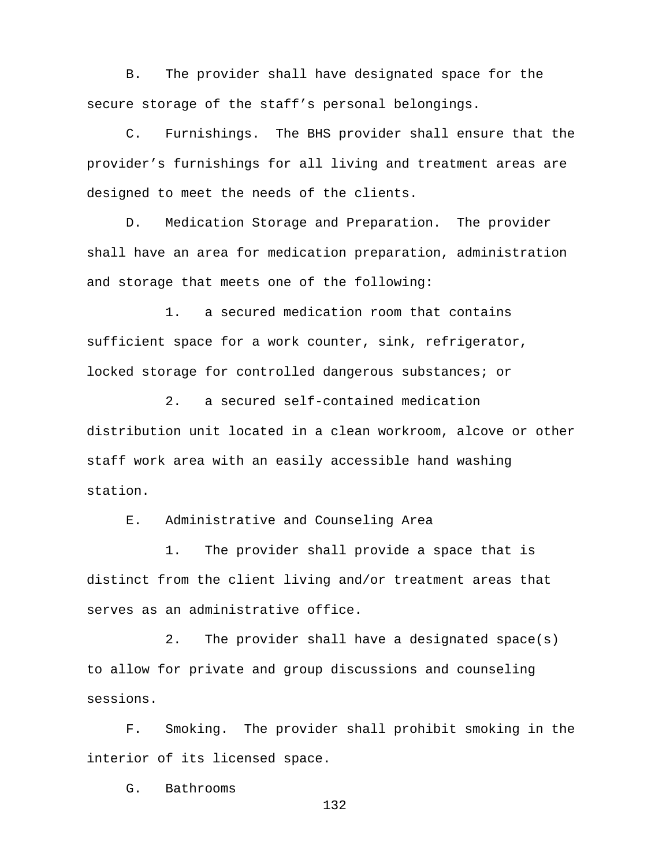B. The provider shall have designated space for the secure storage of the staff's personal belongings.

C. Furnishings. The BHS provider shall ensure that the provider's furnishings for all living and treatment areas are designed to meet the needs of the clients.

D. Medication Storage and Preparation. The provider shall have an area for medication preparation, administration and storage that meets one of the following:

1. a secured medication room that contains sufficient space for a work counter, sink, refrigerator, locked storage for controlled dangerous substances; or

2. a secured self-contained medication distribution unit located in a clean workroom, alcove or other staff work area with an easily accessible hand washing station.

E. Administrative and Counseling Area

1. The provider shall provide a space that is distinct from the client living and/or treatment areas that serves as an administrative office.

2. The provider shall have a designated space(s) to allow for private and group discussions and counseling sessions.

F. Smoking. The provider shall prohibit smoking in the interior of its licensed space.

G. Bathrooms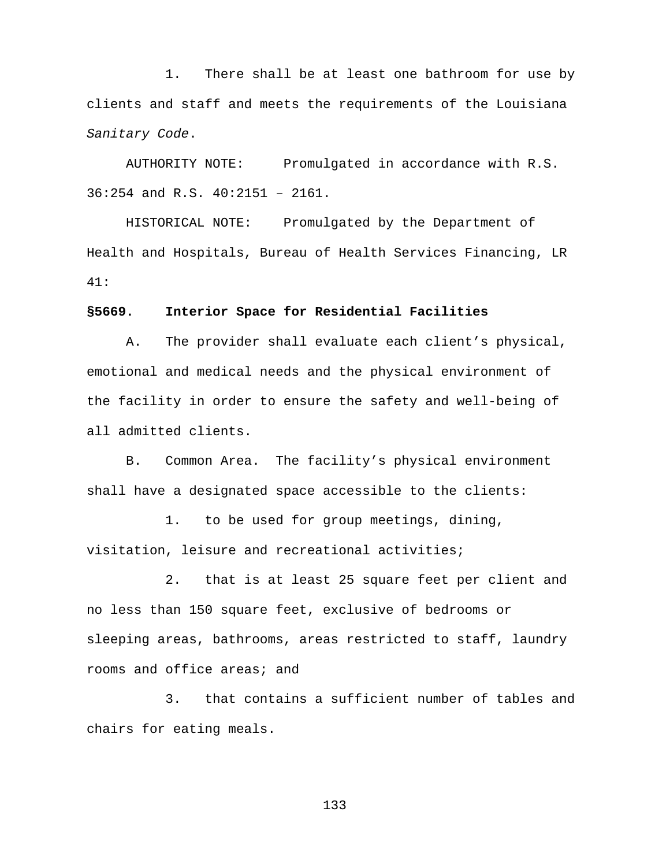1. There shall be at least one bathroom for use by clients and staff and meets the requirements of the Louisiana *Sanitary Code*.

AUTHORITY NOTE: Promulgated in accordance with R.S. 36:254 and R.S. 40:2151 – 2161.

HISTORICAL NOTE: Promulgated by the Department of Health and Hospitals, Bureau of Health Services Financing, LR 41:

#### **§5669. Interior Space for Residential Facilities**

A. The provider shall evaluate each client's physical, emotional and medical needs and the physical environment of the facility in order to ensure the safety and well-being of all admitted clients.

B. Common Area. The facility's physical environment shall have a designated space accessible to the clients:

1. to be used for group meetings, dining, visitation, leisure and recreational activities;

2. that is at least 25 square feet per client and no less than 150 square feet, exclusive of bedrooms or sleeping areas, bathrooms, areas restricted to staff, laundry rooms and office areas; and

3. that contains a sufficient number of tables and chairs for eating meals.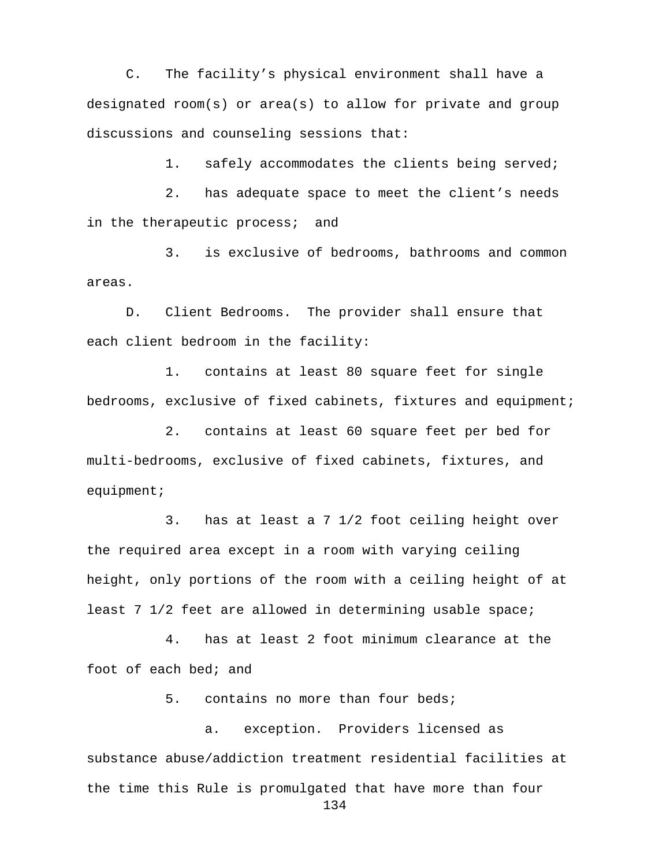C. The facility's physical environment shall have a designated room(s) or area(s) to allow for private and group discussions and counseling sessions that:

1. safely accommodates the clients being served;

2. has adequate space to meet the client's needs in the therapeutic process; and

3. is exclusive of bedrooms, bathrooms and common areas.

D. Client Bedrooms. The provider shall ensure that each client bedroom in the facility:

1. contains at least 80 square feet for single bedrooms, exclusive of fixed cabinets, fixtures and equipment;

2. contains at least 60 square feet per bed for multi-bedrooms, exclusive of fixed cabinets, fixtures, and equipment;

3. has at least a 7 1/2 foot ceiling height over the required area except in a room with varying ceiling height, only portions of the room with a ceiling height of at least 7 1/2 feet are allowed in determining usable space;

4. has at least 2 foot minimum clearance at the foot of each bed; and

5. contains no more than four beds;

a. exception. Providers licensed as substance abuse/addiction treatment residential facilities at the time this Rule is promulgated that have more than four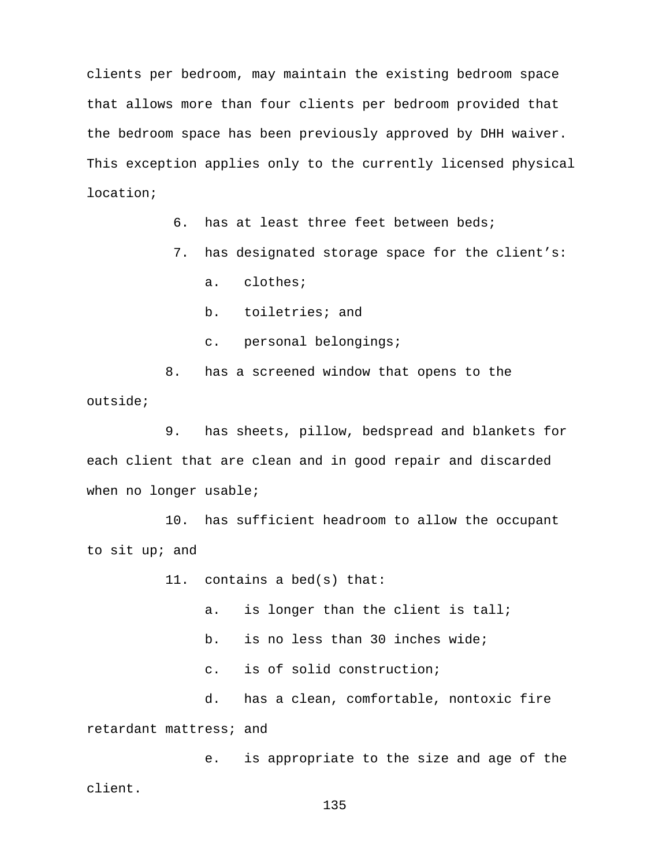clients per bedroom, may maintain the existing bedroom space that allows more than four clients per bedroom provided that the bedroom space has been previously approved by DHH waiver. This exception applies only to the currently licensed physical location;

6. has at least three feet between beds;

7. has designated storage space for the client's:

a. clothes;

b. toiletries; and

c. personal belongings;

8. has a screened window that opens to the outside;

9. has sheets, pillow, bedspread and blankets for each client that are clean and in good repair and discarded when no longer usable;

10. has sufficient headroom to allow the occupant to sit up; and

11. contains a bed(s) that:

a. is longer than the client is tall;

b. is no less than 30 inches wide;

c. is of solid construction;

d. has a clean, comfortable, nontoxic fire retardant mattress; and

e. is appropriate to the size and age of the client.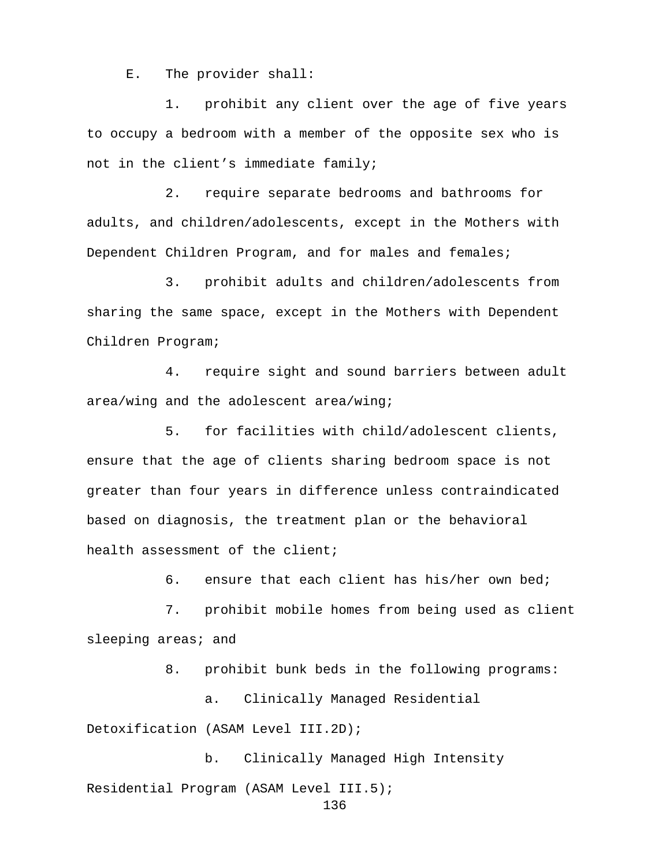E. The provider shall:

1. prohibit any client over the age of five years to occupy a bedroom with a member of the opposite sex who is not in the client's immediate family;

2. require separate bedrooms and bathrooms for adults, and children/adolescents, except in the Mothers with Dependent Children Program, and for males and females;

3. prohibit adults and children/adolescents from sharing the same space, except in the Mothers with Dependent Children Program;

4. require sight and sound barriers between adult area/wing and the adolescent area/wing;

5. for facilities with child/adolescent clients, ensure that the age of clients sharing bedroom space is not greater than four years in difference unless contraindicated based on diagnosis, the treatment plan or the behavioral health assessment of the client;

6. ensure that each client has his/her own bed;

7. prohibit mobile homes from being used as client sleeping areas; and

8. prohibit bunk beds in the following programs:

a. Clinically Managed Residential

Detoxification (ASAM Level III.2D);

b. Clinically Managed High Intensity Residential Program (ASAM Level III.5);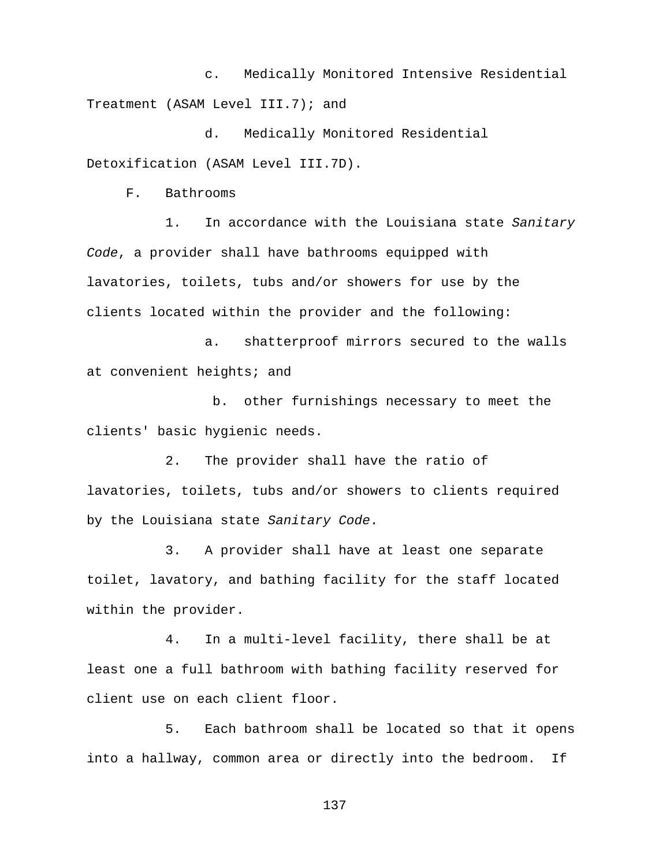c. Medically Monitored Intensive Residential Treatment (ASAM Level III.7); and

d. Medically Monitored Residential Detoxification (ASAM Level III.7D).

F. Bathrooms

1. In accordance with the Louisiana state *Sanitary Code*, a provider shall have bathrooms equipped with lavatories, toilets, tubs and/or showers for use by the clients located within the provider and the following:

a. shatterproof mirrors secured to the walls at convenient heights; and

b. other furnishings necessary to meet the clients' basic hygienic needs.

2. The provider shall have the ratio of lavatories, toilets, tubs and/or showers to clients required by the Louisiana state *Sanitary Code*.

3. A provider shall have at least one separate toilet, lavatory, and bathing facility for the staff located within the provider.

4. In a multi-level facility, there shall be at least one a full bathroom with bathing facility reserved for client use on each client floor.

5. Each bathroom shall be located so that it opens into a hallway, common area or directly into the bedroom. If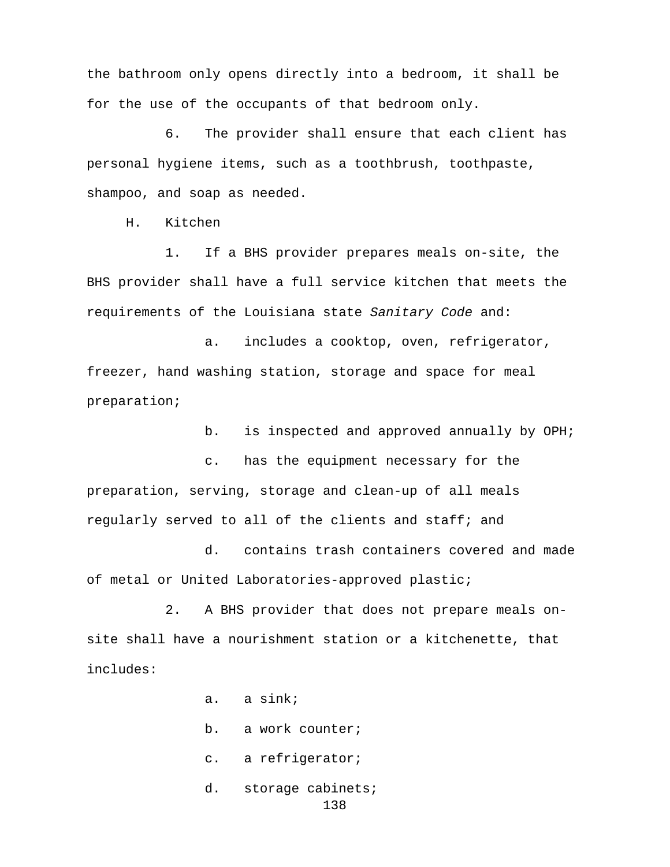the bathroom only opens directly into a bedroom, it shall be for the use of the occupants of that bedroom only.

6. The provider shall ensure that each client has personal hygiene items, such as a toothbrush, toothpaste, shampoo, and soap as needed.

H. Kitchen

1. If a BHS provider prepares meals on-site, the BHS provider shall have a full service kitchen that meets the requirements of the Louisiana state *Sanitary Code* and:

a. includes a cooktop, oven, refrigerator, freezer, hand washing station, storage and space for meal preparation;

b. is inspected and approved annually by OPH;

c. has the equipment necessary for the preparation, serving, storage and clean-up of all meals regularly served to all of the clients and staff; and

d. contains trash containers covered and made of metal or United Laboratories-approved plastic;

2. A BHS provider that does not prepare meals onsite shall have a nourishment station or a kitchenette, that includes:

a. a sink;

b. a work counter;

- c. a refrigerator;
- d. storage cabinets; 138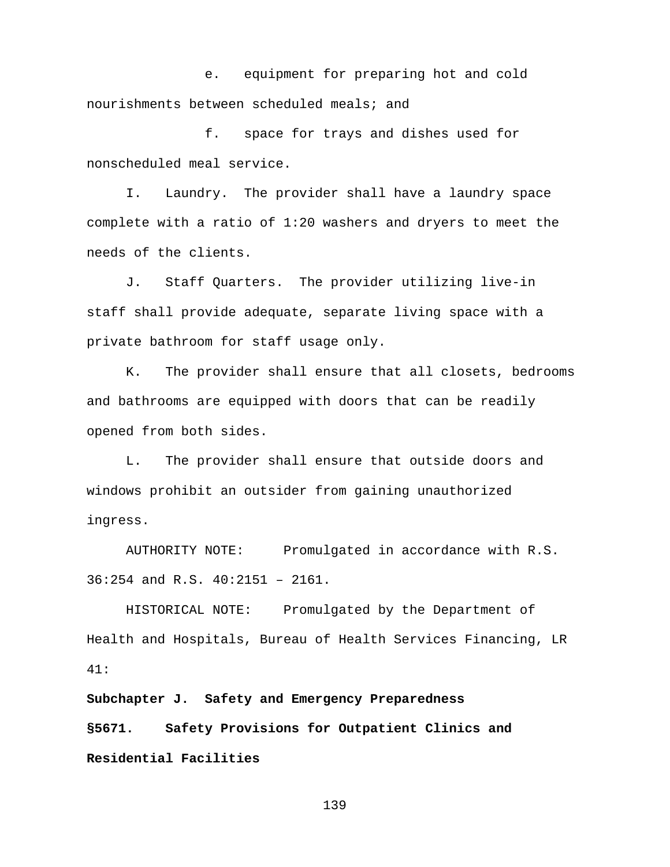e. equipment for preparing hot and cold nourishments between scheduled meals; and

f. space for trays and dishes used for nonscheduled meal service.

I. Laundry. The provider shall have a laundry space complete with a ratio of 1:20 washers and dryers to meet the needs of the clients.

J. Staff Quarters. The provider utilizing live-in staff shall provide adequate, separate living space with a private bathroom for staff usage only.

K. The provider shall ensure that all closets, bedrooms and bathrooms are equipped with doors that can be readily opened from both sides.

L. The provider shall ensure that outside doors and windows prohibit an outsider from gaining unauthorized ingress.

AUTHORITY NOTE: Promulgated in accordance with R.S. 36:254 and R.S. 40:2151 – 2161.

HISTORICAL NOTE: Promulgated by the Department of Health and Hospitals, Bureau of Health Services Financing, LR 41:

**Subchapter J. Safety and Emergency Preparedness §5671. Safety Provisions for Outpatient Clinics and Residential Facilities**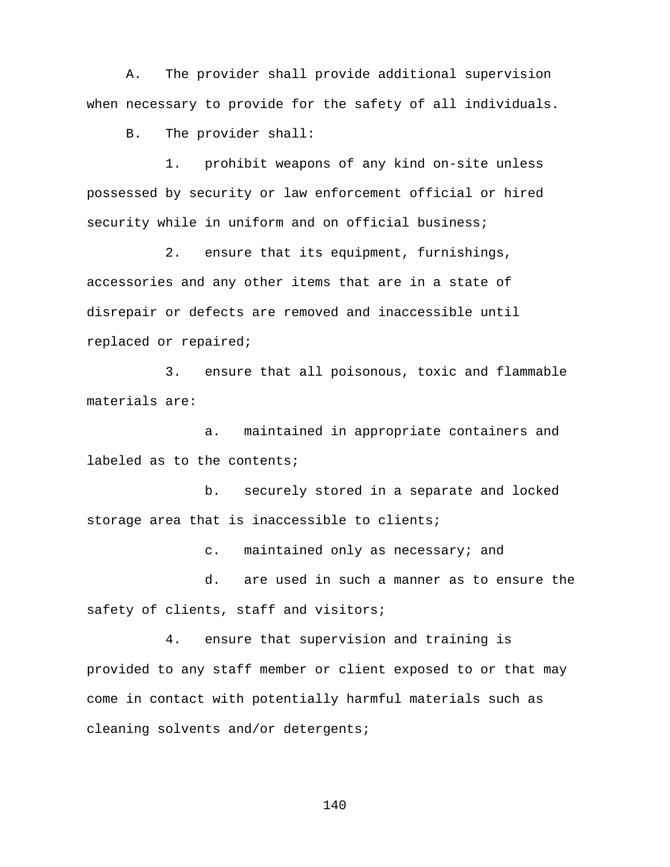A. The provider shall provide additional supervision when necessary to provide for the safety of all individuals.

B. The provider shall:

1. prohibit weapons of any kind on-site unless possessed by security or law enforcement official or hired security while in uniform and on official business;

2. ensure that its equipment, furnishings, accessories and any other items that are in a state of disrepair or defects are removed and inaccessible until replaced or repaired;

3. ensure that all poisonous, toxic and flammable materials are:

a. maintained in appropriate containers and labeled as to the contents;

b. securely stored in a separate and locked storage area that is inaccessible to clients;

c. maintained only as necessary; and

d. are used in such a manner as to ensure the safety of clients, staff and visitors;

4. ensure that supervision and training is provided to any staff member or client exposed to or that may come in contact with potentially harmful materials such as cleaning solvents and/or detergents;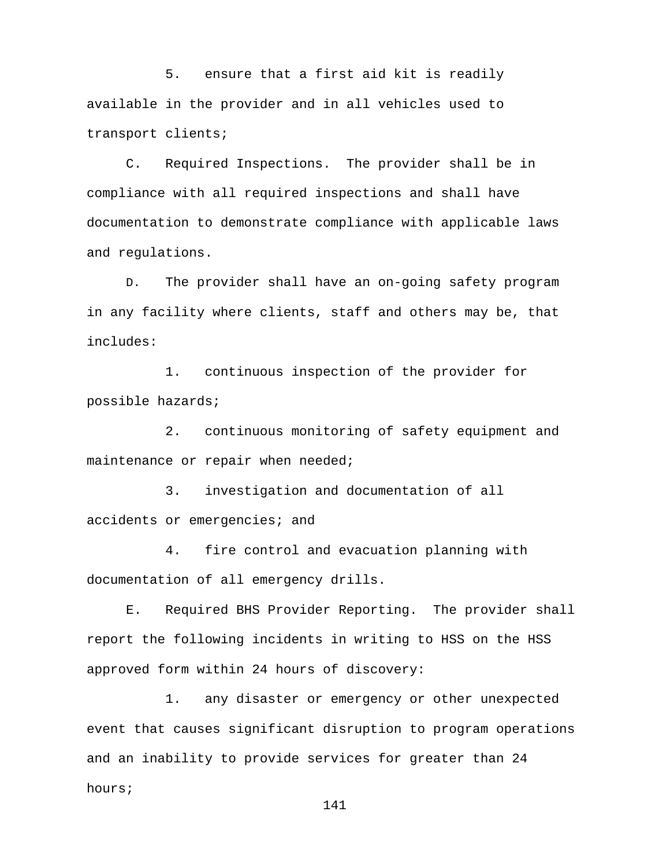5. ensure that a first aid kit is readily available in the provider and in all vehicles used to transport clients;

C. Required Inspections.The provider shall be in compliance with all required inspections and shall have documentation to demonstrate compliance with applicable laws and regulations.

D. The provider shall have an on-going safety program in any facility where clients, staff and others may be, that includes:

1. continuous inspection of the provider for possible hazards;

2. continuous monitoring of safety equipment and maintenance or repair when needed;

3. investigation and documentation of all accidents or emergencies; and

4. fire control and evacuation planning with documentation of all emergency drills.

E. Required BHS Provider Reporting. The provider shall report the following incidents in writing to HSS on the HSS approved form within 24 hours of discovery:

1. any disaster or emergency or other unexpected event that causes significant disruption to program operations and an inability to provide services for greater than 24 hours;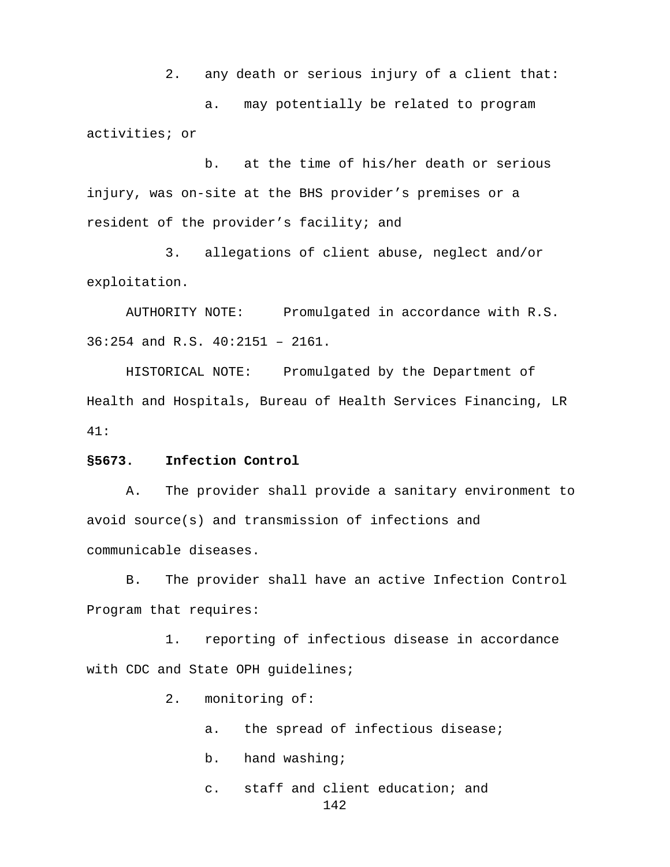2. any death or serious injury of a client that:

a. may potentially be related to program activities; or

b. at the time of his/her death or serious injury, was on-site at the BHS provider's premises or a resident of the provider's facility; and

3. allegations of client abuse, neglect and/or exploitation.

AUTHORITY NOTE: Promulgated in accordance with R.S. 36:254 and R.S. 40:2151 – 2161.

HISTORICAL NOTE: Promulgated by the Department of Health and Hospitals, Bureau of Health Services Financing, LR 41:

## **§5673. Infection Control**

A. The provider shall provide a sanitary environment to avoid source(s) and transmission of infections and communicable diseases.

B. The provider shall have an active Infection Control Program that requires:

1. reporting of infectious disease in accordance with CDC and State OPH quidelines;

2. monitoring of:

- a. the spread of infectious disease;
- b. hand washing;
- c. staff and client education; and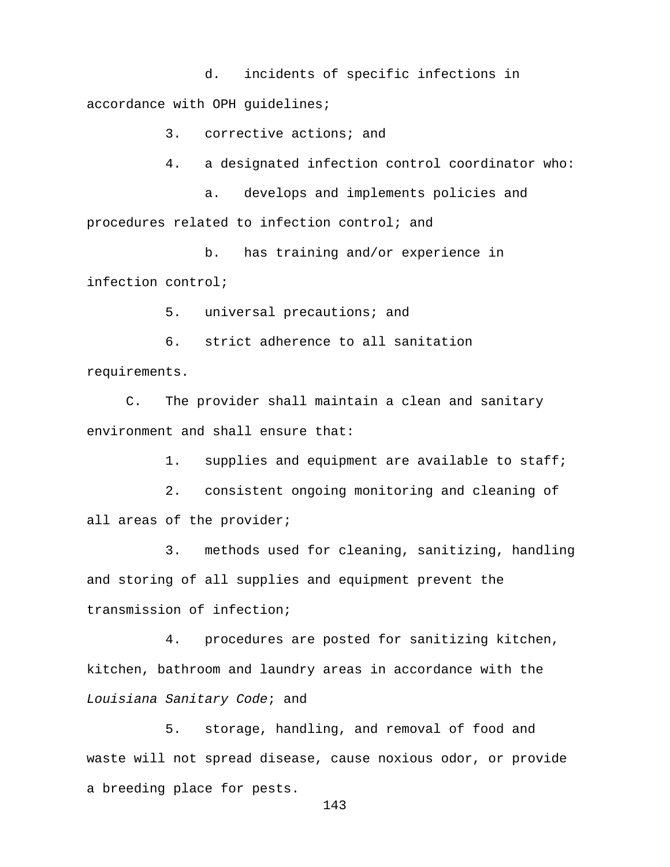d. incidents of specific infections in accordance with OPH guidelines;

3. corrective actions; and

4. a designated infection control coordinator who:

a. develops and implements policies and procedures related to infection control; and

b. has training and/or experience in infection control;

5. universal precautions; and

6. strict adherence to all sanitation requirements.

C. The provider shall maintain a clean and sanitary environment and shall ensure that:

1. supplies and equipment are available to staff;

2. consistent ongoing monitoring and cleaning of all areas of the provider;

3. methods used for cleaning, sanitizing, handling and storing of all supplies and equipment prevent the transmission of infection;

4. procedures are posted for sanitizing kitchen, kitchen, bathroom and laundry areas in accordance with the *Louisiana Sanitary Code*; and

5. storage, handling, and removal of food and waste will not spread disease, cause noxious odor, or provide a breeding place for pests.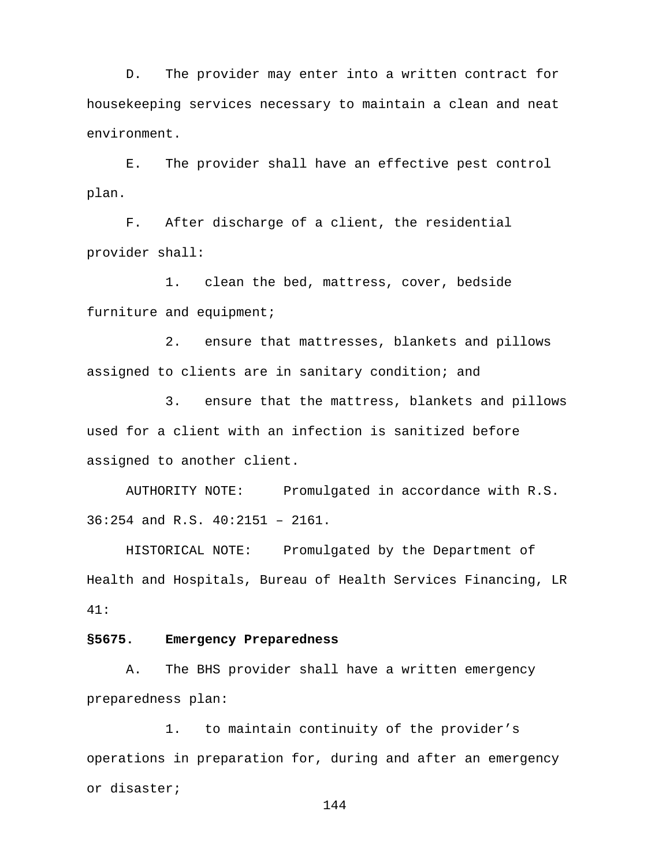D. The provider may enter into a written contract for housekeeping services necessary to maintain a clean and neat environment.

E. The provider shall have an effective pest control plan.

F. After discharge of a client, the residential provider shall:

1. clean the bed, mattress, cover, bedside furniture and equipment;

2. ensure that mattresses, blankets and pillows assigned to clients are in sanitary condition; and

3. ensure that the mattress, blankets and pillows used for a client with an infection is sanitized before assigned to another client.

AUTHORITY NOTE: Promulgated in accordance with R.S. 36:254 and R.S. 40:2151 – 2161.

HISTORICAL NOTE: Promulgated by the Department of Health and Hospitals, Bureau of Health Services Financing, LR 41:

## **§5675. Emergency Preparedness**

A. The BHS provider shall have a written emergency preparedness plan:

1. to maintain continuity of the provider's operations in preparation for, during and after an emergency or disaster;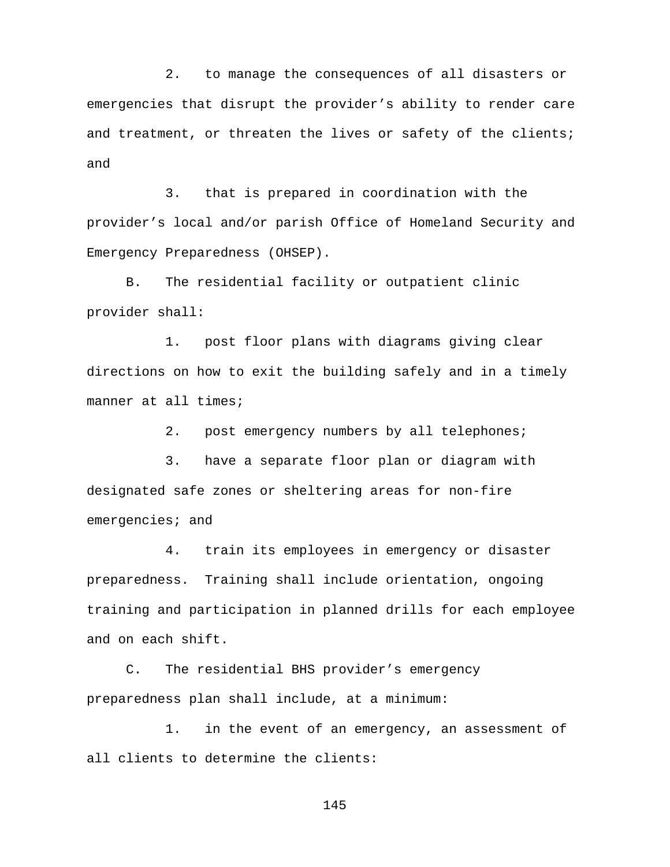2. to manage the consequences of all disasters or emergencies that disrupt the provider's ability to render care and treatment, or threaten the lives or safety of the clients; and

3. that is prepared in coordination with the provider's local and/or parish Office of Homeland Security and Emergency Preparedness (OHSEP).

B. The residential facility or outpatient clinic provider shall:

1. post floor plans with diagrams giving clear directions on how to exit the building safely and in a timely manner at all times;

2. post emergency numbers by all telephones;

3. have a separate floor plan or diagram with designated safe zones or sheltering areas for non-fire emergencies; and

4. train its employees in emergency or disaster preparedness. Training shall include orientation, ongoing training and participation in planned drills for each employee and on each shift.

C. The residential BHS provider's emergency preparedness plan shall include, at a minimum:

1. in the event of an emergency, an assessment of all clients to determine the clients: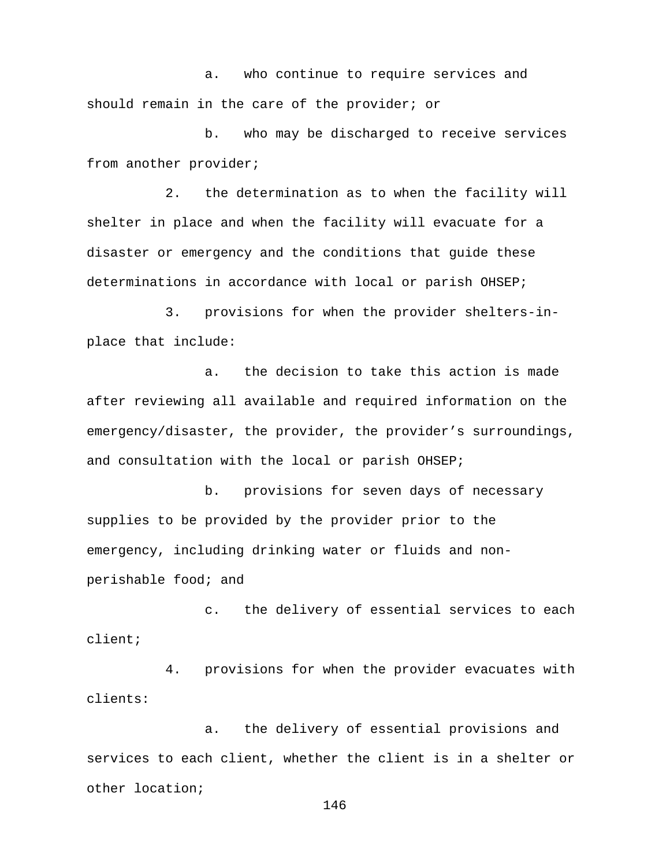a. who continue to require services and should remain in the care of the provider; or

b. who may be discharged to receive services from another provider;

2. the determination as to when the facility will shelter in place and when the facility will evacuate for a disaster or emergency and the conditions that guide these determinations in accordance with local or parish OHSEP;

3. provisions for when the provider shelters-inplace that include:

a. the decision to take this action is made after reviewing all available and required information on the emergency/disaster, the provider, the provider's surroundings, and consultation with the local or parish OHSEP;

b. provisions for seven days of necessary supplies to be provided by the provider prior to the emergency, including drinking water or fluids and nonperishable food; and

c. the delivery of essential services to each client;

4. provisions for when the provider evacuates with clients:

a. the delivery of essential provisions and services to each client, whether the client is in a shelter or other location;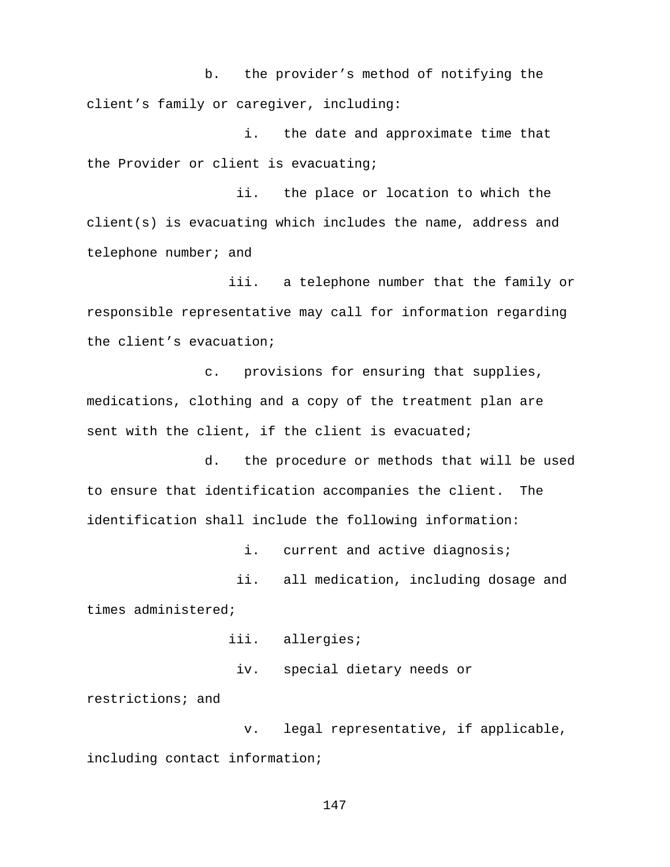b. the provider's method of notifying the client's family or caregiver, including:

i. the date and approximate time that the Provider or client is evacuating;

 ii. the place or location to which the client(s) is evacuating which includes the name, address and telephone number; and

 iii. a telephone number that the family or responsible representative may call for information regarding the client's evacuation;

c. provisions for ensuring that supplies, medications, clothing and a copy of the treatment plan are sent with the client, if the client is evacuated;

d. the procedure or methods that will be used to ensure that identification accompanies the client. The identification shall include the following information:

i. current and active diagnosis; ii. all medication, including dosage and times administered;

iii. allergies;

iv. special dietary needs or

restrictions; and

 v. legal representative, if applicable, including contact information;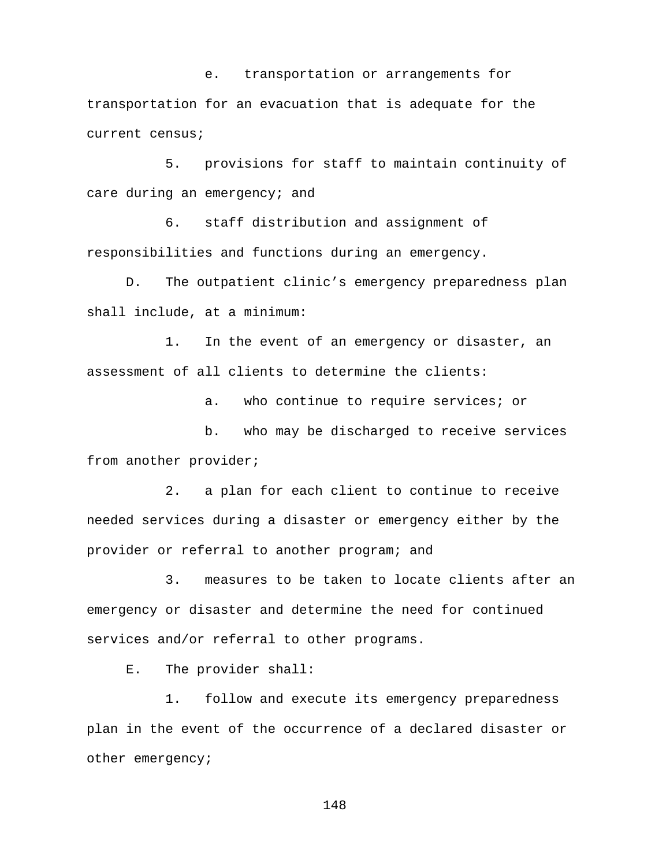e. transportation or arrangements for transportation for an evacuation that is adequate for the current census;

5. provisions for staff to maintain continuity of care during an emergency; and

6. staff distribution and assignment of responsibilities and functions during an emergency.

D. The outpatient clinic's emergency preparedness plan shall include, at a minimum:

1. In the event of an emergency or disaster, an assessment of all clients to determine the clients:

a. who continue to require services; or

b. who may be discharged to receive services from another provider;

2. a plan for each client to continue to receive needed services during a disaster or emergency either by the provider or referral to another program; and

3. measures to be taken to locate clients after an emergency or disaster and determine the need for continued services and/or referral to other programs.

E. The provider shall:

1. follow and execute its emergency preparedness plan in the event of the occurrence of a declared disaster or other emergency;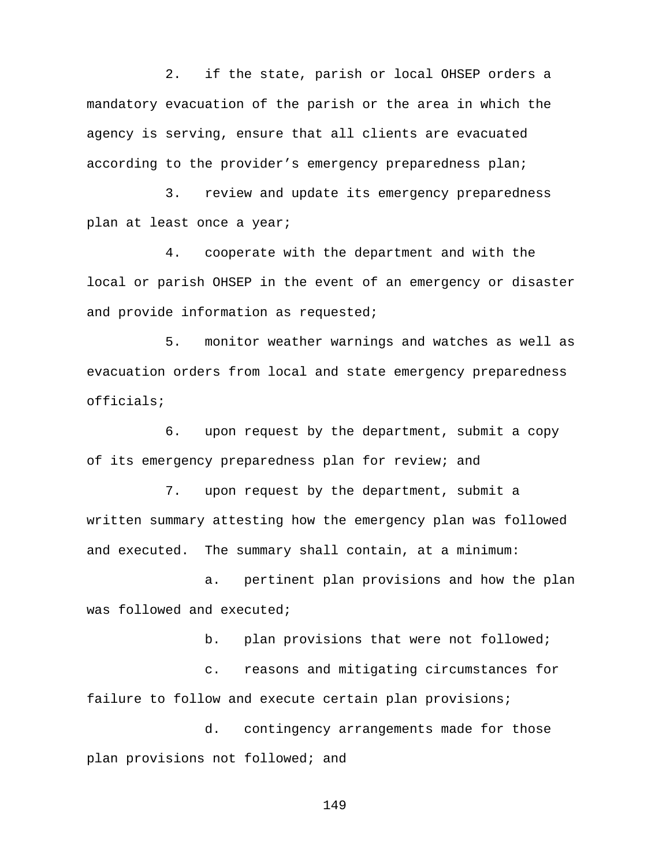2. if the state, parish or local OHSEP orders a mandatory evacuation of the parish or the area in which the agency is serving, ensure that all clients are evacuated according to the provider's emergency preparedness plan;

3. review and update its emergency preparedness plan at least once a year;

4. cooperate with the department and with the local or parish OHSEP in the event of an emergency or disaster and provide information as requested;

5. monitor weather warnings and watches as well as evacuation orders from local and state emergency preparedness officials;

6. upon request by the department, submit a copy of its emergency preparedness plan for review; and

7. upon request by the department, submit a written summary attesting how the emergency plan was followed and executed. The summary shall contain, at a minimum:

a. pertinent plan provisions and how the plan was followed and executed;

b. plan provisions that were not followed;

c. reasons and mitigating circumstances for failure to follow and execute certain plan provisions;

d. contingency arrangements made for those plan provisions not followed; and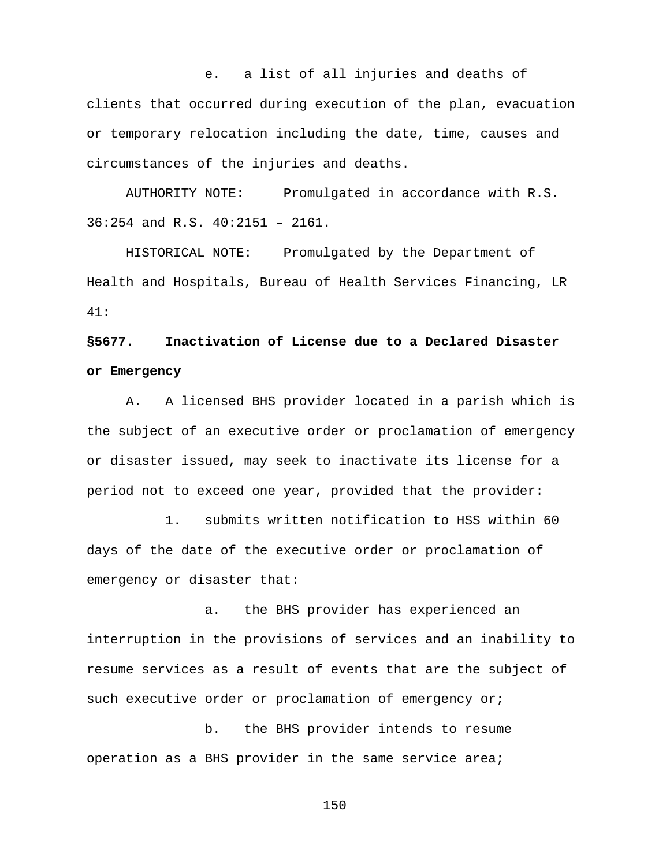e. a list of all injuries and deaths of clients that occurred during execution of the plan, evacuation or temporary relocation including the date, time, causes and circumstances of the injuries and deaths.

AUTHORITY NOTE: Promulgated in accordance with R.S. 36:254 and R.S. 40:2151 – 2161.

HISTORICAL NOTE: Promulgated by the Department of Health and Hospitals, Bureau of Health Services Financing, LR 41:

## **§5677. Inactivation of License due to a Declared Disaster or Emergency**

A. A licensed BHS provider located in a parish which is the subject of an executive order or proclamation of emergency or disaster issued, may seek to inactivate its license for a period not to exceed one year, provided that the provider:

1. submits written notification to HSS within 60 days of the date of the executive order or proclamation of emergency or disaster that:

a. the BHS provider has experienced an interruption in the provisions of services and an inability to resume services as a result of events that are the subject of such executive order or proclamation of emergency or;

b. the BHS provider intends to resume operation as a BHS provider in the same service area;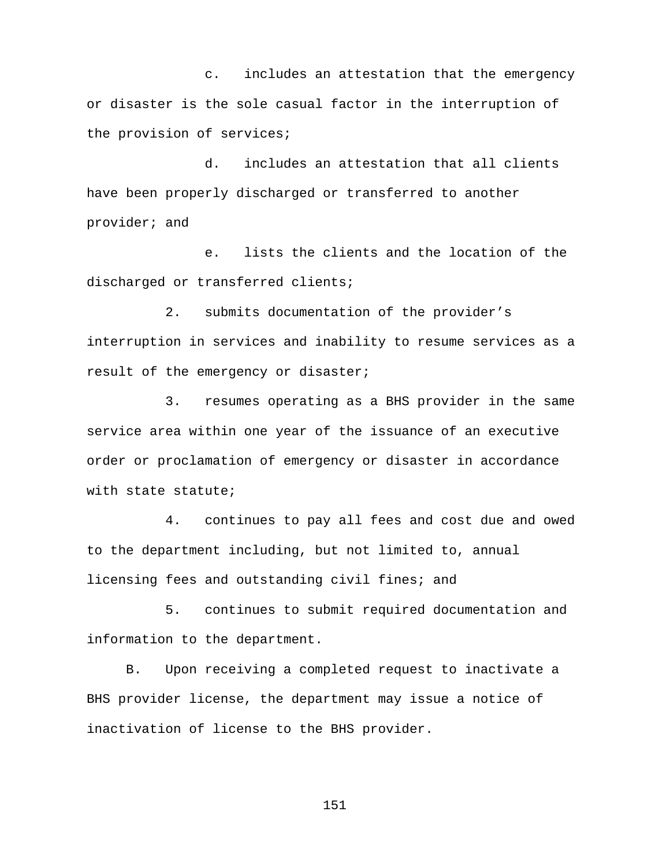c. includes an attestation that the emergency or disaster is the sole casual factor in the interruption of the provision of services;

d. includes an attestation that all clients have been properly discharged or transferred to another provider; and

e. lists the clients and the location of the discharged or transferred clients;

2. submits documentation of the provider's interruption in services and inability to resume services as a result of the emergency or disaster;

3. resumes operating as a BHS provider in the same service area within one year of the issuance of an executive order or proclamation of emergency or disaster in accordance with state statute;

4. continues to pay all fees and cost due and owed to the department including, but not limited to, annual licensing fees and outstanding civil fines; and

5. continues to submit required documentation and information to the department.

B. Upon receiving a completed request to inactivate a BHS provider license, the department may issue a notice of inactivation of license to the BHS provider.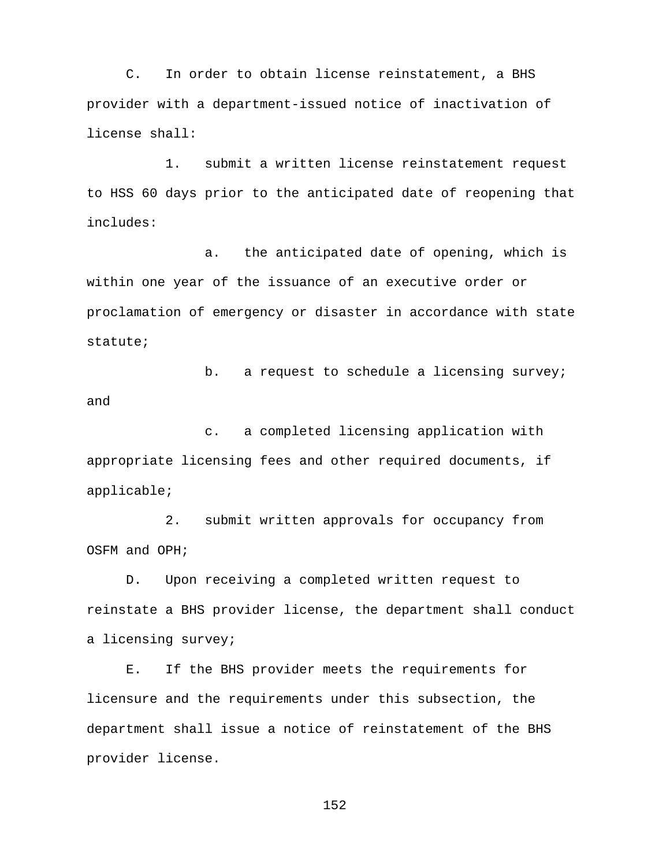C. In order to obtain license reinstatement, a BHS provider with a department-issued notice of inactivation of license shall:

1. submit a written license reinstatement request to HSS 60 days prior to the anticipated date of reopening that includes:

a. the anticipated date of opening, which is within one year of the issuance of an executive order or proclamation of emergency or disaster in accordance with state statute;

b. a request to schedule a licensing survey; and

c. a completed licensing application with appropriate licensing fees and other required documents, if applicable;

2. submit written approvals for occupancy from OSFM and OPH;

D. Upon receiving a completed written request to reinstate a BHS provider license, the department shall conduct a licensing survey;

E. If the BHS provider meets the requirements for licensure and the requirements under this subsection, the department shall issue a notice of reinstatement of the BHS provider license.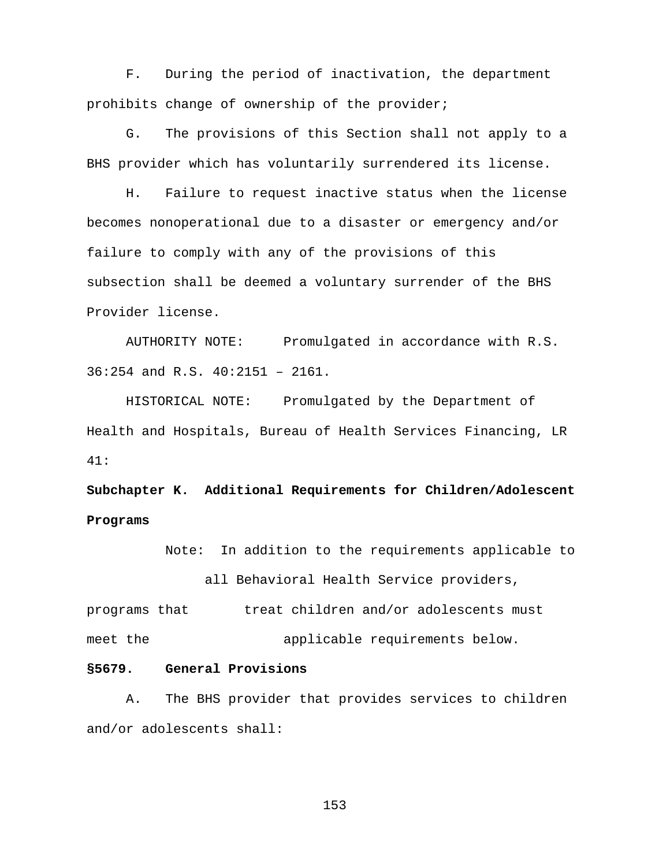F. During the period of inactivation, the department prohibits change of ownership of the provider;

G. The provisions of this Section shall not apply to a BHS provider which has voluntarily surrendered its license.

H. Failure to request inactive status when the license becomes nonoperational due to a disaster or emergency and/or failure to comply with any of the provisions of this subsection shall be deemed a voluntary surrender of the BHS Provider license.

AUTHORITY NOTE: Promulgated in accordance with R.S. 36:254 and R.S. 40:2151 – 2161.

HISTORICAL NOTE: Promulgated by the Department of Health and Hospitals, Bureau of Health Services Financing, LR 41:

**Subchapter K. Additional Requirements for Children/Adolescent Programs**

Note: In addition to the requirements applicable to

all Behavioral Health Service providers,

programs that treat children and/or adolescents must meet the  $appliedable$  requirements below.

#### **§5679. General Provisions**

A. The BHS provider that provides services to children and/or adolescents shall: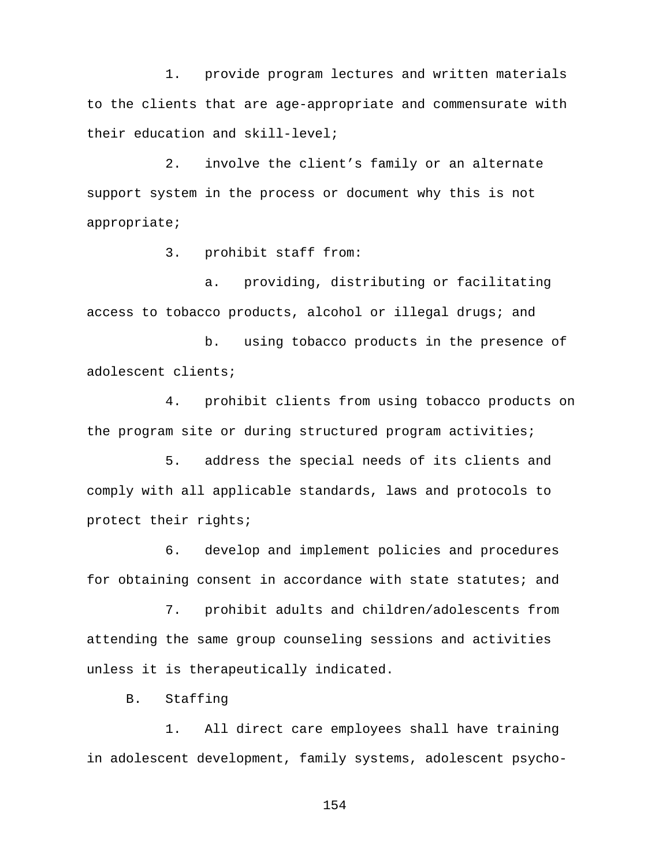1. provide program lectures and written materials to the clients that are age-appropriate and commensurate with their education and skill-level;

2. involve the client's family or an alternate support system in the process or document why this is not appropriate;

3. prohibit staff from:

a. providing, distributing or facilitating access to tobacco products, alcohol or illegal drugs; and

b. using tobacco products in the presence of adolescent clients;

4. prohibit clients from using tobacco products on the program site or during structured program activities;

5. address the special needs of its clients and comply with all applicable standards, laws and protocols to protect their rights;

6. develop and implement policies and procedures for obtaining consent in accordance with state statutes; and

7. prohibit adults and children/adolescents from attending the same group counseling sessions and activities unless it is therapeutically indicated.

B. Staffing

1. All direct care employees shall have training in adolescent development, family systems, adolescent psycho-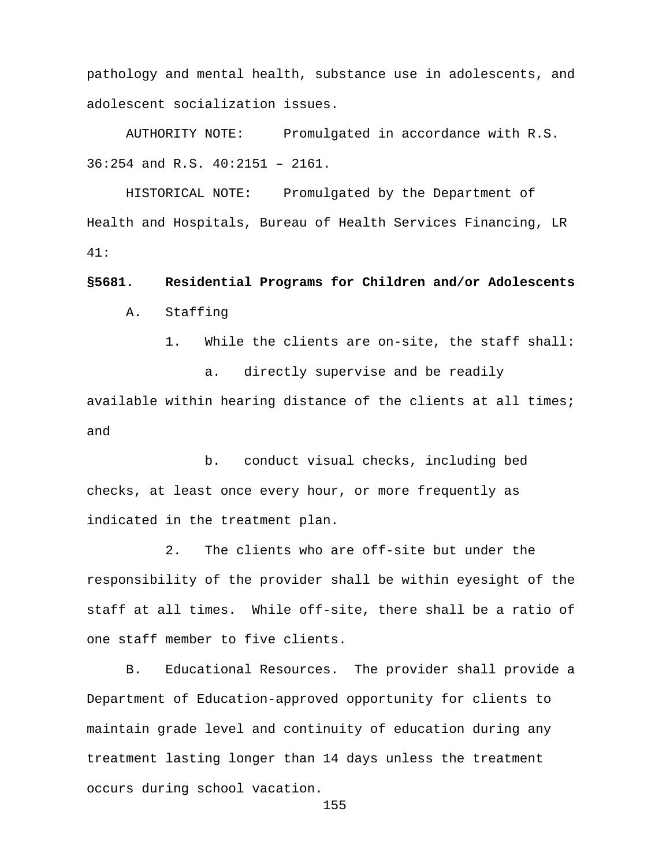pathology and mental health, substance use in adolescents, and adolescent socialization issues.

AUTHORITY NOTE: Promulgated in accordance with R.S. 36:254 and R.S. 40:2151 – 2161.

HISTORICAL NOTE: Promulgated by the Department of Health and Hospitals, Bureau of Health Services Financing, LR 41:

**§5681. Residential Programs for Children and/or Adolescents** 

A. Staffing

1. While the clients are on-site, the staff shall:

a. directly supervise and be readily available within hearing distance of the clients at all times; and

b. conduct visual checks, including bed checks, at least once every hour, or more frequently as indicated in the treatment plan.

2. The clients who are off-site but under the responsibility of the provider shall be within eyesight of the staff at all times. While off-site, there shall be a ratio of one staff member to five clients.

B. Educational Resources. The provider shall provide a Department of Education-approved opportunity for clients to maintain grade level and continuity of education during any treatment lasting longer than 14 days unless the treatment occurs during school vacation.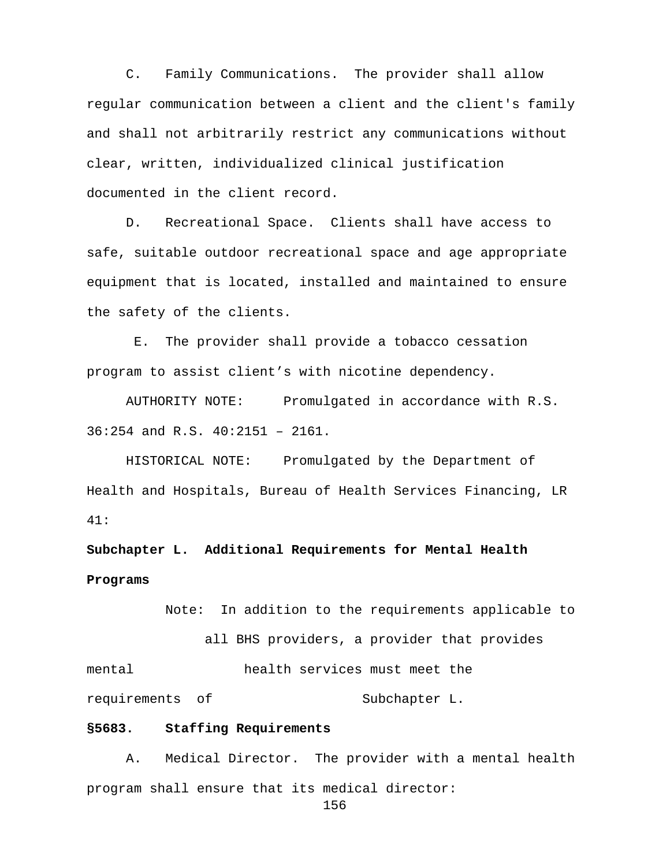C. Family Communications. The provider shall allow regular communication between a client and the client's family and shall not arbitrarily restrict any communications without clear, written, individualized clinical justification documented in the client record.

D. Recreational Space. Clients shall have access to safe, suitable outdoor recreational space and age appropriate equipment that is located, installed and maintained to ensure the safety of the clients.

E. The provider shall provide a tobacco cessation program to assist client's with nicotine dependency.

AUTHORITY NOTE: Promulgated in accordance with R.S. 36:254 and R.S. 40:2151 – 2161.

HISTORICAL NOTE: Promulgated by the Department of Health and Hospitals, Bureau of Health Services Financing, LR 41:

**Subchapter L. Additional Requirements for Mental Health Programs**

 Note: In addition to the requirements applicable to all BHS providers, a provider that provides mental health services must meet the requirements of Subchapter L.

#### **§5683. Staffing Requirements**

A. Medical Director. The provider with a mental health program shall ensure that its medical director: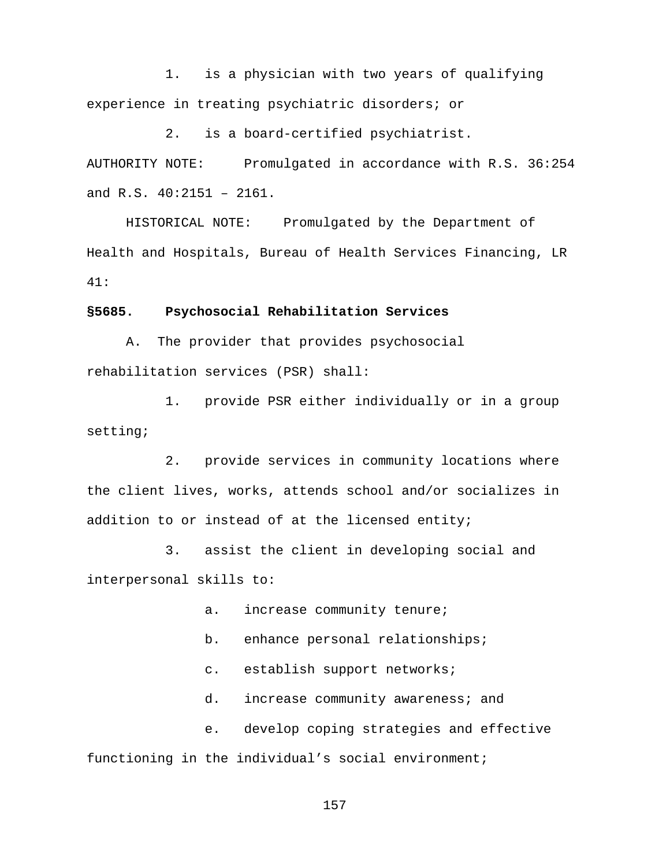1. is a physician with two years of qualifying experience in treating psychiatric disorders; or

2. is a board-certified psychiatrist. AUTHORITY NOTE: Promulgated in accordance with R.S. 36:254 and R.S. 40:2151 – 2161.

HISTORICAL NOTE: Promulgated by the Department of Health and Hospitals, Bureau of Health Services Financing, LR 41:

#### **§5685. Psychosocial Rehabilitation Services**

A. The provider that provides psychosocial rehabilitation services (PSR) shall:

1. provide PSR either individually or in a group setting;

2. provide services in community locations where the client lives, works, attends school and/or socializes in addition to or instead of at the licensed entity;

3. assist the client in developing social and interpersonal skills to:

a. increase community tenure;

b. enhance personal relationships;

c. establish support networks;

d. increase community awareness; and

e. develop coping strategies and effective functioning in the individual's social environment;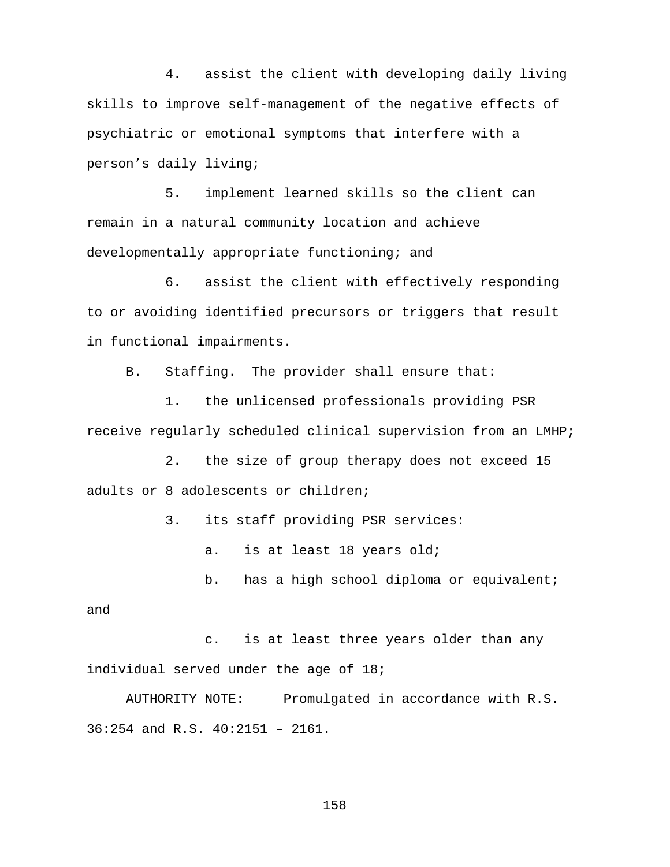4. assist the client with developing daily living skills to improve self-management of the negative effects of psychiatric or emotional symptoms that interfere with a person's daily living;

5. implement learned skills so the client can remain in a natural community location and achieve developmentally appropriate functioning; and

6. assist the client with effectively responding to or avoiding identified precursors or triggers that result in functional impairments.

B. Staffing. The provider shall ensure that:

1. the unlicensed professionals providing PSR receive regularly scheduled clinical supervision from an LMHP;

2. the size of group therapy does not exceed 15 adults or 8 adolescents or children;

3. its staff providing PSR services:

a. is at least 18 years old;

b. has a high school diploma or equivalent;

and

c. is at least three years older than any individual served under the age of 18;

AUTHORITY NOTE: Promulgated in accordance with R.S. 36:254 and R.S. 40:2151 – 2161.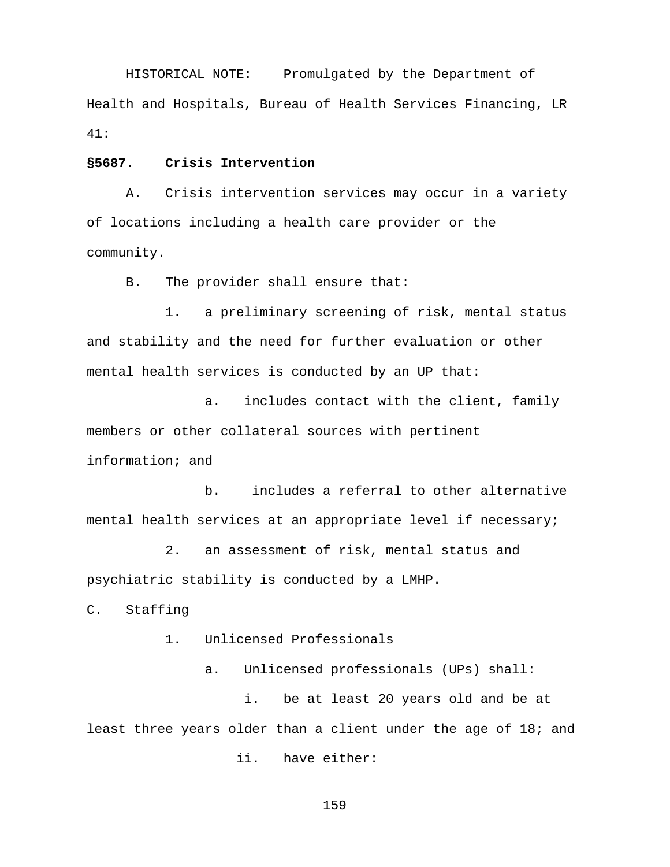HISTORICAL NOTE: Promulgated by the Department of Health and Hospitals, Bureau of Health Services Financing, LR 41:

#### **§5687. Crisis Intervention**

A. Crisis intervention services may occur in a variety of locations including a health care provider or the community.

B. The provider shall ensure that:

1. a preliminary screening of risk, mental status and stability and the need for further evaluation or other mental health services is conducted by an UP that:

a. includes contact with the client, family members or other collateral sources with pertinent information; and

b. includes a referral to other alternative mental health services at an appropriate level if necessary;

2. an assessment of risk, mental status and psychiatric stability is conducted by a LMHP.

C. Staffing

1. Unlicensed Professionals

a. Unlicensed professionals (UPs) shall:

i. be at least 20 years old and be at least three years older than a client under the age of 18; and

ii. have either: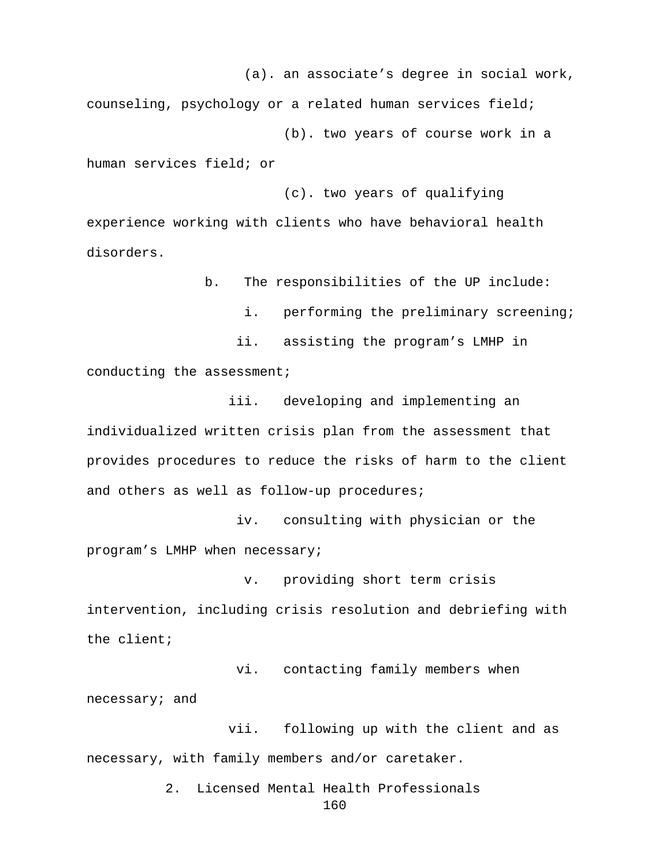(a). an associate's degree in social work,

counseling, psychology or a related human services field; (b). two years of course work in a

human services field; or

 (c). two years of qualifying experience working with clients who have behavioral health disorders.

b. The responsibilities of the UP include:

i. performing the preliminary screening;

 ii. assisting the program's LMHP in conducting the assessment;

 iii. developing and implementing an individualized written crisis plan from the assessment that provides procedures to reduce the risks of harm to the client and others as well as follow-up procedures;

 iv. consulting with physician or the program's LMHP when necessary;

v. providing short term crisis intervention, including crisis resolution and debriefing with the client;

 vi. contacting family members when necessary; and

 vii. following up with the client and as necessary, with family members and/or caretaker.

> 2. Licensed Mental Health Professionals 160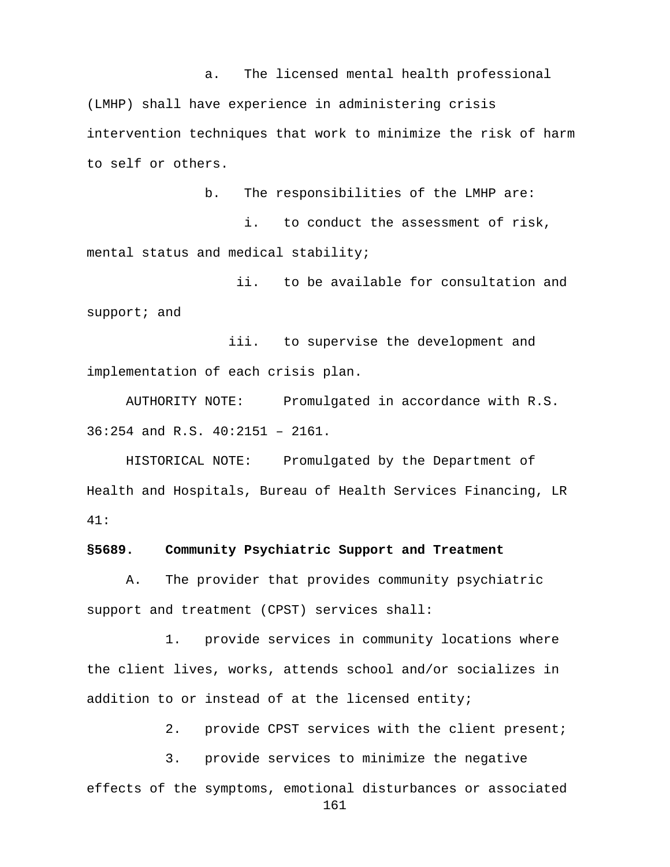a. The licensed mental health professional (LMHP) shall have experience in administering crisis intervention techniques that work to minimize the risk of harm to self or others.

b. The responsibilities of the LMHP are: i. to conduct the assessment of risk, mental status and medical stability;

 ii. to be available for consultation and support; and

 iii. to supervise the development and implementation of each crisis plan.

AUTHORITY NOTE: Promulgated in accordance with R.S. 36:254 and R.S. 40:2151 – 2161.

HISTORICAL NOTE: Promulgated by the Department of Health and Hospitals, Bureau of Health Services Financing, LR 41:

#### **§5689. Community Psychiatric Support and Treatment**

A. The provider that provides community psychiatric support and treatment (CPST) services shall:

1. provide services in community locations where the client lives, works, attends school and/or socializes in addition to or instead of at the licensed entity;

2. provide CPST services with the client present;

3. provide services to minimize the negative effects of the symptoms, emotional disturbances or associated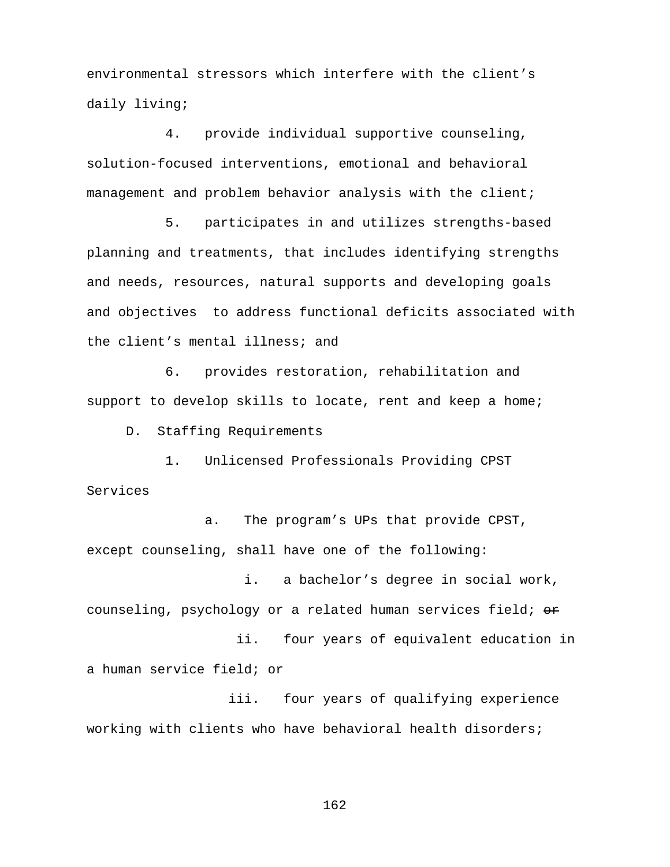environmental stressors which interfere with the client's daily living;

4. provide individual supportive counseling, solution-focused interventions, emotional and behavioral management and problem behavior analysis with the client;

5. participates in and utilizes strengths-based planning and treatments, that includes identifying strengths and needs, resources, natural supports and developing goals and objectives to address functional deficits associated with the client's mental illness; and

6. provides restoration, rehabilitation and support to develop skills to locate, rent and keep a home;

D. Staffing Requirements

1. Unlicensed Professionals Providing CPST Services

a. The program's UPs that provide CPST, except counseling, shall have one of the following:

i. a bachelor's degree in social work, counseling, psychology or a related human services field; or

 ii. four years of equivalent education in a human service field; or

 iii. four years of qualifying experience working with clients who have behavioral health disorders;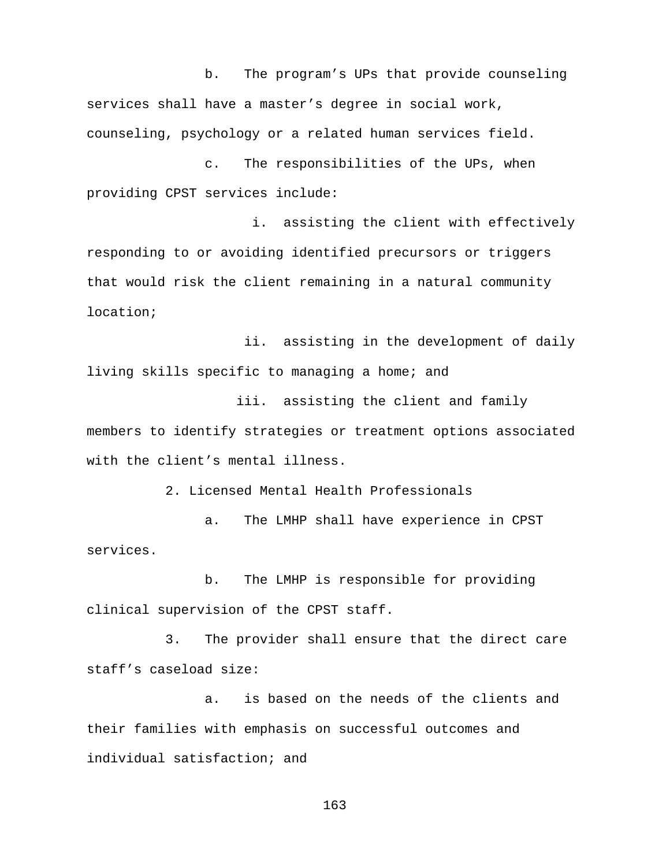b. The program's UPs that provide counseling services shall have a master's degree in social work, counseling, psychology or a related human services field.

c. The responsibilities of the UPs, when providing CPST services include:

i. assisting the client with effectively responding to or avoiding identified precursors or triggers that would risk the client remaining in a natural community location;

ii. assisting in the development of daily living skills specific to managing a home; and

 iii. assisting the client and family members to identify strategies or treatment options associated with the client's mental illness.

2. Licensed Mental Health Professionals

a. The LMHP shall have experience in CPST services.

b. The LMHP is responsible for providing clinical supervision of the CPST staff.

3. The provider shall ensure that the direct care staff's caseload size:

a. is based on the needs of the clients and their families with emphasis on successful outcomes and individual satisfaction; and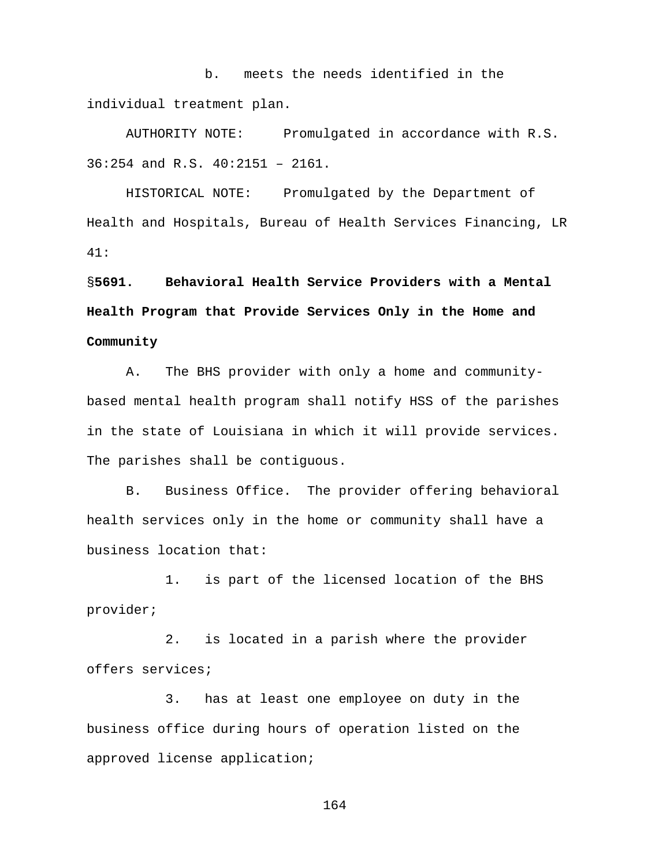b. meets the needs identified in the individual treatment plan.

AUTHORITY NOTE: Promulgated in accordance with R.S. 36:254 and R.S. 40:2151 – 2161.

HISTORICAL NOTE: Promulgated by the Department of Health and Hospitals, Bureau of Health Services Financing, LR 41:

# §**5691. Behavioral Health Service Providers with a Mental Health Program that Provide Services Only in the Home and Community**

A. The BHS provider with only a home and communitybased mental health program shall notify HSS of the parishes in the state of Louisiana in which it will provide services. The parishes shall be contiguous.

B. Business Office. The provider offering behavioral health services only in the home or community shall have a business location that:

 1. is part of the licensed location of the BHS provider;

2. is located in a parish where the provider offers services;

3. has at least one employee on duty in the business office during hours of operation listed on the approved license application;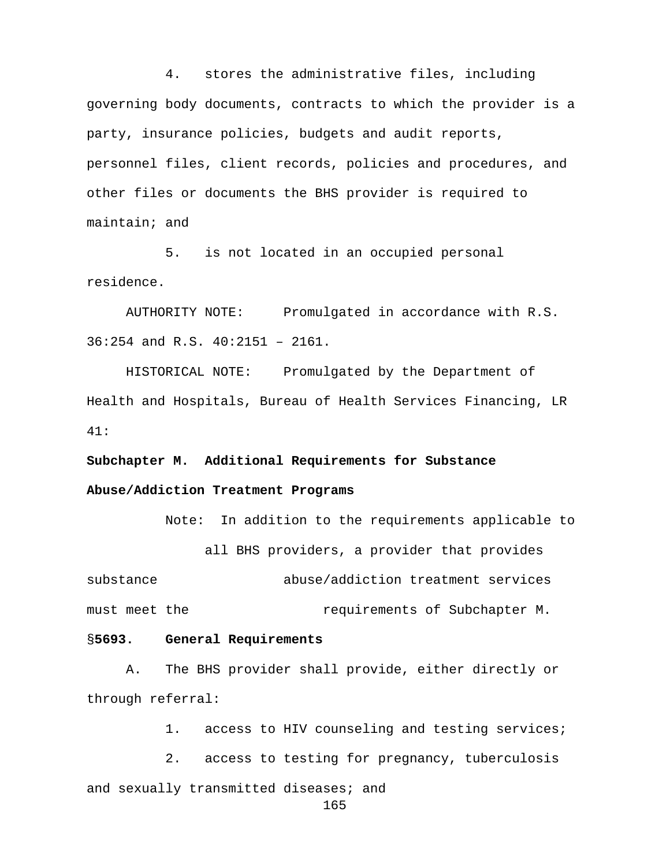4. stores the administrative files, including governing body documents, contracts to which the provider is a party, insurance policies, budgets and audit reports, personnel files, client records, policies and procedures, and other files or documents the BHS provider is required to maintain; and

5. is not located in an occupied personal residence.

AUTHORITY NOTE: Promulgated in accordance with R.S. 36:254 and R.S. 40:2151 – 2161.

HISTORICAL NOTE: Promulgated by the Department of Health and Hospitals, Bureau of Health Services Financing, LR 41:

**Subchapter M. Additional Requirements for Substance Abuse/Addiction Treatment Programs**

Note: In addition to the requirements applicable to all BHS providers, a provider that provides substance abuse/addiction treatment services must meet the requirements of Subchapter M.

#### §**5693. General Requirements**

A. The BHS provider shall provide, either directly or through referral:

1. access to HIV counseling and testing services;

2. access to testing for pregnancy, tuberculosis and sexually transmitted diseases; and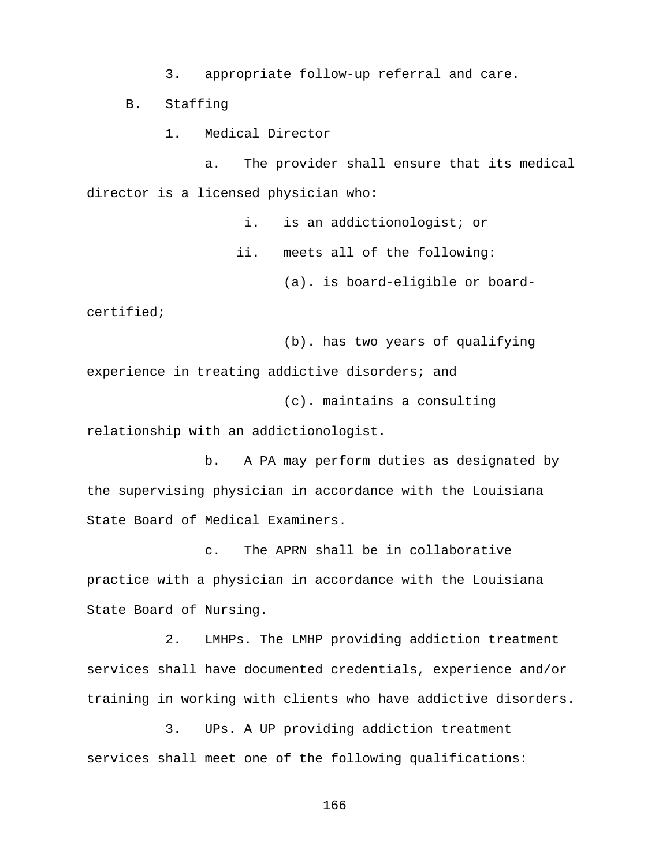3. appropriate follow-up referral and care.

B. Staffing

1. Medical Director

a. The provider shall ensure that its medical director is a licensed physician who:

i. is an addictionologist; or

ii. meets all of the following:

(a). is board-eligible or board-

certified;

(b). has two years of qualifying experience in treating addictive disorders; and (c). maintains a consulting

relationship with an addictionologist.

b. A PA may perform duties as designated by the supervising physician in accordance with the Louisiana State Board of Medical Examiners.

c. The APRN shall be in collaborative practice with a physician in accordance with the Louisiana State Board of Nursing.

2. LMHPs. The LMHP providing addiction treatment services shall have documented credentials, experience and/or training in working with clients who have addictive disorders.

3. UPs. A UP providing addiction treatment services shall meet one of the following qualifications: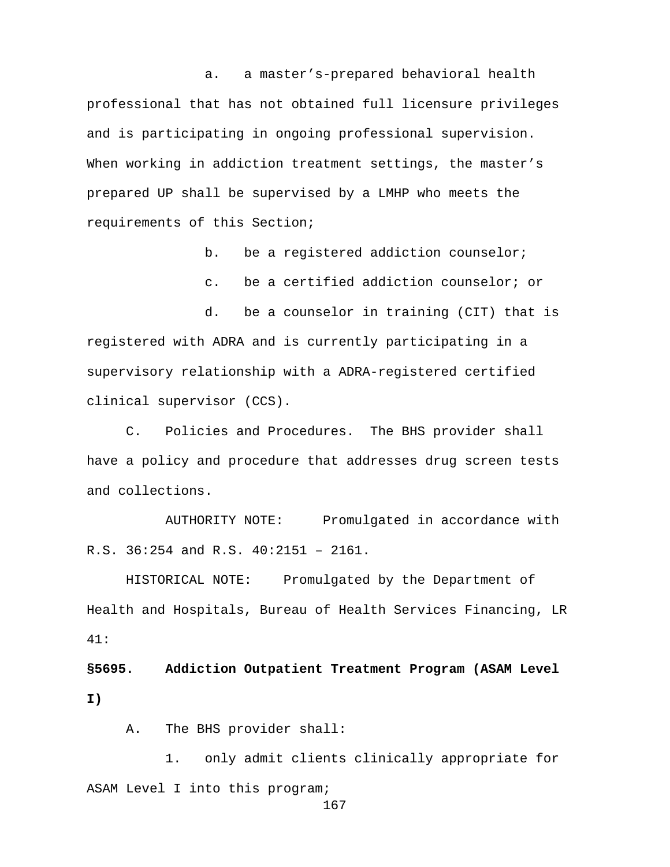a. a master's-prepared behavioral health professional that has not obtained full licensure privileges and is participating in ongoing professional supervision. When working in addiction treatment settings, the master's prepared UP shall be supervised by a LMHP who meets the requirements of this Section;

b. be a registered addiction counselor;

c. be a certified addiction counselor; or

d. be a counselor in training (CIT) that is registered with ADRA and is currently participating in a supervisory relationship with a ADRA-registered certified clinical supervisor (CCS).

C. Policies and Procedures. The BHS provider shall have a policy and procedure that addresses drug screen tests and collections.

AUTHORITY NOTE: Promulgated in accordance with R.S. 36:254 and R.S. 40:2151 – 2161.

HISTORICAL NOTE: Promulgated by the Department of Health and Hospitals, Bureau of Health Services Financing, LR 41:

**§5695. Addiction Outpatient Treatment Program (ASAM Level I)**

A. The BHS provider shall:

1. only admit clients clinically appropriate for ASAM Level I into this program;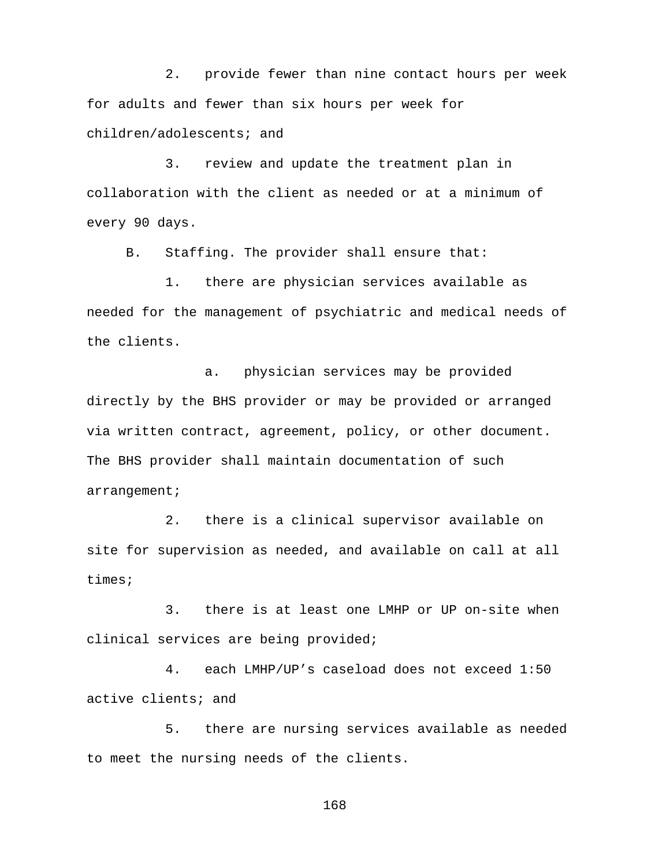2. provide fewer than nine contact hours per week for adults and fewer than six hours per week for children/adolescents; and

3. review and update the treatment plan in collaboration with the client as needed or at a minimum of every 90 days.

B. Staffing. The provider shall ensure that:

1. there are physician services available as needed for the management of psychiatric and medical needs of the clients.

a. physician services may be provided directly by the BHS provider or may be provided or arranged via written contract, agreement, policy, or other document. The BHS provider shall maintain documentation of such arrangement;

2. there is a clinical supervisor available on site for supervision as needed, and available on call at all times;

3. there is at least one LMHP or UP on-site when clinical services are being provided;

4. each LMHP/UP's caseload does not exceed 1:50 active clients; and

5. there are nursing services available as needed to meet the nursing needs of the clients.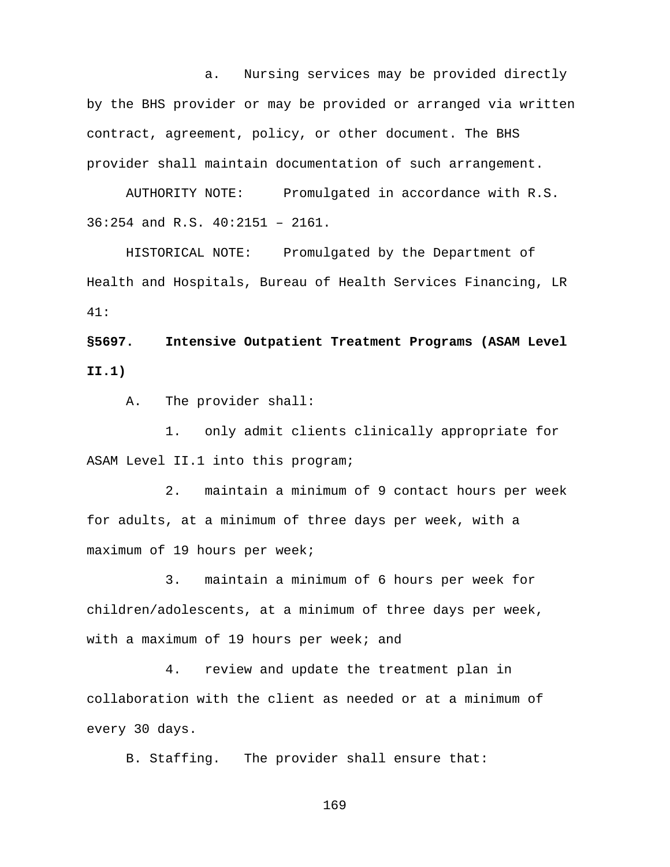a. Nursing services may be provided directly by the BHS provider or may be provided or arranged via written contract, agreement, policy, or other document. The BHS provider shall maintain documentation of such arrangement.

AUTHORITY NOTE: Promulgated in accordance with R.S. 36:254 and R.S. 40:2151 – 2161.

HISTORICAL NOTE: Promulgated by the Department of Health and Hospitals, Bureau of Health Services Financing, LR 41:

**§5697. Intensive Outpatient Treatment Programs (ASAM Level II.1)** 

A. The provider shall:

1. only admit clients clinically appropriate for ASAM Level II.1 into this program;

2. maintain a minimum of 9 contact hours per week for adults, at a minimum of three days per week, with a maximum of 19 hours per week;

3. maintain a minimum of 6 hours per week for children/adolescents, at a minimum of three days per week, with a maximum of 19 hours per week; and

4. review and update the treatment plan in collaboration with the client as needed or at a minimum of every 30 days.

B. Staffing. The provider shall ensure that: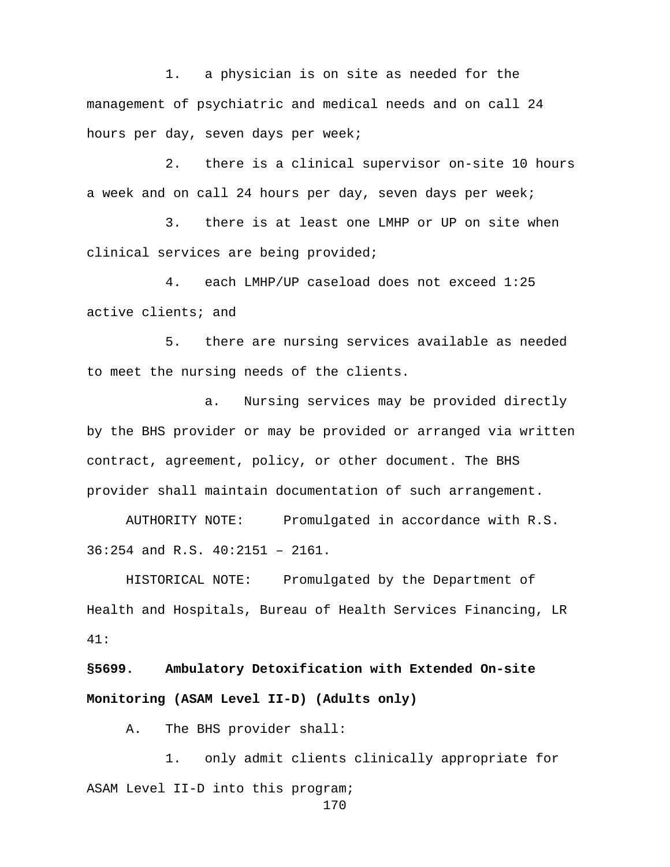1. a physician is on site as needed for the management of psychiatric and medical needs and on call 24 hours per day, seven days per week;

2. there is a clinical supervisor on-site 10 hours a week and on call 24 hours per day, seven days per week;

3. there is at least one LMHP or UP on site when clinical services are being provided;

4. each LMHP/UP caseload does not exceed 1:25 active clients; and

5. there are nursing services available as needed to meet the nursing needs of the clients.

a. Nursing services may be provided directly by the BHS provider or may be provided or arranged via written contract, agreement, policy, or other document. The BHS provider shall maintain documentation of such arrangement.

AUTHORITY NOTE: Promulgated in accordance with R.S. 36:254 and R.S. 40:2151 – 2161.

HISTORICAL NOTE: Promulgated by the Department of Health and Hospitals, Bureau of Health Services Financing, LR 41:

**§5699. Ambulatory Detoxification with Extended On-site Monitoring (ASAM Level II-D) (Adults only)**

A. The BHS provider shall:

1. only admit clients clinically appropriate for ASAM Level II-D into this program;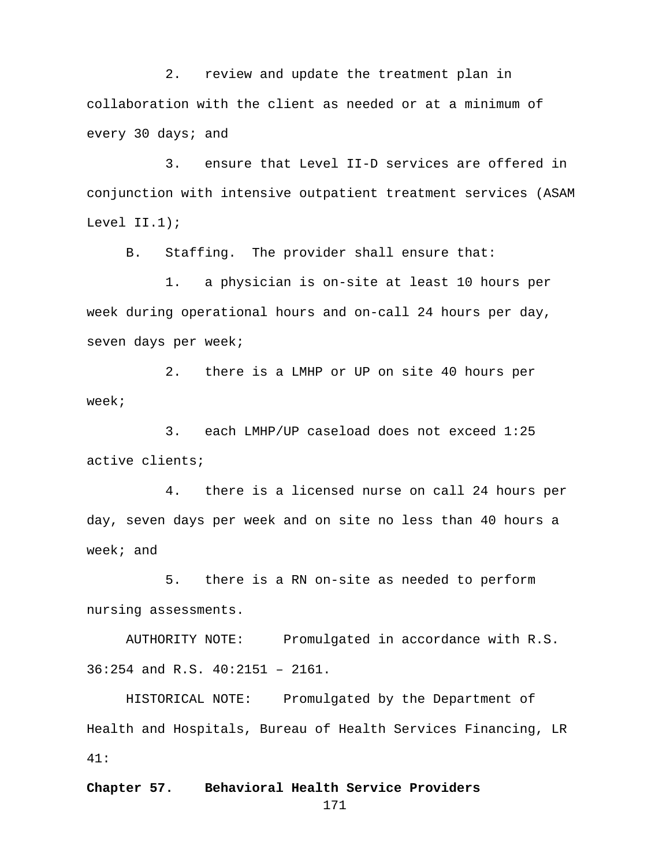2. review and update the treatment plan in collaboration with the client as needed or at a minimum of every 30 days; and

3. ensure that Level II-D services are offered in conjunction with intensive outpatient treatment services (ASAM Level II.1);

B. Staffing. The provider shall ensure that:

1. a physician is on-site at least 10 hours per week during operational hours and on-call 24 hours per day, seven days per week;

2. there is a LMHP or UP on site 40 hours per week;

3. each LMHP/UP caseload does not exceed 1:25 active clients;

4. there is a licensed nurse on call 24 hours per day, seven days per week and on site no less than 40 hours a week; and

5. there is a RN on-site as needed to perform nursing assessments.

AUTHORITY NOTE: Promulgated in accordance with R.S. 36:254 and R.S. 40:2151 – 2161.

HISTORICAL NOTE: Promulgated by the Department of Health and Hospitals, Bureau of Health Services Financing, LR 41:

### **Chapter 57. Behavioral Health Service Providers**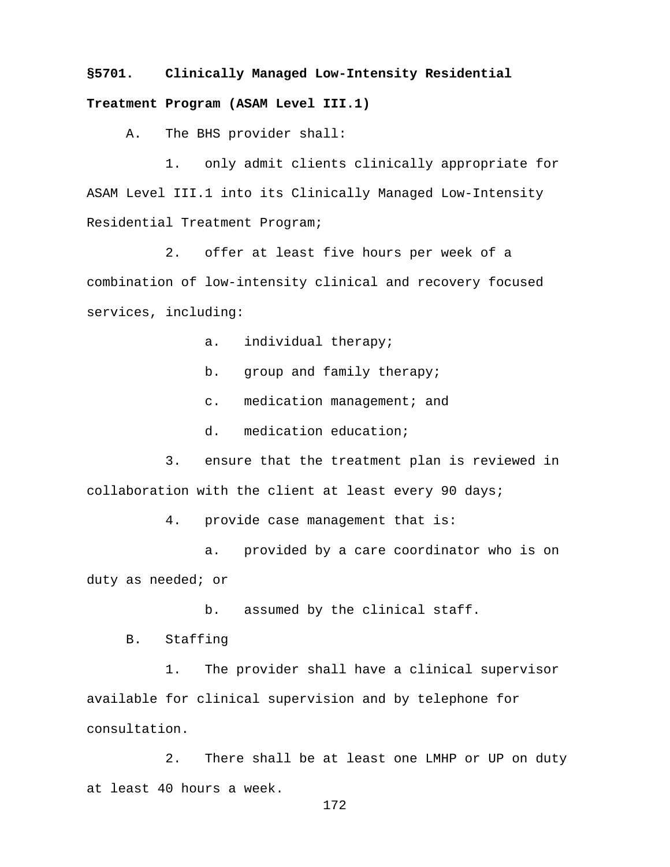# **§5701. Clinically Managed Low-Intensity Residential Treatment Program (ASAM Level III.1)**

A. The BHS provider shall:

1. only admit clients clinically appropriate for ASAM Level III.1 into its Clinically Managed Low-Intensity Residential Treatment Program;

2. offer at least five hours per week of a combination of low-intensity clinical and recovery focused services, including:

a. individual therapy;

- b. group and family therapy;
- c. medication management; and
- d. medication education;

3. ensure that the treatment plan is reviewed in collaboration with the client at least every 90 days;

4. provide case management that is:

a. provided by a care coordinator who is on duty as needed; or

b. assumed by the clinical staff.

B. Staffing

1. The provider shall have a clinical supervisor available for clinical supervision and by telephone for consultation.

2. There shall be at least one LMHP or UP on duty at least 40 hours a week.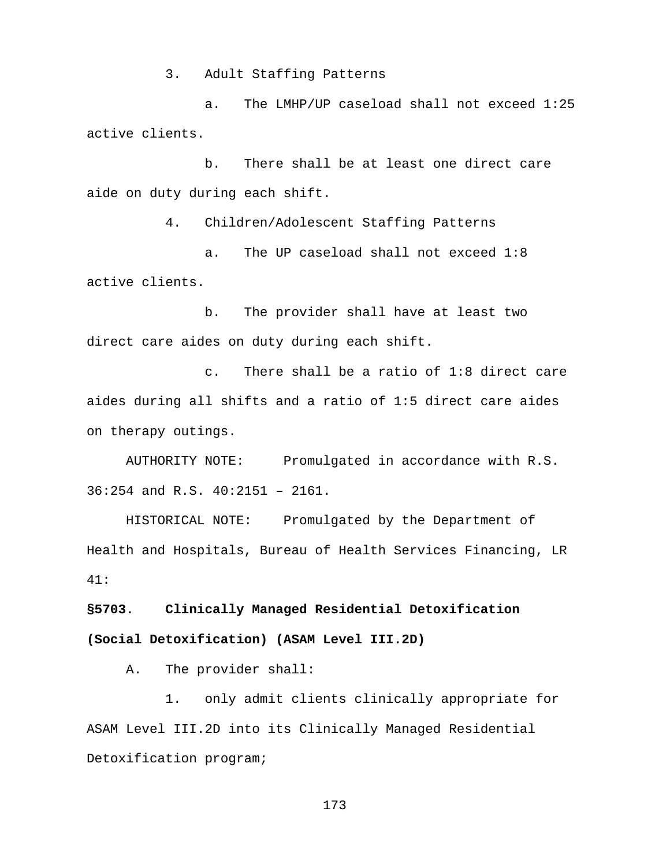3. Adult Staffing Patterns

a. The LMHP/UP caseload shall not exceed 1:25 active clients.

b. There shall be at least one direct care aide on duty during each shift.

4. Children/Adolescent Staffing Patterns

a. The UP caseload shall not exceed 1:8 active clients.

b. The provider shall have at least two direct care aides on duty during each shift.

c. There shall be a ratio of 1:8 direct care aides during all shifts and a ratio of 1:5 direct care aides on therapy outings.

AUTHORITY NOTE: Promulgated in accordance with R.S. 36:254 and R.S. 40:2151 – 2161.

HISTORICAL NOTE: Promulgated by the Department of Health and Hospitals, Bureau of Health Services Financing, LR 41:

**§5703. Clinically Managed Residential Detoxification (Social Detoxification) (ASAM Level III.2D)** 

A. The provider shall:

1. only admit clients clinically appropriate for ASAM Level III.2D into its Clinically Managed Residential Detoxification program;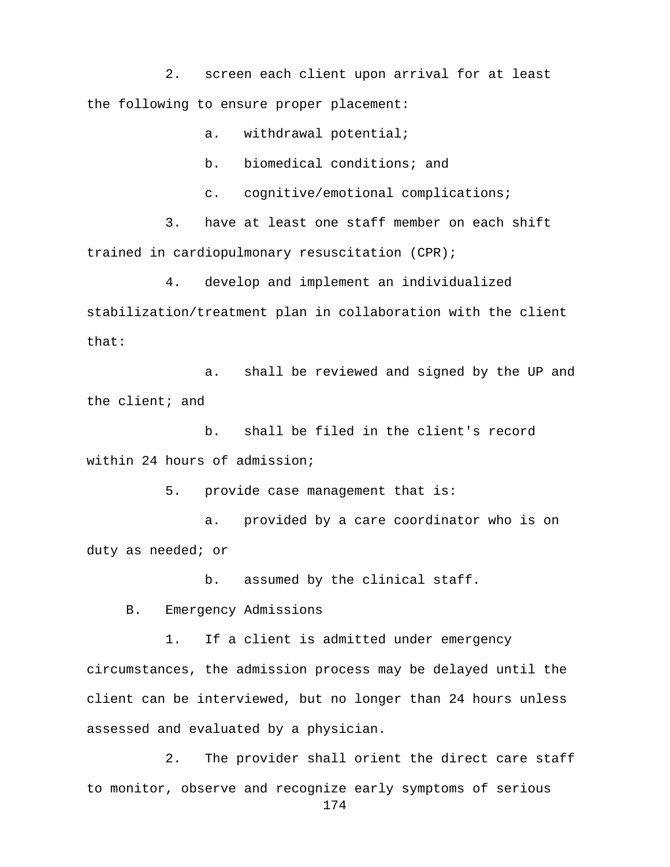2. screen each client upon arrival for at least the following to ensure proper placement:

a. withdrawal potential;

b. biomedical conditions; and

c. cognitive/emotional complications;

3. have at least one staff member on each shift trained in cardiopulmonary resuscitation (CPR);

4. develop and implement an individualized stabilization/treatment plan in collaboration with the client that:

a. shall be reviewed and signed by the UP and the client; and

b. shall be filed in the client's record within 24 hours of admission;

5. provide case management that is:

a. provided by a care coordinator who is on duty as needed; or

b. assumed by the clinical staff.

B. Emergency Admissions

1. If a client is admitted under emergency circumstances, the admission process may be delayed until the client can be interviewed, but no longer than 24 hours unless assessed and evaluated by a physician.

2. The provider shall orient the direct care staff to monitor, observe and recognize early symptoms of serious 174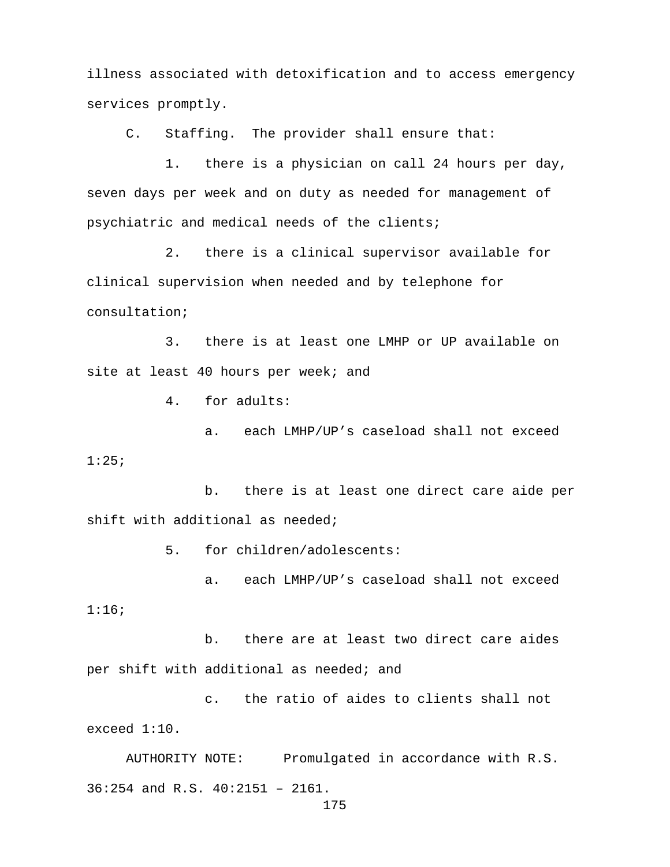illness associated with detoxification and to access emergency services promptly.

C. Staffing. The provider shall ensure that:

1. there is a physician on call 24 hours per day, seven days per week and on duty as needed for management of psychiatric and medical needs of the clients;

2. there is a clinical supervisor available for clinical supervision when needed and by telephone for consultation;

3. there is at least one LMHP or UP available on site at least 40 hours per week; and

4. for adults:

a. each LMHP/UP's caseload shall not exceed 1:25;

b. there is at least one direct care aide per shift with additional as needed;

5. for children/adolescents:

a. each LMHP/UP's caseload shall not exceed 1:16;

b. there are at least two direct care aides per shift with additional as needed; and

c. the ratio of aides to clients shall not exceed 1:10.

AUTHORITY NOTE: Promulgated in accordance with R.S. 36:254 and R.S. 40:2151 – 2161.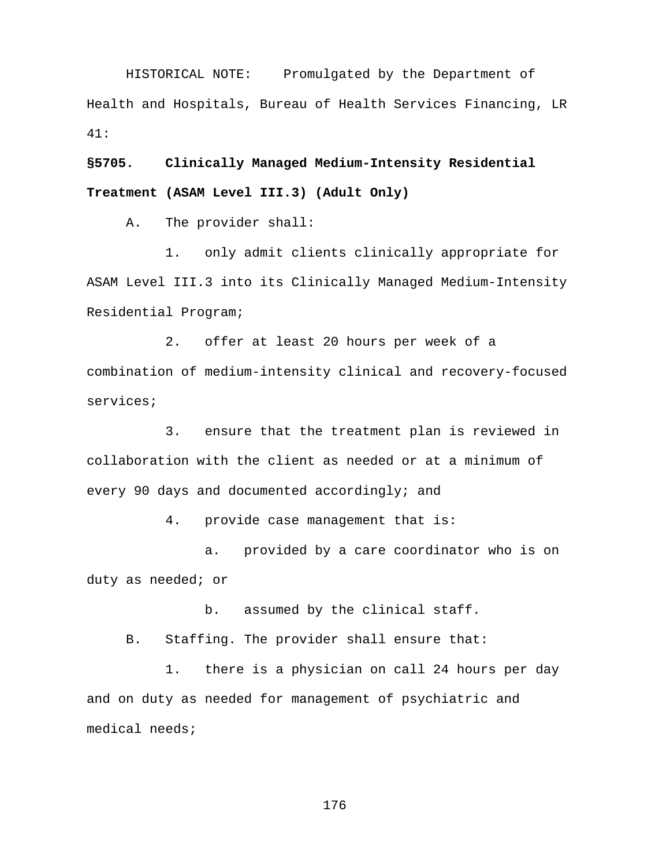HISTORICAL NOTE: Promulgated by the Department of Health and Hospitals, Bureau of Health Services Financing, LR 41:

**§5705. Clinically Managed Medium-Intensity Residential Treatment (ASAM Level III.3) (Adult Only)**

A. The provider shall:

1. only admit clients clinically appropriate for ASAM Level III.3 into its Clinically Managed Medium-Intensity Residential Program;

2. offer at least 20 hours per week of a combination of medium-intensity clinical and recovery-focused services;

3. ensure that the treatment plan is reviewed in collaboration with the client as needed or at a minimum of every 90 days and documented accordingly; and

4. provide case management that is:

a. provided by a care coordinator who is on duty as needed; or

b. assumed by the clinical staff.

B. Staffing. The provider shall ensure that:

1. there is a physician on call 24 hours per day and on duty as needed for management of psychiatric and medical needs;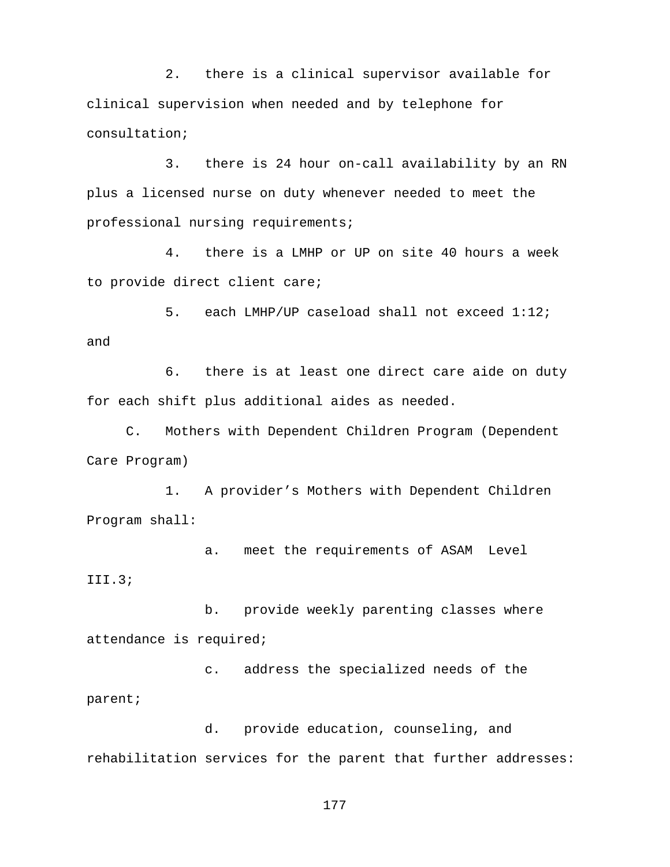2. there is a clinical supervisor available for clinical supervision when needed and by telephone for consultation;

3. there is 24 hour on-call availability by an RN plus a licensed nurse on duty whenever needed to meet the professional nursing requirements;

4. there is a LMHP or UP on site 40 hours a week to provide direct client care;

5. each LMHP/UP caseload shall not exceed 1:12; and

6. there is at least one direct care aide on duty for each shift plus additional aides as needed.

C. Mothers with Dependent Children Program (Dependent Care Program)

1. A provider's Mothers with Dependent Children Program shall:

a. meet the requirements of ASAM Level III.3;

b. provide weekly parenting classes where attendance is required;

c. address the specialized needs of the parent;

d. provide education, counseling, and rehabilitation services for the parent that further addresses: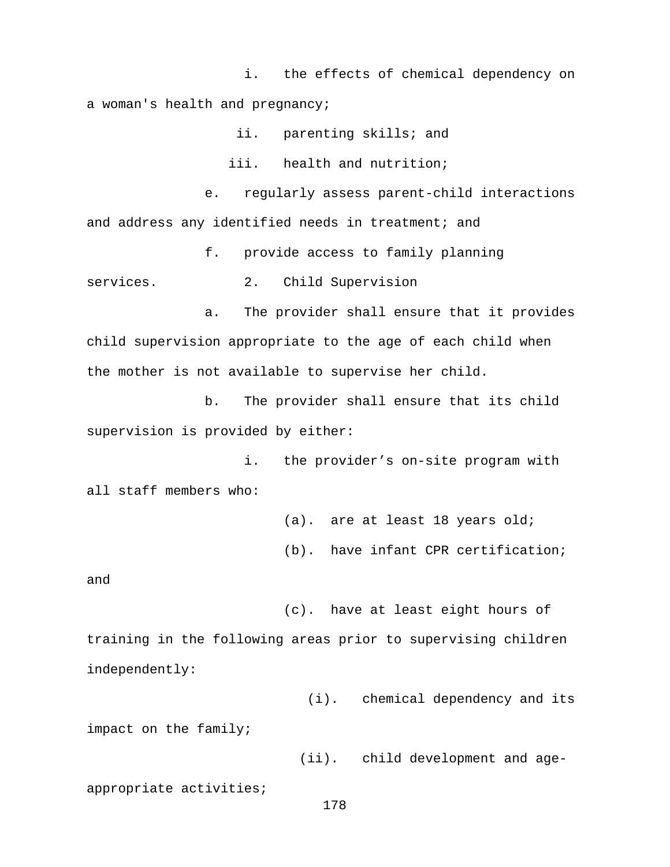i. the effects of chemical dependency on a woman's health and pregnancy;

ii. parenting skills; and

iii. health and nutrition;

e. regularly assess parent-child interactions and address any identified needs in treatment; and

f. provide access to family planning

services. 2. Child Supervision

a. The provider shall ensure that it provides child supervision appropriate to the age of each child when the mother is not available to supervise her child.

b. The provider shall ensure that its child supervision is provided by either:

i. the provider's on-site program with all staff members who:

> (a). are at least 18 years old; (b). have infant CPR certification;

and

 (c). have at least eight hours of training in the following areas prior to supervising children independently:

(i). chemical dependency and its

impact on the family;

(ii). child development and age-

appropriate activities;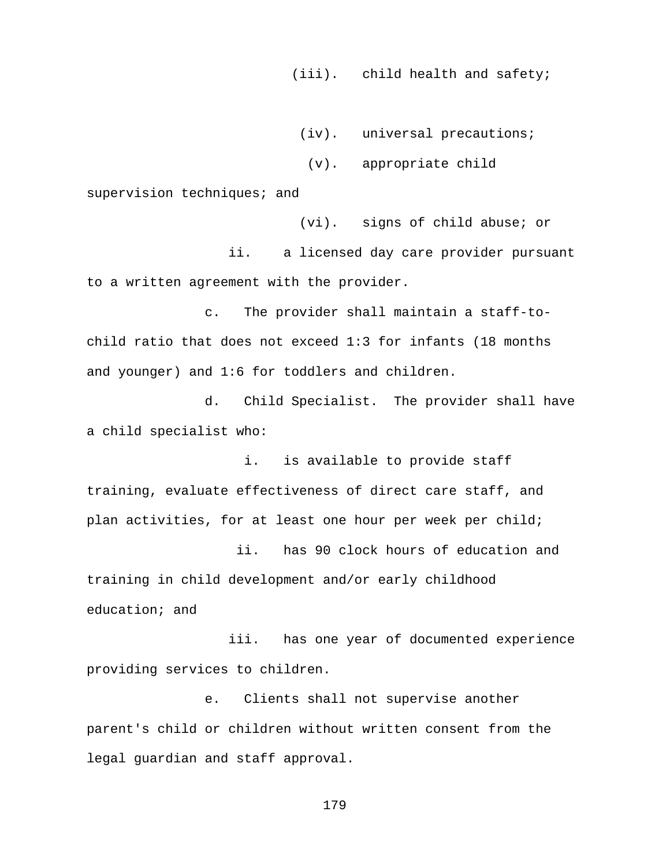(iii). child health and safety;

(iv). universal precautions;

(v). appropriate child

supervision techniques; and

 (vi). signs of child abuse; or ii. a licensed day care provider pursuant to a written agreement with the provider.

c. The provider shall maintain a staff-tochild ratio that does not exceed 1:3 for infants (18 months and younger) and 1:6 for toddlers and children.

d. Child Specialist. The provider shall have a child specialist who:

i. is available to provide staff training, evaluate effectiveness of direct care staff, and plan activities, for at least one hour per week per child;

 ii. has 90 clock hours of education and training in child development and/or early childhood education; and

 iii. has one year of documented experience providing services to children.

e. Clients shall not supervise another parent's child or children without written consent from the legal guardian and staff approval.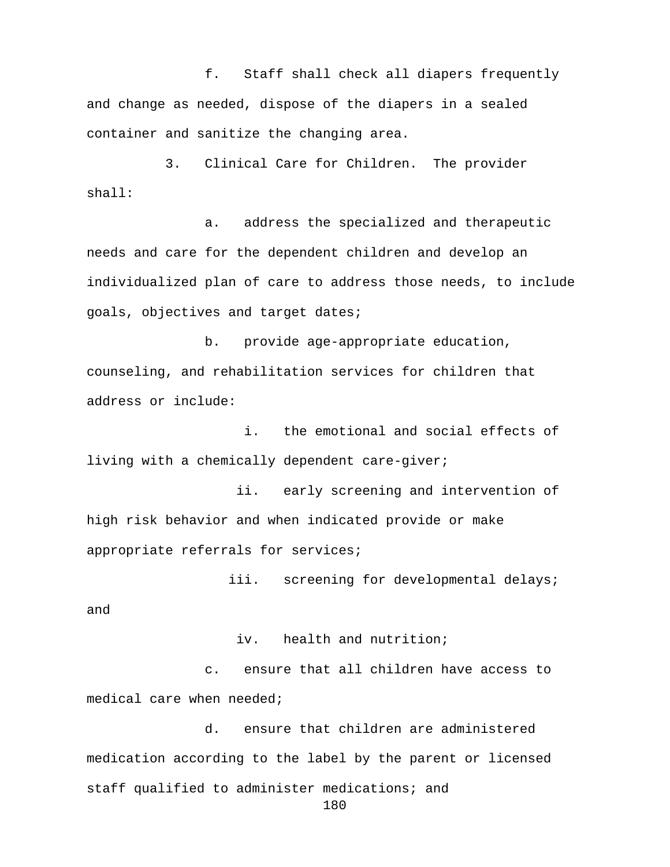f. Staff shall check all diapers frequently and change as needed, dispose of the diapers in a sealed container and sanitize the changing area.

3. Clinical Care for Children. The provider shall:

a. address the specialized and therapeutic needs and care for the dependent children and develop an individualized plan of care to address those needs, to include goals, objectives and target dates;

b. provide age-appropriate education, counseling, and rehabilitation services for children that address or include:

i. the emotional and social effects of living with a chemically dependent care-giver;

 ii. early screening and intervention of high risk behavior and when indicated provide or make appropriate referrals for services;

iii. screening for developmental delays; and

iv. health and nutrition;

c. ensure that all children have access to medical care when needed;

d. ensure that children are administered medication according to the label by the parent or licensed staff qualified to administer medications; and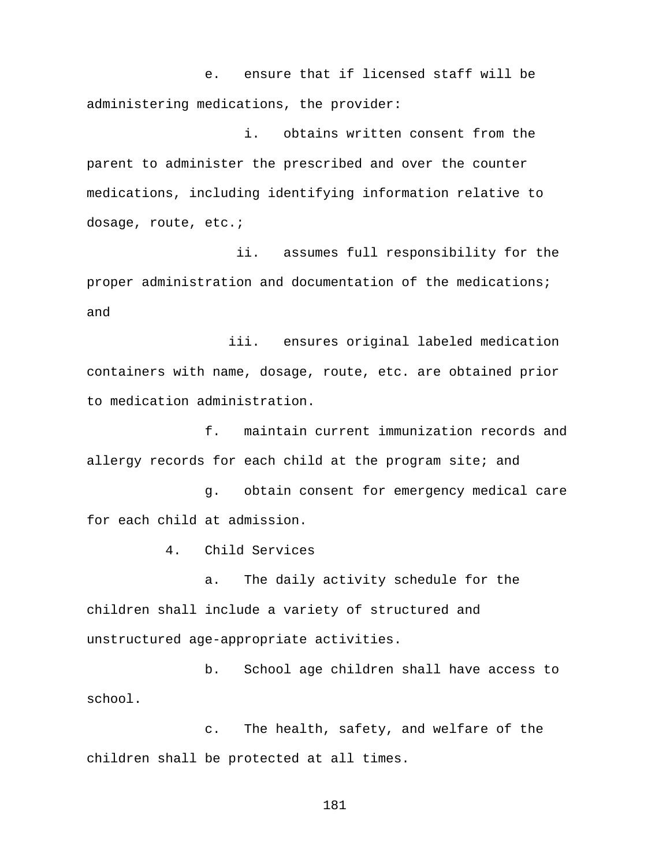e. ensure that if licensed staff will be administering medications, the provider:

i. obtains written consent from the parent to administer the prescribed and over the counter medications, including identifying information relative to dosage, route, etc.;

 ii. assumes full responsibility for the proper administration and documentation of the medications; and

 iii. ensures original labeled medication containers with name, dosage, route, etc. are obtained prior to medication administration.

f. maintain current immunization records and allergy records for each child at the program site; and

g. obtain consent for emergency medical care for each child at admission.

4. Child Services

a. The daily activity schedule for the children shall include a variety of structured and unstructured age-appropriate activities.

b. School age children shall have access to school.

c. The health, safety, and welfare of the children shall be protected at all times.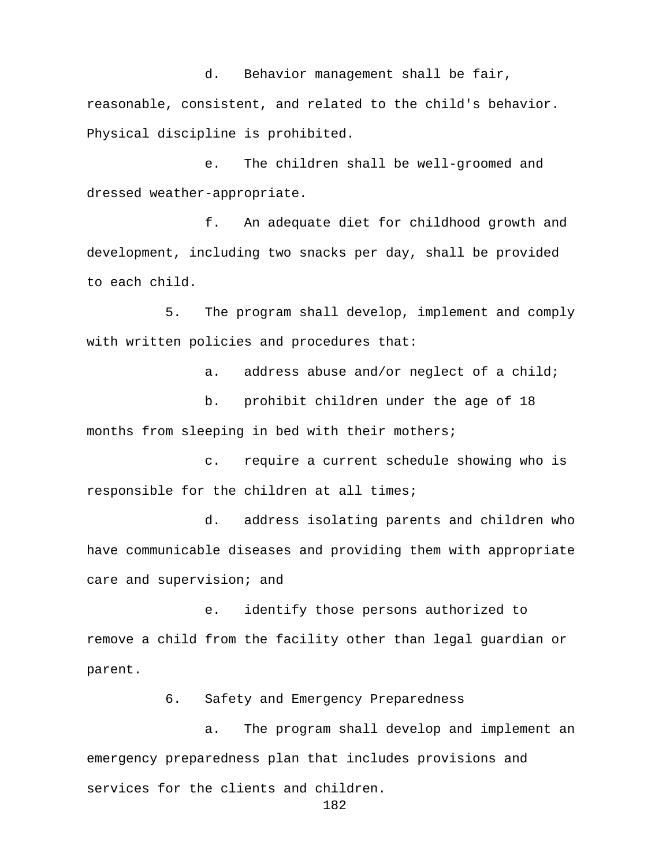d. Behavior management shall be fair, reasonable, consistent, and related to the child's behavior. Physical discipline is prohibited.

e. The children shall be well-groomed and dressed weather-appropriate.

f. An adequate diet for childhood growth and development, including two snacks per day, shall be provided to each child.

5. The program shall develop, implement and comply with written policies and procedures that:

a. address abuse and/or neglect of a child;

b. prohibit children under the age of 18 months from sleeping in bed with their mothers;

c. require a current schedule showing who is responsible for the children at all times;

d. address isolating parents and children who have communicable diseases and providing them with appropriate care and supervision; and

e. identify those persons authorized to remove a child from the facility other than legal guardian or parent.

6. Safety and Emergency Preparedness

a. The program shall develop and implement an emergency preparedness plan that includes provisions and services for the clients and children.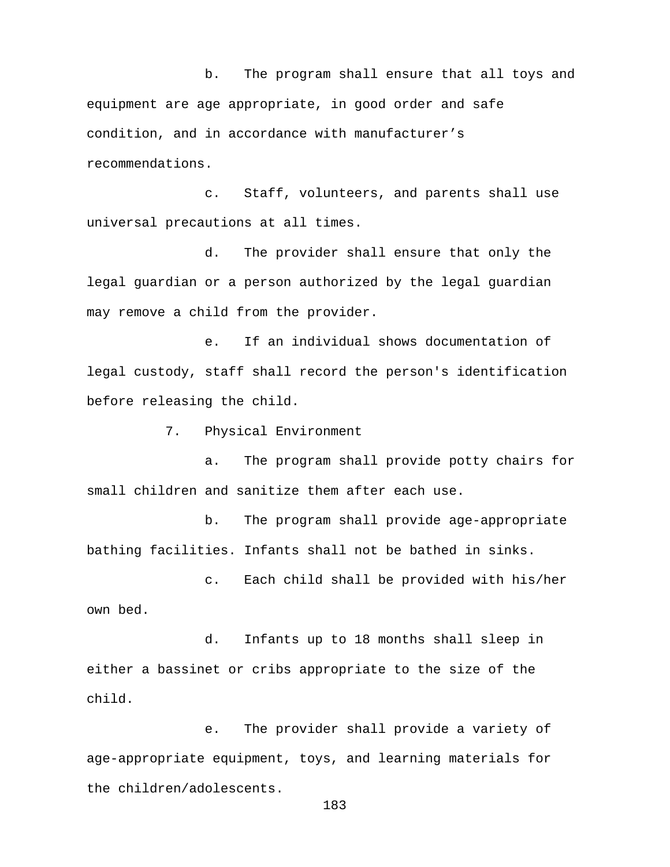b. The program shall ensure that all toys and equipment are age appropriate, in good order and safe condition, and in accordance with manufacturer's recommendations.

c. Staff, volunteers, and parents shall use universal precautions at all times.

d. The provider shall ensure that only the legal guardian or a person authorized by the legal guardian may remove a child from the provider.

e. If an individual shows documentation of legal custody, staff shall record the person's identification before releasing the child.

7. Physical Environment

a. The program shall provide potty chairs for small children and sanitize them after each use.

b. The program shall provide age-appropriate bathing facilities. Infants shall not be bathed in sinks.

c. Each child shall be provided with his/her own bed.

d. Infants up to 18 months shall sleep in either a bassinet or cribs appropriate to the size of the child.

e. The provider shall provide a variety of age-appropriate equipment, toys, and learning materials for the children/adolescents.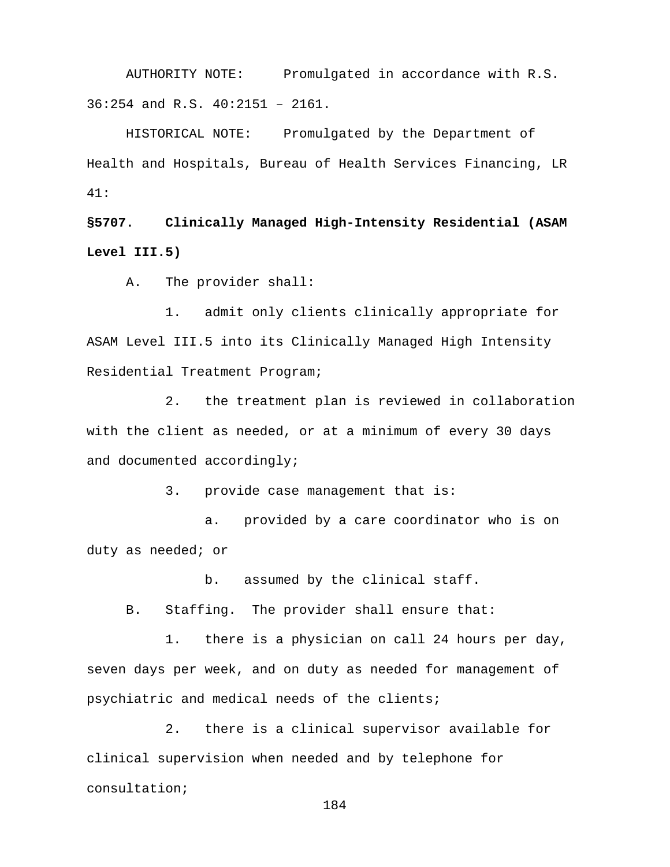AUTHORITY NOTE: Promulgated in accordance with R.S. 36:254 and R.S. 40:2151 – 2161.

HISTORICAL NOTE: Promulgated by the Department of Health and Hospitals, Bureau of Health Services Financing, LR 41:

**§5707. Clinically Managed High-Intensity Residential (ASAM Level III.5)**

A. The provider shall:

1. admit only clients clinically appropriate for ASAM Level III.5 into its Clinically Managed High Intensity Residential Treatment Program;

2. the treatment plan is reviewed in collaboration with the client as needed, or at a minimum of every 30 days and documented accordingly;

3. provide case management that is:

a. provided by a care coordinator who is on duty as needed; or

b. assumed by the clinical staff.

B. Staffing. The provider shall ensure that:

1. there is a physician on call 24 hours per day, seven days per week, and on duty as needed for management of psychiatric and medical needs of the clients;

2. there is a clinical supervisor available for clinical supervision when needed and by telephone for consultation;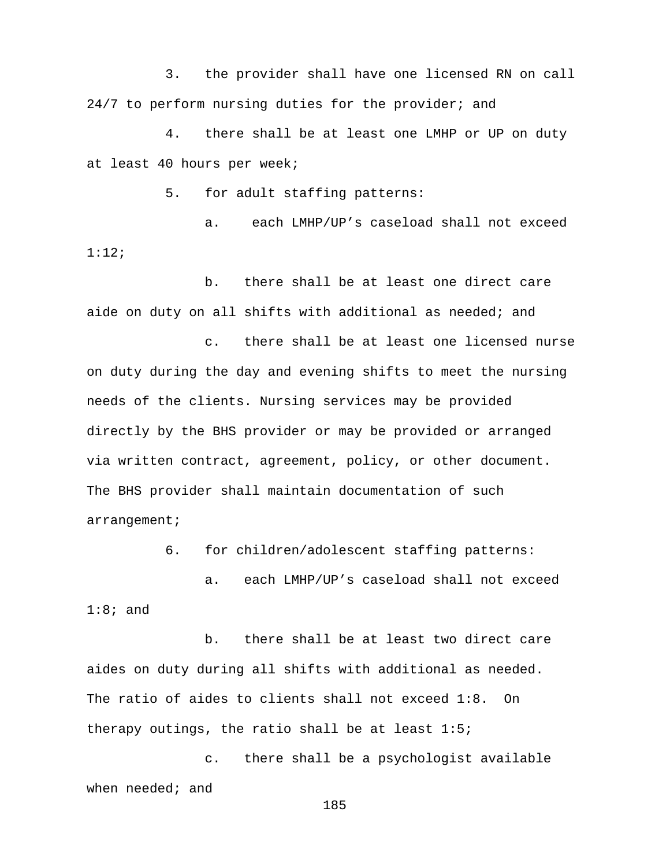3. the provider shall have one licensed RN on call 24/7 to perform nursing duties for the provider; and

4. there shall be at least one LMHP or UP on duty at least 40 hours per week;

5. for adult staffing patterns:

a. each LMHP/UP's caseload shall not exceed 1:12;

b. there shall be at least one direct care aide on duty on all shifts with additional as needed; and

c. there shall be at least one licensed nurse on duty during the day and evening shifts to meet the nursing needs of the clients. Nursing services may be provided directly by the BHS provider or may be provided or arranged via written contract, agreement, policy, or other document. The BHS provider shall maintain documentation of such arrangement;

6. for children/adolescent staffing patterns:

a. each LMHP/UP's caseload shall not exceed  $1:8;$  and

b. there shall be at least two direct care aides on duty during all shifts with additional as needed. The ratio of aides to clients shall not exceed 1:8. On therapy outings, the ratio shall be at least 1:5;

c. there shall be a psychologist available when needed; and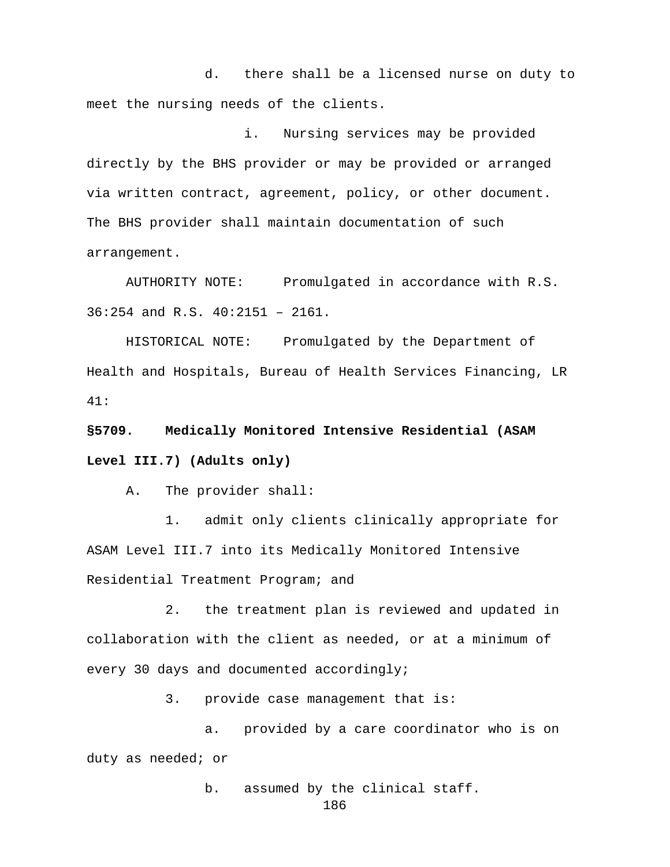d. there shall be a licensed nurse on duty to meet the nursing needs of the clients.

i. Nursing services may be provided directly by the BHS provider or may be provided or arranged via written contract, agreement, policy, or other document. The BHS provider shall maintain documentation of such arrangement.

AUTHORITY NOTE: Promulgated in accordance with R.S. 36:254 and R.S. 40:2151 – 2161.

HISTORICAL NOTE: Promulgated by the Department of Health and Hospitals, Bureau of Health Services Financing, LR 41:

**§5709. Medically Monitored Intensive Residential (ASAM Level III.7) (Adults only)**

A. The provider shall:

1. admit only clients clinically appropriate for ASAM Level III.7 into its Medically Monitored Intensive Residential Treatment Program; and

2. the treatment plan is reviewed and updated in collaboration with the client as needed, or at a minimum of every 30 days and documented accordingly;

3. provide case management that is:

a. provided by a care coordinator who is on duty as needed; or

b. assumed by the clinical staff.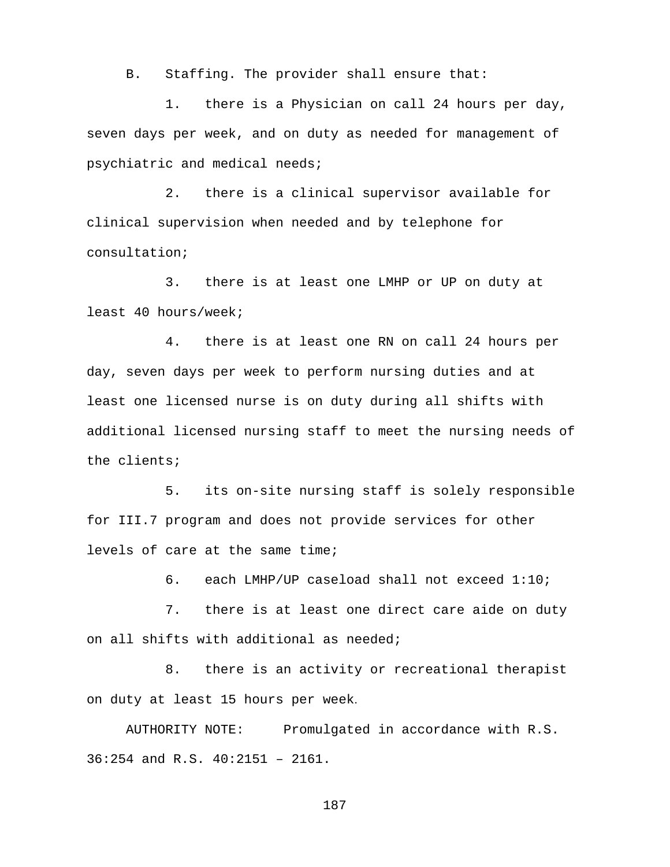B. Staffing. The provider shall ensure that:

1. there is a Physician on call 24 hours per day, seven days per week, and on duty as needed for management of psychiatric and medical needs;

2. there is a clinical supervisor available for clinical supervision when needed and by telephone for consultation;

3. there is at least one LMHP or UP on duty at least 40 hours/week;

4. there is at least one RN on call 24 hours per day, seven days per week to perform nursing duties and at least one licensed nurse is on duty during all shifts with additional licensed nursing staff to meet the nursing needs of the clients;

5. its on-site nursing staff is solely responsible for III.7 program and does not provide services for other levels of care at the same time;

6. each LMHP/UP caseload shall not exceed 1:10;

7. there is at least one direct care aide on duty on all shifts with additional as needed;

8. there is an activity or recreational therapist on duty at least 15 hours per week.

AUTHORITY NOTE: Promulgated in accordance with R.S. 36:254 and R.S. 40:2151 – 2161.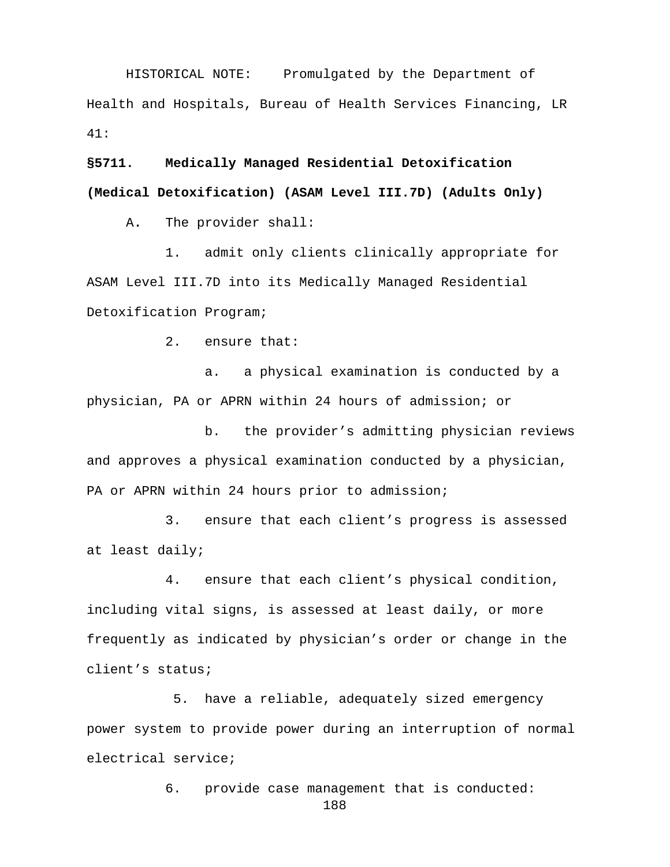HISTORICAL NOTE: Promulgated by the Department of Health and Hospitals, Bureau of Health Services Financing, LR 41:

**§5711. Medically Managed Residential Detoxification (Medical Detoxification) (ASAM Level III.7D) (Adults Only)**

A**.** The provider shall:

1. admit only clients clinically appropriate for ASAM Level III.7D into its Medically Managed Residential Detoxification Program;

2. ensure that:

a. a physical examination is conducted by a physician, PA or APRN within 24 hours of admission; or

b. the provider's admitting physician reviews and approves a physical examination conducted by a physician, PA or APRN within 24 hours prior to admission;

3. ensure that each client's progress is assessed at least daily;

4. ensure that each client's physical condition, including vital signs, is assessed at least daily, or more frequently as indicated by physician's order or change in the client's status;

5. have a reliable, adequately sized emergency power system to provide power during an interruption of normal electrical service;

6. provide case management that is conducted: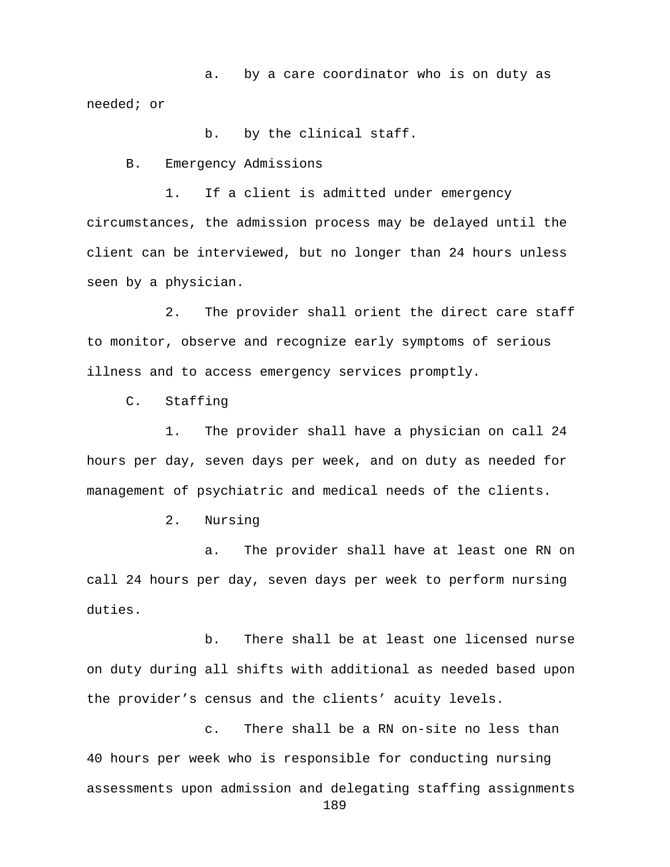a. by a care coordinator who is on duty as needed; or

b. by the clinical staff.

B. Emergency Admissions

1. If a client is admitted under emergency circumstances, the admission process may be delayed until the client can be interviewed, but no longer than 24 hours unless seen by a physician.

2. The provider shall orient the direct care staff to monitor, observe and recognize early symptoms of serious illness and to access emergency services promptly.

C. Staffing

1. The provider shall have a physician on call 24 hours per day, seven days per week, and on duty as needed for management of psychiatric and medical needs of the clients.

2. Nursing

a. The provider shall have at least one RN on call 24 hours per day, seven days per week to perform nursing duties.

b. There shall be at least one licensed nurse on duty during all shifts with additional as needed based upon the provider's census and the clients' acuity levels.

c. There shall be a RN on-site no less than 40 hours per week who is responsible for conducting nursing assessments upon admission and delegating staffing assignments 189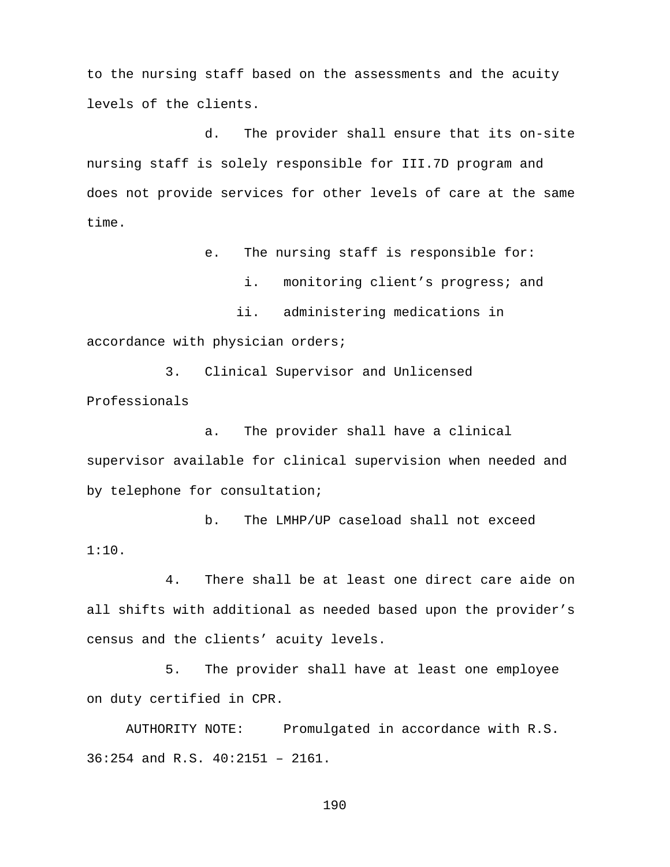to the nursing staff based on the assessments and the acuity levels of the clients.

d. The provider shall ensure that its on-site nursing staff is solely responsible for III.7D program and does not provide services for other levels of care at the same time.

e. The nursing staff is responsible for:

i. monitoring client's progress; and

 ii. administering medications in accordance with physician orders;

3. Clinical Supervisor and Unlicensed Professionals

a. The provider shall have a clinical supervisor available for clinical supervision when needed and by telephone for consultation;

b. The LMHP/UP caseload shall not exceed 1:10.

4. There shall be at least one direct care aide on all shifts with additional as needed based upon the provider's census and the clients' acuity levels.

5. The provider shall have at least one employee on duty certified in CPR.

AUTHORITY NOTE: Promulgated in accordance with R.S. 36:254 and R.S. 40:2151 – 2161.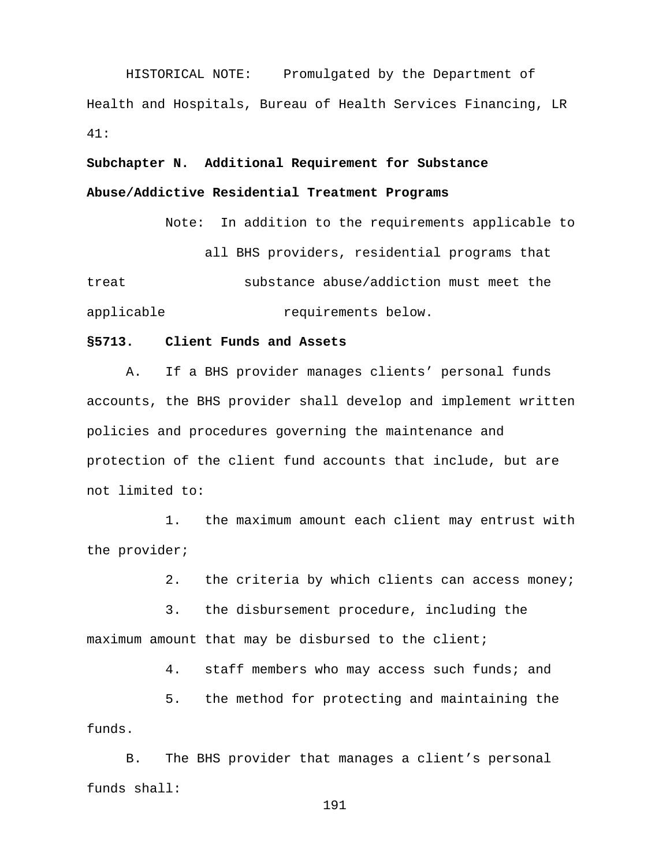HISTORICAL NOTE: Promulgated by the Department of Health and Hospitals, Bureau of Health Services Financing, LR 41:

**Subchapter N. Additional Requirement for Substance Abuse/Addictive Residential Treatment Programs** 

> Note: In addition to the requirements applicable to all BHS providers, residential programs that

treat substance abuse/addiction must meet the applicable requirements below.

#### **§5713. Client Funds and Assets**

A. If a BHS provider manages clients' personal funds accounts, the BHS provider shall develop and implement written policies and procedures governing the maintenance and protection of the client fund accounts that include, but are not limited to:

1. the maximum amount each client may entrust with the provider;

2. the criteria by which clients can access money;

3. the disbursement procedure, including the maximum amount that may be disbursed to the client;

4. staff members who may access such funds; and

5. the method for protecting and maintaining the funds.

B. The BHS provider that manages a client's personal funds shall: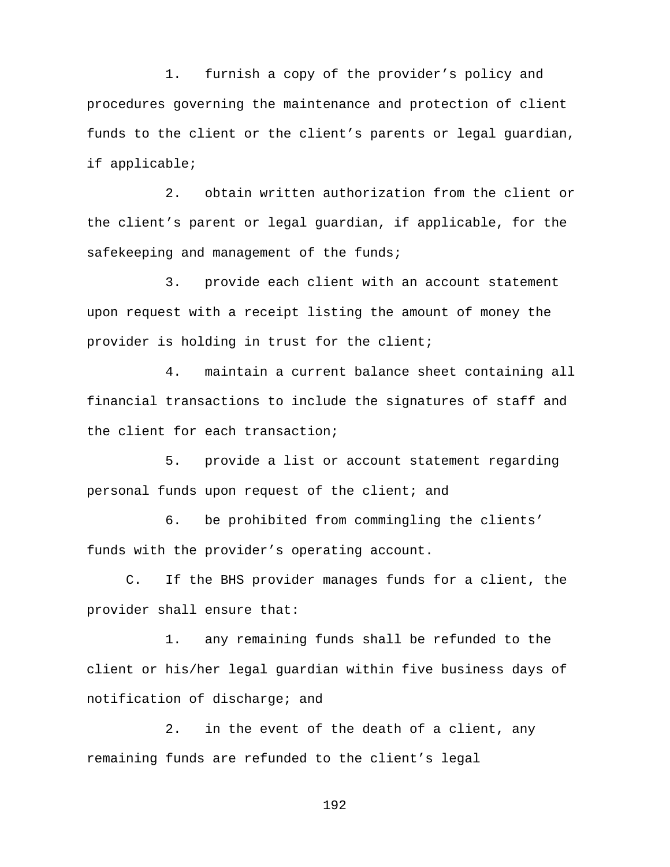1. furnish a copy of the provider's policy and procedures governing the maintenance and protection of client funds to the client or the client's parents or legal guardian, if applicable;

2. obtain written authorization from the client or the client's parent or legal guardian, if applicable, for the safekeeping and management of the funds;

3. provide each client with an account statement upon request with a receipt listing the amount of money the provider is holding in trust for the client;

4. maintain a current balance sheet containing all financial transactions to include the signatures of staff and the client for each transaction;

5. provide a list or account statement regarding personal funds upon request of the client; and

6. be prohibited from commingling the clients' funds with the provider's operating account.

C. If the BHS provider manages funds for a client, the provider shall ensure that:

1. any remaining funds shall be refunded to the client or his/her legal guardian within five business days of notification of discharge; and

2. in the event of the death of a client, any remaining funds are refunded to the client's legal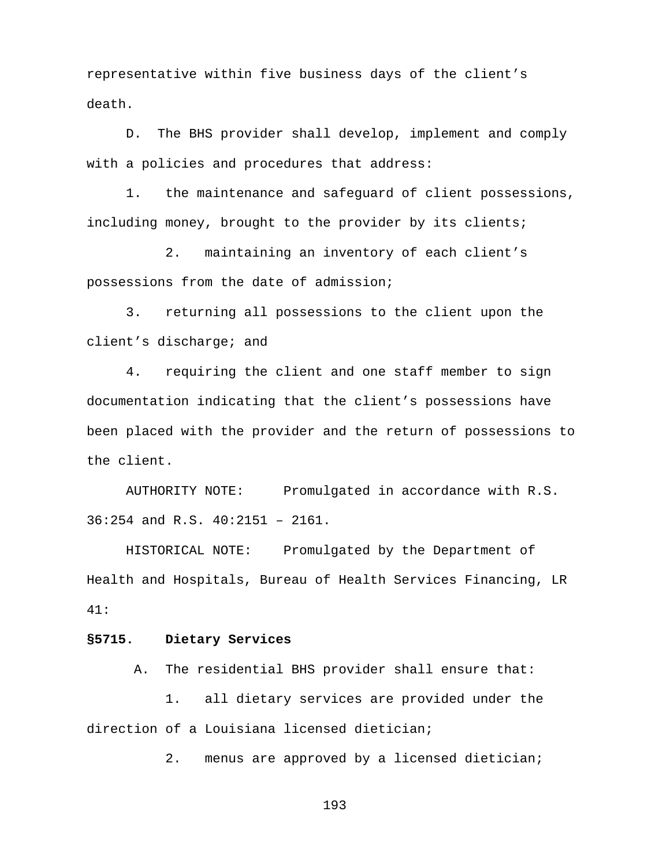representative within five business days of the client's death.

D. The BHS provider shall develop, implement and comply with a policies and procedures that address:

1. the maintenance and safeguard of client possessions, including money, brought to the provider by its clients;

2. maintaining an inventory of each client's possessions from the date of admission;

3. returning all possessions to the client upon the client's discharge; and

4. requiring the client and one staff member to sign documentation indicating that the client's possessions have been placed with the provider and the return of possessions to the client.

AUTHORITY NOTE: Promulgated in accordance with R.S. 36:254 and R.S. 40:2151 – 2161.

HISTORICAL NOTE: Promulgated by the Department of Health and Hospitals, Bureau of Health Services Financing, LR 41:

## **§5715. Dietary Services**

A. The residential BHS provider shall ensure that:

1. all dietary services are provided under the direction of a Louisiana licensed dietician;

2. menus are approved by a licensed dietician;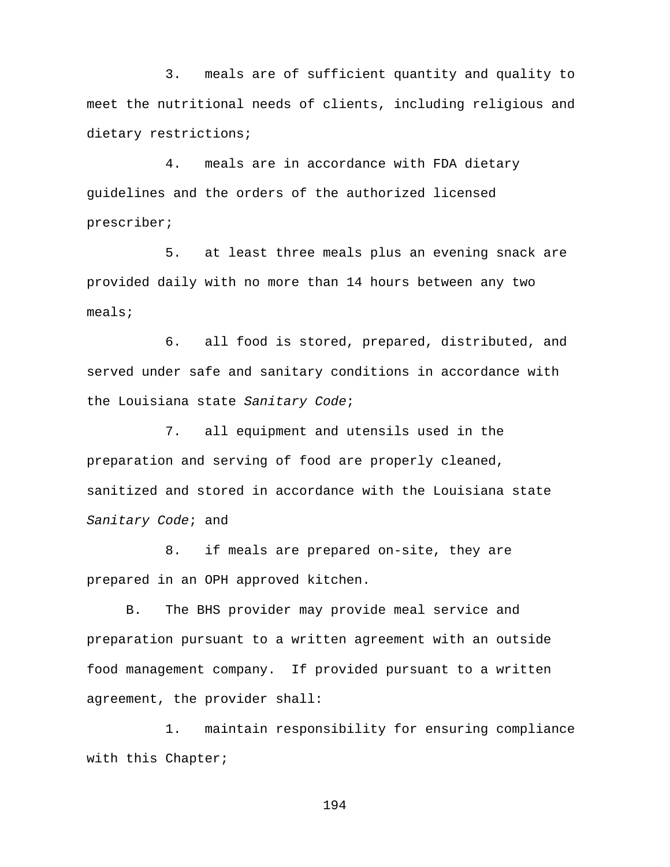3. meals are of sufficient quantity and quality to meet the nutritional needs of clients, including religious and dietary restrictions;

4. meals are in accordance with FDA dietary guidelines and the orders of the authorized licensed prescriber;

5. at least three meals plus an evening snack are provided daily with no more than 14 hours between any two meals;

 6. all food is stored, prepared, distributed, and served under safe and sanitary conditions in accordance with the Louisiana state *Sanitary Code*;

7. all equipment and utensils used in the preparation and serving of food are properly cleaned, sanitized and stored in accordance with the Louisiana state *Sanitary Code*; and

8. if meals are prepared on-site, they are prepared in an OPH approved kitchen.

B. The BHS provider may provide meal service and preparation pursuant to a written agreement with an outside food management company. If provided pursuant to a written agreement, the provider shall:

1. maintain responsibility for ensuring compliance with this Chapter;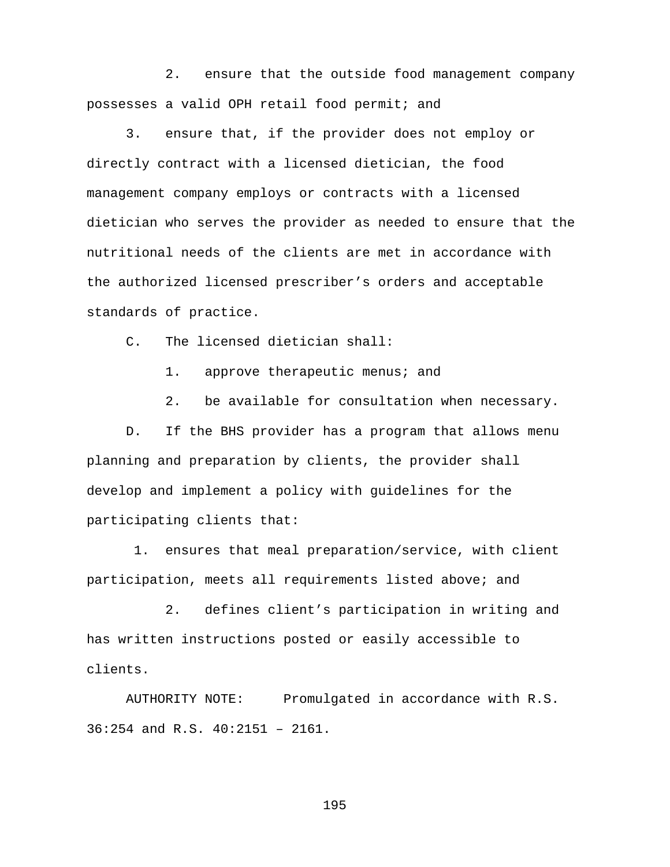2. ensure that the outside food management company possesses a valid OPH retail food permit; and

3. ensure that, if the provider does not employ or directly contract with a licensed dietician, the food management company employs or contracts with a licensed dietician who serves the provider as needed to ensure that the nutritional needs of the clients are met in accordance with the authorized licensed prescriber's orders and acceptable standards of practice.

C. The licensed dietician shall:

1. approve therapeutic menus; and

2. be available for consultation when necessary.

D. If the BHS provider has a program that allows menu planning and preparation by clients, the provider shall develop and implement a policy with guidelines for the participating clients that:

1. ensures that meal preparation/service, with client participation, meets all requirements listed above; and

2. defines client's participation in writing and has written instructions posted or easily accessible to clients.

AUTHORITY NOTE: Promulgated in accordance with R.S. 36:254 and R.S. 40:2151 – 2161.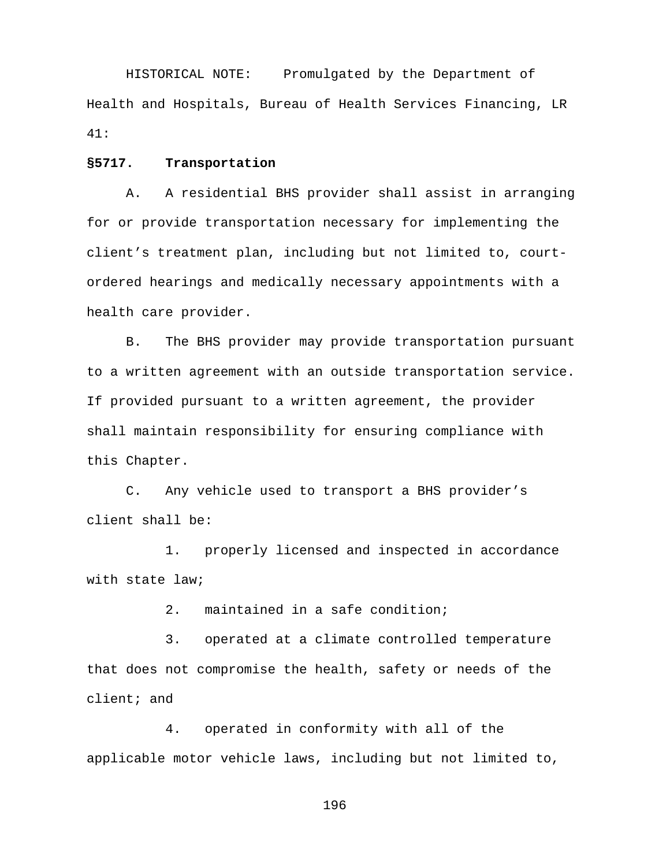HISTORICAL NOTE: Promulgated by the Department of Health and Hospitals, Bureau of Health Services Financing, LR 41:

#### **§5717. Transportation**

A. A residential BHS provider shall assist in arranging for or provide transportation necessary for implementing the client's treatment plan, including but not limited to, courtordered hearings and medically necessary appointments with a health care provider.

B. The BHS provider may provide transportation pursuant to a written agreement with an outside transportation service. If provided pursuant to a written agreement, the provider shall maintain responsibility for ensuring compliance with this Chapter.

C. Any vehicle used to transport a BHS provider's client shall be:

1. properly licensed and inspected in accordance with state law;

2. maintained in a safe condition;

3. operated at a climate controlled temperature that does not compromise the health, safety or needs of the client; and

4. operated in conformity with all of the applicable motor vehicle laws, including but not limited to,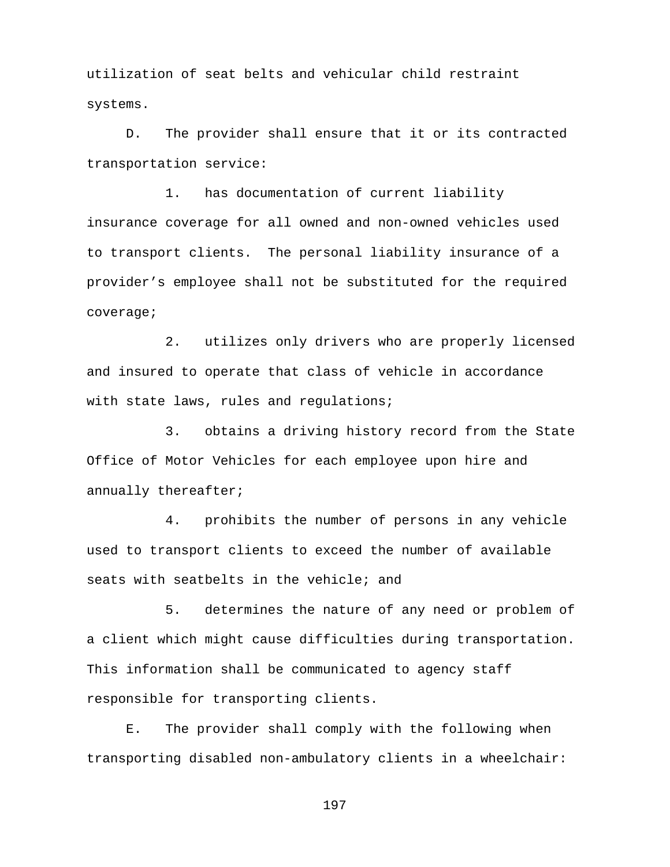utilization of seat belts and vehicular child restraint systems.

D. The provider shall ensure that it or its contracted transportation service:

1. has documentation of current liability insurance coverage for all owned and non-owned vehicles used to transport clients. The personal liability insurance of a provider's employee shall not be substituted for the required coverage;

2. utilizes only drivers who are properly licensed and insured to operate that class of vehicle in accordance with state laws, rules and requlations;

3. obtains a driving history record from the State Office of Motor Vehicles for each employee upon hire and annually thereafter;

4. prohibits the number of persons in any vehicle used to transport clients to exceed the number of available seats with seatbelts in the vehicle; and

5. determines the nature of any need or problem of a client which might cause difficulties during transportation. This information shall be communicated to agency staff responsible for transporting clients.

E. The provider shall comply with the following when transporting disabled non-ambulatory clients in a wheelchair: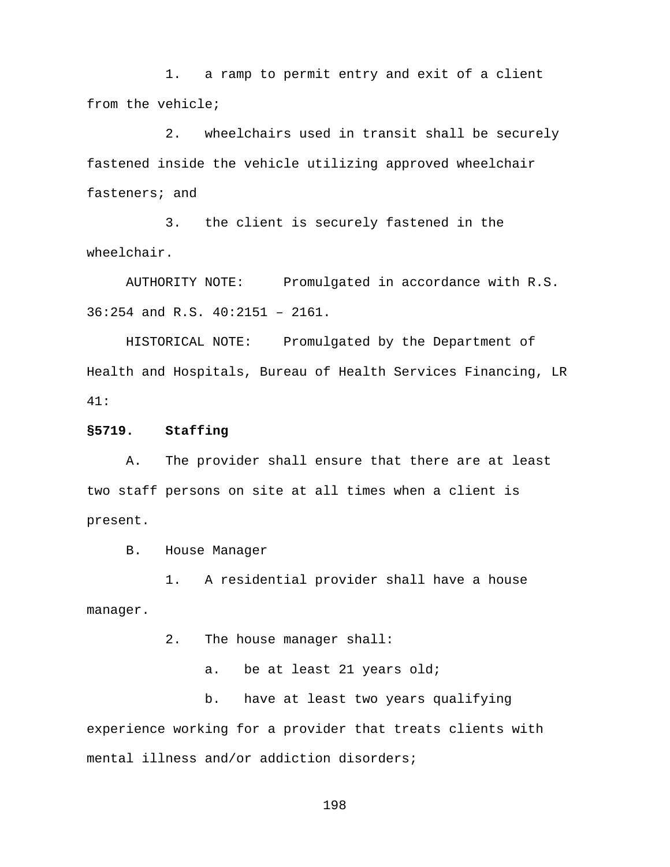1. a ramp to permit entry and exit of a client from the vehicle;

2. wheelchairs used in transit shall be securely fastened inside the vehicle utilizing approved wheelchair fasteners; and

3. the client is securely fastened in the wheelchair.

AUTHORITY NOTE: Promulgated in accordance with R.S. 36:254 and R.S. 40:2151 – 2161.

HISTORICAL NOTE: Promulgated by the Department of Health and Hospitals, Bureau of Health Services Financing, LR 41:

**§5719. Staffing**

A. The provider shall ensure that there are at least two staff persons on site at all times when a client is present.

B. House Manager

1. A residential provider shall have a house manager.

2. The house manager shall:

a. be at least 21 years old;

b. have at least two years qualifying experience working for a provider that treats clients with mental illness and/or addiction disorders;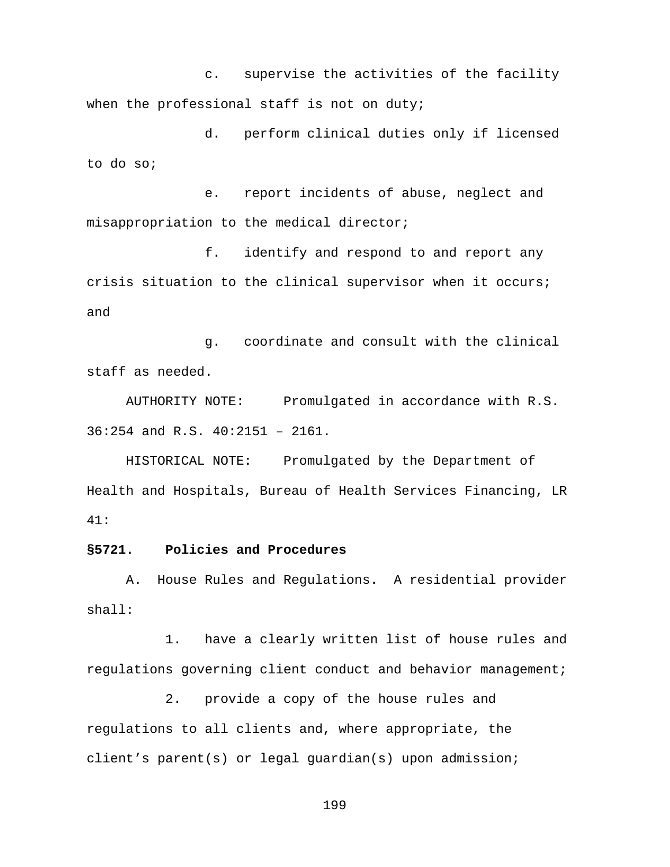c. supervise the activities of the facility when the professional staff is not on duty;

d. perform clinical duties only if licensed to do so;

e. report incidents of abuse, neglect and misappropriation to the medical director;

f. identify and respond to and report any crisis situation to the clinical supervisor when it occurs; and

g. coordinate and consult with the clinical staff as needed.

AUTHORITY NOTE: Promulgated in accordance with R.S. 36:254 and R.S. 40:2151 – 2161.

HISTORICAL NOTE: Promulgated by the Department of Health and Hospitals, Bureau of Health Services Financing, LR 41:

### **§5721. Policies and Procedures**

A. House Rules and Regulations. A residential provider shall:

1. have a clearly written list of house rules and regulations governing client conduct and behavior management;

2. provide a copy of the house rules and regulations to all clients and, where appropriate, the client's parent(s) or legal guardian(s) upon admission;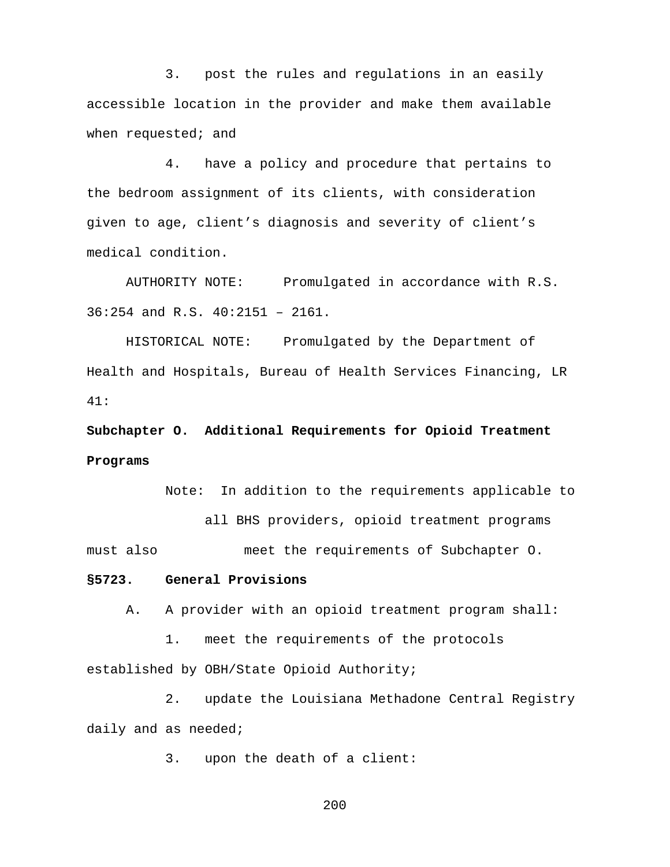3. post the rules and regulations in an easily accessible location in the provider and make them available when requested; and

4. have a policy and procedure that pertains to the bedroom assignment of its clients, with consideration given to age, client's diagnosis and severity of client's medical condition.

AUTHORITY NOTE: Promulgated in accordance with R.S. 36:254 and R.S. 40:2151 – 2161.

HISTORICAL NOTE: Promulgated by the Department of Health and Hospitals, Bureau of Health Services Financing, LR 41:

**Subchapter O. Additional Requirements for Opioid Treatment Programs**

Note: In addition to the requirements applicable to

all BHS providers, opioid treatment programs

must also meet the requirements of Subchapter O.

# **§5723. General Provisions**

A. A provider with an opioid treatment program shall:

1. meet the requirements of the protocols established by OBH/State Opioid Authority;

2. update the Louisiana Methadone Central Registry daily and as needed;

3. upon the death of a client: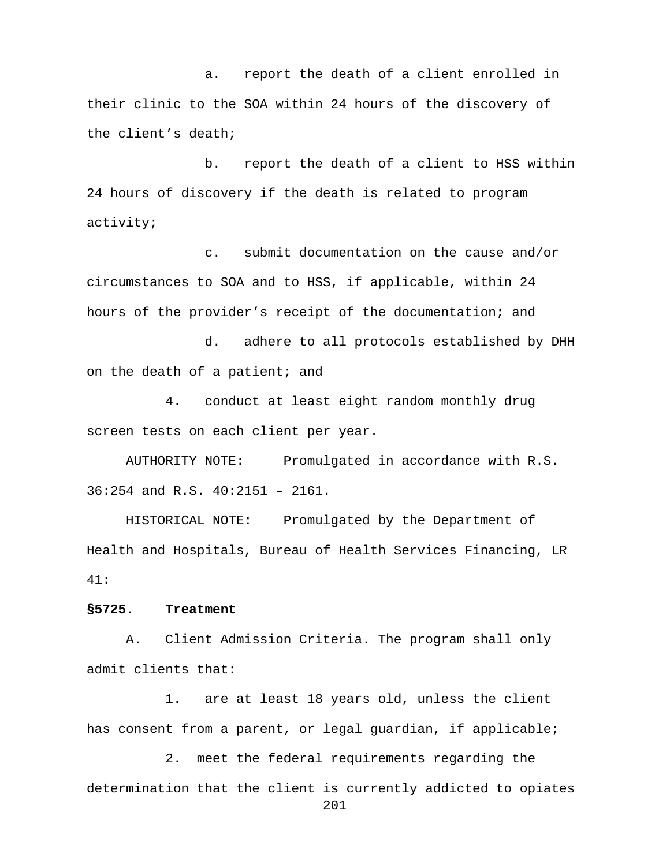a. report the death of a client enrolled in their clinic to the SOA within 24 hours of the discovery of the client's death;

b. report the death of a client to HSS within 24 hours of discovery if the death is related to program activity;

c. submit documentation on the cause and/or circumstances to SOA and to HSS, if applicable, within 24 hours of the provider's receipt of the documentation; and

d. adhere to all protocols established by DHH on the death of a patient; and

4. conduct at least eight random monthly drug screen tests on each client per year.

AUTHORITY NOTE: Promulgated in accordance with R.S. 36:254 and R.S. 40:2151 – 2161.

HISTORICAL NOTE: Promulgated by the Department of Health and Hospitals, Bureau of Health Services Financing, LR 41:

#### **§5725. Treatment**

A. Client Admission Criteria. The program shall only admit clients that:

1. are at least 18 years old, unless the client has consent from a parent, or legal guardian, if applicable;

2. meet the federal requirements regarding the determination that the client is currently addicted to opiates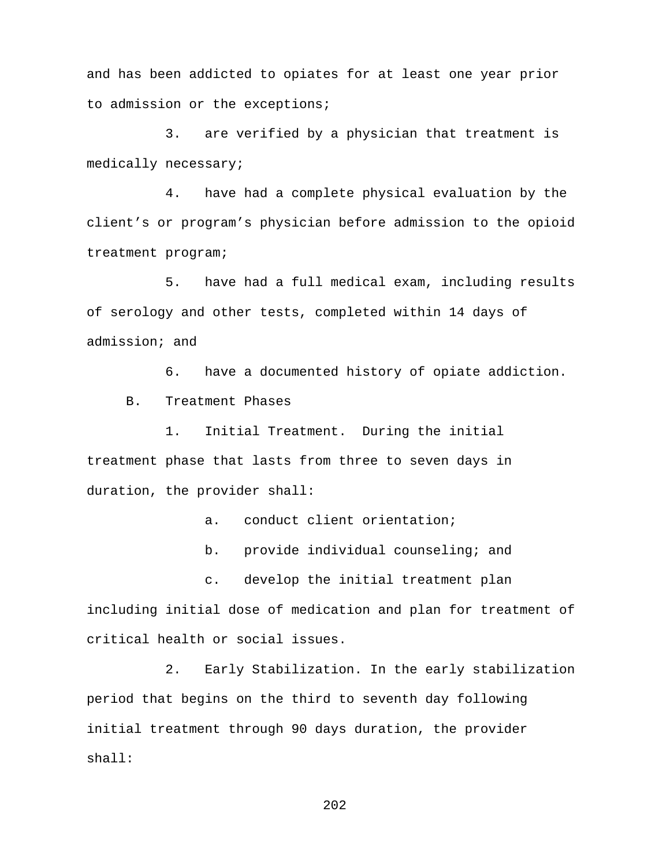and has been addicted to opiates for at least one year prior to admission or the exceptions;

3. are verified by a physician that treatment is medically necessary;

4. have had a complete physical evaluation by the client's or program's physician before admission to the opioid treatment program;

5. have had a full medical exam, including results of serology and other tests, completed within 14 days of admission; and

6. have a documented history of opiate addiction.

B. Treatment Phases

1. Initial Treatment.During the initial treatment phase that lasts from three to seven days in duration, the provider shall:

a. conduct client orientation;

b. provide individual counseling; and

c. develop the initial treatment plan

including initial dose of medication and plan for treatment of critical health or social issues.

2. Early Stabilization. In the early stabilization period that begins on the third to seventh day following initial treatment through 90 days duration, the provider shall: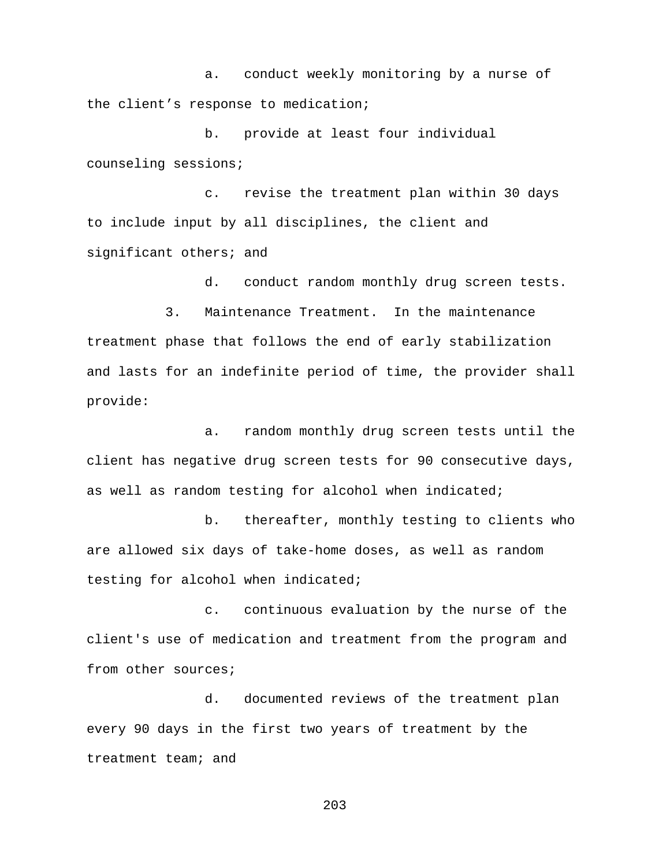a. conduct weekly monitoring by a nurse of the client's response to medication;

b. provide at least four individual counseling sessions;

c. revise the treatment plan within 30 days to include input by all disciplines, the client and significant others; and

d. conduct random monthly drug screen tests.

3. Maintenance Treatment. In the maintenance treatment phase that follows the end of early stabilization and lasts for an indefinite period of time, the provider shall provide:

a. random monthly drug screen tests until the client has negative drug screen tests for 90 consecutive days, as well as random testing for alcohol when indicated;

b. thereafter, monthly testing to clients who are allowed six days of take-home doses, as well as random testing for alcohol when indicated;

c. continuous evaluation by the nurse of the client's use of medication and treatment from the program and from other sources;

d. documented reviews of the treatment plan every 90 days in the first two years of treatment by the treatment team; and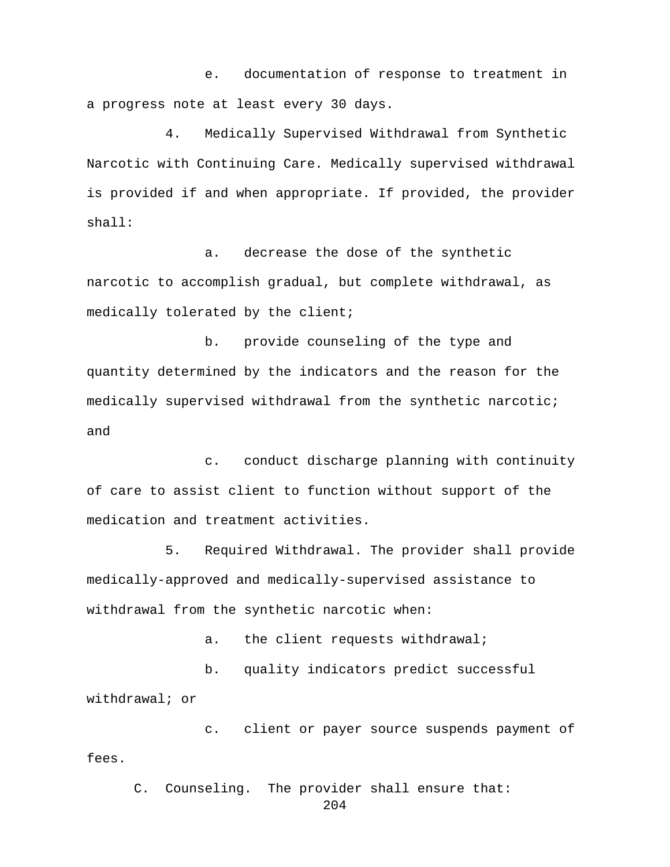e. documentation of response to treatment in a progress note at least every 30 days.

4. Medically Supervised Withdrawal from Synthetic Narcotic with Continuing Care. Medically supervised withdrawal is provided if and when appropriate. If provided, the provider shall:

 a. decrease the dose of the synthetic narcotic to accomplish gradual, but complete withdrawal, as medically tolerated by the client;

 b. provide counseling of the type and quantity determined by the indicators and the reason for the medically supervised withdrawal from the synthetic narcotic; and

c. conduct discharge planning with continuity of care to assist client to function without support of the medication and treatment activities.

5. Required Withdrawal. The provider shall provide medically-approved and medically-supervised assistance to withdrawal from the synthetic narcotic when:

a. the client requests withdrawal;

b. quality indicators predict successful withdrawal; or

c. client or payer source suspends payment of fees.

C. Counseling. The provider shall ensure that: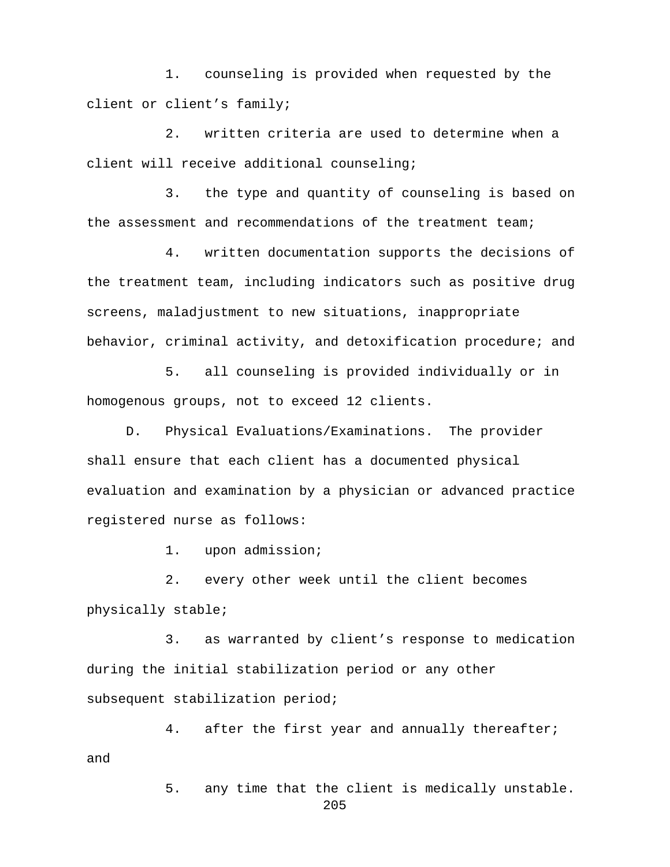1. counseling is provided when requested by the client or client's family;

2. written criteria are used to determine when a client will receive additional counseling;

3. the type and quantity of counseling is based on the assessment and recommendations of the treatment team;

4. written documentation supports the decisions of the treatment team, including indicators such as positive drug screens, maladjustment to new situations, inappropriate behavior, criminal activity, and detoxification procedure; and

5. all counseling is provided individually or in homogenous groups, not to exceed 12 clients.

D. Physical Evaluations/Examinations. The provider shall ensure that each client has a documented physical evaluation and examination by a physician or advanced practice registered nurse as follows:

1. upon admission;

2. every other week until the client becomes physically stable;

3. as warranted by client's response to medication during the initial stabilization period or any other subsequent stabilization period;

4. after the first year and annually thereafter; and

205

5. any time that the client is medically unstable.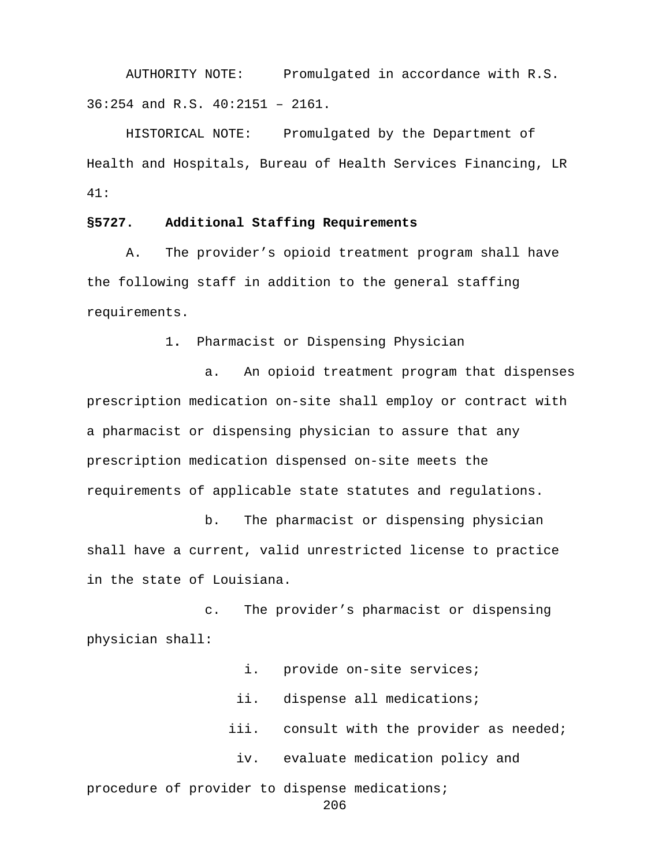AUTHORITY NOTE: Promulgated in accordance with R.S. 36:254 and R.S. 40:2151 – 2161.

HISTORICAL NOTE: Promulgated by the Department of Health and Hospitals, Bureau of Health Services Financing, LR 41:

# **§5727. Additional Staffing Requirements**

A. The provider's opioid treatment program shall have the following staff in addition to the general staffing requirements.

1**.** Pharmacist or Dispensing Physician

a. An opioid treatment program that dispenses prescription medication on-site shall employ or contract with a pharmacist or dispensing physician to assure that any prescription medication dispensed on-site meets the requirements of applicable state statutes and regulations.

b. The pharmacist or dispensing physician shall have a current, valid unrestricted license to practice in the state of Louisiana.

c. The provider's pharmacist or dispensing physician shall:

i. provide on-site services;

ii. dispense all medications;

iii. consult with the provider as needed;

iv. evaluate medication policy and

procedure of provider to dispense medications;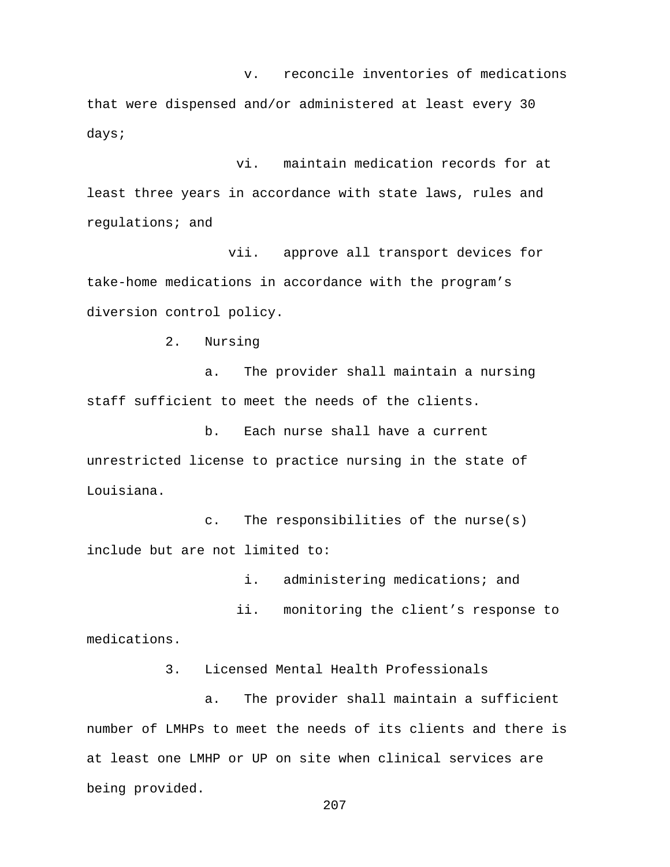v. reconcile inventories of medications

that were dispensed and/or administered at least every 30 days;

 vi. maintain medication records for at least three years in accordance with state laws, rules and regulations; and

 vii. approve all transport devices for take-home medications in accordance with the program's diversion control policy.

2. Nursing

a. The provider shall maintain a nursing staff sufficient to meet the needs of the clients.

b. Each nurse shall have a current unrestricted license to practice nursing in the state of Louisiana.

c. The responsibilities of the nurse(s) include but are not limited to:

i. administering medications; and

 ii. monitoring the client's response to medications.

3. Licensed Mental Health Professionals

a. The provider shall maintain a sufficient number of LMHPs to meet the needs of its clients and there is at least one LMHP or UP on site when clinical services are being provided.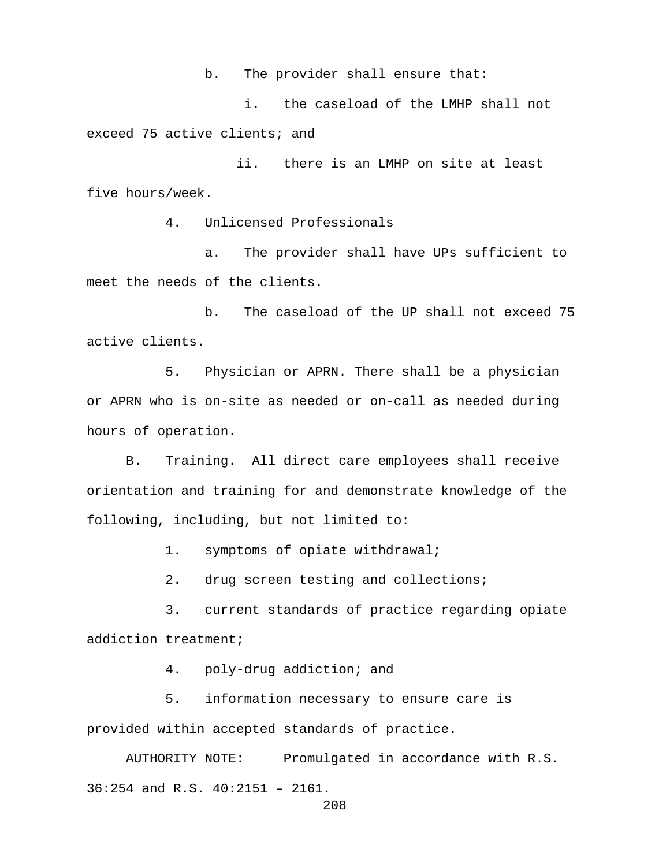b. The provider shall ensure that:

i. the caseload of the LMHP shall not exceed 75 active clients; and

 ii. there is an LMHP on site at least five hours/week.

4. Unlicensed Professionals

a. The provider shall have UPs sufficient to meet the needs of the clients.

b. The caseload of the UP shall not exceed 75 active clients.

5. Physician or APRN. There shall be a physician or APRN who is on-site as needed or on-call as needed during hours of operation.

 B. Training. All direct care employees shall receive orientation and training for and demonstrate knowledge of the following, including, but not limited to:

1. symptoms of opiate withdrawal;

2. drug screen testing and collections;

3. current standards of practice regarding opiate addiction treatment;

4. poly-drug addiction; and

5. information necessary to ensure care is provided within accepted standards of practice.

AUTHORITY NOTE: Promulgated in accordance with R.S. 36:254 and R.S. 40:2151 – 2161.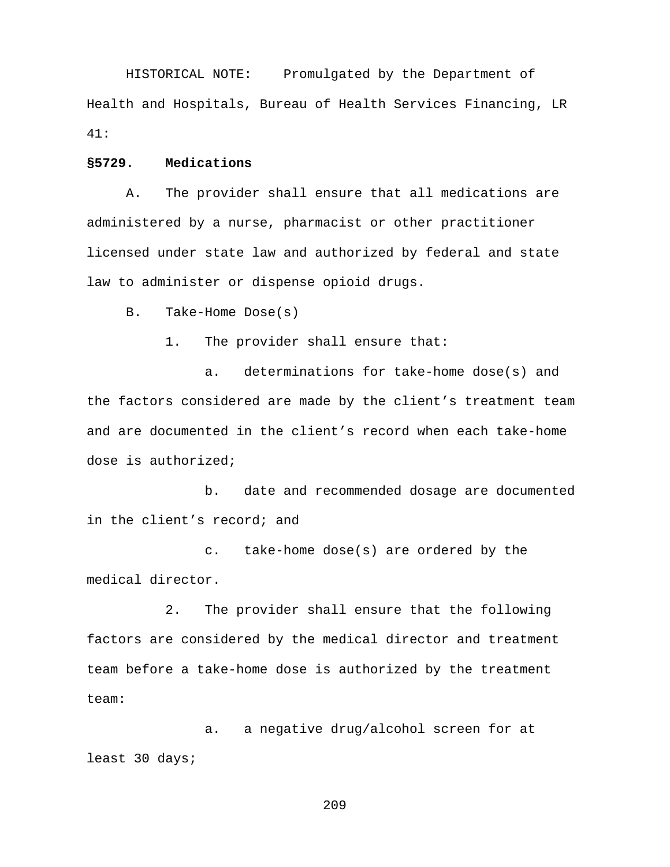HISTORICAL NOTE: Promulgated by the Department of Health and Hospitals, Bureau of Health Services Financing, LR 41:

### **§5729. Medications**

A. The provider shall ensure that all medications are administered by a nurse, pharmacist or other practitioner licensed under state law and authorized by federal and state law to administer or dispense opioid drugs.

B. Take-Home Dose(s)

1. The provider shall ensure that:

a. determinations for take-home dose(s) and the factors considered are made by the client's treatment team and are documented in the client's record when each take-home dose is authorized;

b. date and recommended dosage are documented in the client's record; and

c. take-home dose(s) are ordered by the medical director.

2. The provider shall ensure that the following factors are considered by the medical director and treatment team before a take-home dose is authorized by the treatment team:

a. a negative drug/alcohol screen for at least 30 days;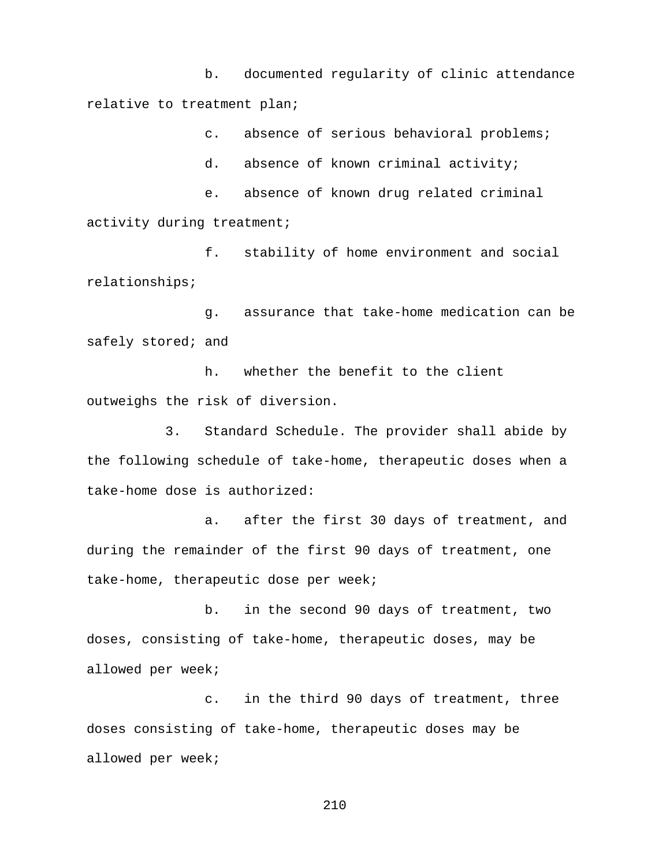b. documented regularity of clinic attendance relative to treatment plan;

c. absence of serious behavioral problems;

d. absence of known criminal activity;

e. absence of known drug related criminal activity during treatment;

f. stability of home environment and social relationships;

g. assurance that take-home medication can be safely stored; and

h. whether the benefit to the client outweighs the risk of diversion.

3. Standard Schedule. The provider shall abide by the following schedule of take-home, therapeutic doses when a take-home dose is authorized:

a. after the first 30 days of treatment, and during the remainder of the first 90 days of treatment, one take-home, therapeutic dose per week;

b. in the second 90 days of treatment, two doses, consisting of take-home, therapeutic doses, may be allowed per week;

c. in the third 90 days of treatment, three doses consisting of take-home, therapeutic doses may be allowed per week;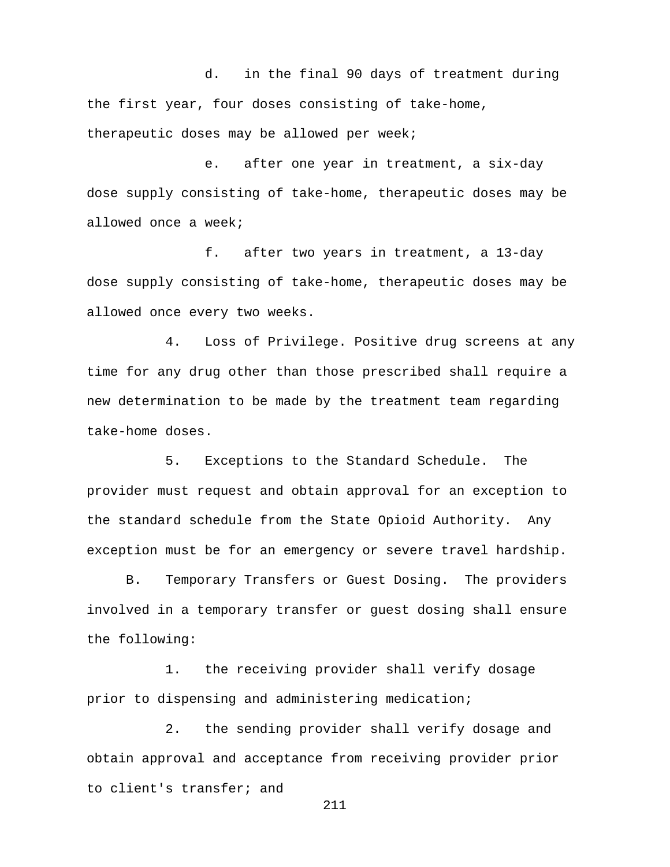d. in the final 90 days of treatment during the first year, four doses consisting of take-home, therapeutic doses may be allowed per week;

e. after one year in treatment, a six-day dose supply consisting of take-home, therapeutic doses may be allowed once a week;

f. after two years in treatment, a 13-day dose supply consisting of take-home, therapeutic doses may be allowed once every two weeks.

4. Loss of Privilege. Positive drug screens at any time for any drug other than those prescribed shall require a new determination to be made by the treatment team regarding take-home doses.

5. Exceptions to the Standard Schedule. The provider must request and obtain approval for an exception to the standard schedule from the State Opioid Authority. Any exception must be for an emergency or severe travel hardship.

B. Temporary Transfers or Guest Dosing. The providers involved in a temporary transfer or guest dosing shall ensure the following:

1. the receiving provider shall verify dosage prior to dispensing and administering medication;

2. the sending provider shall verify dosage and obtain approval and acceptance from receiving provider prior to client's transfer; and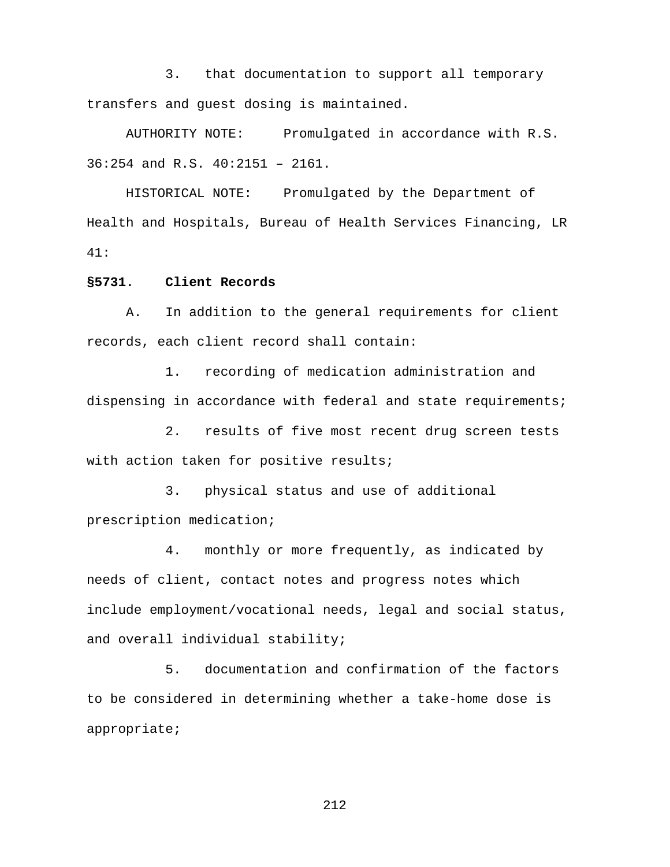3. that documentation to support all temporary transfers and guest dosing is maintained.

AUTHORITY NOTE: Promulgated in accordance with R.S. 36:254 and R.S. 40:2151 – 2161.

HISTORICAL NOTE: Promulgated by the Department of Health and Hospitals, Bureau of Health Services Financing, LR 41:

### **§5731. Client Records**

A. In addition to the general requirements for client records, each client record shall contain:

1. recording of medication administration and dispensing in accordance with federal and state requirements;

2. results of five most recent drug screen tests with action taken for positive results;

3. physical status and use of additional prescription medication;

4. monthly or more frequently, as indicated by needs of client, contact notes and progress notes which include employment/vocational needs, legal and social status, and overall individual stability;

5. documentation and confirmation of the factors to be considered in determining whether a take-home dose is appropriate;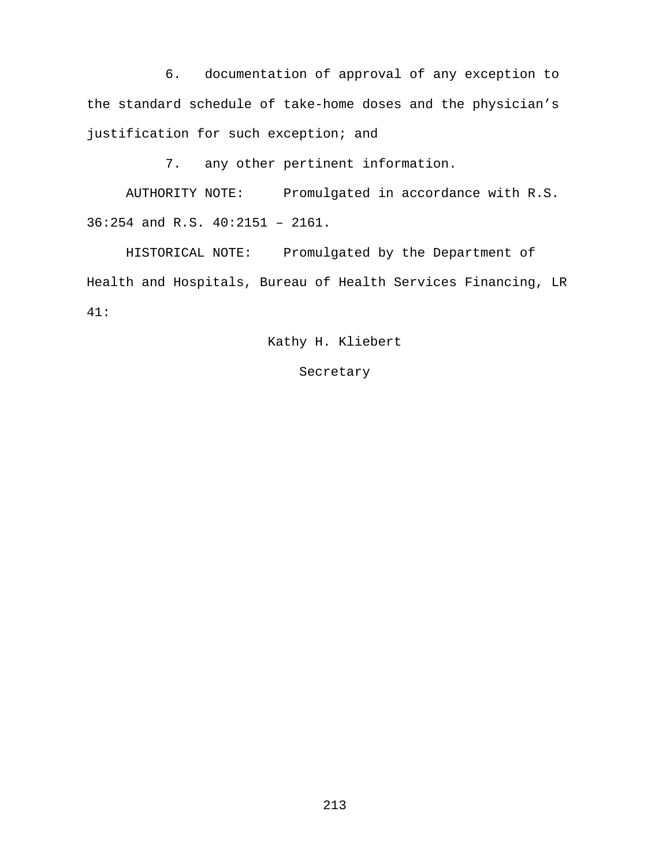6. documentation of approval of any exception to the standard schedule of take-home doses and the physician's justification for such exception; and

7. any other pertinent information.

AUTHORITY NOTE: Promulgated in accordance with R.S. 36:254 and R.S. 40:2151 – 2161.

HISTORICAL NOTE: Promulgated by the Department of Health and Hospitals, Bureau of Health Services Financing, LR 41:

Kathy H. Kliebert

#### Secretary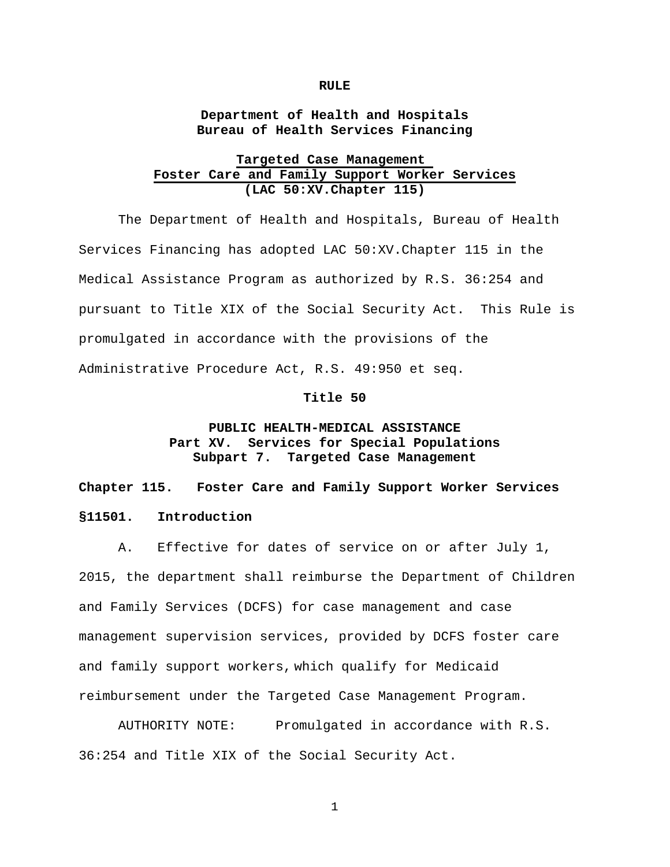#### **RULE**

**Department of Health and Hospitals Bureau of Health Services Financing**

# **Targeted Case Management Foster Care and Family Support Worker Services (LAC 50:XV.Chapter 115)**

The Department of Health and Hospitals, Bureau of Health Services Financing has adopted LAC 50:XV.Chapter 115 in the Medical Assistance Program as authorized by R.S. 36:254 and pursuant to Title XIX of the Social Security Act. This Rule is promulgated in accordance with the provisions of the Administrative Procedure Act, R.S. 49:950 et seq.

#### **Title 50**

# **PUBLIC HEALTH-MEDICAL ASSISTANCE** Part XV. Services for Special Populations<br>Subpart 7. Targeted Case Management **Subpart 7. Targeted Case Management**

**Chapter 115. Foster Care and Family Support Worker Services §11501. Introduction**

A. Effective for dates of service on or after July 1, 2015, the department shall reimburse the Department of Children and Family Services (DCFS) for case management and case management supervision services, provided by DCFS foster care and family support workers, which qualify for Medicaid reimbursement under the Targeted Case Management Program.

AUTHORITY NOTE: Promulgated in accordance with R.S. 36:254 and Title XIX of the Social Security Act.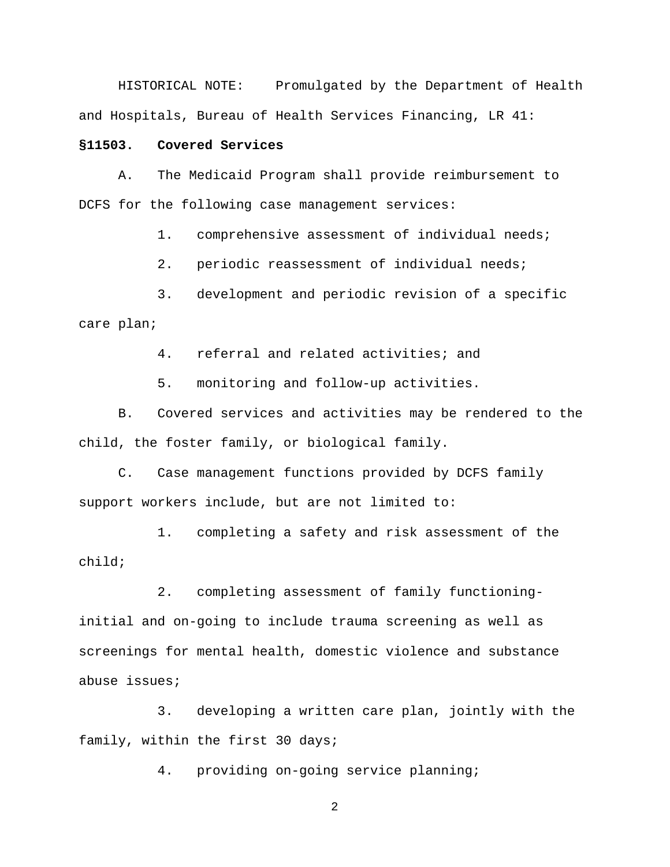HISTORICAL NOTE: Promulgated by the Department of Health and Hospitals, Bureau of Health Services Financing, LR 41:

# **§11503. Covered Services**

A. The Medicaid Program shall provide reimbursement to DCFS for the following case management services:

1. comprehensive assessment of individual needs;

2. periodic reassessment of individual needs;

3. development and periodic revision of a specific care plan;

4. referral and related activities; and

5. monitoring and follow-up activities.

B. Covered services and activities may be rendered to the child, the foster family, or biological family.

C. Case management functions provided by DCFS family support workers include, but are not limited to:

1. completing a safety and risk assessment of the child;

2. completing assessment of family functioninginitial and on-going to include trauma screening as well as screenings for mental health, domestic violence and substance abuse issues;

3. developing a written care plan, jointly with the family, within the first 30 days;

4. providing on-going service planning;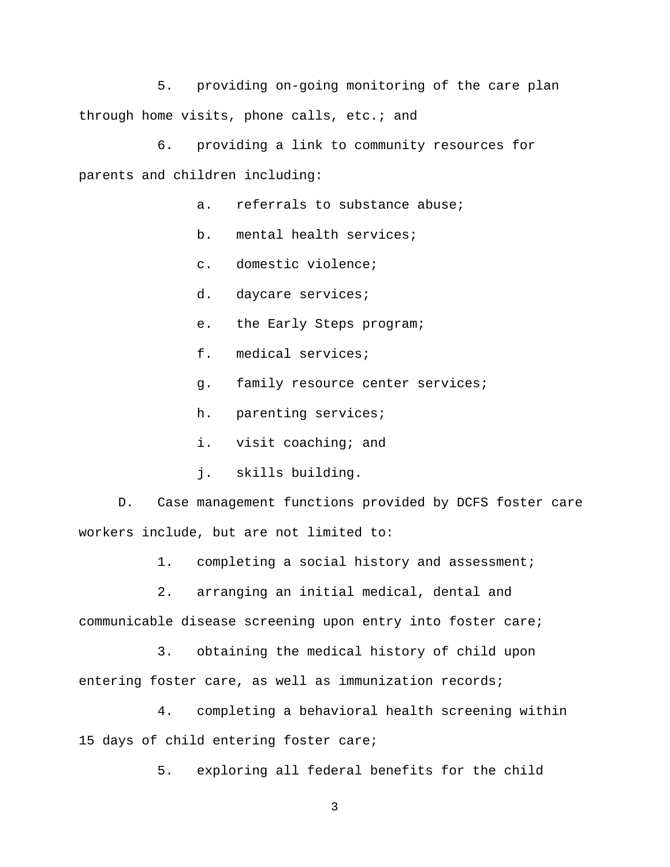5. providing on-going monitoring of the care plan through home visits, phone calls, etc.; and

6. providing a link to community resources for parents and children including:

- a. referrals to substance abuse;
- b. mental health services;
- c. domestic violence;
- d. daycare services;
- e. the Early Steps program;
- f. medical services;
- g. family resource center services;
- h. parenting services;
- i. visit coaching; and
- j. skills building.

D. Case management functions provided by DCFS foster care workers include, but are not limited to:

1. completing a social history and assessment;

2. arranging an initial medical, dental and communicable disease screening upon entry into foster care;

3. obtaining the medical history of child upon entering foster care, as well as immunization records;

4. completing a behavioral health screening within 15 days of child entering foster care;

5. exploring all federal benefits for the child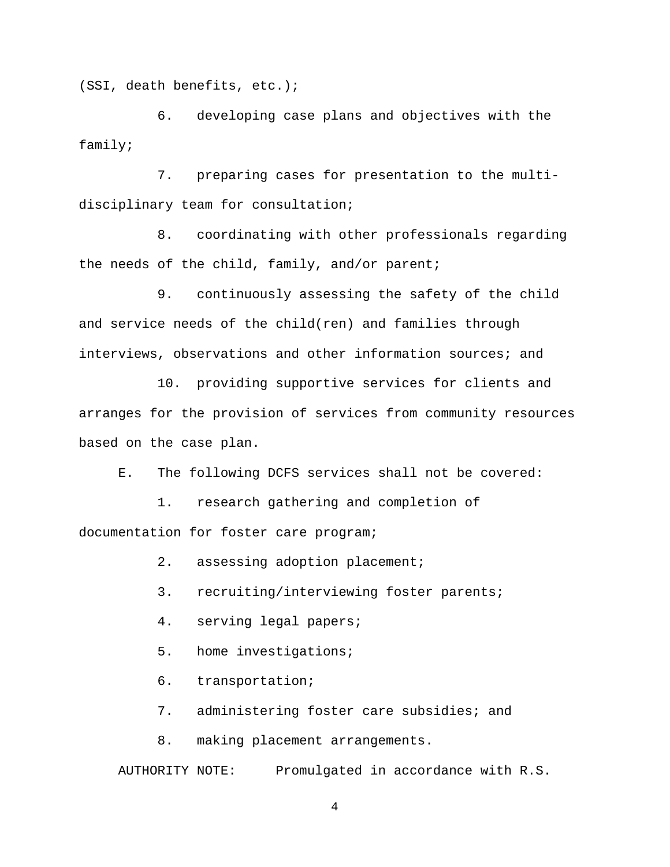(SSI, death benefits, etc.);

6. developing case plans and objectives with the family;

7. preparing cases for presentation to the multidisciplinary team for consultation;

8. coordinating with other professionals regarding the needs of the child, family, and/or parent;

9. continuously assessing the safety of the child and service needs of the child(ren) and families through interviews, observations and other information sources; and

10. providing supportive services for clients and arranges for the provision of services from community resources based on the case plan.

E. The following DCFS services shall not be covered:

1. research gathering and completion of documentation for foster care program;

2. assessing adoption placement;

3. recruiting/interviewing foster parents;

4. serving legal papers;

5. home investigations;

6. transportation;

7. administering foster care subsidies; and

8. making placement arrangements.

AUTHORITY NOTE: Promulgated in accordance with R.S.

4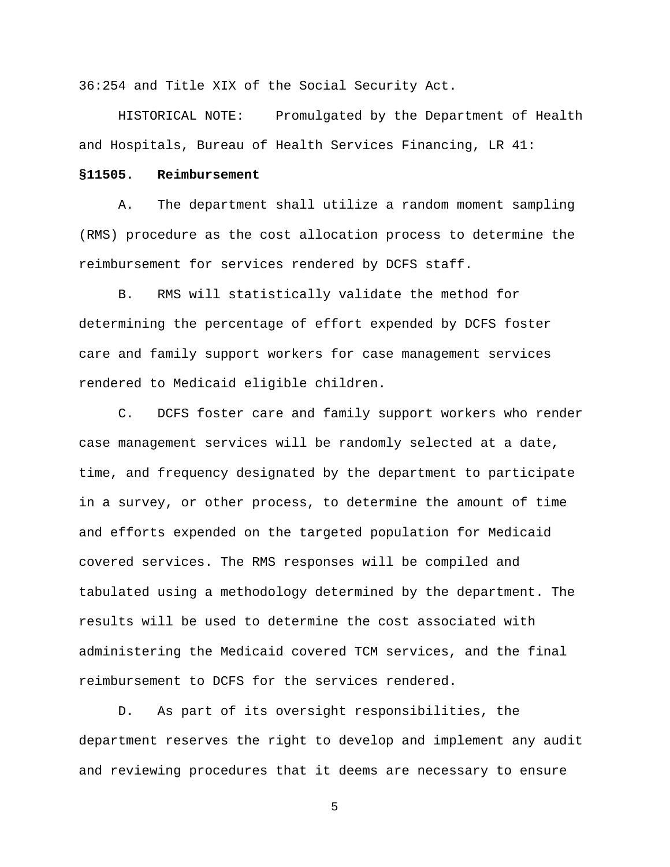36:254 and Title XIX of the Social Security Act.

HISTORICAL NOTE: Promulgated by the Department of Health and Hospitals, Bureau of Health Services Financing, LR 41:

## **§11505. Reimbursement**

A. The department shall utilize a random moment sampling (RMS) procedure as the cost allocation process to determine the reimbursement for services rendered by DCFS staff.

B. RMS will statistically validate the method for determining the percentage of effort expended by DCFS foster care and family support workers for case management services rendered to Medicaid eligible children.

C. DCFS foster care and family support workers who render case management services will be randomly selected at a date, time, and frequency designated by the department to participate in a survey, or other process, to determine the amount of time and efforts expended on the targeted population for Medicaid covered services. The RMS responses will be compiled and tabulated using a methodology determined by the department. The results will be used to determine the cost associated with administering the Medicaid covered TCM services, and the final reimbursement to DCFS for the services rendered.

D. As part of its oversight responsibilities, the department reserves the right to develop and implement any audit and reviewing procedures that it deems are necessary to ensure

5